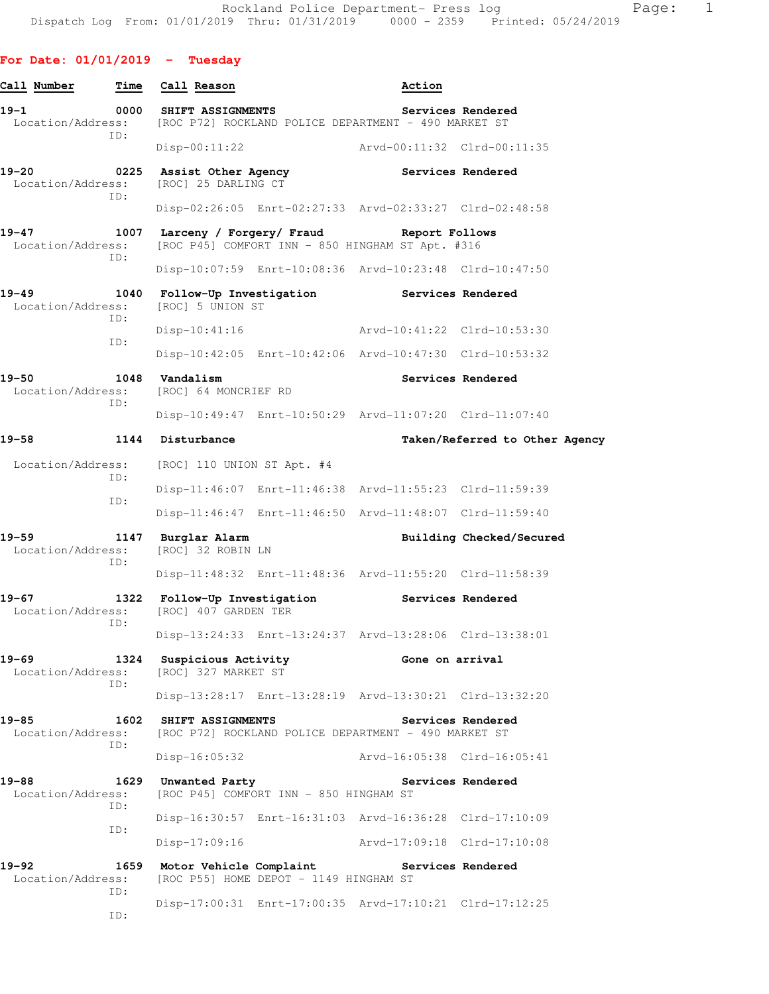| Call Number                    | Time        | Call Reason                                                                                        |                                                                                             | Action                      |                          |                                |
|--------------------------------|-------------|----------------------------------------------------------------------------------------------------|---------------------------------------------------------------------------------------------|-----------------------------|--------------------------|--------------------------------|
| $19 - 1$                       | 0000        | <b>SHIFT ASSIGNMENTS</b><br>Location/Address: [ROC P72] ROCKLAND POLICE DEPARTMENT - 490 MARKET ST |                                                                                             |                             | Services Rendered        |                                |
|                                | ID:         | $Disp-00:11:22$                                                                                    |                                                                                             | Arvd-00:11:32 Clrd-00:11:35 |                          |                                |
| $19 - 20$<br>Location/Address: |             | 0225 Assist Other Agency<br>[ROC] 25 DARLING CT                                                    |                                                                                             | Services Rendered           |                          |                                |
|                                | ID:         |                                                                                                    | Disp-02:26:05 Enrt-02:27:33 Arvd-02:33:27 Clrd-02:48:58                                     |                             |                          |                                |
| $19 - 47$<br>Location/Address: | 1007<br>ID: |                                                                                                    | Larceny / Forgery/ Fraud Report Follows<br>[ROC P45] COMFORT INN - 850 HINGHAM ST Apt. #316 |                             |                          |                                |
|                                |             |                                                                                                    | Disp-10:07:59 Enrt-10:08:36 Arvd-10:23:48 Clrd-10:47:50                                     |                             |                          |                                |
| $19 - 49$<br>Location/Address: | 1040        | [ROC] 5 UNION ST                                                                                   | Follow-Up Investigation Services Rendered                                                   |                             |                          |                                |
|                                | TD:         | Disp-10:41:16                                                                                      |                                                                                             | Arvd-10:41:22 Clrd-10:53:30 |                          |                                |
|                                | ID:         |                                                                                                    | Disp-10:42:05 Enrt-10:42:06 Arvd-10:47:30 Clrd-10:53:32                                     |                             |                          |                                |
| $19 - 50$<br>Location/Address: | ID:         | 1048 Vandalism<br>[ROC] 64 MONCRIEF RD                                                             |                                                                                             |                             | Services Rendered        |                                |
|                                |             |                                                                                                    | Disp-10:49:47 Enrt-10:50:29 Arvd-11:07:20 Clrd-11:07:40                                     |                             |                          |                                |
| $19 - 58$                      |             | 1144 Disturbance                                                                                   |                                                                                             |                             |                          | Taken/Referred to Other Agency |
| Location/Address:<br>ID:       |             | $[ROC]$ 110 UNION ST Apt. #4                                                                       |                                                                                             |                             |                          |                                |
|                                | ID:         |                                                                                                    | Disp-11:46:07 Enrt-11:46:38 Arvd-11:55:23 Clrd-11:59:39                                     |                             |                          |                                |
|                                |             |                                                                                                    | Disp-11:46:47 Enrt-11:46:50 Arvd-11:48:07 Clrd-11:59:40                                     |                             |                          |                                |
| 19-59<br>Location/Address:     | ID:         | 1147 Burglar Alarm<br>[ROC] 32 ROBIN LN                                                            |                                                                                             |                             | Building Checked/Secured |                                |
|                                |             |                                                                                                    | Disp-11:48:32 Enrt-11:48:36 Arvd-11:55:20 Clrd-11:58:39                                     |                             |                          |                                |
| $19 - 67$<br>Location/Address: | 1322<br>ID: | [ROC] 407 GARDEN TER                                                                               | Follow-Up Investigation Services Rendered                                                   |                             |                          |                                |
|                                |             |                                                                                                    | Disp-13:24:33 Enrt-13:24:37 Arvd-13:28:06 Clrd-13:38:01                                     |                             |                          |                                |
| $19 - 69$<br>Location/Address: | 1324<br>ID: | Suspicious Activity<br>[ROC] 327 MARKET ST                                                         |                                                                                             | Gone on arrival             |                          |                                |
|                                |             |                                                                                                    | Disp-13:28:17 Enrt-13:28:19 Arvd-13:30:21 Clrd-13:32:20                                     |                             |                          |                                |
| 19-85<br>Location/Address:     | 1602<br>ID: | <b>SHIFT ASSIGNMENTS</b>                                                                           | [ROC P72] ROCKLAND POLICE DEPARTMENT - 490 MARKET ST                                        |                             | Services Rendered        |                                |
|                                |             | $Disp-16:05:32$                                                                                    |                                                                                             | Arvd-16:05:38 Clrd-16:05:41 |                          |                                |
| 19-88<br>Location/Address:     | 1629<br>ID: | Unwanted Party                                                                                     | [ROC P45] COMFORT INN - 850 HINGHAM ST                                                      |                             | Services Rendered        |                                |
|                                | ID:         |                                                                                                    | Disp-16:30:57 Enrt-16:31:03 Arvd-16:36:28 Clrd-17:10:09                                     |                             |                          |                                |
|                                |             | $Disp-17:09:16$                                                                                    |                                                                                             | Arvd-17:09:18 Clrd-17:10:08 |                          |                                |
| 19-92<br>Location/Address:     | ID:         | 1659 Motor Vehicle Complaint Services Rendered                                                     | [ROC P55] HOME DEPOT - 1149 HINGHAM ST                                                      |                             |                          |                                |
|                                | ID:         |                                                                                                    | Disp-17:00:31 Enrt-17:00:35 Arvd-17:10:21 Clrd-17:12:25                                     |                             |                          |                                |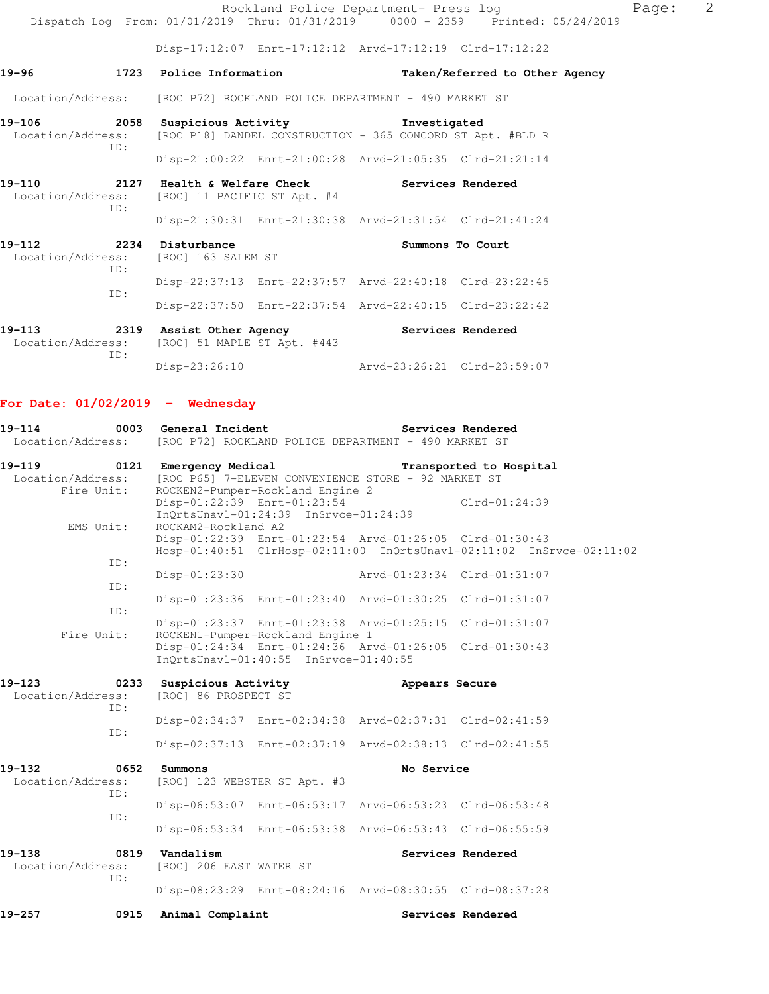|                                                                        |                                                                                                       | Rockland Police Department- Press log                                          | Page: | 2 |
|------------------------------------------------------------------------|-------------------------------------------------------------------------------------------------------|--------------------------------------------------------------------------------|-------|---|
|                                                                        |                                                                                                       | Dispatch Log From: 01/01/2019 Thru: 01/31/2019 0000 - 2359 Printed: 05/24/2019 |       |   |
|                                                                        |                                                                                                       | Disp-17:12:07 Enrt-17:12:12 Arvd-17:12:19 Clrd-17:12:22                        |       |   |
| 19-96                                                                  | 1723 Police Information                                                                               | Taken/Referred to Other Agency                                                 |       |   |
|                                                                        | Location/Address: [ROC P72] ROCKLAND POLICE DEPARTMENT - 490 MARKET ST                                |                                                                                |       |   |
| ID:                                                                    | 19-106 10-58 Suspicious Activity 1nvestigated                                                         | Location/Address: [ROC P18] DANDEL CONSTRUCTION - 365 CONCORD ST Apt. #BLD R   |       |   |
|                                                                        |                                                                                                       | Disp-21:00:22 Enrt-21:00:28 Arvd-21:05:35 Clrd-21:21:14                        |       |   |
| TD:                                                                    | 19-110 2127 Health & Welfare Check Services Rendered<br>Location/Address: [ROC] 11 PACIFIC ST Apt. #4 |                                                                                |       |   |
|                                                                        |                                                                                                       | Disp-21:30:31 Enrt-21:30:38 Arvd-21:31:54 Clrd-21:41:24                        |       |   |
| 19-112 2234 Disturbance<br>Location/Address: [ROC] 163 SALEM ST<br>ID: |                                                                                                       | Summons To Court                                                               |       |   |
| ID:                                                                    |                                                                                                       | Disp-22:37:13 Enrt-22:37:57 Arvd-22:40:18 Clrd-23:22:45                        |       |   |
|                                                                        |                                                                                                       | Disp-22:37:50 Enrt-22:37:54 Arvd-22:40:15 Clrd-23:22:42                        |       |   |
|                                                                        | 19-113 2319 Assist Other Agency<br>Location/Address. [ROC] 51 MAPLE ST Apt #443                       | Services Rendered                                                              |       |   |

 Location/Address: [ROC] 51 MAPLE ST Apt. #443 ID: Disp-23:26:10 Arvd-23:26:21 Clrd-23:59:07

# **For Date: 01/02/2019 - Wednesday**

| $19 - 114$<br>Location/Address:               |             | 0003 General Incident<br>[ROC P72] ROCKLAND POLICE DEPARTMENT - 490 MARKET ST |                                                                          |                                                         | Services Rendered       |                                                                      |
|-----------------------------------------------|-------------|-------------------------------------------------------------------------------|--------------------------------------------------------------------------|---------------------------------------------------------|-------------------------|----------------------------------------------------------------------|
| $19 - 119$<br>Location/Address:<br>Fire Unit: | 0121        | Emergency Medical                                                             | ROCKEN2-Pumper-Rockland Engine 2                                         | [ROC P65] 7-ELEVEN CONVENIENCE STORE - 92 MARKET ST     | Transported to Hospital |                                                                      |
| EMS Unit:                                     |             | ROCKAM2-Rockland A2                                                           | Disp-01:22:39 Enrt-01:23:54<br>$InOrtsUnav1-01:24:39$ $InStvee-01:24:39$ |                                                         | $Clrd-01:24:39$         |                                                                      |
|                                               |             |                                                                               |                                                                          | Disp-01:22:39 Enrt-01:23:54 Arvd-01:26:05 Clrd-01:30:43 |                         | Hosp-01:40:51 ClrHosp-02:11:00 InQrtsUnavl-02:11:02 InSrvce-02:11:02 |
|                                               | ID:         | $Disp-01:23:30$                                                               |                                                                          | Arvd-01:23:34 Clrd-01:31:07                             |                         |                                                                      |
|                                               | ID:<br>ID:  |                                                                               |                                                                          | Disp-01:23:36 Enrt-01:23:40 Arvd-01:30:25 Clrd-01:31:07 |                         |                                                                      |
| Fire Unit:                                    |             |                                                                               | ROCKEN1-Pumper-Rockland Engine 1                                         | Disp-01:23:37 Enrt-01:23:38 Arvd-01:25:15 Clrd-01:31:07 |                         |                                                                      |
|                                               |             |                                                                               | InOrtsUnavl-01:40:55 InSrvce-01:40:55                                    | Disp-01:24:34 Enrt-01:24:36 Arvd-01:26:05 Clrd-01:30:43 |                         |                                                                      |
| $19 - 123$<br>Location/Address:               | TD:         | 0233 Suspicious Activity<br>[ROC] 86 PROSPECT ST                              |                                                                          | Appears Secure                                          |                         |                                                                      |
|                                               | TD:         |                                                                               |                                                                          | Disp-02:34:37 Enrt-02:34:38 Arvd-02:37:31 Clrd-02:41:59 |                         |                                                                      |
|                                               |             |                                                                               |                                                                          | Disp-02:37:13 Enrt-02:37:19 Arvd-02:38:13 Clrd-02:41:55 |                         |                                                                      |
| 19-132<br>Location/Address:                   | 0652<br>ID: | Summons<br>[ROC] 123 WEBSTER ST Apt. #3                                       |                                                                          | No Service                                              |                         |                                                                      |
|                                               | ID:         |                                                                               |                                                                          | Disp-06:53:07 Enrt-06:53:17 Arvd-06:53:23 Clrd-06:53:48 |                         |                                                                      |
|                                               |             |                                                                               |                                                                          | Disp-06:53:34 Enrt-06:53:38 Arvd-06:53:43 Clrd-06:55:59 |                         |                                                                      |
| $19 - 138$<br>Location/Address:               | 0819<br>ID: | Vandalism<br>[ROC] 206 EAST WATER ST                                          |                                                                          |                                                         | Services Rendered       |                                                                      |
|                                               |             |                                                                               |                                                                          | Disp-08:23:29 Enrt-08:24:16 Arvd-08:30:55 Clrd-08:37:28 |                         |                                                                      |
| $19 - 257$                                    | 0915        | Animal Complaint                                                              |                                                                          |                                                         | Services Rendered       |                                                                      |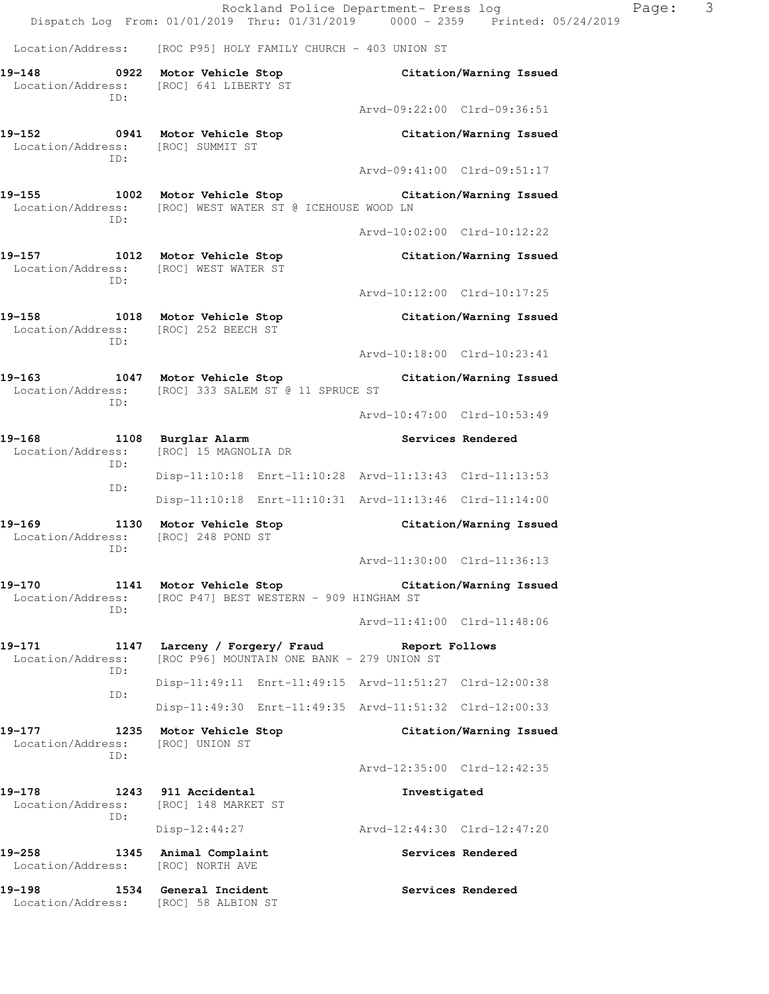Rockland Police Department- Press log Page: 3 Dispatch Log From: 01/01/2019 Thru: 01/31/2019 0000 - 2359 Printed: 05/24/2019 Location/Address: [ROC P95] HOLY FAMILY CHURCH - 403 UNION ST **19-148 0922 Motor Vehicle Stop Citation/Warning Issued**  Location/Address: [ROC] 641 LIBERTY ST ID: Arvd-09:22:00 Clrd-09:36:51 **19-152 0941 Motor Vehicle Stop Citation/Warning Issued**  Location/Address: [ROC] SUMMIT ST ID: Arvd-09:41:00 Clrd-09:51:17 **19-155 1002 Motor Vehicle Stop Citation/Warning Issued**  Location/Address: [ROC] WEST WATER ST @ ICEHOUSE WOOD LN ID: Arvd-10:02:00 Clrd-10:12:22 **19-157 1012 Motor Vehicle Stop Citation/Warning Issued**  Location/Address: [ROC] WEST WATER ST ID: Arvd-10:12:00 Clrd-10:17:25 **19-158 1018 Motor Vehicle Stop Citation/Warning Issued**  Location/Address: [ROC] 252 BEECH ST ID: Arvd-10:18:00 Clrd-10:23:41 **19-163 1047 Motor Vehicle Stop Citation/Warning Issued**  Location/Address: [ROC] 333 SALEM ST @ 11 SPRUCE ST ID: Arvd-10:47:00 Clrd-10:53:49 19-168 1108 Burglar Alarm **1108 Services Rendered**  Location/Address: [ROC] 15 MAGNOLIA DR ID: Disp-11:10:18 Enrt-11:10:28 Arvd-11:13:43 Clrd-11:13:53 ID: Disp-11:10:18 Enrt-11:10:31 Arvd-11:13:46 Clrd-11:14:00 **19-169 1130 Motor Vehicle Stop Citation/Warning Issued**  Location/Address: [ROC] 248 POND ST ID: Arvd-11:30:00 Clrd-11:36:13 **19-170 1141 Motor Vehicle Stop Citation/Warning Issued**  Location/Address: [ROC P47] BEST WESTERN - 909 HINGHAM ST ID: Arvd-11:41:00 Clrd-11:48:06 **19-171 1147 Larceny / Forgery/ Fraud Report Follows**  Location/Address: [ROC P96] MOUNTAIN ONE BANK - 279 UNION ST ID: Disp-11:49:11 Enrt-11:49:15 Arvd-11:51:27 Clrd-12:00:38 ID: Disp-11:49:30 Enrt-11:49:35 Arvd-11:51:32 Clrd-12:00:33 **19-177 1235 Motor Vehicle Stop Citation/Warning Issued**  Location/Address: [ROC] UNION ST ID: Arvd-12:35:00 Clrd-12:42:35 **19-178 1243 911 Accidental Investigated**  Location/Address: [ROC] 148 MARKET ST ID: Disp-12:44:27 Arvd-12:44:30 Clrd-12:47:20 19-258 1345 Animal Complaint **1345 Animal Complaint**  Location/Address: [ROC] NORTH AVE **19-198 1534 General Incident Services Rendered**  Location/Address: [ROC] 58 ALBION ST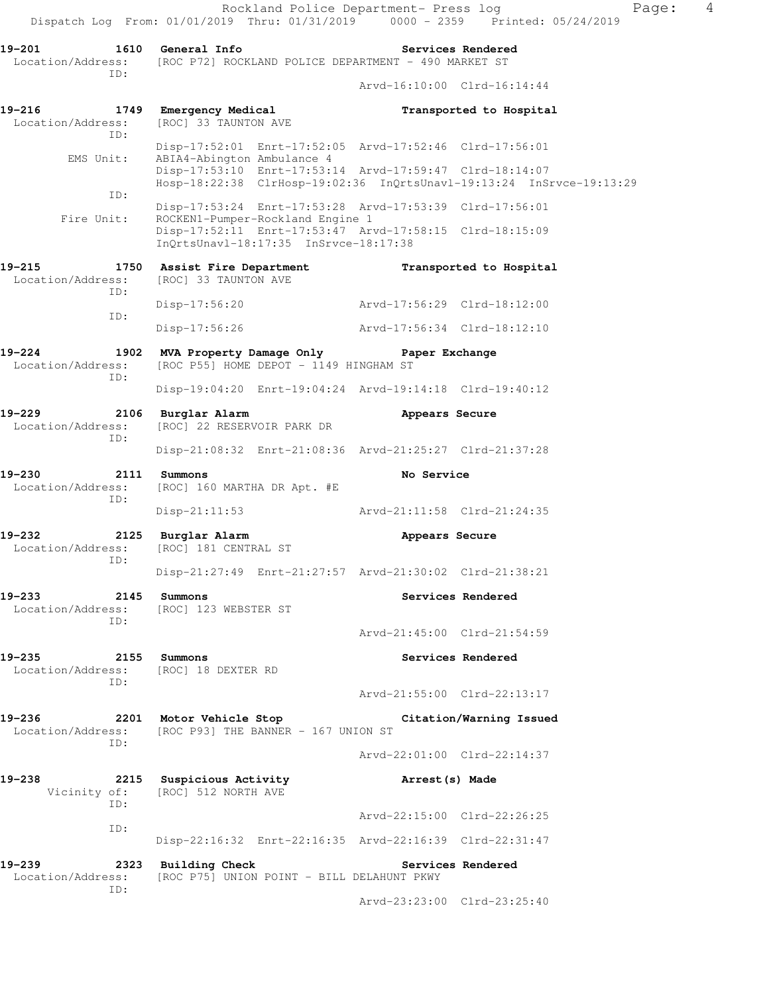Rockland Police Department- Press log Fage: 4 Dispatch Log From: 01/01/2019 Thru: 01/31/2019 0000 - 2359 Printed: 05/24/2019 **19-201 1610 General Info Services Rendered**  Location/Address: [ROC P72] ROCKLAND POLICE DEPARTMENT - 490 MARKET ST ID: Arvd-16:10:00 Clrd-16:14:44 19-216 1749 Emergency Medical **19-216** Transported to Hospital Location/Address: [ROC] 33 TAUNTON AVE ID: Disp-17:52:01 Enrt-17:52:05 Arvd-17:52:46 Clrd-17:56:01<br>EMS Unit: ABIA4-Abington Ambulance 4 ABIA4-Abington Ambulance 4 Disp-17:53:10 Enrt-17:53:14 Arvd-17:59:47 Clrd-18:14:07 Hosp-18:22:38 ClrHosp-19:02:36 InQrtsUnavl-19:13:24 InSrvce-19:13:29 ID: Disp-17:53:24 Enrt-17:53:28 Arvd-17:53:39 Clrd-17:56:01<br>Fire Unit: ROCKEN1-Pumper-Rockland Engine 1 ROCKEN1-Pumper-Rockland Engine 1 Disp-17:52:11 Enrt-17:53:47 Arvd-17:58:15 Clrd-18:15:09 InQrtsUnavl-18:17:35 InSrvce-18:17:38 **19-215 1750 Assist Fire Department Transported to Hospital**  Location/Address: [ROC] 33 TAUNTON AVE ID: Disp-17:56:20 Arvd-17:56:29 Clrd-18:12:00 ID: Disp-17:56:26 Arvd-17:56:34 Clrd-18:12:10 **19-224 1902 MVA Property Damage Only Paper Exchange**  Location/Address: [ROC P55] HOME DEPOT - 1149 HINGHAM ST ID: Disp-19:04:20 Enrt-19:04:24 Arvd-19:14:18 Clrd-19:40:12 **19-229 2106 Burglar Alarm Appears Secure**  Location/Address: [ROC] 22 RESERVOIR PARK DR ID: Disp-21:08:32 Enrt-21:08:36 Arvd-21:25:27 Clrd-21:37:28 **19-230 2111 Summons No Service**  Location/Address: [ROC] 160 MARTHA DR Apt. #E ID: Disp-21:11:53 Arvd-21:11:58 Clrd-21:24:35 **19-232 2125 Burglar Alarm Appears Secure**  Location/Address: [ROC] 181 CENTRAL ST ID: Disp-21:27:49 Enrt-21:27:57 Arvd-21:30:02 Clrd-21:38:21 **19-233** 2145 Summons Services Rendered Location/Address: [ROC] 123 WEBSTER ST ID: Arvd-21:45:00 Clrd-21:54:59 **19-235 2155 Summons Services Rendered**  Location/Address: [ROC] 18 DEXTER RD ID: Arvd-21:55:00 Clrd-22:13:17 **19-236 2201 Motor Vehicle Stop Citation/Warning Issued**  Location/Address: [ROC P93] THE BANNER - 167 UNION ST ID: Arvd-22:01:00 Clrd-22:14:37 **19-238 2215 Suspicious Activity Arrest(s) Made** Vicinity of: [ROC] 512 NORTH AVE [ROC] 512 NORTH AVE ID: Arvd-22:15:00 Clrd-22:26:25 ID: Disp-22:16:32 Enrt-22:16:35 Arvd-22:16:39 Clrd-22:31:47 **19-239 2323 Building Check Services Rendered**  Location/Address: [ROC P75] UNION POINT - BILL DELAHUNT PKWY

Arvd-23:23:00 Clrd-23:25:40

ID: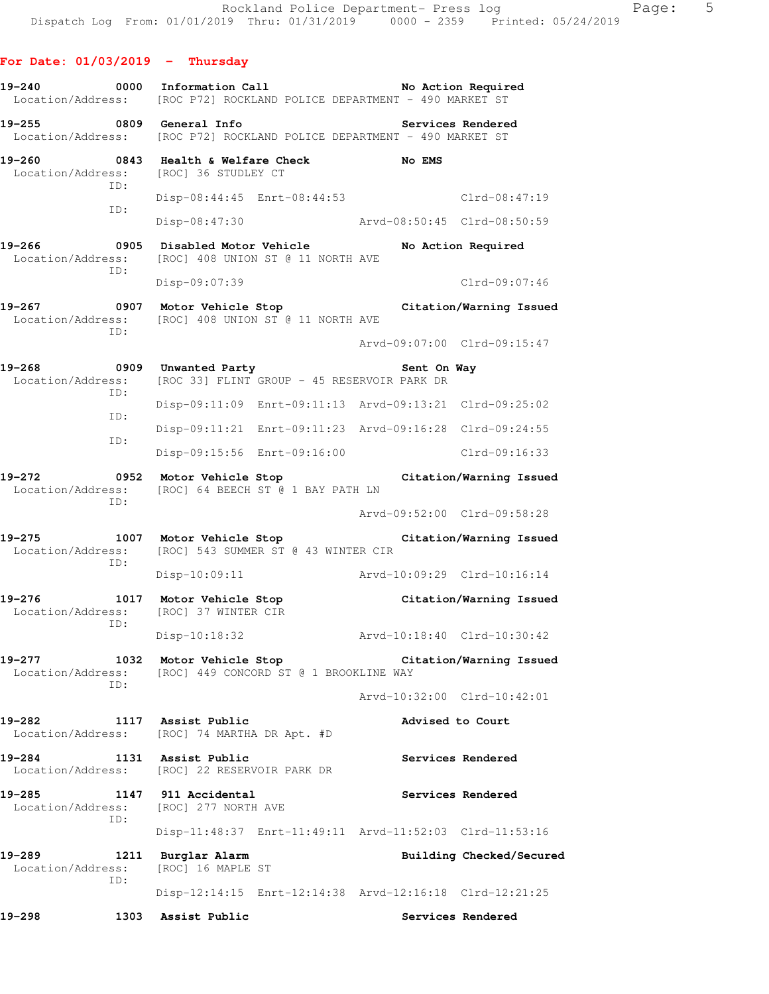#### **For Date: 01/03/2019 - Thursday**

ID:

- **19-240 0000 Information Call No Action Required**  Location/Address: [ROC P72] ROCKLAND POLICE DEPARTMENT - 490 MARKET ST
- **19-255 0809 General Info Services Rendered**  Location/Address: [ROC P72] ROCKLAND POLICE DEPARTMENT - 490 MARKET ST
- **19-260 0843 Health & Welfare Check No EMS**  Location/Address: [ROC] 36 STUDLEY CT ID: Disp-08:44:45 Enrt-08:44:53 Clrd-08:47:19 ID: Disp-08:47:30 Arvd-08:50:45 Clrd-08:50:59
- **19-266 0905 Disabled Motor Vehicle No Action Required**  Location/Address: [ROC] 408 UNION ST @ 11 NORTH AVE ID: Disp-09:07:39 Clrd-09:07:46
- **19-267 0907 Motor Vehicle Stop Citation/Warning Issued**  Location/Address: [ROC] 408 UNION ST @ 11 NORTH AVE

Arvd-09:07:00 Clrd-09:15:47

- **19-268 0909 Unwanted Party Sent On Way**  Location/Address: [ROC 33] FLINT GROUP - 45 RESERVOIR PARK DR ID: Disp-09:11:09 Enrt-09:11:13 Arvd-09:13:21 Clrd-09:25:02 ID: Disp-09:11:21 Enrt-09:11:23 Arvd-09:16:28 Clrd-09:24:55 ID: Disp-09:15:56 Enrt-09:16:00 Clrd-09:16:33
- **19-272 0952 Motor Vehicle Stop Citation/Warning Issued**  Location/Address: [ROC] 64 BEECH ST @ 1 BAY PATH LN ID:

Arvd-09:52:00 Clrd-09:58:28

- **19-275 1007 Motor Vehicle Stop Citation/Warning Issued**  Location/Address: [ROC] 543 SUMMER ST @ 43 WINTER CIR ID:
	- Disp-10:09:11 Arvd-10:09:29 Clrd-10:16:14
- **19-276 1017 Motor Vehicle Stop Citation/Warning Issued**  Location/Address: [ROC] 37 WINTER CIR ID:
	- Disp-10:18:32 Arvd-10:18:40 Clrd-10:30:42
- **19-277 1032 Motor Vehicle Stop Citation/Warning Issued**  Location/Address: [ROC] 449 CONCORD ST @ 1 BROOKLINE WAY ID:

Arvd-10:32:00 Clrd-10:42:01

- **19-282 1117 Assist Public Advised to Court**  Location/Address: [ROC] 74 MARTHA DR Apt. #D
- 19-284 1131 Assist Public **1131 Services Rendered** Location/Address: [ROC] 22 RESERVOIR PARK DR
- **19-285 1147 911 Accidental Services Rendered**  Location/Address: [ROC] 277 NORTH AVE ID:
- Disp-11:48:37 Enrt-11:49:11 Arvd-11:52:03 Clrd-11:53:16
- **19-289 1211 Burglar Alarm Building Checked/Secured**  Location/Address: [ROC] 16 MAPLE ST ID: Disp-12:14:15 Enrt-12:14:38 Arvd-12:16:18 Clrd-12:21:25
- 19-298 1303 Assist Public **19-298** Services Rendered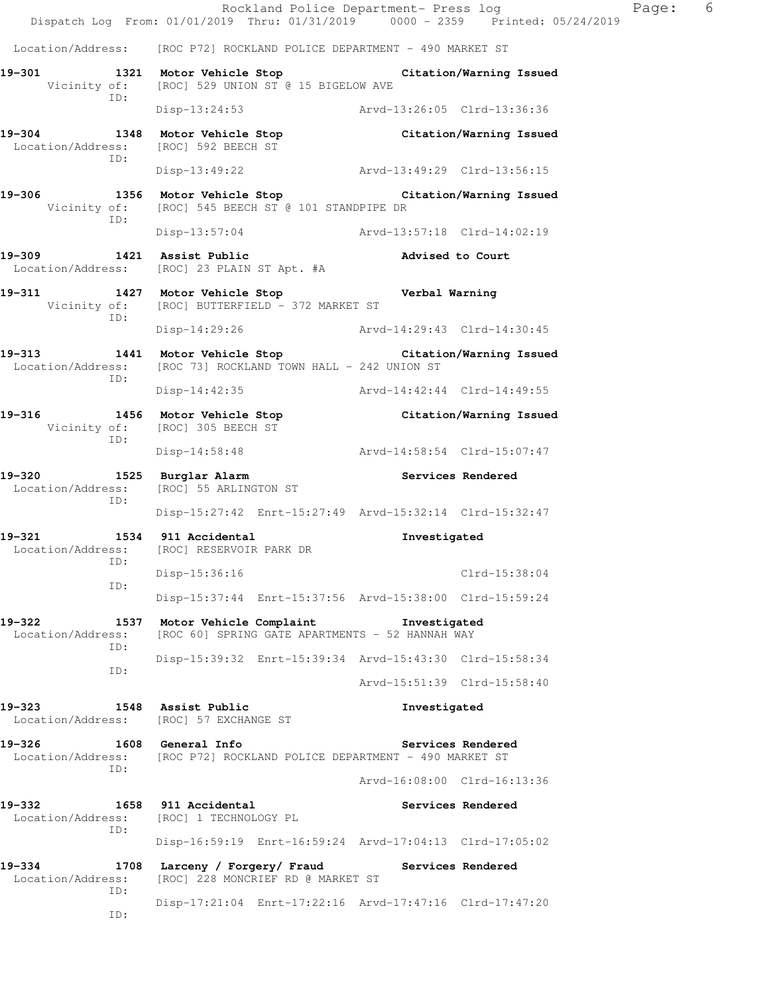Rockland Police Department- Press log Page: 6 Dispatch Log From: 01/01/2019 Thru: 01/31/2019 0000 - 2359 Printed: 05/24/2019 Location/Address: [ROC P72] ROCKLAND POLICE DEPARTMENT - 490 MARKET ST **19-301 1321 Motor Vehicle Stop Citation/Warning Issued**  Vicinity of: [ROC] 529 UNION ST @ 15 BIGELOW AVE ID: Disp-13:24:53 Arvd-13:26:05 Clrd-13:36:36 **19-304 1348 Motor Vehicle Stop Citation/Warning Issued**  Location/Address: [ROC] 592 BEECH ST ID: Disp-13:49:22 Arvd-13:49:29 Clrd-13:56:15 **19-306 1356 Motor Vehicle Stop Citation/Warning Issued**  Vicinity of: [ROC] 545 BEECH ST @ 101 STANDPIPE DR ID: Disp-13:57:04 Arvd-13:57:18 Clrd-14:02:19 **19-309 1421 Assist Public Advised to Court**  Location/Address: [ROC] 23 PLAIN ST Apt. #A **19-311 1427 Motor Vehicle Stop Verbal Warning**  Vicinity of: [ROC] BUTTERFIELD - 372 MARKET ST ID: Disp-14:29:26 Arvd-14:29:43 Clrd-14:30:45 **19-313 1441 Motor Vehicle Stop Citation/Warning Issued**  Location/Address: [ROC 73] ROCKLAND TOWN HALL - 242 UNION ST ID: Disp-14:42:35 Arvd-14:42:44 Clrd-14:49:55 **19-316 1456 Motor Vehicle Stop Citation/Warning Issued**  Vicinity of: [ROC] 305 BEECH ST ID: Disp-14:58:48 Arvd-14:58:54 Clrd-15:07:47 19-320 1525 Burglar Alarm **19-320** Services Rendered Location/Address: [ROC] 55 ARLINGTON ST ID: Disp-15:27:42 Enrt-15:27:49 Arvd-15:32:14 Clrd-15:32:47 **19-321 1534 911 Accidental Investigated**  Location/Address: [ROC] RESERVOIR PARK DR ID: Disp-15:36:16 Clrd-15:38:04 ID: Disp-15:37:44 Enrt-15:37:56 Arvd-15:38:00 Clrd-15:59:24 **19-322 1537 Motor Vehicle Complaint Investigated**  Location/Address: [ROC 60] SPRING GATE APARTMENTS - 52 HANNAH WAY ID: Disp-15:39:32 Enrt-15:39:34 Arvd-15:43:30 Clrd-15:58:34 ID: Arvd-15:51:39 Clrd-15:58:40 **19-323 1548 Assist Public Investigated**  Location/Address: [ROC] 57 EXCHANGE ST 19-326 1608 General Info **19-326** Services Rendered Location/Address: [ROC P72] ROCKLAND POLICE DEPARTMENT - 490 MARKET ST ID: Arvd-16:08:00 Clrd-16:13:36 **19-332 1658 911 Accidental Services Rendered**  Location/Address: [ROC] 1 TECHNOLOGY PL ID: Disp-16:59:19 Enrt-16:59:24 Arvd-17:04:13 Clrd-17:05:02 **19-334 1708 Larceny / Forgery/ Fraud Services Rendered**  Location/Address: [ROC] 228 MONCRIEF RD @ MARKET ST ID: Disp-17:21:04 Enrt-17:22:16 Arvd-17:47:16 Clrd-17:47:20 ID: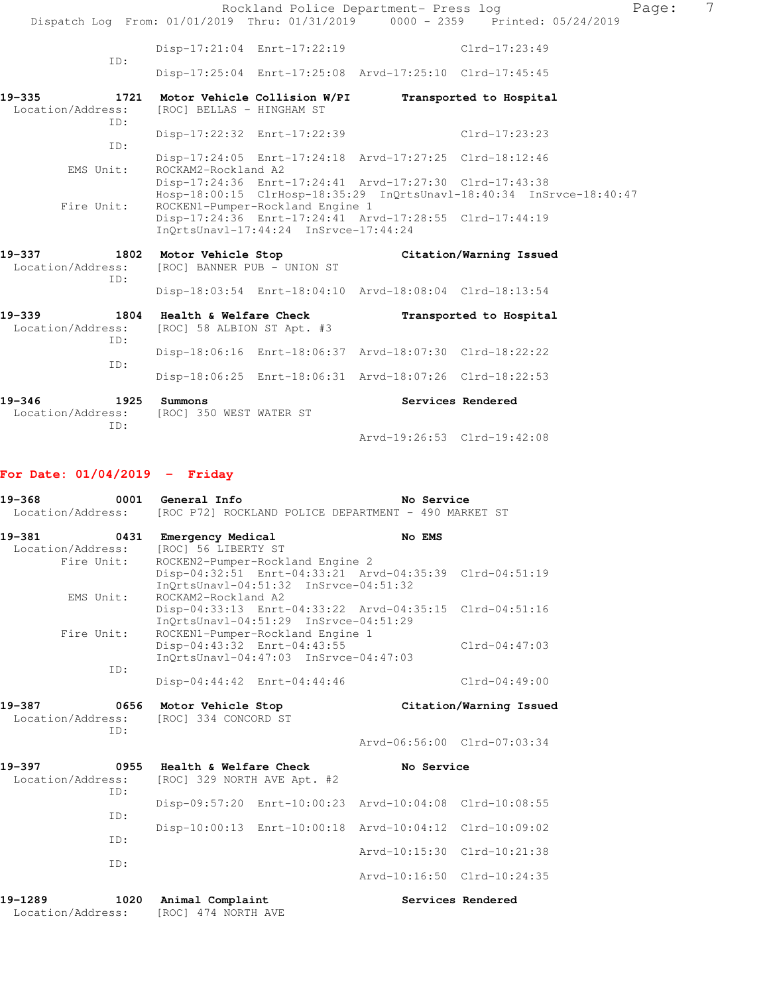|                                     |                                                                |                                       | Rockland Police Department- Press log                   | Dispatch Log From: 01/01/2019 Thru: 01/31/2019 0000 - 2359 Printed: 05/24/2019 | Page: | 7 |
|-------------------------------------|----------------------------------------------------------------|---------------------------------------|---------------------------------------------------------|--------------------------------------------------------------------------------|-------|---|
|                                     |                                                                | Disp-17:21:04 Enrt-17:22:19           |                                                         | $Clrd-17:23:49$                                                                |       |   |
| TD:                                 |                                                                |                                       | Disp-17:25:04 Enrt-17:25:08 Arvd-17:25:10 Clrd-17:45:45 |                                                                                |       |   |
| 19–335<br>Location/Address:<br>ID:  | 1721 Motor Vehicle Collision W/PI<br>[ROC] BELLAS - HINGHAM ST |                                       |                                                         | Transported to Hospital                                                        |       |   |
| ID:                                 |                                                                | Disp-17:22:32 Enrt-17:22:39           |                                                         | $Clrd-17:23:23$                                                                |       |   |
| EMS Unit:                           | ROCKAM2-Rockland A2                                            |                                       | Disp-17:24:05 Enrt-17:24:18 Arvd-17:27:25 Clrd-18:12:46 |                                                                                |       |   |
| Fire Unit:                          |                                                                | ROCKEN1-Pumper-Rockland Engine 1      | Disp-17:24:36 Enrt-17:24:41 Arvd-17:27:30 Clrd-17:43:38 | Hosp-18:00:15 ClrHosp-18:35:29 InQrtsUnavl-18:40:34 InSrvce-18:40:47           |       |   |
|                                     |                                                                | InOrtsUnavl-17:44:24 InSrvce-17:44:24 | Disp-17:24:36 Enrt-17:24:41 Arvd-17:28:55 Clrd-17:44:19 |                                                                                |       |   |
| 19–337<br>Location/Address:<br>ID:  | 1802 Motor Vehicle Stop<br>[ROC] BANNER PUB - UNION ST         |                                       |                                                         | Citation/Warning Issued                                                        |       |   |
|                                     |                                                                |                                       | Disp-18:03:54 Enrt-18:04:10 Arvd-18:08:04 Clrd-18:13:54 |                                                                                |       |   |
| 19–339<br>Location/Address:<br>ID:  | 1804 Health & Welfare Check<br>[ROC] 58 ALBION ST Apt. #3      |                                       |                                                         | Transported to Hospital                                                        |       |   |
|                                     |                                                                |                                       | Disp-18:06:16 Enrt-18:06:37 Arvd-18:07:30 Clrd-18:22:22 |                                                                                |       |   |
| ID:                                 |                                                                |                                       | Disp-18:06:25 Enrt-18:06:31 Arvd-18:07:26 Clrd-18:22:53 |                                                                                |       |   |
| 1925<br>19-346<br>Location/Address: | Summons<br>[ROC] 350 WEST WATER ST                             |                                       |                                                         | Services Rendered                                                              |       |   |
| TD:                                 |                                                                |                                       | Arvd-19:26:53 Clrd-19:42:08                             |                                                                                |       |   |

# **For Date: 01/04/2019 - Friday**

| 19-368<br>0001<br>Location/Address:               | General Info<br>[ROC P72] ROCKLAND POLICE DEPARTMENT - 490 MARKET ST                                                                                                               | No Service                  |                         |
|---------------------------------------------------|------------------------------------------------------------------------------------------------------------------------------------------------------------------------------------|-----------------------------|-------------------------|
| 0431<br>19-381<br>Location/Address:<br>Fire Unit: | <b>Emergency Medical</b><br>[ROC] 56 LIBERTY ST<br>ROCKEN2-Pumper-Rockland Engine 2                                                                                                | No EMS                      |                         |
| EMS Unit:                                         | Disp-04:32:51 Enrt-04:33:21 Arvd-04:35:39 Clrd-04:51:19<br>InOrtsUnavl-04:51:32 InSrvce-04:51:32<br>ROCKAM2-Rockland A2<br>Disp-04:33:13 Enrt-04:33:22 Arvd-04:35:15 Clrd-04:51:16 |                             |                         |
| Fire Unit:                                        | InOrtsUnavl-04:51:29 InSrvce-04:51:29<br>ROCKEN1-Pumper-Rockland Engine 1<br>Disp-04:43:32 Enrt-04:43:55<br>InOrtsUnavl-04:47:03 InSrvce-04:47:03                                  |                             | $Clrd-04:47:03$         |
| ID:                                               | Disp-04:44:42 Enrt-04:44:46                                                                                                                                                        |                             | $Clrd-04:49:00$         |
| 19-387<br>0656<br>Location/Address:<br>TD:        | Motor Vehicle Stop<br>[ROC] 334 CONCORD ST                                                                                                                                         |                             | Citation/Warning Issued |
|                                                   |                                                                                                                                                                                    | Arvd-06:56:00 Clrd-07:03:34 |                         |
| 19–397<br>0955<br>Location/Address:<br>ID:        | Health & Welfare Check<br>[ROC] 329 NORTH AVE Apt. #2                                                                                                                              | No Service                  |                         |
| TD:                                               | Disp-09:57:20 Enrt-10:00:23 Arvd-10:04:08 Clrd-10:08:55                                                                                                                            |                             |                         |
|                                                   | Disp-10:00:13 Enrt-10:00:18 Arvd-10:04:12 Clrd-10:09:02                                                                                                                            |                             |                         |
| ID:                                               |                                                                                                                                                                                    | Arvd-10:15:30 Clrd-10:21:38 |                         |
| TD:                                               |                                                                                                                                                                                    | Arvd-10:16:50 Clrd-10:24:35 |                         |
| 1020<br>19-1289<br>Location/Address:              | Animal Complaint<br>[ROC] 474 NORTH AVE                                                                                                                                            |                             | Services Rendered       |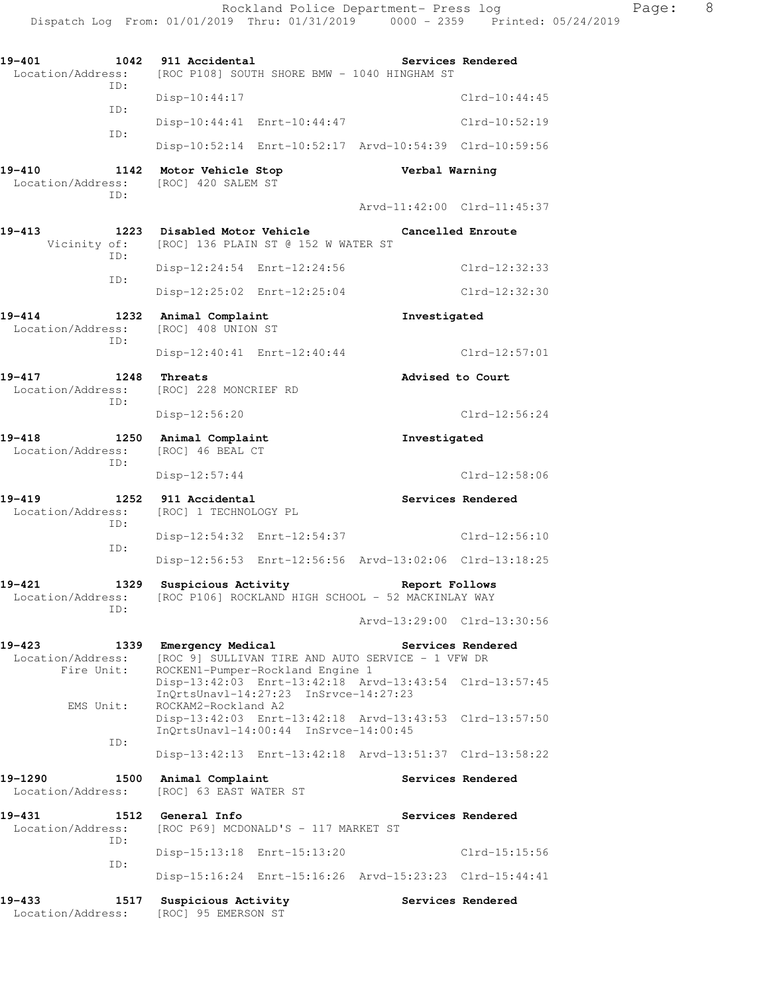| 19-401<br>1042<br>Location/Address:            | 911 Accidental<br>[ROC P108] SOUTH SHORE BMW - 1040 HINGHAM ST                                                          |                             | Services Rendered |
|------------------------------------------------|-------------------------------------------------------------------------------------------------------------------------|-----------------------------|-------------------|
| ID:                                            | Disp-10:44:17                                                                                                           |                             | $Clrd-10:44:45$   |
| ID:                                            | Disp-10:44:41 Enrt-10:44:47                                                                                             |                             | Clrd-10:52:19     |
| ID:                                            | Disp-10:52:14 Enrt-10:52:17 Arvd-10:54:39 Clrd-10:59:56                                                                 |                             |                   |
| 19-410<br>1142<br>Location/Address:<br>ID:     | Motor Vehicle Stop<br>[ROC] 420 SALEM ST                                                                                | Verbal Warning              |                   |
|                                                |                                                                                                                         | Arvd-11:42:00 Clrd-11:45:37 |                   |
| $19 - 413$<br>Vicinity of:<br>ID:              | 1223 Disabled Motor Vehicle<br>[ROC] 136 PLAIN ST @ 152 W WATER ST                                                      |                             | Cancelled Enroute |
| ID:                                            | Disp-12:24:54 Enrt-12:24:56                                                                                             |                             | $Clrd-12:32:33$   |
|                                                | Disp-12:25:02 Enrt-12:25:04                                                                                             |                             | $Clrd-12:32:30$   |
| $19 - 414$<br>1232<br>Location/Address:<br>ID: | Animal Complaint<br>[ROC] 408 UNION ST                                                                                  | Investigated                |                   |
|                                                | Disp-12:40:41 Enrt-12:40:44                                                                                             |                             | $Clrd-12:57:01$   |
| 19-417<br>1248<br>Location/Address:<br>ID:     | Threats<br>[ROC] 228 MONCRIEF RD                                                                                        | Advised to Court            |                   |
|                                                | Disp-12:56:20                                                                                                           |                             | $Clrd-12:56:24$   |
| 19-418<br>1250<br>Location/Address:<br>ID:     | Animal Complaint<br>[ROC] 46 BEAL CT                                                                                    | Investigated                |                   |
|                                                | $Disp-12:57:44$                                                                                                         |                             | $Clrd-12:58:06$   |
| 19-419<br>1252<br>Location/Address:<br>ID:     | 911 Accidental<br>[ROC] 1 TECHNOLOGY PL                                                                                 |                             | Services Rendered |
| ID:                                            | Disp-12:54:32 Enrt-12:54:37                                                                                             |                             | $Clrd-12:56:10$   |
|                                                | Disp-12:56:53 Enrt-12:56:56 Arvd-13:02:06 Clrd-13:18:25                                                                 |                             |                   |
| 19-421<br>1329<br>Location/Address:<br>ID:     | Suspicious Activity<br>[ROC P106] ROCKLAND HIGH SCHOOL - 52 MACKINLAY WAY                                               | Report Follows              |                   |
|                                                |                                                                                                                         | Arvd-13:29:00 Clrd-13:30:56 |                   |
| 19-423<br>Location/Address:<br>Fire Unit:      | 1339 Emergency Medical<br>[ROC 9] SULLIVAN TIRE AND AUTO SERVICE - 1 VFW DR<br>ROCKEN1-Pumper-Rockland Engine 1         |                             | Services Rendered |
| EMS Unit:                                      | Disp-13:42:03 Enrt-13:42:18 Arvd-13:43:54 Clrd-13:57:45<br>InQrtsUnavl-14:27:23 InSrvce-14:27:23<br>ROCKAM2-Rockland A2 |                             |                   |
| ID:                                            | Disp-13:42:03 Enrt-13:42:18 Arvd-13:43:53 Clrd-13:57:50<br>InQrtsUnavl-14:00:44 InSrvce-14:00:45                        |                             |                   |
|                                                |                                                                                                                         |                             |                   |
|                                                | Disp-13:42:13 Enrt-13:42:18 Arvd-13:51:37 Clrd-13:58:22                                                                 |                             |                   |
| 19-1290<br>1500<br>Location/Address:           | Animal Complaint<br>[ROC] 63 EAST WATER ST                                                                              |                             | Services Rendered |
| 19-431<br>Location/Address:                    | 1512 General Info<br>[ROC P69] MCDONALD'S - 117 MARKET ST                                                               |                             | Services Rendered |
| ID:                                            | Disp-15:13:18 Enrt-15:13:20                                                                                             |                             | $Clrd-15:15:56$   |
| ID:                                            | Disp-15:16:24 Enrt-15:16:26 Arvd-15:23:23 Clrd-15:44:41                                                                 |                             |                   |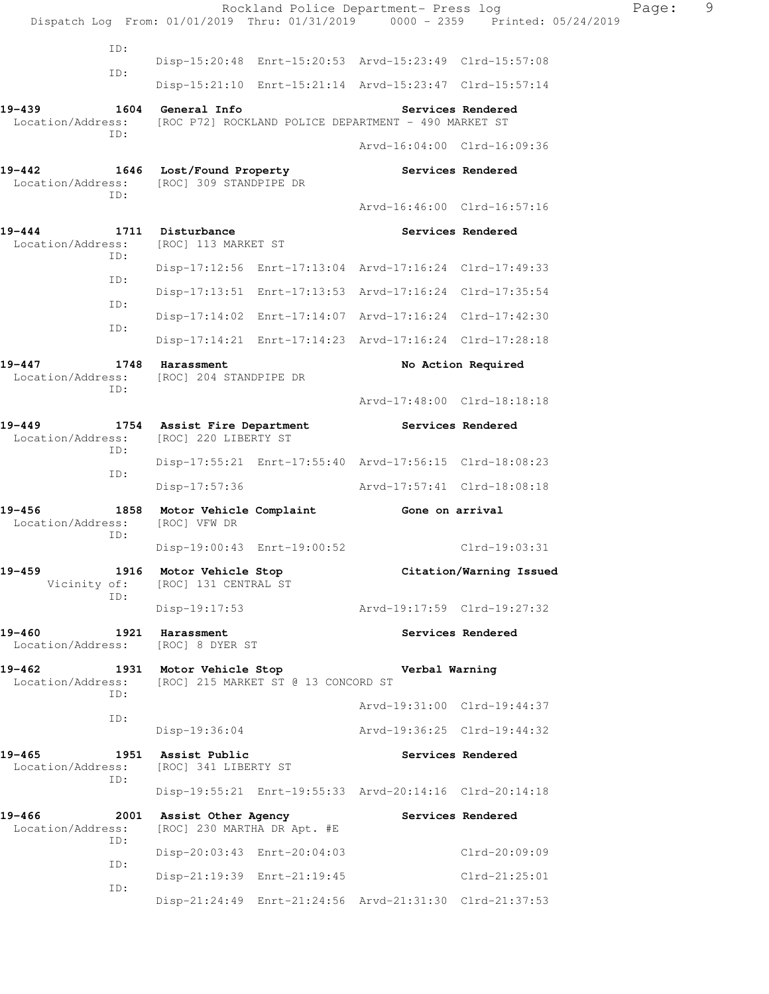|                                 |             |                                                    |                                     | Rockland Police Department- Press log<br>Dispatch Log From: 01/01/2019 Thru: 01/31/2019 0000 - 2359 Printed: 05/24/2019 |                         | Page: | 9 |
|---------------------------------|-------------|----------------------------------------------------|-------------------------------------|-------------------------------------------------------------------------------------------------------------------------|-------------------------|-------|---|
|                                 | ID:         |                                                    |                                     | Disp-15:20:48 Enrt-15:20:53 Arvd-15:23:49 Clrd-15:57:08                                                                 |                         |       |   |
|                                 | ID:         |                                                    |                                     | Disp-15:21:10 Enrt-15:21:14 Arvd-15:23:47 Clrd-15:57:14                                                                 |                         |       |   |
| 19-439<br>Location/Address:     |             | 1604 General Info                                  |                                     | [ROC P72] ROCKLAND POLICE DEPARTMENT - 490 MARKET ST                                                                    | Services Rendered       |       |   |
|                                 | ID:         |                                                    |                                     | Arvd-16:04:00 Clrd-16:09:36                                                                                             |                         |       |   |
| 19-442<br>Location/Address:     | ID:         | 1646 Lost/Found Property<br>[ROC] 309 STANDPIPE DR |                                     |                                                                                                                         | Services Rendered       |       |   |
|                                 |             |                                                    |                                     | Arvd-16:46:00 Clrd-16:57:16                                                                                             |                         |       |   |
| $19 - 444$<br>Location/Address: | ID:         | 1711 Disturbance<br>[ROC] 113 MARKET ST            |                                     |                                                                                                                         | Services Rendered       |       |   |
|                                 | ID:         |                                                    |                                     | Disp-17:12:56 Enrt-17:13:04 Arvd-17:16:24 Clrd-17:49:33                                                                 |                         |       |   |
|                                 | ID:         |                                                    |                                     | Disp-17:13:51 Enrt-17:13:53 Arvd-17:16:24 Clrd-17:35:54                                                                 |                         |       |   |
|                                 | ID:         |                                                    |                                     | Disp-17:14:02 Enrt-17:14:07 Arvd-17:16:24 Clrd-17:42:30                                                                 |                         |       |   |
|                                 |             |                                                    |                                     | Disp-17:14:21 Enrt-17:14:23 Arvd-17:16:24 Clrd-17:28:18                                                                 |                         |       |   |
| 19-447<br>Location/Address:     |             | 1748 Harassment<br>[ROC] 204 STANDPIPE DR          |                                     |                                                                                                                         | No Action Required      |       |   |
|                                 | ID:         |                                                    |                                     | Arvd-17:48:00 Clrd-18:18:18                                                                                             |                         |       |   |
| $19 - 449$                      |             | 1754 Assist Fire Department                        |                                     |                                                                                                                         | Services Rendered       |       |   |
| Location/Address:               | ID:         | [ROC] 220 LIBERTY ST                               |                                     |                                                                                                                         |                         |       |   |
|                                 | ID:         |                                                    |                                     | Disp-17:55:21 Enrt-17:55:40 Arvd-17:56:15 Clrd-18:08:23                                                                 |                         |       |   |
|                                 |             | Disp-17:57:36                                      |                                     | Arvd-17:57:41 Clrd-18:08:18                                                                                             |                         |       |   |
| 19-456<br>Location/Address:     | ID:         | [ROC] VFW DR                                       |                                     | 1858 Motor Vehicle Complaint 6one on arrival                                                                            |                         |       |   |
|                                 |             |                                                    | Disp-19:00:43 Enrt-19:00:52         |                                                                                                                         | Clrd-19:03:31           |       |   |
| $19 - 459$<br>Vicinity of:      | ID:         | 1916 Motor Vehicle Stop<br>[ROC] 131 CENTRAL ST    |                                     |                                                                                                                         | Citation/Warning Issued |       |   |
|                                 |             | $Disp-19:17:53$                                    |                                     | Arvd-19:17:59 Clrd-19:27:32                                                                                             |                         |       |   |
| 19-460<br>Location/Address:     | 1921        | Harassment<br>[ROC] 8 DYER ST                      |                                     |                                                                                                                         | Services Rendered       |       |   |
| $19 - 462$<br>Location/Address: | ID:         | 1931 Motor Vehicle Stop                            | [ROC] 215 MARKET ST @ 13 CONCORD ST | Verbal Warning                                                                                                          |                         |       |   |
|                                 | ID:         |                                                    |                                     | Arvd-19:31:00 Clrd-19:44:37                                                                                             |                         |       |   |
|                                 |             | $Disp-19:36:04$                                    |                                     | Arvd-19:36:25 Clrd-19:44:32                                                                                             |                         |       |   |
| 19-465<br>Location/Address:     | 1951<br>ID: | Assist Public<br>[ROC] 341 LIBERTY ST              |                                     |                                                                                                                         | Services Rendered       |       |   |
|                                 |             |                                                    |                                     | Disp-19:55:21 Enrt-19:55:33 Arvd-20:14:16 Clrd-20:14:18                                                                 |                         |       |   |
| 19-466<br>Location/Address:     | 2001<br>ID: | Assist Other Agency<br>[ROC] 230 MARTHA DR Apt. #E |                                     |                                                                                                                         | Services Rendered       |       |   |
|                                 | ID:         | Disp-20:03:43 Enrt-20:04:03                        |                                     |                                                                                                                         | Clrd-20:09:09           |       |   |
|                                 | ID:         |                                                    | Disp-21:19:39 Enrt-21:19:45         |                                                                                                                         | Clrd-21:25:01           |       |   |
|                                 |             |                                                    |                                     | Disp-21:24:49 Enrt-21:24:56 Arvd-21:31:30 Clrd-21:37:53                                                                 |                         |       |   |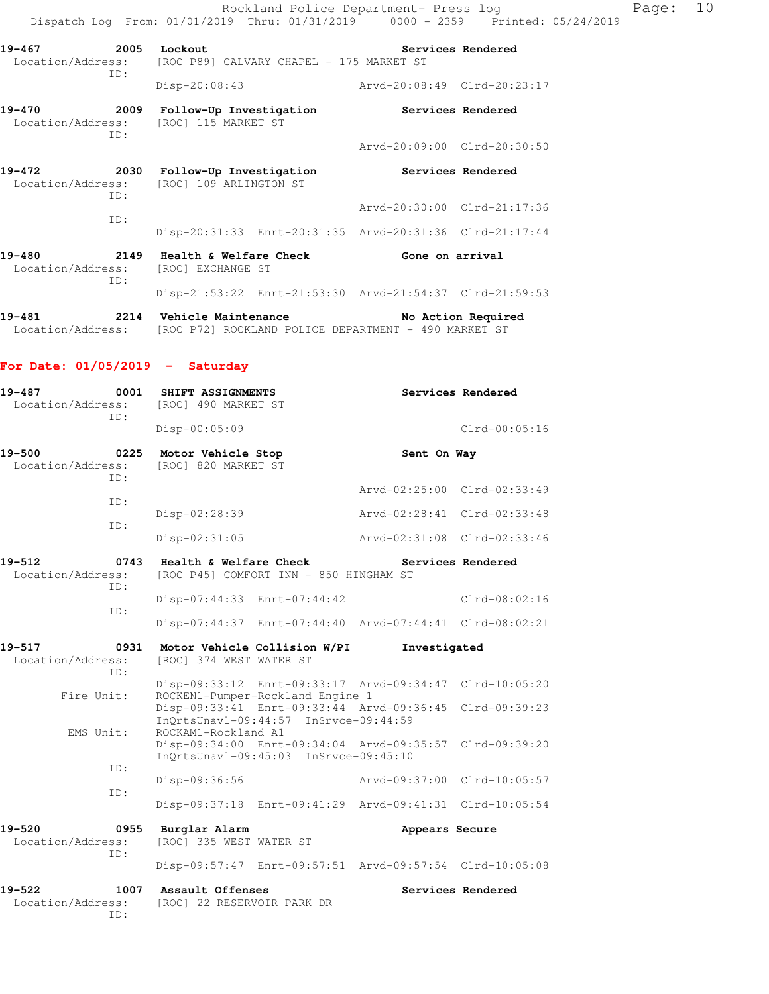Rockland Police Department- Press log Page: 10 Dispatch Log From: 01/01/2019 Thru: 01/31/2019 0000 - 2359 Printed: 05/24/2019

| 19-467<br>Location/Address: | 2005<br>TD: | Lockout<br>[ROC P89] CALVARY CHAPEL - 175 MARKET ST |                             | Services Rendered |
|-----------------------------|-------------|-----------------------------------------------------|-----------------------------|-------------------|
|                             |             | Disp-20:08:43                                       | Arvd-20:08:49 Clrd-20:23:17 |                   |
| 19-470                      | 2009        | Follow-Up Investigation                             |                             | Services Rendered |

|            | TD:         |                                                                     | Arvd-20:09:00 Clrd-20:30:50                             |                   |
|------------|-------------|---------------------------------------------------------------------|---------------------------------------------------------|-------------------|
| 19-472     | 2030<br>TD: | Follow-Up Investigation<br>Location/Address: [ROC] 109 ARLINGTON ST |                                                         | Services Rendered |
|            | TD:         |                                                                     | Arvd-20:30:00 Clrd-21:17:36                             |                   |
|            |             |                                                                     | Disp-20:31:33 Enrt-20:31:35 Arvd-20:31:36 Clrd-21:17:44 |                   |
| $19 - 480$ | 2149<br>ID: | Health & Welfare Check<br>Location/Address: [ROC] EXCHANGE ST       | Gone on arrival                                         |                   |
|            |             |                                                                     | Disp-21:53:22 Enrt-21:53:30 Arvd-21:54:37 Clrd-21:59:53 |                   |

| 19-481            |  | 2214 Vehicle Maintenance |                                                      | No Action Required |  |
|-------------------|--|--------------------------|------------------------------------------------------|--------------------|--|
| Location/Address: |  |                          | [ROC P72] ROCKLAND POLICE DEPARTMENT - 490 MARKET ST |                    |  |

### **For Date: 01/05/2019 - Saturday**

Location/Address: [ROC] 115 MARKET ST

| 19-487<br>0001<br>Location/Address:<br>ID: | SHIFT ASSIGNMENTS<br>[ROC] 490 MARKET ST                                                              | Services Rendered                                                                                                  |
|--------------------------------------------|-------------------------------------------------------------------------------------------------------|--------------------------------------------------------------------------------------------------------------------|
|                                            | Disp-00:05:09                                                                                         | $Clrd-00:05:16$                                                                                                    |
| 19-500<br>0225<br>Location/Address:<br>TD: | Motor Vehicle Stop<br>[ROC] 820 MARKET ST                                                             | Sent On Way                                                                                                        |
| TD:                                        |                                                                                                       | Arvd-02:25:00 Clrd-02:33:49                                                                                        |
|                                            | Disp-02:28:39                                                                                         | Arvd-02:28:41 Clrd-02:33:48                                                                                        |
| TD:                                        | Disp-02:31:05                                                                                         | Arvd-02:31:08 Clrd-02:33:46                                                                                        |
| 19-512<br>0743<br>Location/Address:<br>TD: | Health & Welfare Check<br>[ROC P45] COMFORT INN - 850 HINGHAM ST                                      | Services Rendered                                                                                                  |
|                                            | Disp-07:44:33 Enrt-07:44:42                                                                           | $Clrd-08:02:16$                                                                                                    |
| ID:                                        |                                                                                                       | Disp-07:44:37 Enrt-07:44:40 Arvd-07:44:41 Clrd-08:02:21                                                            |
| 19-517<br>0931<br>Location/Address:<br>TD: | Motor Vehicle Collision W/PI<br>[ROC] 374 WEST WATER ST                                               | Investigated                                                                                                       |
| Fire Unit:                                 | ROCKEN1-Pumper-Rockland Engine 1                                                                      | Disp-09:33:12 Enrt-09:33:17 Arvd-09:34:47 Clrd-10:05:20<br>Disp-09:33:41 Enrt-09:33:44 Arvd-09:36:45 Clrd-09:39:23 |
| EMS Unit:                                  | InQrtsUnavl-09:44:57 InSrvce-09:44:59<br>ROCKAM1-Rockland A1<br>InOrtsUnavl-09:45:03 InSrvce-09:45:10 | Disp-09:34:00 Enrt-09:34:04 Arvd-09:35:57 Clrd-09:39:20                                                            |
| ID:                                        | Disp-09:36:56                                                                                         | Arvd-09:37:00 Clrd-10:05:57                                                                                        |
| ID:                                        |                                                                                                       | Disp-09:37:18 Enrt-09:41:29 Arvd-09:41:31 Clrd-10:05:54                                                            |
| 19-520<br>0955<br>Location/Address:<br>ID: | Burglar Alarm<br>[ROC] 335 WEST WATER ST                                                              | Appears Secure<br>Disp-09:57:47 Enrt-09:57:51 Arvd-09:57:54 Clrd-10:05:08                                          |
| 1007<br>19–522<br>Location/Address:<br>ID: | Assault Offenses<br>[ROC] 22 RESERVOIR PARK DR                                                        | Services Rendered                                                                                                  |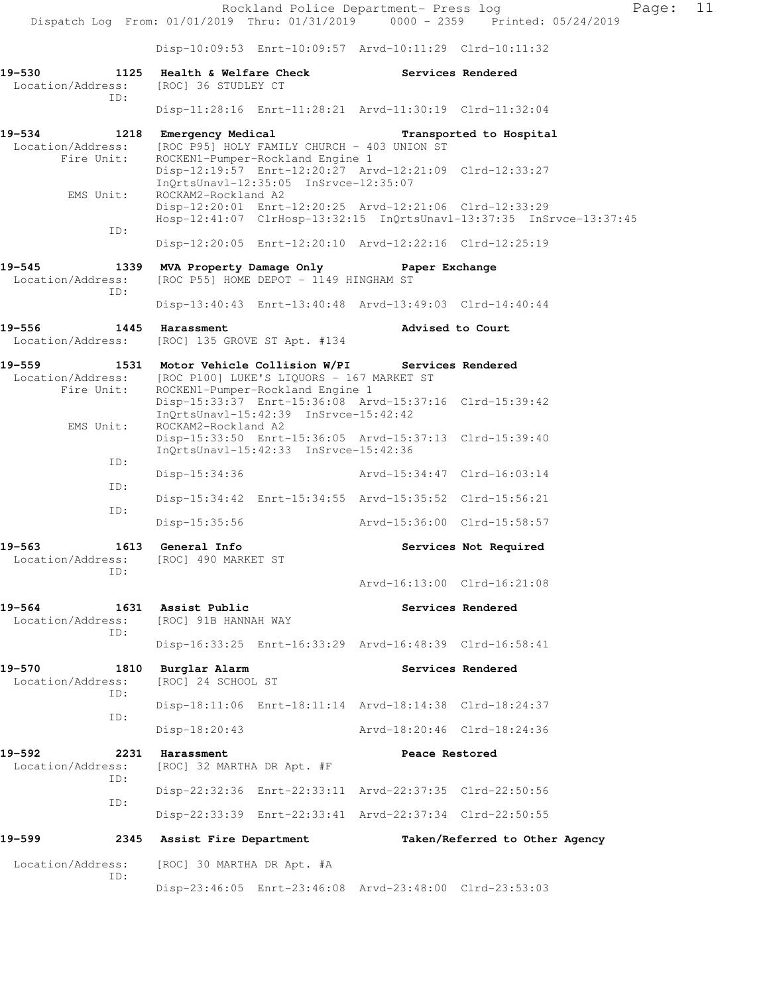Rockland Police Department- Press log Fage: 11 Dispatch Log From: 01/01/2019 Thru: 01/31/2019 0000 - 2359 Printed: 05/24/2019 Disp-10:09:53 Enrt-10:09:57 Arvd-10:11:29 Clrd-10:11:32 **19-530 1125 Health & Welfare Check Services Rendered**  Location/Address: [ROC] 36 STUDLEY CT ID: Disp-11:28:16 Enrt-11:28:21 Arvd-11:30:19 Clrd-11:32:04 **19-534 1218 Emergency Medical Transported to Hospital**  Location/Address: [ROC P95] HOLY FAMILY CHURCH - 403 UNION ST<br>Fire Unit: ROCKEN1-Pumper-Rockland Engine 1 ROCKEN1-Pumper-Rockland Engine 1 Disp-12:19:57 Enrt-12:20:27 Arvd-12:21:09 Clrd-12:33:27 InQrtsUnavl-12:35:05 InSrvce-12:35:07 EMS Unit: ROCKAM2-Rockland A2 Disp-12:20:01 Enrt-12:20:25 Arvd-12:21:06 Clrd-12:33:29 Hosp-12:41:07 ClrHosp-13:32:15 InQrtsUnavl-13:37:35 InSrvce-13:37:45 ID: Disp-12:20:05 Enrt-12:20:10 Arvd-12:22:16 Clrd-12:25:19 **19-545 1339 MVA Property Damage Only Paper Exchange**  Location/Address: [ROC P55] HOME DEPOT - 1149 HINGHAM ST ID: Disp-13:40:43 Enrt-13:40:48 Arvd-13:49:03 Clrd-14:40:44 **19-556 1445 Harassment Advised to Court**  Location/Address: [ROC] 135 GROVE ST Apt. #134 **19-559 1531 Motor Vehicle Collision W/PI Services Rendered**  Location/Address: [ROC P100] LUKE'S LIQUORS - 167 MARKET ST Fire Unit: ROCKEN1-Pumper-Rockland Engine 1 Disp-15:33:37 Enrt-15:36:08 Arvd-15:37:16 Clrd-15:39:42 InQrtsUnavl-15:42:39 InSrvce-15:42:42<br>EMS Unit: ROCKAM2-Rockland A2 ROCKAM2-Rockland A2 Disp-15:33:50 Enrt-15:36:05 Arvd-15:37:13 Clrd-15:39:40 InQrtsUnavl-15:42:33 InSrvce-15:42:36 ID: Disp-15:34:36 Arvd-15:34:47 Clrd-16:03:14 ID: Disp-15:34:42 Enrt-15:34:55 Arvd-15:35:52 Clrd-15:56:21 ID: Disp-15:35:56 Arvd-15:36:00 Clrd-15:58:57 **19-563 1613 General Info Services Not Required**  Location/Address: [ROC] 490 MARKET ST ID: Arvd-16:13:00 Clrd-16:21:08 **19-564 1631 Assist Public Services Rendered**  Location/Address: [ROC] 91B HANNAH WAY ID: Disp-16:33:25 Enrt-16:33:29 Arvd-16:48:39 Clrd-16:58:41 19-570 1810 Burglar Alarm **Services Rendered**  Location/Address: [ROC] 24 SCHOOL ST ID: Disp-18:11:06 Enrt-18:11:14 Arvd-18:14:38 Clrd-18:24:37 ID: Disp-18:20:43 Arvd-18:20:46 Clrd-18:24:36 **19-592 2231 Harassment Peace Restored**  Location/Address: [ROC] 32 MARTHA DR Apt. #F ID: Disp-22:32:36 Enrt-22:33:11 Arvd-22:37:35 Clrd-22:50:56 ID: Disp-22:33:39 Enrt-22:33:41 Arvd-22:37:34 Clrd-22:50:55 **19-599 2345 Assist Fire Department Taken/Referred to Other Agency**  Location/Address: [ROC] 30 MARTHA DR Apt. #A ID: Disp-23:46:05 Enrt-23:46:08 Arvd-23:48:00 Clrd-23:53:03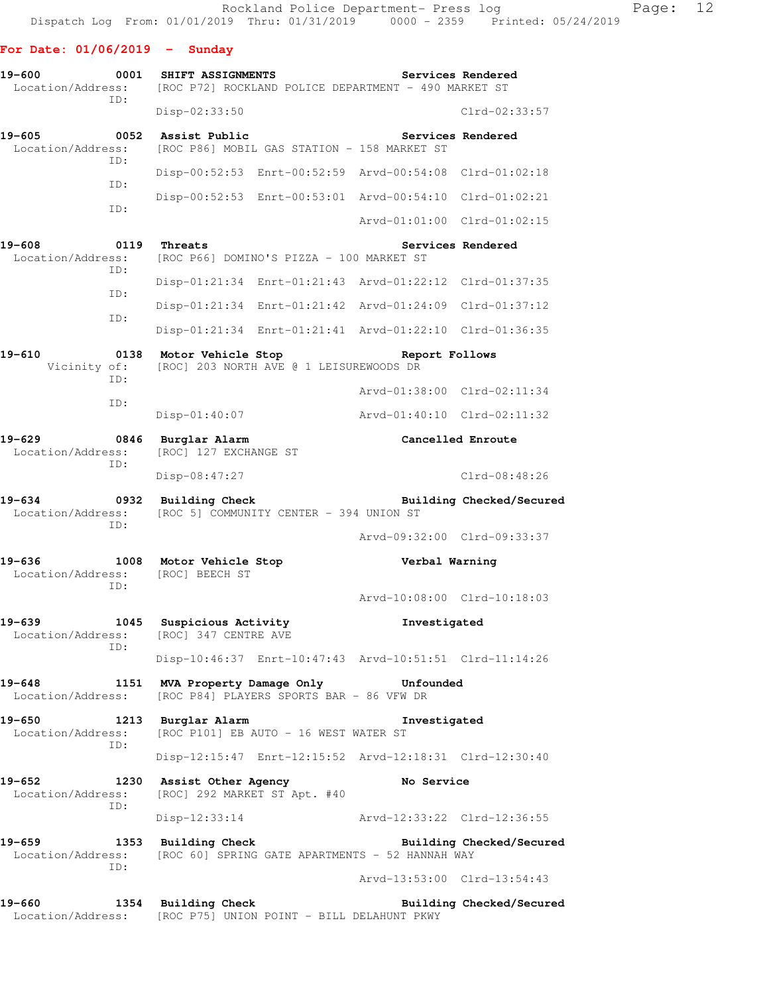#### **For Date: 01/06/2019 - Sunday**

| $19 - 600$<br>Location/Address:                | 0001        | SHIFT ASSIGNMENTS<br>[ROC P72] ROCKLAND POLICE DEPARTMENT - 490 MARKET ST           |                             | Services Rendered        |
|------------------------------------------------|-------------|-------------------------------------------------------------------------------------|-----------------------------|--------------------------|
|                                                | ID:         | Disp-02:33:50                                                                       |                             | Clrd-02:33:57            |
| $19 - 605$<br>Location/Address:                | 0052<br>ID: | Assist Public<br>[ROC P86] MOBIL GAS STATION - 158 MARKET ST                        |                             | Services Rendered        |
|                                                |             | Disp-00:52:53 Enrt-00:52:59 Arvd-00:54:08 Clrd-01:02:18                             |                             |                          |
|                                                | ID:         | Disp-00:52:53 Enrt-00:53:01 Arvd-00:54:10 Clrd-01:02:21                             |                             |                          |
|                                                | ID:         |                                                                                     | Arvd-01:01:00 Clrd-01:02:15 |                          |
| 19-608<br>Location/Address:                    | 0119<br>ID: | Threats<br>[ROC P66] DOMINO'S PIZZA - 100 MARKET ST                                 |                             | Services Rendered        |
|                                                |             | Disp-01:21:34 Enrt-01:21:43 Arvd-01:22:12 Clrd-01:37:35                             |                             |                          |
|                                                | ID:         | Disp-01:21:34 Enrt-01:21:42 Arvd-01:24:09 Clrd-01:37:12                             |                             |                          |
|                                                | ID:         | Disp-01:21:34 Enrt-01:21:41 Arvd-01:22:10 Clrd-01:36:35                             |                             |                          |
| $19 - 610$<br>Vicinity of:                     | 0138<br>ID: | Motor Vehicle Stop<br>[ROC] 203 NORTH AVE @ 1 LEISUREWOODS DR                       | Report Follows              |                          |
|                                                | ID:         |                                                                                     | Arvd-01:38:00 Clrd-02:11:34 |                          |
|                                                |             | Disp-01:40:07                                                                       | Arvd-01:40:10 Clrd-02:11:32 |                          |
| $19 - 629$<br>0846<br>Location/Address:<br>ID: |             | Burglar Alarm<br>[ROC] 127 EXCHANGE ST                                              | Cancelled Enroute           |                          |
|                                                |             | $Disp-08:47:27$                                                                     |                             | Clrd-08:48:26            |
| $19 - 634$<br>Location/Address:                | 0932<br>ID: | <b>Building Check</b><br>[ROC 5] COMMUNITY CENTER - 394 UNION ST                    |                             | Building Checked/Secured |
|                                                |             |                                                                                     | Arvd-09:32:00 Clrd-09:33:37 |                          |
| $19 - 636$<br>Location/Address:                | ID:         | 1008 Motor Vehicle Stop<br>[ROC] BEECH ST                                           | Verbal Warning              |                          |
|                                                |             |                                                                                     | Arvd-10:08:00 Clrd-10:18:03 |                          |
| $19 - 639$<br>Location/Address:                | 1045<br>ID: | Suspicious Activity<br>[ROC] 347 CENTRE AVE                                         | Investigated                |                          |
|                                                |             | Disp-10:46:37 Enrt-10:47:43 Arvd-10:51:51 Clrd-11:14:26                             |                             |                          |
| 19-648<br>Location/Address:                    |             | 1151 MVA Property Damage Only<br>[ROC P84] PLAYERS SPORTS BAR - 86 VFW DR           | <b>Unfounded</b>            |                          |
| $19 - 650$<br>Location/Address:                | ID:         | 1213 Burglar Alarm<br>[ROC P101] EB AUTO - 16 WEST WATER ST                         | Investigated                |                          |
|                                                |             | Disp-12:15:47 Enrt-12:15:52 Arvd-12:18:31 Clrd-12:30:40                             |                             |                          |
| 19-652<br>Location/Address:                    |             | 1230 Assist Other Agency<br>[ROC] 292 MARKET ST Apt. #40                            | No Service                  |                          |
|                                                | ID:         | $Disp-12:33:14$                                                                     | Arvd-12:33:22 Clrd-12:36:55 |                          |
| 19-659<br>Location/Address:                    |             | 1353 Building Check<br>[ROC 60] SPRING GATE APARTMENTS - 52 HANNAH WAY              |                             | Building Checked/Secured |
|                                                | ID:         |                                                                                     | Arvd-13:53:00 Clrd-13:54:43 |                          |
| 19-660                                         |             | 1354 Building Check<br>Location/Address: [ROC P75] UNION POINT - BILL DELAHUNT PKWY |                             | Building Checked/Secured |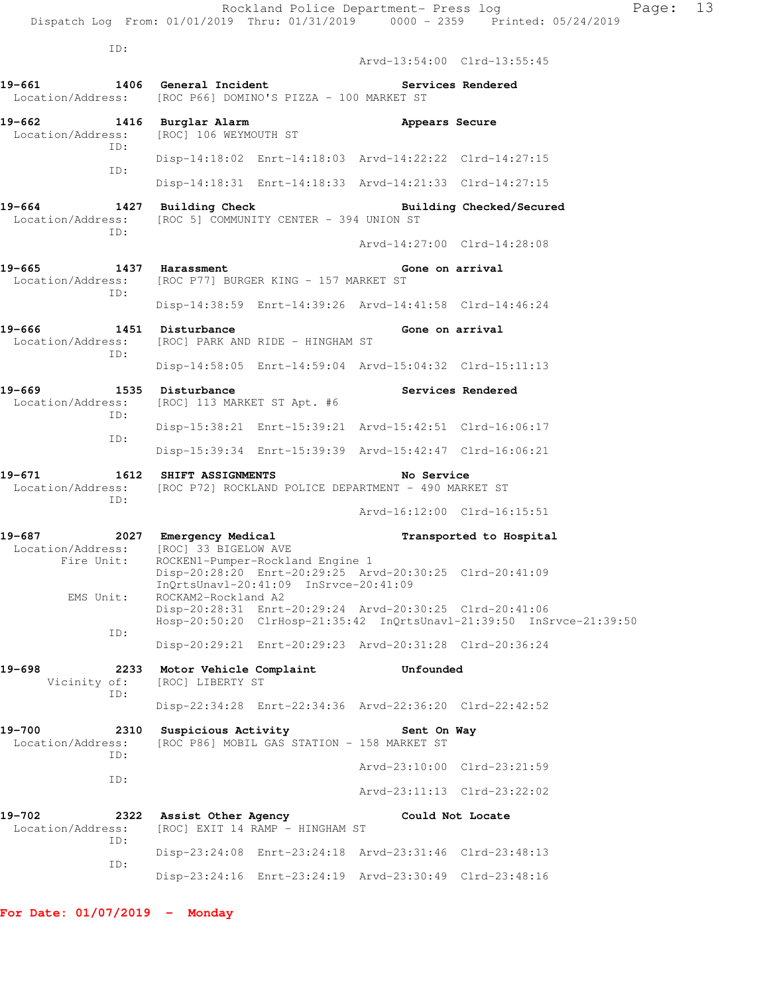ID: Arvd-13:54:00 Clrd-13:55:45 **19-661 1406 General Incident Services Rendered**  Location/Address: [ROC P66] DOMINO'S PIZZA - 100 MARKET ST **19-662 1416 Burglar Alarm Appears Secure**  Location/Address: [ROC] 106 WEYMOUTH ST ID: Disp-14:18:02 Enrt-14:18:03 Arvd-14:22:22 Clrd-14:27:15 ID: Disp-14:18:31 Enrt-14:18:33 Arvd-14:21:33 Clrd-14:27:15 **19-664 1427 Building Check Building Checked/Secured**  Location/Address: [ROC 5] COMMUNITY CENTER - 394 UNION ST ID: Arvd-14:27:00 Clrd-14:28:08 **19-665 1437 Harassment Gone on arrival**  Location/Address: [ROC P77] BURGER KING - 157 MARKET ST ID: Disp-14:38:59 Enrt-14:39:26 Arvd-14:41:58 Clrd-14:46:24 **19-666 1451 Disturbance Gone on arrival**  Location/Address: [ROC] PARK AND RIDE - HINGHAM ST ID: Disp-14:58:05 Enrt-14:59:04 Arvd-15:04:32 Clrd-15:11:13 **19-669 1535 Disturbance Services Rendered**  Location/Address: [ROC] 113 MARKET ST Apt. #6 ID: Disp-15:38:21 Enrt-15:39:21 Arvd-15:42:51 Clrd-16:06:17 ID: Disp-15:39:34 Enrt-15:39:39 Arvd-15:42:47 Clrd-16:06:21 **19-671 1612 SHIFT ASSIGNMENTS No Service**  Location/Address: [ROC P72] ROCKLAND POLICE DEPARTMENT - 490 MARKET ST ID: Arvd-16:12:00 Clrd-16:15:51 **19-687 2027 Emergency Medical Transported to Hospital**  Location/Address: [ROC] 33 BIGELOW AVE Fire Unit: ROCKEN1-Pumper-Rockland Engine 1 Disp-20:28:20 Enrt-20:29:25 Arvd-20:30:25 Clrd-20:41:09 InQrtsUnavl-20:41:09 InSrvce-20:41:09 EMS Unit: ROCKAM2-Rockland A2 Disp-20:28:31 Enrt-20:29:24 Arvd-20:30:25 Clrd-20:41:06 Hosp-20:50:20 ClrHosp-21:35:42 InQrtsUnavl-21:39:50 InSrvce-21:39:50 ID: Disp-20:29:21 Enrt-20:29:23 Arvd-20:31:28 Clrd-20:36:24 **19-698 2233 Motor Vehicle Complaint Unfounded**  Vicinity of: [ROC] LIBERTY ST ID: Disp-22:34:28 Enrt-22:34:36 Arvd-22:36:20 Clrd-22:42:52 19-700 2310 Suspicious Activity **Sent On Way**  Location/Address: [ROC P86] MOBIL GAS STATION - 158 MARKET ST ID: Arvd-23:10:00 Clrd-23:21:59 ID: Arvd-23:11:13 Clrd-23:22:02 **19-702 2322 Assist Other Agency Could Not Locate**  Location/Address: [ROC] EXIT 14 RAMP - HINGHAM ST ID: Disp-23:24:08 Enrt-23:24:18 Arvd-23:31:46 Clrd-23:48:13 ID:

Disp-23:24:16 Enrt-23:24:19 Arvd-23:30:49 Clrd-23:48:16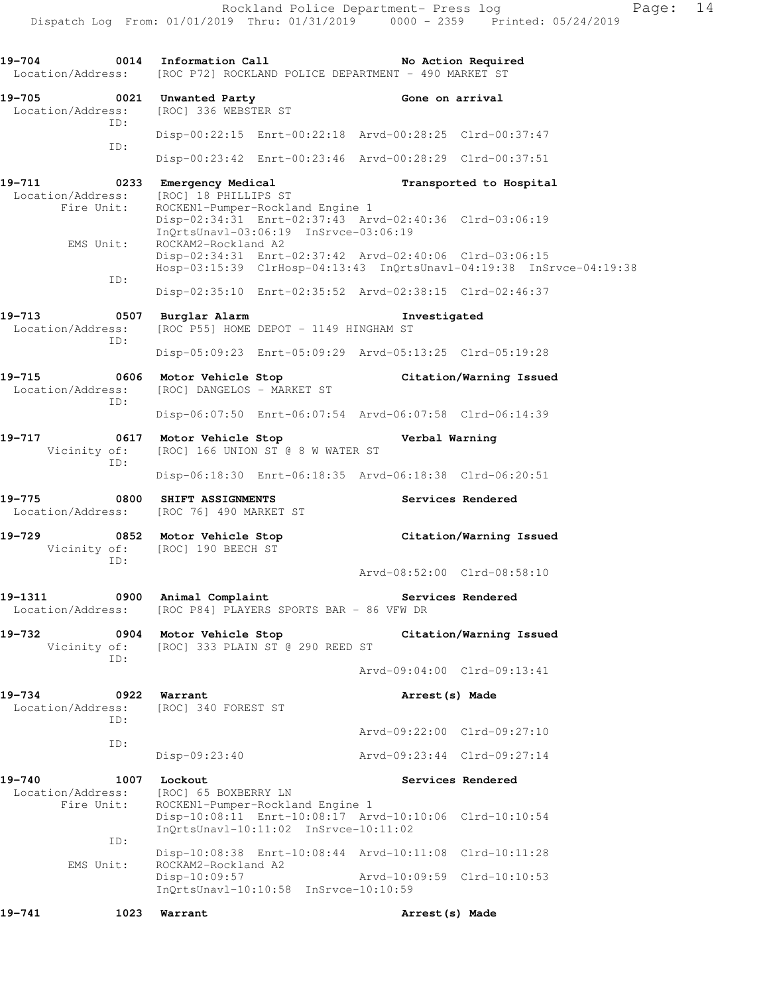Rockland Police Department- Press log Page: 14 Dispatch Log From: 01/01/2019 Thru: 01/31/2019 0000 - 2359 Printed: 05/24/2019 **19-704 0014 Information Call No Action Required**  Location/Address: [ROC P72] ROCKLAND POLICE DEPARTMENT - 490 MARKET ST 19-705 **0021 Unwanted Party 19 Cone on arrival**  Location/Address: [ROC] 336 WEBSTER ST ID: Disp-00:22:15 Enrt-00:22:18 Arvd-00:28:25 Clrd-00:37:47 ID: Disp-00:23:42 Enrt-00:23:46 Arvd-00:28:29 Clrd-00:37:51 **19-711 0233 Emergency Medical Transported to Hospital**  Location/Address: [ROC] 18 PHILLIPS ST Fire Unit: ROCKEN1-Pumper-Rockland Engine 1 Disp-02:34:31 Enrt-02:37:43 Arvd-02:40:36 Clrd-03:06:19 InQrtsUnavl-03:06:19 InSrvce-03:06:19<br>EMS Unit: ROCKAM2-Rockland A2 ROCKAM2-Rockland A2 Disp-02:34:31 Enrt-02:37:42 Arvd-02:40:06 Clrd-03:06:15 Hosp-03:15:39 ClrHosp-04:13:43 InQrtsUnavl-04:19:38 InSrvce-04:19:38 ID: Disp-02:35:10 Enrt-02:35:52 Arvd-02:38:15 Clrd-02:46:37 **19-713 0507 Burglar Alarm Investigated**  Location/Address: [ROC P55] HOME DEPOT - 1149 HINGHAM ST ID: Disp-05:09:23 Enrt-05:09:29 Arvd-05:13:25 Clrd-05:19:28 **19-715 0606 Motor Vehicle Stop Citation/Warning Issued**  Location/Address: [ROC] DANGELOS - MARKET ST ID: Disp-06:07:50 Enrt-06:07:54 Arvd-06:07:58 Clrd-06:14:39 **19-717 0617 Motor Vehicle Stop Verbal Warning**  Vicinity of: [ROC] 166 UNION ST @ 8 W WATER ST ID: Disp-06:18:30 Enrt-06:18:35 Arvd-06:18:38 Clrd-06:20:51 **19-775 0800 SHIFT ASSIGNMENTS Services Rendered**  Location/Address: [ROC 76] 490 MARKET ST **19-729 0852 Motor Vehicle Stop Citation/Warning Issued**  Vicinity of: [ROC] 190 BEECH ST ID: Arvd-08:52:00 Clrd-08:58:10 19-1311 **19-1311** 0900 Animal Complaint **19-1311** Services Rendered Location/Address: [ROC P84] PLAYERS SPORTS BAR - 86 VFW DR **19-732 0904 Motor Vehicle Stop Citation/Warning Issued**  Vicinity of: [ROC] 333 PLAIN ST @ 290 REED ST ID: Arvd-09:04:00 Clrd-09:13:41 **19-734 0922 Warrant Arrest(s) Made**  Location/Address: [ROC] 340 FOREST ST ID: Arvd-09:22:00 Clrd-09:27:10 ID: Disp-09:23:40 Arvd-09:23:44 Clrd-09:27:14 19-740 1007 Lockout **Services Rendered**  Location/Address: [ROC] 65 BOXBERRY LN Fire Unit: ROCKEN1-Pumper-Rockland Engine 1 Disp-10:08:11 Enrt-10:08:17 Arvd-10:10:06 Clrd-10:10:54 InQrtsUnavl-10:11:02 InSrvce-10:11:02 ID: Disp-10:08:38 Enrt-10:08:44 Arvd-10:11:08 Clrd-10:11:28 EMS Unit: ROCKAM2-Rockland A2 Disp-10:09:57 Arvd-10:09:59 Clrd-10:10:53 InQrtsUnavl-10:10:58 InSrvce-10:10:59 **19-741 1023 Warrant Arrest(s) Made**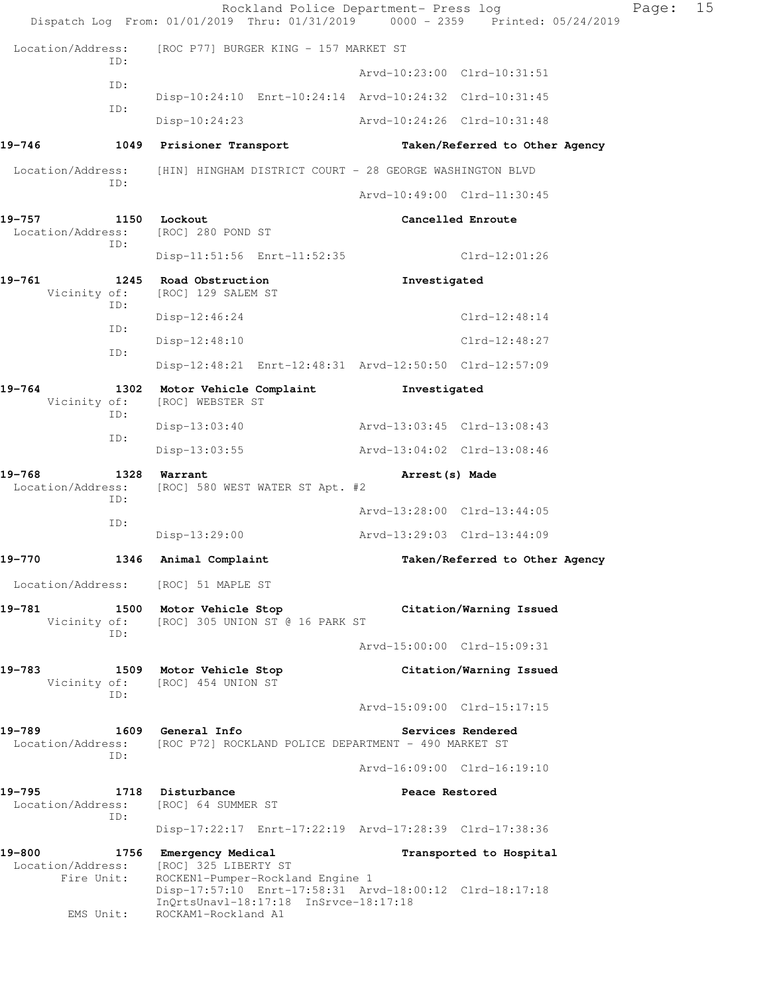|                                           |             | Rockland Police Department- Press log<br>Dispatch Log From: 01/01/2019 Thru: 01/31/2019 0000 - 2359 Printed: 05/24/2019                                                                                       |                             |                                | Page: | 15 |
|-------------------------------------------|-------------|---------------------------------------------------------------------------------------------------------------------------------------------------------------------------------------------------------------|-----------------------------|--------------------------------|-------|----|
| Location/Address:                         |             | [ROC P77] BURGER KING - 157 MARKET ST                                                                                                                                                                         |                             |                                |       |    |
|                                           | ID:         |                                                                                                                                                                                                               |                             | Arvd-10:23:00 Clrd-10:31:51    |       |    |
|                                           | ID:         | Disp-10:24:10 Enrt-10:24:14 Arvd-10:24:32 Clrd-10:31:45                                                                                                                                                       |                             |                                |       |    |
|                                           | ID:         | Disp-10:24:23                                                                                                                                                                                                 | Arvd-10:24:26 Clrd-10:31:48 |                                |       |    |
| 19-746                                    |             | 1049 Prisioner Transport                                                                                                                                                                                      |                             | Taken/Referred to Other Agency |       |    |
| Location/Address:                         |             | [HIN] HINGHAM DISTRICT COURT - 28 GEORGE WASHINGTON BLVD                                                                                                                                                      |                             |                                |       |    |
|                                           | ID:         |                                                                                                                                                                                                               | Arvd-10:49:00 Clrd-11:30:45 |                                |       |    |
| 19–757<br>Location/Address:               | 1150<br>ID: | Lockout<br>[ROC] 280 POND ST                                                                                                                                                                                  |                             | Cancelled Enroute              |       |    |
|                                           |             | Disp-11:51:56 Enrt-11:52:35                                                                                                                                                                                   |                             | $Clrd-12:01:26$                |       |    |
| 19-761<br>Vicinity of:                    | 1245<br>ID: | Road Obstruction<br>[ROC] 129 SALEM ST                                                                                                                                                                        | Investigated                |                                |       |    |
|                                           | ID:         | $Disp-12:46:24$                                                                                                                                                                                               |                             | $Clrd-12:48:14$                |       |    |
|                                           | ID:         | $Disp-12:48:10$                                                                                                                                                                                               |                             | $Clrd-12:48:27$                |       |    |
|                                           |             | Disp-12:48:21 Enrt-12:48:31 Arvd-12:50:50 Clrd-12:57:09                                                                                                                                                       |                             |                                |       |    |
| 19-764<br>Vicinity of:                    | ID:         | 1302 Motor Vehicle Complaint<br>[ROC] WEBSTER ST                                                                                                                                                              | Investigated                |                                |       |    |
|                                           | ID:         | Disp-13:03:40                                                                                                                                                                                                 | Arvd-13:03:45 Clrd-13:08:43 |                                |       |    |
|                                           |             | $Disp-13:03:55$                                                                                                                                                                                               | Arvd-13:04:02 Clrd-13:08:46 |                                |       |    |
| 19-768<br>Location/Address:               | 1328<br>ID: | Warrant<br>[ROC] 580 WEST WATER ST Apt. #2                                                                                                                                                                    | Arrest (s) Made             |                                |       |    |
|                                           | ID:         |                                                                                                                                                                                                               | Arvd-13:28:00 Clrd-13:44:05 |                                |       |    |
|                                           |             | $Disp-13:29:00$                                                                                                                                                                                               | Arvd-13:29:03 Clrd-13:44:09 |                                |       |    |
| 19-770                                    | 1346        | Animal Complaint                                                                                                                                                                                              |                             | Taken/Referred to Other Agency |       |    |
|                                           |             | Location/Address: [ROC] 51 MAPLE ST                                                                                                                                                                           |                             |                                |       |    |
| 19-781<br>Vicinity of:                    | ID:         | 1500 Motor Vehicle Stop<br>[ROC] 305 UNION ST @ 16 PARK ST                                                                                                                                                    |                             | Citation/Warning Issued        |       |    |
|                                           |             |                                                                                                                                                                                                               |                             | Arvd-15:00:00 Clrd-15:09:31    |       |    |
| 19-783<br>Vicinity of:                    | ID:         | 1509 Motor Vehicle Stop<br>[ROC] 454 UNION ST                                                                                                                                                                 |                             | Citation/Warning Issued        |       |    |
|                                           |             |                                                                                                                                                                                                               |                             | Arvd-15:09:00 Clrd-15:17:15    |       |    |
| 19-789<br>Location/Address:               | ID:         | 1609 General Info<br>[ROC P72] ROCKLAND POLICE DEPARTMENT - 490 MARKET ST                                                                                                                                     |                             | Services Rendered              |       |    |
|                                           |             |                                                                                                                                                                                                               |                             | Arvd-16:09:00 Clrd-16:19:10    |       |    |
| 19–795<br>Location/Address:               | ID:         | 1718 Disturbance<br>[ROC] 64 SUMMER ST                                                                                                                                                                        | Peace Restored              |                                |       |    |
|                                           |             | Disp-17:22:17 Enrt-17:22:19 Arvd-17:28:39 Clrd-17:38:36                                                                                                                                                       |                             |                                |       |    |
| 19-800<br>Location/Address:<br>Fire Unit: | EMS Unit:   | 1756 Emergency Medical<br>[ROC] 325 LIBERTY ST<br>ROCKEN1-Pumper-Rockland Engine 1<br>Disp-17:57:10 Enrt-17:58:31 Arvd-18:00:12 Clrd-18:17:18<br>InQrtsUnavl-18:17:18 InSrvce-18:17:18<br>ROCKAM1-Rockland A1 |                             | Transported to Hospital        |       |    |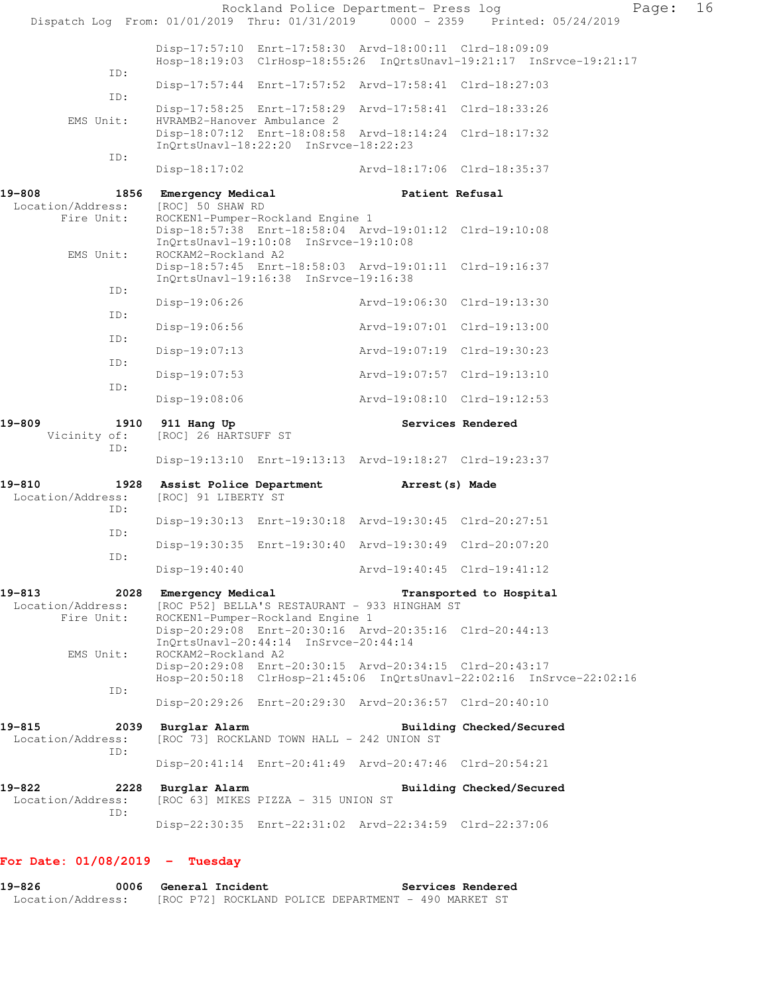|                                                   |                                                 |                                                                           | Rockland Police Department- Press log                                                                    | Dispatch Log From: 01/01/2019 Thru: 01/31/2019 0000 - 2359 Printed: 05/24/2019 | Page: | 16 |
|---------------------------------------------------|-------------------------------------------------|---------------------------------------------------------------------------|----------------------------------------------------------------------------------------------------------|--------------------------------------------------------------------------------|-------|----|
|                                                   |                                                 |                                                                           | Disp-17:57:10 Enrt-17:58:30 Arvd-18:00:11 Clrd-18:09:09                                                  | Hosp-18:19:03 ClrHosp-18:55:26 InQrtsUnavl-19:21:17 InSrvce-19:21:17           |       |    |
| ID:                                               |                                                 |                                                                           | Disp-17:57:44 Enrt-17:57:52 Arvd-17:58:41 Clrd-18:27:03                                                  |                                                                                |       |    |
| ID:                                               |                                                 |                                                                           | Disp-17:58:25 Enrt-17:58:29 Arvd-17:58:41 Clrd-18:33:26                                                  |                                                                                |       |    |
| EMS Unit:                                         | HVRAMB2-Hanover Ambulance 2                     | InQrtsUnavl-18:22:20 InSrvce-18:22:23                                     | Disp-18:07:12 Enrt-18:08:58 Arvd-18:14:24 Clrd-18:17:32                                                  |                                                                                |       |    |
| ID:                                               |                                                 |                                                                           | Disp-18:17:02 Arvd-18:17:06 Clrd-18:35:37                                                                |                                                                                |       |    |
| 19-808<br>Location/Address:                       | 1856 Emergency Medical<br>[ROC] 50 SHAW RD      |                                                                           | Patient Refusal                                                                                          |                                                                                |       |    |
| Fire Unit:<br>EMS Unit:                           | ROCKAM2-Rockland A2                             | ROCKEN1-Pumper-Rockland Engine 1<br>InQrtsUnavl-19:10:08 InSrvce-19:10:08 | Disp-18:57:38 Enrt-18:58:04 Arvd-19:01:12 Clrd-19:10:08                                                  |                                                                                |       |    |
|                                                   |                                                 | InQrtsUnavl-19:16:38 InSrvce-19:16:38                                     | Disp-18:57:45 Enrt-18:58:03 Arvd-19:01:11 Clrd-19:16:37                                                  |                                                                                |       |    |
| ID:                                               | $Disp-19:06:26$                                 |                                                                           | Arvd-19:06:30 Clrd-19:13:30                                                                              |                                                                                |       |    |
| ID:                                               | $Disp-19:06:56$                                 |                                                                           | Arvd-19:07:01 Clrd-19:13:00                                                                              |                                                                                |       |    |
| ID:                                               | $Disp-19:07:13$                                 |                                                                           | Arvd-19:07:19 Clrd-19:30:23                                                                              |                                                                                |       |    |
| ID:<br>ID:                                        | $Disp-19:07:53$                                 |                                                                           | Arvd-19:07:57 Clrd-19:13:10                                                                              |                                                                                |       |    |
|                                                   | $Disp-19:08:06$                                 |                                                                           | Arvd-19:08:10 Clrd-19:12:53                                                                              |                                                                                |       |    |
|                                                   |                                                 |                                                                           |                                                                                                          |                                                                                |       |    |
| 19-809<br>1910<br>Vicinity of:                    | 911 Hang Up<br>[ROC] 26 HARTSUFF ST             |                                                                           |                                                                                                          | Services Rendered                                                              |       |    |
| ID:                                               |                                                 |                                                                           | Disp-19:13:10 Enrt-19:13:13 Arvd-19:18:27 Clrd-19:23:37                                                  |                                                                                |       |    |
| 19-810<br>1928<br>Location/Address:               | Assist Police Department<br>[ROC] 91 LIBERTY ST |                                                                           | Arrest(s) Made                                                                                           |                                                                                |       |    |
| ID:                                               |                                                 |                                                                           | Disp-19:30:13 Enrt-19:30:18 Arvd-19:30:45 Clrd-20:27:51                                                  |                                                                                |       |    |
| ID:                                               |                                                 |                                                                           | Disp-19:30:35 Enrt-19:30:40 Arvd-19:30:49 Clrd-20:07:20                                                  |                                                                                |       |    |
| ID:                                               | $Disp-19:40:40$                                 |                                                                           | Arvd-19:40:45 Clrd-19:41:12                                                                              |                                                                                |       |    |
| 19-813<br>2028<br>Location/Address:<br>Fire Unit: | Emergency Medical                               | ROCKEN1-Pumper-Rockland Engine 1                                          | [ROC P52] BELLA'S RESTAURANT - 933 HINGHAM ST<br>Disp-20:29:08 Enrt-20:30:16 Arvd-20:35:16 Clrd-20:44:13 | Transported to Hospital                                                        |       |    |
| EMS Unit:                                         | ROCKAM2-Rockland A2                             | InOrtsUnavl-20:44:14 InSrvce-20:44:14                                     | Disp-20:29:08 Enrt-20:30:15 Arvd-20:34:15 Clrd-20:43:17                                                  | Hosp-20:50:18 ClrHosp-21:45:06 InQrtsUnavl-22:02:16 InSrvce-22:02:16           |       |    |
| ID:                                               |                                                 |                                                                           | Disp-20:29:26 Enrt-20:29:30 Arvd-20:36:57 Clrd-20:40:10                                                  |                                                                                |       |    |
| 19-815<br>2039<br>Location/Address:               | Burglar Alarm                                   | [ROC 73] ROCKLAND TOWN HALL - 242 UNION ST                                |                                                                                                          | Building Checked/Secured                                                       |       |    |
| ID:                                               |                                                 |                                                                           | Disp-20:41:14 Enrt-20:41:49 Arvd-20:47:46 Clrd-20:54:21                                                  |                                                                                |       |    |
| 19-822<br>2228<br>Location/Address:<br>ID:        | Burglar Alarm                                   | [ROC 63] MIKES PIZZA - 315 UNION ST                                       |                                                                                                          | Building Checked/Secured                                                       |       |    |

### **For Date: 01/08/2019 - Tuesday**

**19-826 0006 General Incident Services Rendered**  Location/Address: [ROC P72] ROCKLAND POLICE DEPARTMENT - 490 MARKET ST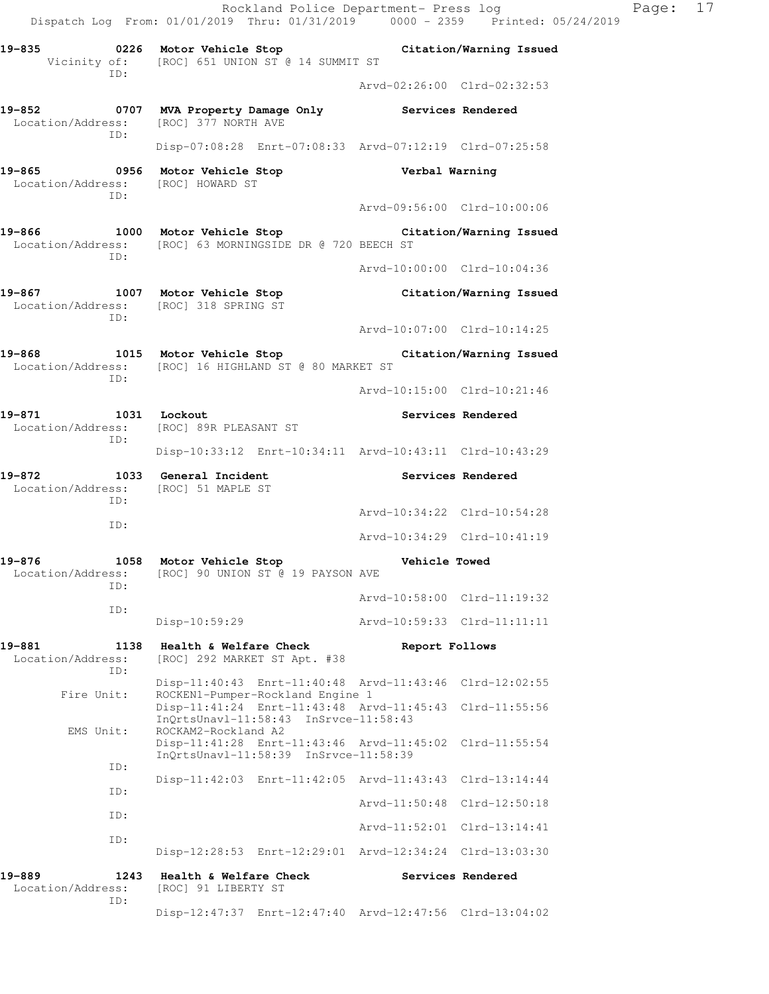Rockland Police Department- Press log Paqe: 17 Dispatch Log From: 01/01/2019 Thru: 01/31/2019 0000 - 2359 Printed: 05/24/2019 **19-835 0226 Motor Vehicle Stop Citation/Warning Issued**  Vicinity of: [ROC] 651 UNION ST @ 14 SUMMIT ST ID: Arvd-02:26:00 Clrd-02:32:53 **19-852 0707 MVA Property Damage Only Services Rendered**  Location/Address: [ROC] 377 NORTH AVE ID: Disp-07:08:28 Enrt-07:08:33 Arvd-07:12:19 Clrd-07:25:58 **19-865 0956 Motor Vehicle Stop Verbal Warning**  Location/Address: [ROC] HOWARD ST ID: Arvd-09:56:00 Clrd-10:00:06 **19-866 1000 Motor Vehicle Stop Citation/Warning Issued**  Location/Address: [ROC] 63 MORNINGSIDE DR @ 720 BEECH ST ID: Arvd-10:00:00 Clrd-10:04:36 **19-867 1007 Motor Vehicle Stop Citation/Warning Issued**  Location/Address: [ROC] 318 SPRING ST ID: Arvd-10:07:00 Clrd-10:14:25 **19-868 1015 Motor Vehicle Stop Citation/Warning Issued**  Location/Address: [ROC] 16 HIGHLAND ST @ 80 MARKET ST ID: Arvd-10:15:00 Clrd-10:21:46 19-871 1031 Lockout **Services Rendered**  Location/Address: [ROC] 89R PLEASANT ST ID: Disp-10:33:12 Enrt-10:34:11 Arvd-10:43:11 Clrd-10:43:29 **19-872 1033 General Incident Services Rendered**  Location/Address: [ROC] 51 MAPLE ST ID: Arvd-10:34:22 Clrd-10:54:28 ID: Arvd-10:34:29 Clrd-10:41:19 **19-876 1058 Motor Vehicle Stop Vehicle Towed**  Location/Address: [ROC] 90 UNION ST @ 19 PAYSON AVE ID: Arvd-10:58:00 Clrd-11:19:32 ID: Disp-10:59:29 Arvd-10:59:33 Clrd-11:11:11 **19-881 1138 Health & Welfare Check Report Follows**  Location/Address: [ROC] 292 MARKET ST Apt. #38 ID: Disp-11:40:43 Enrt-11:40:48 Arvd-11:43:46 Clrd-12:02:55 Fire Unit: ROCKEN1-Pumper-Rockland Engine 1 Disp-11:41:24 Enrt-11:43:48 Arvd-11:45:43 Clrd-11:55:56 InQrtsUnavl-11:58:43 InSrvce-11:58:43<br>EMS Unit: ROCKAM2-Rockland A2 ROCKAM2-Rockland A2 Disp-11:41:28 Enrt-11:43:46 Arvd-11:45:02 Clrd-11:55:54 InQrtsUnavl-11:58:39 InSrvce-11:58:39 ID: Disp-11:42:03 Enrt-11:42:05 Arvd-11:43:43 Clrd-13:14:44 ID: Arvd-11:50:48 Clrd-12:50:18 ID: Arvd-11:52:01 Clrd-13:14:41 ID: Disp-12:28:53 Enrt-12:29:01 Arvd-12:34:24 Clrd-13:03:30 19-889 **1243** Health & Welfare Check **Services Rendered**  Location/Address: [ROC] 91 LIBERTY ST ID:

Disp-12:47:37 Enrt-12:47:40 Arvd-12:47:56 Clrd-13:04:02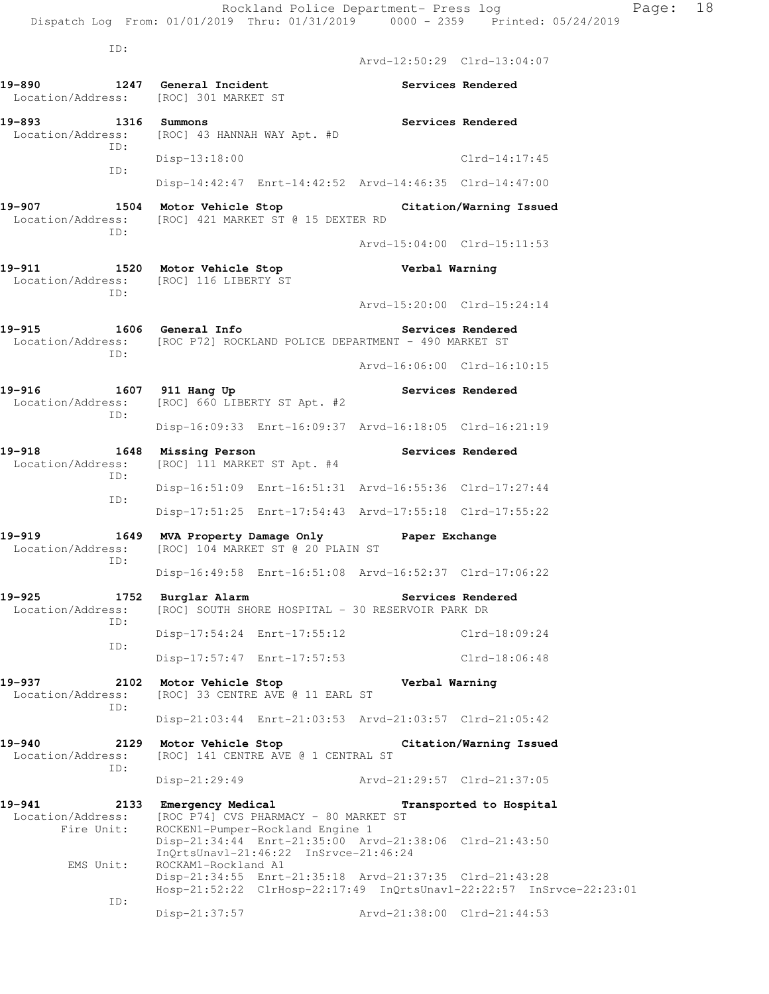Arvd-12:50:29 Clrd-13:04:07

Arvd-15:04:00 Clrd-15:11:53

Arvd-15:20:00 Clrd-15:24:14

ID:

- 19-890 **1247** General Incident **Services Rendered** Location/Address: [ROC] 301 MARKET ST
- **19-893 1316 Summons Services Rendered**  Location/Address: [ROC] 43 HANNAH WAY Apt. #D ID: Disp-13:18:00 Clrd-14:17:45 ID:
- Disp-14:42:47 Enrt-14:42:52 Arvd-14:46:35 Clrd-14:47:00 **19-907 1504 Motor Vehicle Stop Citation/Warning Issued**  Location/Address: [ROC] 421 MARKET ST @ 15 DEXTER RD
- ID:
- **19-911 1520 Motor Vehicle Stop Verbal Warning**  Location/Address: [ROC] 116 LIBERTY ST ID:
- **19-915 1606 General Info Services Rendered**  Location/Address: [ROC P72] ROCKLAND POLICE DEPARTMENT - 490 MARKET ST ID:
- Arvd-16:06:00 Clrd-16:10:15 19-916 1607 911 Hang Up **Services Rendered**  Location/Address: [ROC] 660 LIBERTY ST Apt. #2
	- ID: Disp-16:09:33 Enrt-16:09:37 Arvd-16:18:05 Clrd-16:21:19
- **19-918 1648 Missing Person Services Rendered**  Location/Address: [ROC] 111 MARKET ST Apt. #4 ID: Disp-16:51:09 Enrt-16:51:31 Arvd-16:55:36 Clrd-17:27:44 ID: Disp-17:51:25 Enrt-17:54:43 Arvd-17:55:18 Clrd-17:55:22
- **19-919 1649 MVA Property Damage Only Paper Exchange**  Location/Address: [ROC] 104 MARKET ST @ 20 PLAIN ST ID: Disp-16:49:58 Enrt-16:51:08 Arvd-16:52:37 Clrd-17:06:22
- **19-925 1752 Burglar Alarm Services Rendered**  Location/Address: [ROC] SOUTH SHORE HOSPITAL - 30 RESERVOIR PARK DR ID: Disp-17:54:24 Enrt-17:55:12 Clrd-18:09:24 ID:
- Disp-17:57:47 Enrt-17:57:53 Clrd-18:06:48 **19-937 2102 Motor Vehicle Stop Verbal Warning**  Location/Address: [ROC] 33 CENTRE AVE @ 11 EARL ST
	- ID: Disp-21:03:44 Enrt-21:03:53 Arvd-21:03:57 Clrd-21:05:42
- **19-940 2129 Motor Vehicle Stop Citation/Warning Issued**  Location/Address: [ROC] 141 CENTRE AVE @ 1 CENTRAL ST ID: Disp-21:29:49 Arvd-21:29:57 Clrd-21:37:05
- **19-941 2133 Emergency Medical Transported to Hospital**  Location/Address: [ROC P74] CVS PHARMACY - 80 MARKET ST<br>Fire Unit: ROCKEN1-Pumper-Rockland Engine 1 ROCKEN1-Pumper-Rockland Engine 1 Disp-21:34:44 Enrt-21:35:00 Arvd-21:38:06 Clrd-21:43:50 InQrtsUnavl-21:46:22 InSrvce-21:46:24 EMS Unit: ROCKAM1-Rockland A1 Disp-21:34:55 Enrt-21:35:18 Arvd-21:37:35 Clrd-21:43:28 Hosp-21:52:22 ClrHosp-22:17:49 InQrtsUnavl-22:22:57 InSrvce-22:23:01 ID: Disp-21:37:57 Arvd-21:38:00 Clrd-21:44:53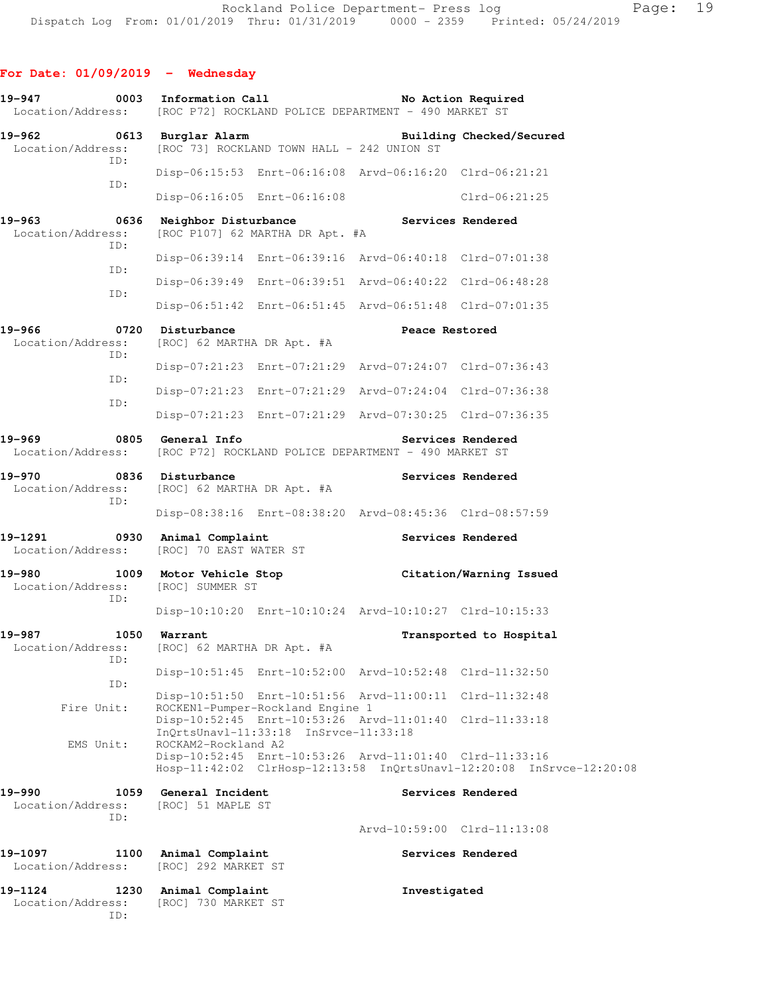| 19-947                                             | 0003 Information Call                                                                                     | No Action Required<br>Location/Address: [ROC P72] ROCKLAND POLICE DEPARTMENT - 490 MARKET ST                                    |
|----------------------------------------------------|-----------------------------------------------------------------------------------------------------------|---------------------------------------------------------------------------------------------------------------------------------|
| 19-962<br>Location/Address:                        | 0613 Burglar Alarm<br>[ROC 73] ROCKLAND TOWN HALL - 242 UNION ST                                          | Building Checked/Secured                                                                                                        |
| ID:                                                |                                                                                                           | Disp-06:15:53 Enrt-06:16:08 Arvd-06:16:20 Clrd-06:21:21                                                                         |
| ID:                                                | Disp-06:16:05 Enrt-06:16:08                                                                               | Clrd-06:21:25                                                                                                                   |
| 19–963<br>0636<br>Location/Address:<br>ID:         | Neighbor Disturbance<br>[ROC P107] 62 MARTHA DR Apt. #A                                                   | Services Rendered                                                                                                               |
| ID:                                                |                                                                                                           | Disp-06:39:14 Enrt-06:39:16 Arvd-06:40:18 Clrd-07:01:38                                                                         |
|                                                    |                                                                                                           | Disp-06:39:49 Enrt-06:39:51 Arvd-06:40:22 Clrd-06:48:28                                                                         |
| ID:                                                |                                                                                                           | Disp-06:51:42 Enrt-06:51:45 Arvd-06:51:48 Clrd-07:01:35                                                                         |
| 19–966<br>Location/Address:                        | 0720 Disturbance<br>[ROC] 62 MARTHA DR Apt. #A                                                            | Peace Restored                                                                                                                  |
| ID:                                                |                                                                                                           | Disp-07:21:23 Enrt-07:21:29 Arvd-07:24:07 Clrd-07:36:43                                                                         |
| ID:                                                |                                                                                                           | Disp-07:21:23 Enrt-07:21:29 Arvd-07:24:04 Clrd-07:36:38                                                                         |
| ID:                                                |                                                                                                           | Disp-07:21:23 Enrt-07:21:29 Arvd-07:30:25 Clrd-07:36:35                                                                         |
| 19-969                                             | 0805 General Info                                                                                         | Services Rendered<br>Location/Address: [ROC P72] ROCKLAND POLICE DEPARTMENT - 490 MARKET ST                                     |
| 19-970<br>ID:                                      | 0836 Disturbance<br>Location/Address: [ROC] 62 MARTHA DR Apt. #A                                          | Services Rendered                                                                                                               |
|                                                    |                                                                                                           | Disp-08:38:16 Enrt-08:38:20 Arvd-08:45:36 Clrd-08:57:59                                                                         |
| 19-1291                                            | 0930 Animal Complaint<br>Location/Address: [ROC] 70 EAST WATER ST                                         | Services Rendered                                                                                                               |
| 19-980<br>Location/Address: [ROC] SUMMER ST<br>ID: |                                                                                                           | 1009 Motor Vehicle Stop                       Citation/Warning Issued                                                           |
|                                                    |                                                                                                           | Disp-10:10:20 Enrt-10:10:24 Arvd-10:10:27 Clrd-10:15:33                                                                         |
| 19-987<br>1050<br>Location/Address:<br>ID:         | Warrant<br>[ROC] 62 MARTHA DR Apt. #A                                                                     | Transported to Hospital                                                                                                         |
| ID:                                                |                                                                                                           | Disp-10:51:45 Enrt-10:52:00 Arvd-10:52:48 Clrd-11:32:50                                                                         |
| Fire Unit:                                         | ROCKEN1-Pumper-Rockland Engine 1                                                                          | Disp-10:51:50 Enrt-10:51:56 Arvd-11:00:11 Clrd-11:32:48                                                                         |
| EMS Unit:                                          | Disp-10:52:45 Enrt-10:53:26 Arvd-11:01:40<br>InQrtsUnavl-11:33:18 InSrvce-11:33:18<br>ROCKAM2-Rockland A2 | Clrd-11:33:18                                                                                                                   |
|                                                    |                                                                                                           | Disp-10:52:45 Enrt-10:53:26 Arvd-11:01:40 Clrd-11:33:16<br>Hosp-11:42:02 ClrHosp-12:13:58 InQrtsUnavl-12:20:08 InSrvce-12:20:08 |
| 19-990<br>1059<br>Location/Address:<br>ID:         | General Incident<br>[ROC] 51 MAPLE ST                                                                     | Services Rendered                                                                                                               |
|                                                    |                                                                                                           | Arvd-10:59:00 Clrd-11:13:08                                                                                                     |
| 19-1097<br>1100<br>Location/Address:               | Animal Complaint<br>[ROC] 292 MARKET ST                                                                   | Services Rendered                                                                                                               |
| 19-1124<br>1230<br>Location/Address:<br>ID:        | Animal Complaint<br>[ROC] 730 MARKET ST                                                                   | Investigated                                                                                                                    |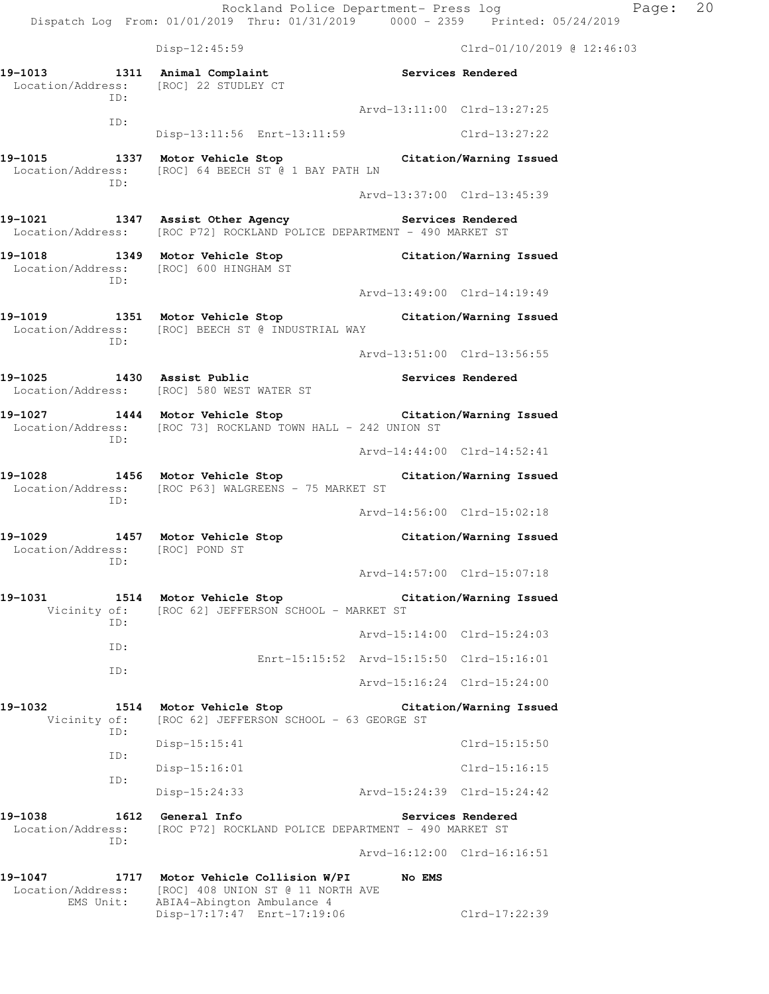Rockland Police Department- Press log Page: 20 Dispatch Log From: 01/01/2019 Thru: 01/31/2019 0000 - 2359 Printed: 05/24/2019 Disp-12:45:59 Clrd-01/10/2019 @ 12:46:03 **19-1013 1311 Animal Complaint Services Rendered**  Location/Address: [ROC] 22 STUDLEY CT ID: Arvd-13:11:00 Clrd-13:27:25 ID: Disp-13:11:56 Enrt-13:11:59 Clrd-13:27:22 **19-1015 1337 Motor Vehicle Stop Citation/Warning Issued**  Location/Address: [ROC] 64 BEECH ST @ 1 BAY PATH LN ID: Arvd-13:37:00 Clrd-13:45:39 19-1021 1347 Assist Other Agency **19-1021** Services Rendered Location/Address: [ROC P72] ROCKLAND POLICE DEPARTMENT - 490 MARKET ST **19-1018 1349 Motor Vehicle Stop Citation/Warning Issued**  Location/Address: [ROC] 600 HINGHAM ST ID: Arvd-13:49:00 Clrd-14:19:49 **19-1019 1351 Motor Vehicle Stop Citation/Warning Issued**  Location/Address: [ROC] BEECH ST @ INDUSTRIAL WAY ID: Arvd-13:51:00 Clrd-13:56:55 **19-1025 1430 Assist Public Services Rendered**  Location/Address: [ROC] 580 WEST WATER ST **19-1027 1444 Motor Vehicle Stop Citation/Warning Issued**  Location/Address: [ROC 73] ROCKLAND TOWN HALL - 242 UNION ST ID: Arvd-14:44:00 Clrd-14:52:41 **19-1028 1456 Motor Vehicle Stop Citation/Warning Issued**  Location/Address: [ROC P63] WALGREENS - 75 MARKET ST ID: Arvd-14:56:00 Clrd-15:02:18 **19-1029 1457 Motor Vehicle Stop Citation/Warning Issued**  Location/Address: [ROC] POND ST ID: Arvd-14:57:00 Clrd-15:07:18 **19-1031 1514 Motor Vehicle Stop Citation/Warning Issued**  Vicinity of: [ROC 62] JEFFERSON SCHOOL - MARKET ST ID: Arvd-15:14:00 Clrd-15:24:03 ID: Enrt-15:15:52 Arvd-15:15:50 Clrd-15:16:01 ID: Arvd-15:16:24 Clrd-15:24:00 **19-1032 1514 Motor Vehicle Stop Citation/Warning Issued**  Vicinity of: [ROC 62] JEFFERSON SCHOOL - 63 GEORGE ST ID: Disp-15:15:41 Clrd-15:15:50 ID: Disp-15:16:01 Clrd-15:16:15 ID: Disp-15:24:33 Arvd-15:24:39 Clrd-15:24:42 19-1038 1612 General Info **1999 Services Rendered** Location/Address: [ROC P72] ROCKLAND POLICE DEPARTMENT - 490 MARKET ST ID: Arvd-16:12:00 Clrd-16:16:51 **19-1047 1717 Motor Vehicle Collision W/PI No EMS**  Location/Address: [ROC] 408 UNION ST @ 11 NORTH AVE

 EMS Unit: ABIA4-Abington Ambulance 4 Disp-17:17:47 Enrt-17:19:06 Clrd-17:22:39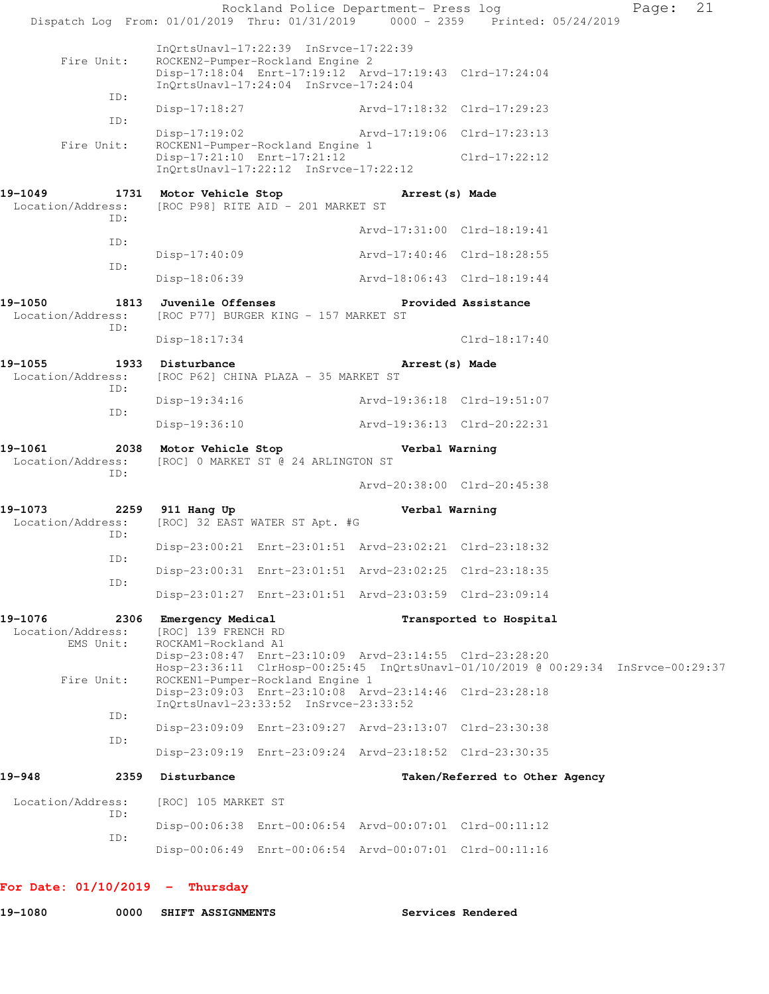|                                                   | Dispatch Log From: 01/01/2019 Thru: 01/31/2019 0000 - 2359 Printed: 05/24/2019                                                                                                   | Rockland Police Department- Press log |                                | 21<br>Page: |
|---------------------------------------------------|----------------------------------------------------------------------------------------------------------------------------------------------------------------------------------|---------------------------------------|--------------------------------|-------------|
| Fire Unit:<br>ID:                                 | InOrtsUnavl-17:22:39 InSrvce-17:22:39<br>ROCKEN2-Pumper-Rockland Engine 2<br>Disp-17:18:04 Enrt-17:19:12 Arvd-17:19:43 Clrd-17:24:04<br>InOrtsUnavl-17:24:04 InSrvce-17:24:04    |                                       |                                |             |
|                                                   | $Disp-17:18:27$                                                                                                                                                                  | Arvd-17:18:32 Clrd-17:29:23           |                                |             |
| ID:                                               | $Disp-17:19:02$                                                                                                                                                                  |                                       | Arvd-17:19:06 Clrd-17:23:13    |             |
| Fire Unit:                                        | ROCKEN1-Pumper-Rockland Engine 1<br>Disp-17:21:10 Enrt-17:21:12<br>$InQrtsUnav1-17:22:12$ $InSrvce-17:22:12$                                                                     |                                       | Clrd-17:22:12                  |             |
| 19-1049<br>Location/Address:<br>TD:               | 1731 Motor Vehicle Stop<br>[ROC P98] RITE AID - 201 MARKET ST                                                                                                                    | Arrest (s) Made                       |                                |             |
|                                                   |                                                                                                                                                                                  |                                       | Arvd-17:31:00 Clrd-18:19:41    |             |
| ID:                                               | Disp-17:40:09                                                                                                                                                                    | Arvd-17:40:46 Clrd-18:28:55           |                                |             |
| ID:                                               | Disp-18:06:39                                                                                                                                                                    | Arvd-18:06:43 Clrd-18:19:44           |                                |             |
| 19-1050<br>Location/Address:                      | 1813 Juvenile Offenses<br>[ROC P77] BURGER KING - 157 MARKET ST                                                                                                                  |                                       | Provided Assistance            |             |
| ID:                                               | $Disp-18:17:34$                                                                                                                                                                  |                                       | $Clrd-18:17:40$                |             |
| 19-1055 1933 Disturbance<br>ID:                   | Location/Address: [ROC P62] CHINA PLAZA - 35 MARKET ST                                                                                                                           | Arrest(s) Made                        |                                |             |
|                                                   | $Disp-19:34:16$                                                                                                                                                                  | Arvd-19:36:18 Clrd-19:51:07           |                                |             |
| ID:                                               | Disp-19:36:10                                                                                                                                                                    | Arvd-19:36:13 Clrd-20:22:31           |                                |             |
|                                                   |                                                                                                                                                                                  |                                       |                                |             |
| 19-1061                                           | 2038 Motor Vehicle Stop<br>Location/Address: [ROC] 0 MARKET ST @ 24 ARLINGTON ST                                                                                                 | Verbal Warning                        |                                |             |
| ID:                                               |                                                                                                                                                                                  |                                       | Arvd-20:38:00 Clrd-20:45:38    |             |
| 19-1073<br>2259<br>Location/Address:              | 911 Hang Up<br>[ROC] 32 EAST WATER ST Apt. #G                                                                                                                                    | Verbal Warning                        |                                |             |
| ID:                                               | Disp-23:00:21 Enrt-23:01:51 Arvd-23:02:21 Clrd-23:18:32                                                                                                                          |                                       |                                |             |
| ID:                                               | Disp-23:00:31 Enrt-23:01:51 Arvd-23:02:25 Clrd-23:18:35                                                                                                                          |                                       |                                |             |
| ID:                                               | Disp-23:01:27 Enrt-23:01:51 Arvd-23:03:59 Clrd-23:09:14                                                                                                                          |                                       |                                |             |
| 19-1076<br>2306<br>Location/Address:<br>EMS Unit: | Emergency Medical<br>[ROC] 139 FRENCH RD<br>ROCKAM1-Rockland A1                                                                                                                  |                                       | Transported to Hospital        |             |
| Fire Unit:                                        | Disp-23:08:47 Enrt-23:10:09 Arvd-23:14:55 Clrd-23:28:20<br>Hosp-23:36:11 ClrHosp-00:25:45 InQrtsUnavl-01/10/2019 @ 00:29:34 InSrvce-00:29:37<br>ROCKEN1-Pumper-Rockland Engine 1 |                                       |                                |             |
|                                                   | Disp-23:09:03 Enrt-23:10:08 Arvd-23:14:46 Clrd-23:28:18<br>InQrtsUnavl-23:33:52 InSrvce-23:33:52                                                                                 |                                       |                                |             |
| ID:                                               | Disp-23:09:09 Enrt-23:09:27 Arvd-23:13:07 Clrd-23:30:38                                                                                                                          |                                       |                                |             |
| ID:                                               | Disp-23:09:19 Enrt-23:09:24 Arvd-23:18:52 Clrd-23:30:35                                                                                                                          |                                       |                                |             |
| 2359                                              | Disturbance                                                                                                                                                                      |                                       | Taken/Referred to Other Agency |             |
| 19-948<br>Location/Address:<br>ID:                | [ROC] 105 MARKET ST                                                                                                                                                              |                                       |                                |             |
| ID:                                               | Disp-00:06:38 Enrt-00:06:54 Arvd-00:07:01 Clrd-00:11:12<br>Disp-00:06:49 Enrt-00:06:54 Arvd-00:07:01 Clrd-00:11:16                                                               |                                       |                                |             |

**For Date: 01/10/2019 - Thursday**

**19-1080 0000 SHIFT ASSIGNMENTS Services Rendered**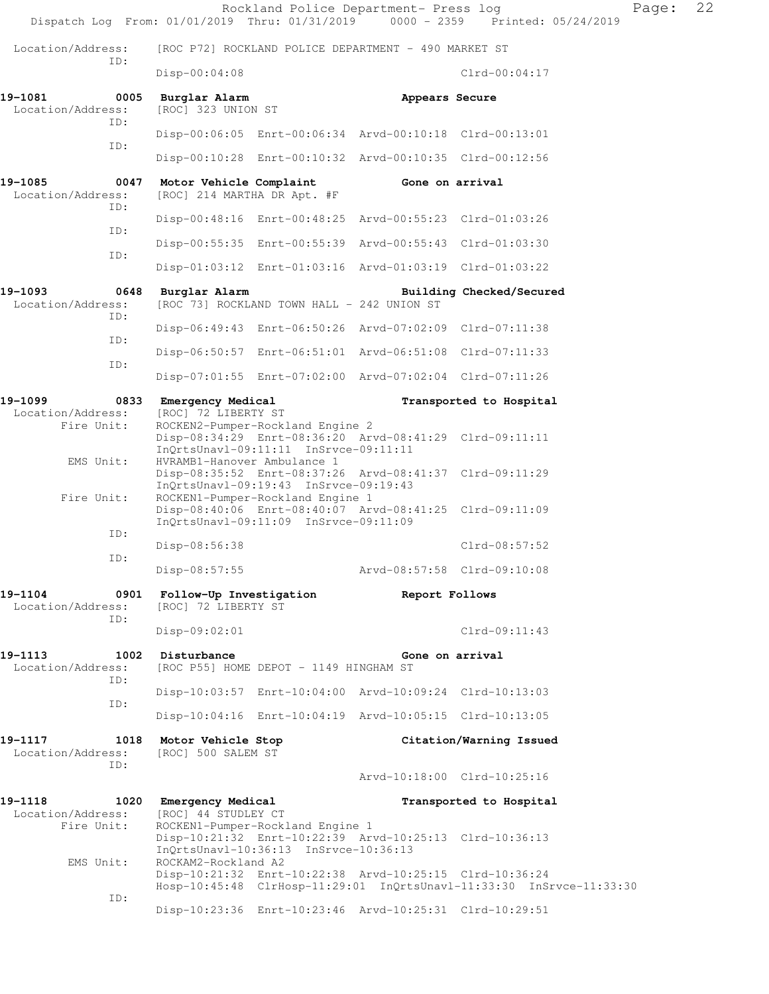|                                             |                                                        |                                                                           | Rockland Police Department- Press log                                                                              | Dispatch Log From: 01/01/2019 Thru: 01/31/2019 0000 - 2359 Printed: 05/24/2019 | Page: | 22 |
|---------------------------------------------|--------------------------------------------------------|---------------------------------------------------------------------------|--------------------------------------------------------------------------------------------------------------------|--------------------------------------------------------------------------------|-------|----|
| Location/Address:                           |                                                        |                                                                           | [ROC P72] ROCKLAND POLICE DEPARTMENT - 490 MARKET ST                                                               |                                                                                |       |    |
| ID:                                         | Disp-00:04:08                                          |                                                                           |                                                                                                                    | $Clrd-00:04:17$                                                                |       |    |
| 19-1081<br>0005<br>Location/Address:<br>ID: | Burglar Alarm<br>[ROC] 323 UNION ST                    |                                                                           | Appears Secure                                                                                                     |                                                                                |       |    |
| ID:                                         |                                                        |                                                                           | Disp-00:06:05 Enrt-00:06:34 Arvd-00:10:18 Clrd-00:13:01<br>Disp-00:10:28 Enrt-00:10:32 Arvd-00:10:35 Clrd-00:12:56 |                                                                                |       |    |
| 19-1085<br>0047                             |                                                        |                                                                           | Gone on arrival                                                                                                    |                                                                                |       |    |
| Location/Address:<br>TD:                    | Motor Vehicle Complaint<br>[ROC] 214 MARTHA DR Apt. #F |                                                                           |                                                                                                                    |                                                                                |       |    |
| ID:                                         |                                                        |                                                                           | Disp-00:48:16 Enrt-00:48:25 Arvd-00:55:23 Clrd-01:03:26                                                            |                                                                                |       |    |
| ID:                                         |                                                        |                                                                           | Disp-00:55:35 Enrt-00:55:39 Arvd-00:55:43 Clrd-01:03:30                                                            |                                                                                |       |    |
|                                             |                                                        |                                                                           | Disp-01:03:12 Enrt-01:03:16 Arvd-01:03:19 Clrd-01:03:22                                                            |                                                                                |       |    |
| 19-1093<br>Location/Address:<br>TD:         | 0648 Burglar Alarm                                     | [ROC 73] ROCKLAND TOWN HALL - 242 UNION ST                                |                                                                                                                    | Building Checked/Secured                                                       |       |    |
| ID:                                         |                                                        |                                                                           | Disp-06:49:43 Enrt-06:50:26 Arvd-07:02:09 Clrd-07:11:38                                                            |                                                                                |       |    |
| ID:                                         |                                                        |                                                                           | Disp-06:50:57 Enrt-06:51:01 Arvd-06:51:08 Clrd-07:11:33                                                            |                                                                                |       |    |
|                                             |                                                        |                                                                           | Disp-07:01:55 Enrt-07:02:00 Arvd-07:02:04 Clrd-07:11:26                                                            |                                                                                |       |    |
| 19-1099<br>Location/Address:                | 0833 Emergency Medical<br>[ROC] 72 LIBERTY ST          |                                                                           |                                                                                                                    | Transported to Hospital                                                        |       |    |
| Fire Unit:                                  |                                                        | ROCKEN2-Pumper-Rockland Engine 2<br>InQrtsUnavl-09:11:11 InSrvce-09:11:11 | Disp-08:34:29 Enrt-08:36:20 Arvd-08:41:29 Clrd-09:11:11                                                            |                                                                                |       |    |
| EMS Unit:                                   | HVRAMB1-Hanover Ambulance 1                            | InQrtsUnavl-09:19:43 InSrvce-09:19:43                                     | Disp-08:35:52 Enrt-08:37:26 Arvd-08:41:37 Clrd-09:11:29                                                            |                                                                                |       |    |
| Fire Unit:                                  |                                                        | ROCKEN1-Pumper-Rockland Engine 1<br>InQrtsUnavl-09:11:09 InSrvce-09:11:09 | Disp-08:40:06 Enrt-08:40:07 Arvd-08:41:25 Clrd-09:11:09                                                            |                                                                                |       |    |
| ID:                                         | $Disp-08:56:38$                                        |                                                                           |                                                                                                                    | $Clrd-08:57:52$                                                                |       |    |
| ID:                                         | Disp-08:57:55                                          |                                                                           | Arvd-08:57:58 Clrd-09:10:08                                                                                        |                                                                                |       |    |
| 19-1104<br>Location/Address:                | 0901 Follow-Up Investigation<br>[ROC] 72 LIBERTY ST    |                                                                           | Report Follows                                                                                                     |                                                                                |       |    |
| ID:                                         | Disp-09:02:01                                          |                                                                           |                                                                                                                    | $Clrd-09:11:43$                                                                |       |    |
| 1002<br>19–1113<br>Location/Address:<br>ID: | Disturbance                                            | [ROC P55] HOME DEPOT - 1149 HINGHAM ST                                    | Gone on arrival                                                                                                    |                                                                                |       |    |
| ID:                                         |                                                        |                                                                           | Disp-10:03:57 Enrt-10:04:00 Arvd-10:09:24 Clrd-10:13:03                                                            |                                                                                |       |    |
|                                             |                                                        |                                                                           | Disp-10:04:16 Enrt-10:04:19 Arvd-10:05:15 Clrd-10:13:05                                                            |                                                                                |       |    |
| 19-1117<br>1018<br>Location/Address:<br>ID: | Motor Vehicle Stop<br>[ROC] 500 SALEM ST               |                                                                           |                                                                                                                    | Citation/Warning Issued                                                        |       |    |
|                                             |                                                        |                                                                           |                                                                                                                    | Arvd-10:18:00 Clrd-10:25:16                                                    |       |    |
| 19-1118<br>Location/Address:<br>Fire Unit:  | 1020 Emergency Medical<br>[ROC] 44 STUDLEY CT          | ROCKEN1-Pumper-Rockland Engine 1                                          |                                                                                                                    | Transported to Hospital                                                        |       |    |
| EMS Unit:                                   | ROCKAM2-Rockland A2                                    | InQrtsUnavl-10:36:13 InSrvce-10:36:13                                     | Disp-10:21:32 Enrt-10:22:39 Arvd-10:25:13 Clrd-10:36:13                                                            |                                                                                |       |    |
|                                             |                                                        |                                                                           | Disp-10:21:32 Enrt-10:22:38 Arvd-10:25:15 Clrd-10:36:24                                                            | Hosp-10:45:48 ClrHosp-11:29:01 InQrtsUnavl-11:33:30 InSrvce-11:33:30           |       |    |
| ID:                                         |                                                        |                                                                           | Disp-10:23:36 Enrt-10:23:46 Arvd-10:25:31 Clrd-10:29:51                                                            |                                                                                |       |    |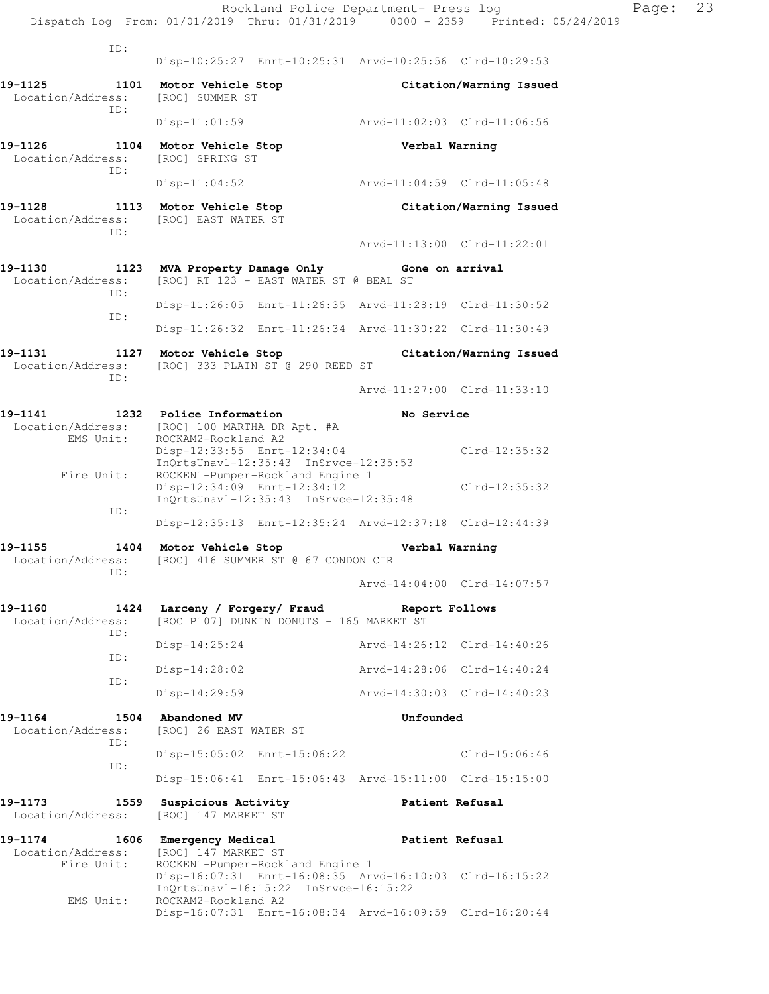|                                             | Rockland Police Department- Press log<br>Dispatch Log From: 01/01/2019 Thru: 01/31/2019 0000 - 2359 Printed: 05/24/2019                  |                             |                             |
|---------------------------------------------|------------------------------------------------------------------------------------------------------------------------------------------|-----------------------------|-----------------------------|
| ID:                                         |                                                                                                                                          |                             |                             |
|                                             | Disp-10:25:27 Enrt-10:25:31 Arvd-10:25:56 Clrd-10:29:53                                                                                  |                             |                             |
| 19-1125<br>1101<br>Location/Address:<br>ID: | Motor Vehicle Stop<br>[ROC] SUMMER ST                                                                                                    |                             | Citation/Warning Issued     |
|                                             | $Disp-11:01:59$                                                                                                                          | Arvd-11:02:03 Clrd-11:06:56 |                             |
| 19-1126<br>1104<br>Location/Address:<br>ID: | Motor Vehicle Stop<br>[ROC] SPRING ST                                                                                                    | Verbal Warning              |                             |
|                                             | $Disp-11:04:52$                                                                                                                          | Arvd-11:04:59 Clrd-11:05:48 |                             |
| 19-1128<br>1113<br>Location/Address:<br>ID: | Motor Vehicle Stop<br>[ROC] EAST WATER ST                                                                                                |                             | Citation/Warning Issued     |
|                                             |                                                                                                                                          |                             | Arvd-11:13:00 Clrd-11:22:01 |
| 19-1130<br>1123<br>Location/Address:<br>ID: | MVA Property Damage Only Gone on arrival<br>[ROC] RT 123 - EAST WATER ST @ BEAL ST                                                       |                             |                             |
|                                             | Disp-11:26:05 Enrt-11:26:35 Arvd-11:28:19 Clrd-11:30:52                                                                                  |                             |                             |
| ID:                                         | Disp-11:26:32 Enrt-11:26:34 Arvd-11:30:22 Clrd-11:30:49                                                                                  |                             |                             |
| 19–1131                                     | 1127 Motor Vehicle Stop                                                                                                                  |                             | Citation/Warning Issued     |
| Location/Address:<br>ID:                    | [ROC] 333 PLAIN ST @ 290 REED ST                                                                                                         |                             |                             |
|                                             |                                                                                                                                          |                             | Arvd-11:27:00 Clrd-11:33:10 |
| 19-1141<br>Location/Address:<br>EMS Unit:   | 1232 Police Information<br>[ROC] 100 MARTHA DR Apt. #A<br>ROCKAM2-Rockland A2<br>Disp-12:33:55 Enrt-12:34:04                             | No Service                  | $Clrd-12:35:32$             |
| Fire Unit:                                  | InQrtsUnavl-12:35:43 InSrvce-12:35:53<br>ROCKEN1-Pumper-Rockland Engine 1<br>Disp-12:34:09 Enrt-12:34:12                                 |                             | $Clrd-12:35:32$             |
| ID:                                         | $InQrtsUnav1-12:35:43$ $InSrvce-12:35:48$                                                                                                |                             |                             |
|                                             | Disp-12:35:13 Enrt-12:35:24 Arvd-12:37:18 Clrd-12:44:39                                                                                  |                             |                             |
| 19-1155<br>1404<br>Location/Address:<br>ID: | Motor Vehicle Stop<br>[ROC] 416 SUMMER ST @ 67 CONDON CIR                                                                                | Verbal Warning              |                             |
|                                             |                                                                                                                                          |                             | Arvd-14:04:00 Clrd-14:07:57 |
| 19-1160<br>1424<br>Location/Address:<br>ID: | Larceny / Forgery/ Fraud<br>[ROC P107] DUNKIN DONUTS - 165 MARKET ST                                                                     | Report Follows              |                             |
| ID:                                         | $Disp-14:25:24$                                                                                                                          |                             | Aryd-14:26:12 Clrd-14:40:26 |
|                                             | $Disp-14:28:02$                                                                                                                          |                             | Arvd-14:28:06 Clrd-14:40:24 |
| ID:                                         | $Disp-14:29:59$                                                                                                                          | Arvd-14:30:03 Clrd-14:40:23 |                             |
| 19-1164<br>1504<br>Location/Address:<br>ID: | Abandoned MV<br>[ROC] 26 EAST WATER ST                                                                                                   | Unfounded                   |                             |
|                                             | Disp-15:05:02 Enrt-15:06:22                                                                                                              |                             | $Clrd-15:06:46$             |
| ID:                                         | Disp-15:06:41 Enrt-15:06:43 Arvd-15:11:00 Clrd-15:15:00                                                                                  |                             |                             |
| 19-1173<br>1559<br>Location/Address:        | Suspicious Activity<br>[ROC] 147 MARKET ST                                                                                               | Patient Refusal             |                             |
| $19 - 1174$<br>1606<br>Location/Address:    | Emergency Medical<br>[ROC] 147 MARKET ST                                                                                                 | Patient Refusal             |                             |
| Fire Unit:                                  | ROCKEN1-Pumper-Rockland Engine 1<br>Disp-16:07:31 Enrt-16:08:35 Arvd-16:10:03 Clrd-16:15:22<br>$InQrtsUnav1-16:15:22$ $InSrvce-16:15:22$ |                             |                             |
| EMS Unit:                                   | ROCKAM2-Rockland A2<br>Disp-16:07:31 Enrt-16:08:34 Arvd-16:09:59 Clrd-16:20:44                                                           |                             |                             |

Page: 23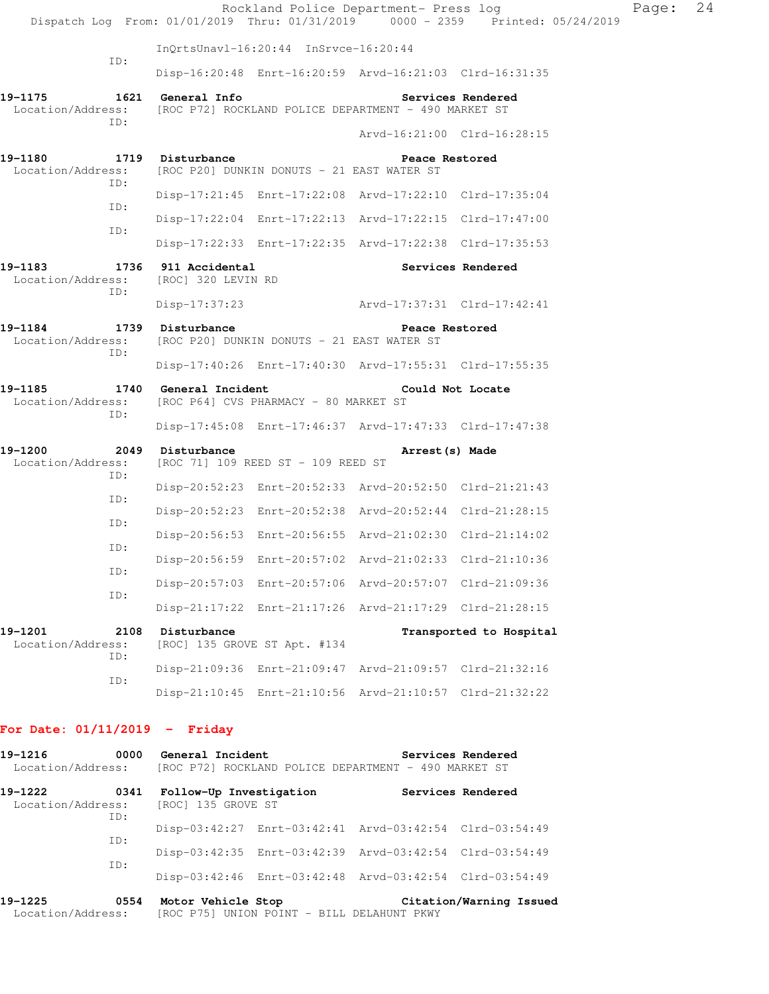|                                                        |                                                                |                                       | Rockland Police Department- Press log                   | Dispatch Log From: 01/01/2019 Thru: 01/31/2019 0000 - 2359 Printed: 05/24/2019 | Page: 24 |  |
|--------------------------------------------------------|----------------------------------------------------------------|---------------------------------------|---------------------------------------------------------|--------------------------------------------------------------------------------|----------|--|
|                                                        |                                                                | InQrtsUnavl-16:20:44 InSrvce-16:20:44 |                                                         |                                                                                |          |  |
| ID:                                                    |                                                                |                                       | Disp-16:20:48 Enrt-16:20:59 Arvd-16:21:03 Clrd-16:31:35 |                                                                                |          |  |
| 19-1175<br>Location/Address:<br>ID:                    | 1621 General Info                                              |                                       | [ROC P72] ROCKLAND POLICE DEPARTMENT - 490 MARKET ST    | Services Rendered                                                              |          |  |
| 19-1180<br>Location/Address:                           | 1719 Disturbance<br>[ROC P20] DUNKIN DONUTS - 21 EAST WATER ST |                                       | Arvd-16:21:00 Clrd-16:28:15<br>Peace Restored           |                                                                                |          |  |
| ID:                                                    |                                                                |                                       | Disp-17:21:45 Enrt-17:22:08 Arvd-17:22:10 Clrd-17:35:04 |                                                                                |          |  |
| ID:                                                    |                                                                |                                       | Disp-17:22:04 Enrt-17:22:13 Arvd-17:22:15 Clrd-17:47:00 |                                                                                |          |  |
| ID:                                                    |                                                                |                                       | Disp-17:22:33 Enrt-17:22:35 Arvd-17:22:38 Clrd-17:35:53 |                                                                                |          |  |
| 19-1183<br>Location/Address: [ROC] 320 LEVIN RD<br>ID: | 1736 911 Accidental                                            |                                       |                                                         | Services Rendered                                                              |          |  |
|                                                        | Disp-17:37:23                                                  |                                       | Arvd-17:37:31 Clrd-17:42:41                             |                                                                                |          |  |
| 19-1184<br>Location/Address:<br>ID:                    | 1739 Disturbance<br>[ROC P20] DUNKIN DONUTS - 21 EAST WATER ST |                                       | Peace Restored                                          |                                                                                |          |  |
|                                                        |                                                                |                                       | Disp-17:40:26 Enrt-17:40:30 Arvd-17:55:31 Clrd-17:55:35 |                                                                                |          |  |
| 19-1185<br>Location/Address:<br>ID:                    | 1740 General Incident<br>[ROC P64] CVS PHARMACY - 80 MARKET ST |                                       |                                                         | Could Not Locate                                                               |          |  |
|                                                        |                                                                |                                       | Disp-17:45:08 Enrt-17:46:37 Arvd-17:47:33 Clrd-17:47:38 |                                                                                |          |  |
| 19-1200<br>Location/Address:<br>ID:                    | 2049 Disturbance<br>[ROC 71] 109 REED ST - 109 REED ST         |                                       | Arrest (s) Made                                         |                                                                                |          |  |
| ID:                                                    |                                                                |                                       | Disp-20:52:23 Enrt-20:52:33 Arvd-20:52:50 Clrd-21:21:43 |                                                                                |          |  |
| ID:                                                    |                                                                |                                       | Disp-20:52:23 Enrt-20:52:38 Arvd-20:52:44 Clrd-21:28:15 |                                                                                |          |  |
|                                                        |                                                                |                                       | Disp-20:56:53 Enrt-20:56:55 Arvd-21:02:30 Clrd-21:14:02 |                                                                                |          |  |
| ID:                                                    |                                                                |                                       | Disp-20:56:59 Enrt-20:57:02 Arvd-21:02:33 Clrd-21:10:36 |                                                                                |          |  |
| ID:                                                    |                                                                |                                       | Disp-20:57:03 Enrt-20:57:06 Arvd-20:57:07 Clrd-21:09:36 |                                                                                |          |  |
| ID:                                                    |                                                                |                                       | Disp-21:17:22 Enrt-21:17:26 Arvd-21:17:29 Clrd-21:28:15 |                                                                                |          |  |
| 19-1201<br>2108<br>Location/Address:<br>ID:            | Disturbance                                                    | [ROC] 135 GROVE ST Apt. #134          |                                                         | Transported to Hospital                                                        |          |  |
| ID:                                                    |                                                                |                                       | Disp-21:09:36 Enrt-21:09:47 Arvd-21:09:57 Clrd-21:32:16 |                                                                                |          |  |
|                                                        |                                                                |                                       | Disp-21:10:45 Enrt-21:10:56 Arvd-21:10:57 Clrd-21:32:22 |                                                                                |          |  |
| For Date: $01/11/2019$ - Friday                        |                                                                |                                       |                                                         |                                                                                |          |  |
| 19-1216<br>Location/Address:                           | 0000 General Incident                                          |                                       | [ROC P72] ROCKLAND POLICE DEPARTMENT - 490 MARKET ST    | Services Rendered                                                              |          |  |

| 19–1222<br>0341<br>Location/Address: [ROC] 135 GROVE ST |     | Follow-Up Investigation |                                                         |                                                         | Services Rendered |
|---------------------------------------------------------|-----|-------------------------|---------------------------------------------------------|---------------------------------------------------------|-------------------|
|                                                         | TD: |                         |                                                         | Disp-03:42:27 Enrt-03:42:41 Arvd-03:42:54 Clrd-03:54:49 |                   |
|                                                         | TD: |                         |                                                         | Disp-03:42:35 Enrt-03:42:39 Arvd-03:42:54 Clrd-03:54:49 |                   |
| TD:                                                     |     |                         | Disp-03:42:46 Enrt-03:42:48 Arvd-03:42:54 Clrd-03:54:49 |                                                         |                   |
|                                                         |     |                         |                                                         |                                                         |                   |

**19-1225 0554 Motor Vehicle Stop Citation/Warning Issued**  Location/Address: [ROC P75] UNION POINT - BILL DELAHUNT PKWY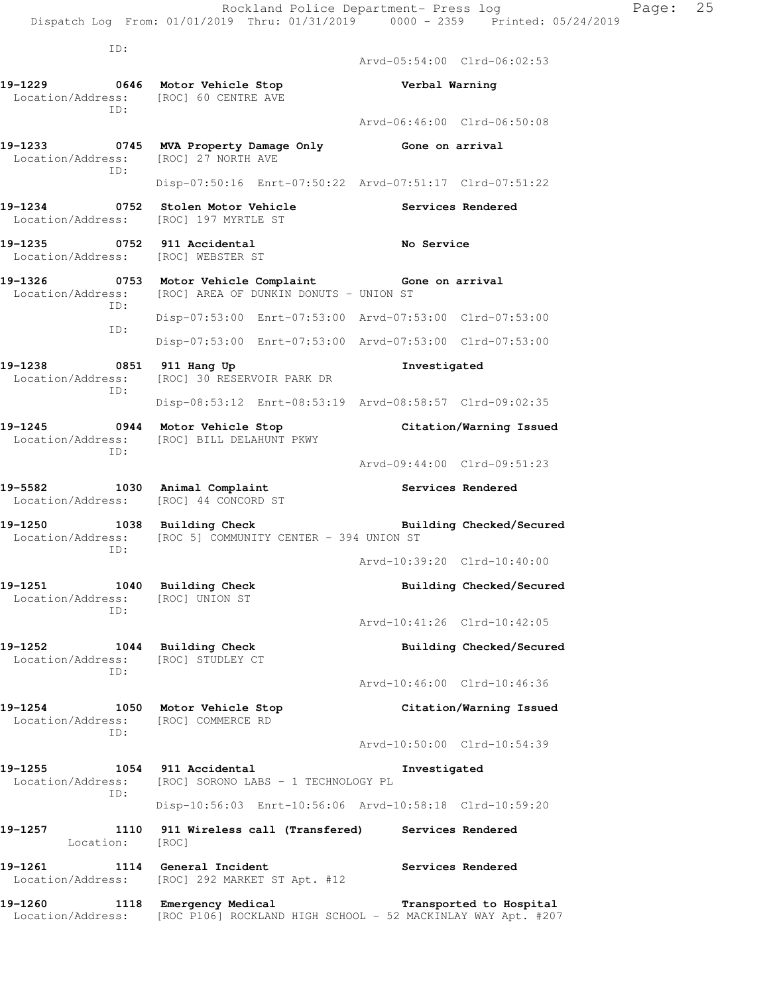ID: Arvd-05:54:00 Clrd-06:02:53 **19-1229 0646 Motor Vehicle Stop Verbal Warning**  Location/Address: [ROC] 60 CENTRE AVE ID: Arvd-06:46:00 Clrd-06:50:08 **19-1233 0745 MVA Property Damage Only Gone on arrival**  Location/Address: [ROC] 27 NORTH AVE ID: Disp-07:50:16 Enrt-07:50:22 Arvd-07:51:17 Clrd-07:51:22 **19-1234 0752 Stolen Motor Vehicle Services Rendered**  Location/Address: [ROC] 197 MYRTLE ST **19-1235 0752 911 Accidental No Service**  Location/Address: [ROC] WEBSTER ST **19-1326 0753 Motor Vehicle Complaint Gone on arrival**  Location/Address: [ROC] AREA OF DUNKIN DONUTS - UNION ST ID: Disp-07:53:00 Enrt-07:53:00 Arvd-07:53:00 Clrd-07:53:00 ID: Disp-07:53:00 Enrt-07:53:00 Arvd-07:53:00 Clrd-07:53:00 **19-1238 0851 911 Hang Up Investigated**  Location/Address: [ROC] 30 RESERVOIR PARK DR ID: Disp-08:53:12 Enrt-08:53:19 Arvd-08:58:57 Clrd-09:02:35 **19-1245 0944 Motor Vehicle Stop Citation/Warning Issued**  Location/Address: [ROC] BILL DELAHUNT PKWY ID: Arvd-09:44:00 Clrd-09:51:23 19-5582 1030 Animal Complaint **19-5582** Services Rendered Location/Address: [ROC] 44 CONCORD ST 19-1250 1038 Building Check **Building Building Checked/Secured**  Location/Address: [ROC 5] COMMUNITY CENTER - 394 UNION ST ID: Arvd-10:39:20 Clrd-10:40:00 19-1251 1040 Building Check **Building Building Checked/Secured**  Location/Address: [ROC] UNION ST ID: Arvd-10:41:26 Clrd-10:42:05 **19-1252 1044 Building Check Building Checked/Secured**  Location/Address: [ROC] STUDLEY CT ID: Arvd-10:46:00 Clrd-10:46:36 **19-1254 1050 Motor Vehicle Stop Citation/Warning Issued**  Location/Address: [ROC] COMMERCE RD ID: Arvd-10:50:00 Clrd-10:54:39 **19-1255 1054 911 Accidental Investigated**  Location/Address: [ROC] SORONO LABS - 1 TECHNOLOGY PL ID: Disp-10:56:03 Enrt-10:56:06 Arvd-10:58:18 Clrd-10:59:20 **19-1257 1110 911 Wireless call (Transfered) Services Rendered**  Location: [ROC]

19-1261 1114 General Incident **Services Rendered**  Location/Address: [ROC] 292 MARKET ST Apt. #12 **19-1260 1118 Emergency Medical Transported to Hospital** 

Location/Address: [ROC P106] ROCKLAND HIGH SCHOOL - 52 MACKINLAY WAY Apt. #207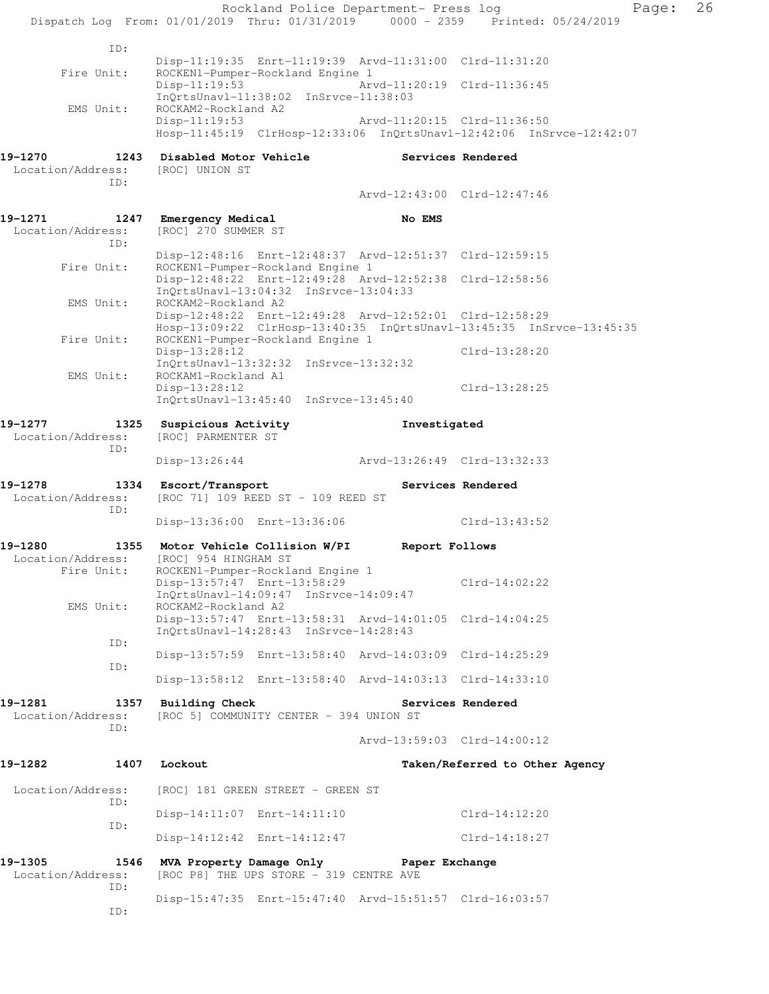|                                 | Rockland Police Department- Press log                                                                                           |                             |                                | Page: | 26 |
|---------------------------------|---------------------------------------------------------------------------------------------------------------------------------|-----------------------------|--------------------------------|-------|----|
|                                 | Dispatch Log From: 01/01/2019 Thru: 01/31/2019 0000 - 2359 Printed: 05/24/2019                                                  |                             |                                |       |    |
| ID:                             |                                                                                                                                 |                             |                                |       |    |
| Fire Unit:                      | Disp-11:19:35 Enrt-11:19:39 Arvd-11:31:00 Clrd-11:31:20<br>ROCKEN1-Pumper-Rockland Engine 1                                     |                             |                                |       |    |
|                                 | $Disp-11:19:53$<br>InQrtsUnavl-11:38:02 InSrvce-11:38:03                                                                        | Arvd-11:20:19 Clrd-11:36:45 |                                |       |    |
| EMS Unit:                       | ROCKAM2-Rockland A2<br>$Disp-11:19:53$                                                                                          | Arvd-11:20:15 Clrd-11:36:50 |                                |       |    |
|                                 | Hosp-11:45:19 ClrHosp-12:33:06 InQrtsUnavl-12:42:06 InSrvce-12:42:07                                                            |                             |                                |       |    |
| 19-1270                         | 1243 Disabled Motor Vehicle                                                                                                     |                             | Services Rendered              |       |    |
| Location/Address:<br>ID:        | [ROC] UNION ST                                                                                                                  |                             |                                |       |    |
|                                 |                                                                                                                                 | Arvd-12:43:00 Clrd-12:47:46 |                                |       |    |
| 19-1271                         | 1247 Emergency Medical                                                                                                          | No EMS                      |                                |       |    |
| Location/Address:<br>ID:        | [ROC] 270 SUMMER ST                                                                                                             |                             |                                |       |    |
| Fire Unit:                      | Disp-12:48:16 Enrt-12:48:37 Arvd-12:51:37 Clrd-12:59:15<br>ROCKEN1-Pumper-Rockland Engine 1                                     |                             |                                |       |    |
|                                 | Disp-12:48:22 Enrt-12:49:28 Arvd-12:52:38 Clrd-12:58:56                                                                         |                             |                                |       |    |
| EMS Unit:                       | $InQrtsUnav1-13:04:32$ $InSrvce-13:04:33$<br>ROCKAM2-Rockland A2                                                                |                             |                                |       |    |
|                                 | Disp-12:48:22 Enrt-12:49:28 Arvd-12:52:01 Clrd-12:58:29<br>Hosp-13:09:22 ClrHosp-13:40:35 InQrtsUnavl-13:45:35 InSrvce-13:45:35 |                             |                                |       |    |
| Fire Unit:                      | ROCKEN1-Pumper-Rockland Engine 1                                                                                                |                             |                                |       |    |
|                                 | Disp-13:28:12<br>$InQrtsUnav1-13:32:32$ $InSrvce-13:32:32$                                                                      |                             | Clrd-13:28:20                  |       |    |
| EMS Unit:                       | ROCKAM1-Rockland A1<br>Disp-13:28:12                                                                                            |                             | Clrd-13:28:25                  |       |    |
|                                 | $InQrtsUnav1-13:45:40$ $InSrvce-13:45:40$                                                                                       |                             |                                |       |    |
| 19-1277                         | 1325 Suspicious Activity                                                                                                        | Investigated                |                                |       |    |
| Location/Address:<br>ID:        | [ROC] PARMENTER ST                                                                                                              |                             |                                |       |    |
|                                 | Disp-13:26:44                                                                                                                   | Arvd-13:26:49 Clrd-13:32:33 |                                |       |    |
| 19-1278                         | 1334 Escort/Transport                                                                                                           |                             | Services Rendered              |       |    |
| Location/Address:<br>ID:        | [ROC 71] 109 REED ST - 109 REED ST                                                                                              |                             |                                |       |    |
|                                 | Disp-13:36:00 Enrt-13:36:06                                                                                                     |                             | $Clrd-13:43:52$                |       |    |
| 19-1280<br>1355                 | Motor Vehicle Collision W/PI                                                                                                    | Report Follows              |                                |       |    |
| Location/Address:<br>Fire Unit: | [ROC] 954 HINGHAM ST<br>ROCKEN1-Pumper-Rockland Engine 1                                                                        |                             |                                |       |    |
|                                 | Disp-13:57:47 Enrt-13:58:29<br>InOrtsUnavl-14:09:47 InSrvce-14:09:47                                                            |                             | $Clrd-14:02:22$                |       |    |
| EMS Unit:                       | ROCKAM2-Rockland A2                                                                                                             |                             |                                |       |    |
|                                 | Disp-13:57:47 Enrt-13:58:31 Arvd-14:01:05 Clrd-14:04:25<br>InQrtsUnavl-14:28:43 InSrvce-14:28:43                                |                             |                                |       |    |
| ID:                             | Disp-13:57:59 Enrt-13:58:40 Arvd-14:03:09 Clrd-14:25:29                                                                         |                             |                                |       |    |
| ID:                             | Disp-13:58:12 Enrt-13:58:40 Arvd-14:03:13 Clrd-14:33:10                                                                         |                             |                                |       |    |
| 19-1281<br>1357                 | <b>Building Check</b>                                                                                                           |                             | Services Rendered              |       |    |
| Location/Address:               | [ROC 5] COMMUNITY CENTER - 394 UNION ST                                                                                         |                             |                                |       |    |
| ID:                             |                                                                                                                                 | Arvd-13:59:03 Clrd-14:00:12 |                                |       |    |
| 19-1282<br>1407                 | Lockout                                                                                                                         |                             | Taken/Referred to Other Agency |       |    |
| Location/Address:               | [ROC] 181 GREEN STREET - GREEN ST                                                                                               |                             |                                |       |    |
| ID:                             | Disp-14:11:07 Enrt-14:11:10                                                                                                     |                             | Clrd-14:12:20                  |       |    |
| ID:                             | Disp-14:12:42 Enrt-14:12:47                                                                                                     |                             | Clrd-14:18:27                  |       |    |
| 19-1305<br>1546                 | MVA Property Damage Only                                                                                                        | Paper Exchange              |                                |       |    |
| Location/Address:               | [ROC P8] THE UPS STORE - 319 CENTRE AVE                                                                                         |                             |                                |       |    |
| ID:                             | Disp-15:47:35 Enrt-15:47:40 Arvd-15:51:57 Clrd-16:03:57                                                                         |                             |                                |       |    |
| ID:                             |                                                                                                                                 |                             |                                |       |    |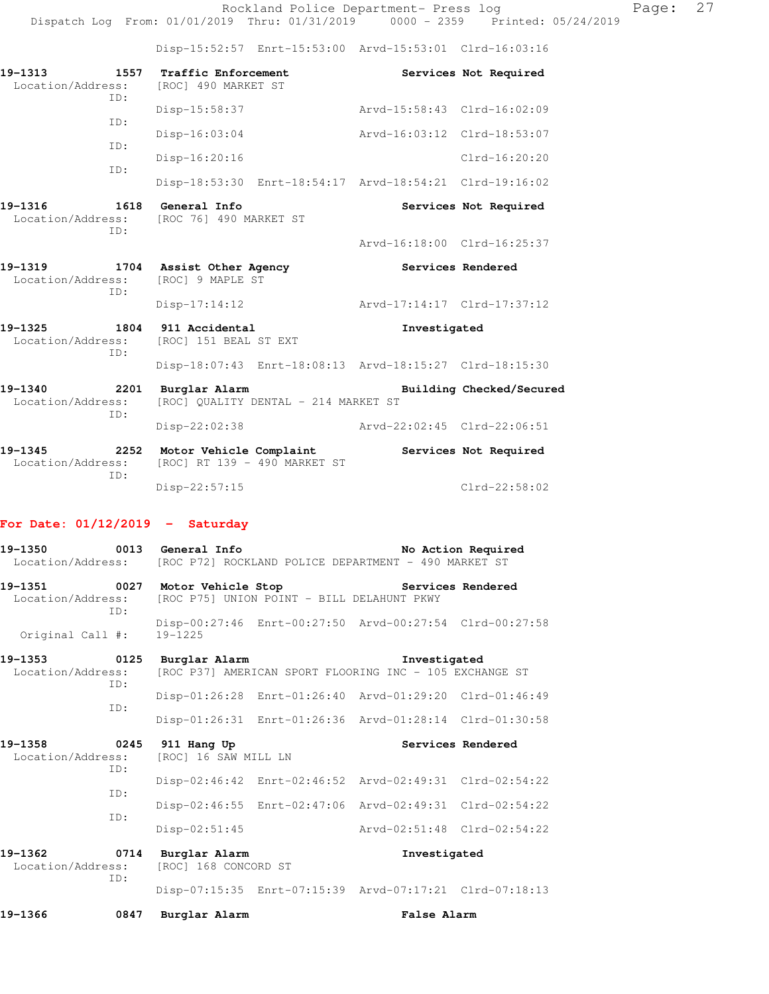Disp-15:52:57 Enrt-15:53:00 Arvd-15:53:01 Clrd-16:03:16

| 19-1313<br>Location/Address:<br>ID:                          | 1557 Traffic Enforcement<br>[ROC] 490 MARKET ST                 | Services Not Required                                   |
|--------------------------------------------------------------|-----------------------------------------------------------------|---------------------------------------------------------|
| TD:                                                          | Disp-15:58:37                                                   | Arvd-15:58:43 Clrd-16:02:09                             |
| TD:                                                          | Disp-16:03:04                                                   | Arvd-16:03:12 Clrd-18:53:07                             |
|                                                              | $Disp-16:20:16$                                                 | Clrd-16:20:20                                           |
| TD:                                                          |                                                                 | Disp-18:53:30 Enrt-18:54:17 Arvd-18:54:21 Clrd-19:16:02 |
| 19-1316<br>1618<br>TD:                                       | <b>General Info</b><br>Location/Address: [ROC 76] 490 MARKET ST | Services Not Required                                   |
|                                                              |                                                                 | Arvd-16:18:00 Clrd-16:25:37                             |
| 19-1319 1704 Assist Other Agency<br>Location/Address:<br>TD: | [ROC] 9 MAPLE ST                                                | Services Rendered                                       |
|                                                              | $Disp-17:14:12$                                                 | Arvd-17:14:17 Clrd-17:37:12                             |
| 19–1325<br>TD:                                               | 1804 911 Accidental<br>Location/Address: [ROC] 151 BEAL ST EXT  | Investigated                                            |
|                                                              |                                                                 | Disp-18:07:43 Enrt-18:08:13 Arvd-18:15:27 Clrd-18:15:30 |
| 19-1340<br>2201                                              | Burglar Alarm                                                   | Building Checked/Secured                                |
| Location/Address:<br>ID:                                     | [ROC] QUALITY DENTAL - 214 MARKET ST                            |                                                         |

**19-1345 2252 Motor Vehicle Complaint Services Not Required**  Location/Address: [ROC] RT 139 - 490 MARKET ST ID: Disp-22:57:15 Clrd-22:58:02

#### **For Date: 01/12/2019 - Saturday**

| 19-1350 0013 General Info                                                                                      |      |                                                                      | Location/Address: [ROC P72] ROCKLAND POLICE DEPARTMENT - 490 MARKET ST | No Action Required |
|----------------------------------------------------------------------------------------------------------------|------|----------------------------------------------------------------------|------------------------------------------------------------------------|--------------------|
|                                                                                                                | ID:  | Location/Address: [ROC P75] UNION POINT - BILL DELAHUNT PKWY         | 19-1351 0027 Motor Vehicle Stop Services Rendered                      |                    |
| Original Call $\sharp$ : 19-1225                                                                               |      |                                                                      | Disp-00:27:46 Enrt-00:27:50 Arvd-00:27:54 Clrd-00:27:58                |                    |
| 19-1353 0125 Burglar Alarm<br>Location/Address: [ROC P37] AMERICAN SPORT FLOORING INC - 105 EXCHANGE ST<br>ID: |      |                                                                      | Investigated                                                           |                    |
|                                                                                                                | ID:  |                                                                      | Disp-01:26:28 Enrt-01:26:40 Arvd-01:29:20 Clrd-01:46:49                |                    |
|                                                                                                                |      |                                                                      | Disp-01:26:31 Enrt-01:26:36 Arvd-01:28:14 Clrd-01:30:58                |                    |
| 19-1358 0245 911 Hang Up                                                                                       | ID:  | Location/Address: [ROC] 16 SAW MILL LN                               |                                                                        | Services Rendered  |
|                                                                                                                | ID:  |                                                                      | Disp-02:46:42 Enrt-02:46:52 Arvd-02:49:31 Clrd-02:54:22                |                    |
|                                                                                                                | ID:  |                                                                      | Disp-02:46:55 Enrt-02:47:06 Arvd-02:49:31 Clrd-02:54:22                |                    |
|                                                                                                                |      | $Disp-02:51:45$                                                      | Arvd-02:51:48 Clrd-02:54:22                                            |                    |
|                                                                                                                | ID:  | 19-1362 0714 Burglar Alarm<br>Location/Address: [ROC] 168 CONCORD ST | Investigated                                                           |                    |
|                                                                                                                |      |                                                                      | Disp-07:15:35 Enrt-07:15:39 Arvd-07:17:21 Clrd-07:18:13                |                    |
| 19-1366                                                                                                        | 0847 | Burglar Alarm                                                        | False Alarm                                                            |                    |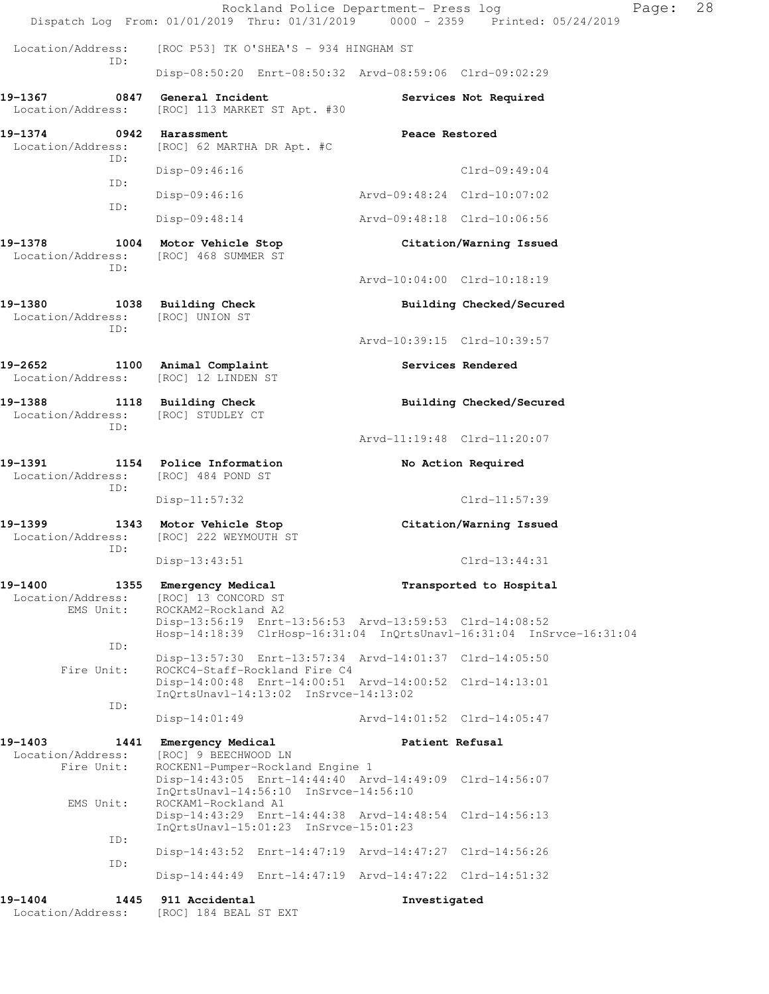|                                             | Rockland Police Department- Press log<br>Dispatch Log From: 01/01/2019 Thru: 01/31/2019 0000 - 2359 Printed: 05/24/2019              |                             | Page:                    | 28 |
|---------------------------------------------|--------------------------------------------------------------------------------------------------------------------------------------|-----------------------------|--------------------------|----|
| Location/Address:                           | [ROC P53] TK O'SHEA'S - 934 HINGHAM ST                                                                                               |                             |                          |    |
| ID:                                         | Disp-08:50:20 Enrt-08:50:32 Arvd-08:59:06 Clrd-09:02:29                                                                              |                             |                          |    |
| 19-1367<br>0847<br>Location/Address:        | General Incident<br>[ROC] 113 MARKET ST Apt. #30                                                                                     |                             | Services Not Required    |    |
| 19-1374<br>Location/Address:<br>ID:         | 0942 Harassment<br>[ROC] 62 MARTHA DR Apt. #C                                                                                        | Peace Restored              |                          |    |
| ID:                                         | Disp-09:46:16                                                                                                                        |                             | $Clrd-09:49:04$          |    |
| ID:                                         | $Disp-09:46:16$                                                                                                                      | Arvd-09:48:24 Clrd-10:07:02 |                          |    |
|                                             | $Disp-09:48:14$                                                                                                                      | Arvd-09:48:18 Clrd-10:06:56 |                          |    |
| 19-1378<br>Location/Address:<br>ID:         | 1004 Motor Vehicle Stop<br>[ROC] 468 SUMMER ST                                                                                       |                             | Citation/Warning Issued  |    |
|                                             |                                                                                                                                      | Arvd-10:04:00 Clrd-10:18:19 |                          |    |
| 19-1380<br>Location/Address:<br>ID:         | 1038 Building Check<br>[ROC] UNION ST                                                                                                |                             | Building Checked/Secured |    |
|                                             |                                                                                                                                      | Arvd-10:39:15 Clrd-10:39:57 |                          |    |
| 19-2652<br>Location/Address:                | 1100 Animal Complaint<br>[ROC] 12 LINDEN ST                                                                                          |                             | Services Rendered        |    |
| 19-1388<br>1118<br>Location/Address:<br>ID: | <b>Building Check</b><br>[ROC] STUDLEY CT                                                                                            |                             | Building Checked/Secured |    |
|                                             |                                                                                                                                      | Arvd-11:19:48 Clrd-11:20:07 |                          |    |
| 19-1391<br>Location/Address:<br>ID:         | 1154 Police Information<br>[ROC] 484 POND ST                                                                                         |                             | No Action Required       |    |
|                                             | $Disp-11:57:32$                                                                                                                      |                             | Clrd-11:57:39            |    |
| 19-1399<br>Location/Address:<br>ID:         | 1343 Motor Vehicle Stop<br>[ROC] 222 WEYMOUTH ST                                                                                     |                             | Citation/Warning Issued  |    |
|                                             | $Disp-13:43:51$                                                                                                                      |                             | Clrd-13:44:31            |    |
| 19-1400<br>Location/Address:<br>EMS Unit:   | 1355 Emergency Medical<br>[ROC] 13 CONCORD ST<br>ROCKAM2-Rockland A2                                                                 |                             | Transported to Hospital  |    |
|                                             | Disp-13:56:19 Enrt-13:56:53 Arvd-13:59:53 Clrd-14:08:52<br>Hosp-14:18:39 ClrHosp-16:31:04 InQrtsUnavl-16:31:04 InSrvce-16:31:04      |                             |                          |    |
| ID:<br>Fire Unit:                           | Disp-13:57:30 Enrt-13:57:34 Arvd-14:01:37 Clrd-14:05:50<br>ROCKC4-Staff-Rockland Fire C4                                             |                             |                          |    |
| ID:                                         | Disp-14:00:48 Enrt-14:00:51 Arvd-14:00:52 Clrd-14:13:01<br>InQrtsUnavl-14:13:02 InSrvce-14:13:02                                     |                             |                          |    |
|                                             | $Disp-14:01:49$                                                                                                                      |                             |                          |    |
| 19-1403<br>Location/Address:                | 1441 Emergency Medical<br>[ROC] 9 BEECHWOOD LN                                                                                       | Patient Refusal             |                          |    |
| Fire Unit:                                  | ROCKEN1-Pumper-Rockland Engine 1<br>Disp-14:43:05 Enrt-14:44:40 Arvd-14:49:09 Clrd-14:56:07<br>InQrtsUnavl-14:56:10 InSrvce-14:56:10 |                             |                          |    |
| EMS Unit:                                   | ROCKAM1-Rockland A1<br>Disp-14:43:29 Enrt-14:44:38 Arvd-14:48:54 Clrd-14:56:13<br>InQrtsUnavl-15:01:23 InSrvce-15:01:23              |                             |                          |    |
| ID:                                         | Disp-14:43:52 Enrt-14:47:19 Arvd-14:47:27 Clrd-14:56:26                                                                              |                             |                          |    |
| ID:                                         | Disp-14:44:49 Enrt-14:47:19 Arvd-14:47:22 Clrd-14:51:32                                                                              |                             |                          |    |
| 19-1404<br>1445                             | 911 Accidental                                                                                                                       | Investigated                |                          |    |

Location/Address: [ROC] 184 BEAL ST EXT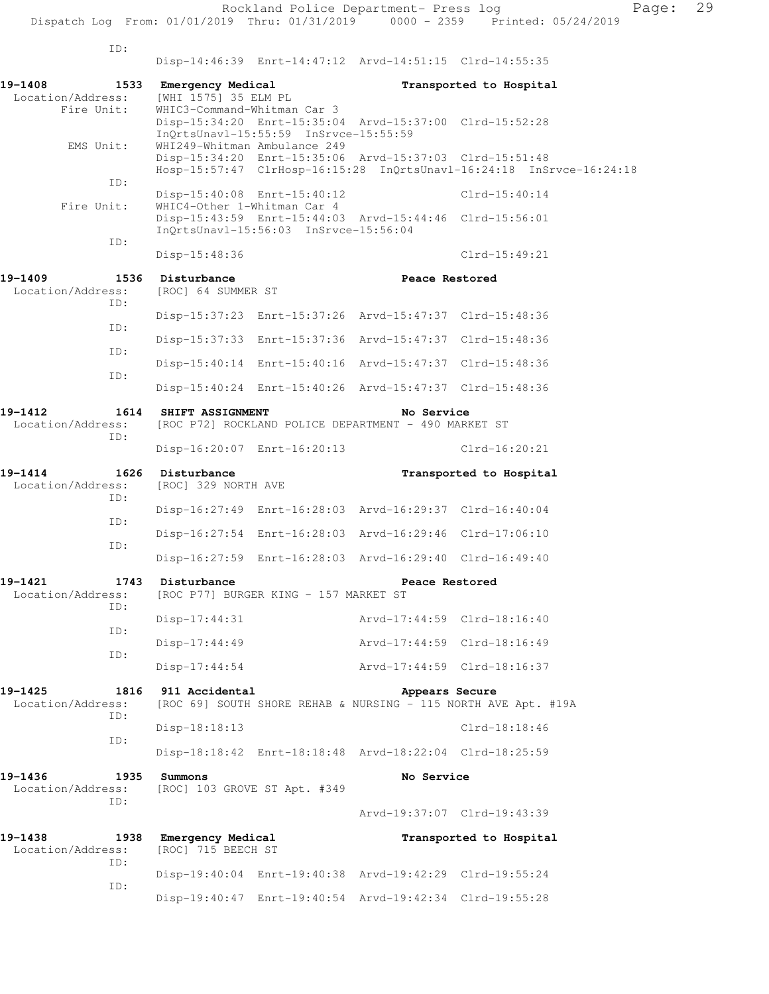Rockland Police Department- Press log Page: 29 Dispatch Log From: 01/01/2019 Thru: 01/31/2019 0000 - 2359 Printed: 05/24/2019 ID: Disp-14:46:39 Enrt-14:47:12 Arvd-14:51:15 Clrd-14:55:35 **19-1408 1533 Emergency Medical Transported to Hospital**  Location/Address: [WHI 1575] 35 ELM PL WHIC3-Command-Whitman Car 3 Disp-15:34:20 Enrt-15:35:04 Arvd-15:37:00 Clrd-15:52:28 InQrtsUnavl-15:55:59 InSrvce-15:55:59 EMS Unit: WHI249-Whitman Ambulance 249 Disp-15:34:20 Enrt-15:35:06 Arvd-15:37:03 Clrd-15:51:48 Hosp-15:57:47 ClrHosp-16:15:28 InQrtsUnavl-16:24:18 InSrvce-16:24:18 ID: Disp-15:40:08 Enrt-15:40:12 Clrd-15:40:14 Fire Unit: WHIC4-Other 1-Whitman Car 4 Disp-15:43:59 Enrt-15:44:03 Arvd-15:44:46 Clrd-15:56:01 InQrtsUnavl-15:56:03 InSrvce-15:56:04 ID: Disp-15:48:36 Clrd-15:49:21 19-1409 1536 Disturbance **1996 1996 1997 1208** Peace Restored Location/Address: [ROC] 64 SUMMER ST ID: Disp-15:37:23 Enrt-15:37:26 Arvd-15:47:37 Clrd-15:48:36 ID: Disp-15:37:33 Enrt-15:37:36 Arvd-15:47:37 Clrd-15:48:36 ID: Disp-15:40:14 Enrt-15:40:16 Arvd-15:47:37 Clrd-15:48:36 ID: Disp-15:40:24 Enrt-15:40:26 Arvd-15:47:37 Clrd-15:48:36 **19-1412 1614 SHIFT ASSIGNMENT No Service**  Location/Address: [ROC P72] ROCKLAND POLICE DEPARTMENT - 490 MARKET ST ID: Disp-16:20:07 Enrt-16:20:13 Clrd-16:20:21 **19-1414 1626 Disturbance Transported to Hospital**  Location/Address: [ROC] 329 NORTH AVE ID: Disp-16:27:49 Enrt-16:28:03 Arvd-16:29:37 Clrd-16:40:04 ID: Disp-16:27:54 Enrt-16:28:03 Arvd-16:29:46 Clrd-17:06:10 ID: Disp-16:27:59 Enrt-16:28:03 Arvd-16:29:40 Clrd-16:49:40 19-1421 1743 Disturbance **Peace Restored** Location/Address: [ROC P77] BURGER KING - 157 MARKET ST ID: Disp-17:44:31 Arvd-17:44:59 Clrd-18:16:40 ID: Disp-17:44:49 Arvd-17:44:59 Clrd-18:16:49 ID: Disp-17:44:54 Arvd-17:44:59 Clrd-18:16:37 **19-1425 1816 911 Accidental Appears Secure**  Location/Address: [ROC 69] SOUTH SHORE REHAB & NURSING - 115 NORTH AVE Apt. #19A ID: Disp-18:18:13 Clrd-18:18:46 ID: Disp-18:18:42 Enrt-18:18:48 Arvd-18:22:04 Clrd-18:25:59 **19-1436 1935 Summons No Service**  Location/Address: [ROC] 103 GROVE ST Apt. #349 ID: Arvd-19:37:07 Clrd-19:43:39

**19-1438 1938 Emergency Medical Transported to Hospital**  Location/Address: [ROC] 715 BEECH ST ID: Disp-19:40:04 Enrt-19:40:38 Arvd-19:42:29 Clrd-19:55:24 ID: Disp-19:40:47 Enrt-19:40:54 Arvd-19:42:34 Clrd-19:55:28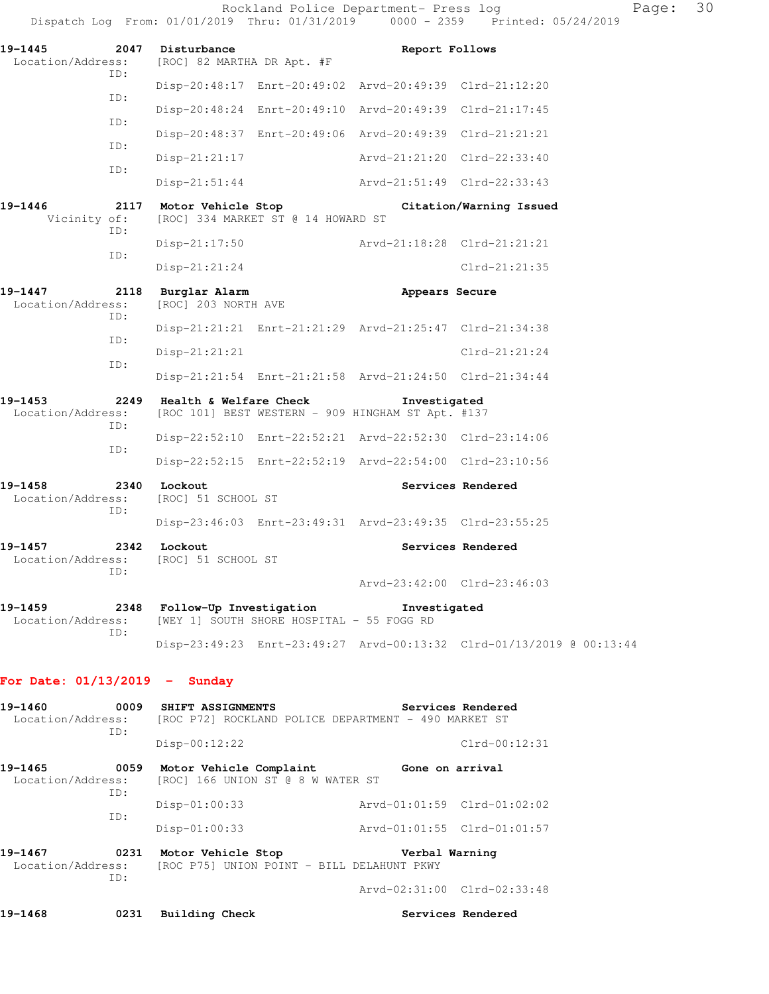|                                             |             | Dispatch Log From: 01/01/2019 Thru: 01/31/2019              |                                    | $0000 - 2359$                                                     | Printed: 05/      |  |
|---------------------------------------------|-------------|-------------------------------------------------------------|------------------------------------|-------------------------------------------------------------------|-------------------|--|
| 19-1445<br>2047<br>Location/Address:<br>ID: |             | Disturbance<br>Report Follows<br>[ROC] 82 MARTHA DR Apt. #F |                                    |                                                                   |                   |  |
|                                             | TD:         |                                                             |                                    | Disp-20:48:17 Enrt-20:49:02 Arvd-20:49:39 Clrd-21:12:20           |                   |  |
|                                             | ID:         |                                                             |                                    | Disp-20:48:24 Enrt-20:49:10 Arvd-20:49:39                         | $Clrd-21:17:45$   |  |
|                                             | ID:         |                                                             |                                    | Disp-20:48:37 Enrt-20:49:06 Arvd-20:49:39 Clrd-21:21:21           |                   |  |
|                                             |             | Disp-21:21:17                                               |                                    | Arvd-21:21:20 Clrd-22:33:40                                       |                   |  |
|                                             | ID:         | $Disp-21:51:44$                                             |                                    | Arvd-21:51:49 Clrd-22:33:43                                       |                   |  |
| 19-1446<br>Vicinity of:                     | 2117<br>TD: | Motor Vehicle Stop                                          | [ROC] 334 MARKET ST @ 14 HOWARD ST | Citation/Warning Issued                                           |                   |  |
|                                             | TD:         | $Disp-21:17:50$                                             |                                    | Arvd-21:18:28 Clrd-21:21:21                                       |                   |  |
|                                             |             | $Disp-21:21:24$                                             |                                    |                                                                   | $Clrd-21:21:35$   |  |
| 19-1447<br>Location/Address:                | 2118<br>ID: | Burglar Alarm<br>[ROC] 203 NORTH AVE                        |                                    | Appears Secure                                                    |                   |  |
|                                             | TD:         |                                                             |                                    | Disp-21:21:21 Enrt-21:21:29 Arvd-21:25:47 Clrd-21:34:38           |                   |  |
|                                             | TD:         | $Disp-21:21:21$                                             |                                    |                                                                   | $Clrd-21:21:24$   |  |
|                                             |             |                                                             |                                    | Disp-21:21:54 Enrt-21:21:58 Arvd-21:24:50 Clrd-21:34:44           |                   |  |
| 19-1453<br>Location/Address:                | 2249<br>ID: | Health & Welfare Check                                      |                                    | Investigated<br>[ROC 101] BEST WESTERN - 909 HINGHAM ST Apt. #137 |                   |  |
|                                             | ID:         |                                                             |                                    | Disp-22:52:10 Enrt-22:52:21 Arvd-22:52:30 Clrd-23:14:06           |                   |  |
|                                             |             |                                                             |                                    | Disp-22:52:15 Enrt-22:52:19 Arvd-22:54:00 Clrd-23:10:56           |                   |  |
| 19-1458<br>Location/Address:                | 2340<br>TD: | Lockout<br>[ROC] 51 SCHOOL ST                               |                                    |                                                                   | Services Rendered |  |
|                                             |             |                                                             |                                    | Disp-23:46:03 Enrt-23:49:31 Arvd-23:49:35 Clrd-23:55:25           |                   |  |
| 19-1457<br>Location/Address:                | 2342<br>TD: | Lockout<br>[ROC] 51 SCHOOL ST                               |                                    |                                                                   | Services Rendered |  |
|                                             |             |                                                             |                                    | Arvd-23:42:00 Clrd-23:46:03                                       |                   |  |
|                                             |             |                                                             |                                    |                                                                   |                   |  |

**19-1459 2348 Follow-Up Investigation Investigated**  Location/Address: [WEY 1] SOUTH SHORE HOSPITAL - 55 FOGG RD ID: Disp-23:49:23 Enrt-23:49:27 Arvd-00:13:32 Clrd-01/13/2019 @ 00:13:44

#### **For Date: 01/13/2019 - Sunday**

| 19-1460                                     | 0009 | SHIFT ASSIGNMENTS                                                | Services Rendered                                    |
|---------------------------------------------|------|------------------------------------------------------------------|------------------------------------------------------|
| Location/Address:<br>TD:                    |      |                                                                  | [ROC P72] ROCKLAND POLICE DEPARTMENT - 490 MARKET ST |
|                                             |      | $Disp-00:12:22$                                                  | $Clrd-00:12:31$                                      |
| 19-1465                                     | 0059 | Motor Vehicle Complaint                                          | Gone on arrival                                      |
| Location/Address:                           | ID:  | [ROC] 166 UNION ST @ 8 W WATER ST                                |                                                      |
|                                             | ID:  | $Disp-01:00:33$                                                  | Arvd-01:01:59 Clrd-01:02:02                          |
|                                             |      | $Disp-01:00:33$                                                  | Arvd-01:01:55 Clrd-01:01:57                          |
| 0231<br>19–1467<br>Location/Address:<br>ID: |      | Motor Vehicle Stop<br>[ROC P75] UNION POINT - BILL DELAHUNT PKWY | Verbal Warning                                       |
|                                             |      |                                                                  | Arvd-02:31:00 Clrd-02:33:48                          |
| 19-1468                                     | 0231 | Building Check                                                   | Services Rendered                                    |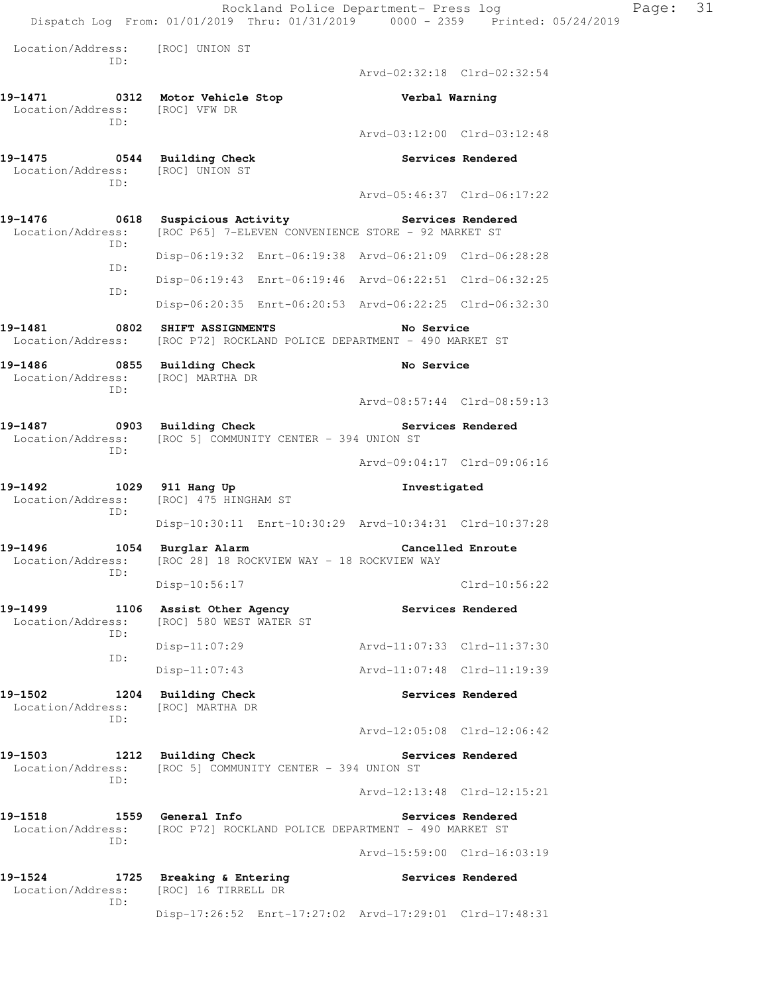Rockland Police Department- Press log Page: 31 Dispatch Log From: 01/01/2019 Thru: 01/31/2019 0000 - 2359 Printed: 05/24/2019 Location/Address: [ROC] UNION ST  $TD \cdot$  Arvd-02:32:18 Clrd-02:32:54 **19-1471 0312 Motor Vehicle Stop Verbal Warning**  Location/Address: [ROC] VFW DR ID: Arvd-03:12:00 Clrd-03:12:48 **19-1475 0544 Building Check Services Rendered**  Location/Address: [ROC] UNION ST ID: Arvd-05:46:37 Clrd-06:17:22 19-1476 **0618** Suspicious Activity **Services Rendered**  Location/Address: [ROC P65] 7-ELEVEN CONVENIENCE STORE - 92 MARKET ST ID: Disp-06:19:32 Enrt-06:19:38 Arvd-06:21:09 Clrd-06:28:28 ID: Disp-06:19:43 Enrt-06:19:46 Arvd-06:22:51 Clrd-06:32:25 ID: Disp-06:20:35 Enrt-06:20:53 Arvd-06:22:25 Clrd-06:32:30 **19-1481 0802 SHIFT ASSIGNMENTS No Service**  Location/Address: [ROC P72] ROCKLAND POLICE DEPARTMENT - 490 MARKET ST 19-1486 **0855** Building Check **No Service**  Location/Address: [ROC] MARTHA DR ID: Arvd-08:57:44 Clrd-08:59:13 19-1487 **0903** Building Check **Services Rendered**  Location/Address: [ROC 5] COMMUNITY CENTER - 394 UNION ST ID: Arvd-09:04:17 Clrd-09:06:16 **19-1492 1029 911 Hang Up Investigated**  Location/Address: [ROC] 475 HINGHAM ST ID: Disp-10:30:11 Enrt-10:30:29 Arvd-10:34:31 Clrd-10:37:28 **19-1496 1054 Burglar Alarm Cancelled Enroute**  Location/Address: [ROC 28] 18 ROCKVIEW WAY - 18 ROCKVIEW WAY ID: Disp-10:56:17 Clrd-10:56:22 **19-1499 1106 Assist Other Agency Services Rendered**  Location/Address: [ROC] 580 WEST WATER ST ID: Disp-11:07:29 Arvd-11:07:33 Clrd-11:37:30 ID: Disp-11:07:43 Arvd-11:07:48 Clrd-11:19:39 **19-1502 1204 Building Check Services Rendered**  Location/Address: [ROC] MARTHA DR ID: Arvd-12:05:08 Clrd-12:06:42 **19-1503 1212 Building Check Services Rendered**  Location/Address: [ROC 5] COMMUNITY CENTER - 394 UNION ST ID: Arvd-12:13:48 Clrd-12:15:21 19-1518 1559 General Info **1999 Services Rendered** Location/Address: [ROC P72] ROCKLAND POLICE DEPARTMENT - 490 MARKET ST ID: Arvd-15:59:00 Clrd-16:03:19 19-1524 1725 Breaking & Entering **Services Rendered**  Location/Address: [ROC] 16 TIRRELL DR ID: Disp-17:26:52 Enrt-17:27:02 Arvd-17:29:01 Clrd-17:48:31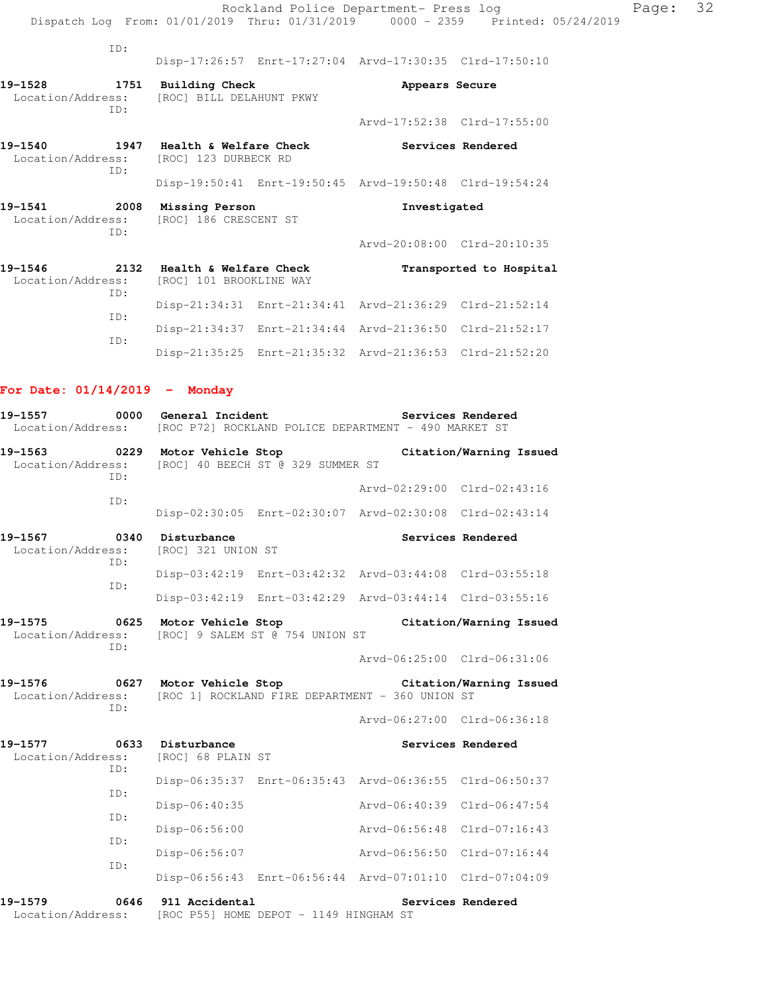|                                                              |                                                                          |  | Rockland Police Department- Press log                   | Dispatch Log From: 01/01/2019 Thru: 01/31/2019 0000 - 2359 Printed: 05/24/2019 | Page: | 32 |
|--------------------------------------------------------------|--------------------------------------------------------------------------|--|---------------------------------------------------------|--------------------------------------------------------------------------------|-------|----|
| ID:                                                          |                                                                          |  |                                                         |                                                                                |       |    |
|                                                              |                                                                          |  | Disp-17:26:57 Enrt-17:27:04 Arvd-17:30:35 Clrd-17:50:10 |                                                                                |       |    |
| 19-1528<br>ID:                                               | 1751 Building Check<br>Location/Address: [ROC] BILL DELAHUNT PKWY        |  | Appears Secure                                          |                                                                                |       |    |
|                                                              |                                                                          |  |                                                         | Arvd-17:52:38 Clrd-17:55:00                                                    |       |    |
| $19 - 1540$<br>Location/Address: [ROC] 123 DURBECK RD<br>ID: | 1947 Health & Welfare Check                                              |  |                                                         | Services Rendered                                                              |       |    |
|                                                              |                                                                          |  | Disp-19:50:41 Enrt-19:50:45 Arvd-19:50:48 Clrd-19:54:24 |                                                                                |       |    |
| 19-1541<br>Location/Address:                                 | 2008 Missing Person<br>[ROC] 186 CRESCENT ST                             |  | Investigated                                            |                                                                                |       |    |
| ID:                                                          |                                                                          |  |                                                         | Arvd-20:08:00 Clrd-20:10:35                                                    |       |    |
| 19-1546<br>ID:                                               | 2132 Health & Welfare Check<br>Location/Address: [ROC] 101 BROOKLINE WAY |  |                                                         | Transported to Hospital                                                        |       |    |
|                                                              |                                                                          |  | Disp-21:34:31 Enrt-21:34:41 Arvd-21:36:29 Clrd-21:52:14 |                                                                                |       |    |
| ID:                                                          |                                                                          |  | Disp-21:34:37 Enrt-21:34:44 Arvd-21:36:50 Clrd-21:52:17 |                                                                                |       |    |
| TD:                                                          |                                                                          |  | Disp-21:35:25 Enrt-21:35:32 Arvd-21:36:53 Clrd-21:52:20 |                                                                                |       |    |
|                                                              |                                                                          |  |                                                         |                                                                                |       |    |

# **For Date: 01/14/2019 - Monday**

| 19-1557<br>Location/Address:                |      | 0000 General Incident                                                              |                                        | [ROC P72] ROCKLAND POLICE DEPARTMENT - 490 MARKET ST    | Services Rendered       |  |
|---------------------------------------------|------|------------------------------------------------------------------------------------|----------------------------------------|---------------------------------------------------------|-------------------------|--|
| 0229<br>19-1563<br>Location/Address:<br>TD: |      | Motor Vehicle Stop<br>Citation/Warning Issued<br>[ROC] 40 BEECH ST @ 329 SUMMER ST |                                        |                                                         |                         |  |
|                                             |      |                                                                                    |                                        | Arvd-02:29:00 Clrd-02:43:16                             |                         |  |
| TD:                                         |      |                                                                                    |                                        | Disp-02:30:05 Enrt-02:30:07 Arvd-02:30:08 Clrd-02:43:14 |                         |  |
| 0340<br>19-1567<br>Location/Address:<br>ID: |      | Disturbance<br>[ROC] 321 UNION ST                                                  |                                        |                                                         | Services Rendered       |  |
| TD:                                         |      |                                                                                    |                                        | Disp-03:42:19 Enrt-03:42:32 Arvd-03:44:08 Clrd-03:55:18 |                         |  |
|                                             |      |                                                                                    |                                        | Disp-03:42:19 Enrt-03:42:29 Arvd-03:44:14 Clrd-03:55:16 |                         |  |
| 19-1575<br>0625<br>Location/Address:<br>TD: |      | Motor Vehicle Stop<br>Citation/Warning Issued<br>[ROC] 9 SALEM ST @ 754 UNION ST   |                                        |                                                         |                         |  |
|                                             |      |                                                                                    |                                        | Arvd-06:25:00 Clrd-06:31:06                             |                         |  |
| 19-1576<br>Location/Address:<br>ID:         |      | 0627 Motor Vehicle Stop                                                            |                                        | [ROC 1] ROCKLAND FIRE DEPARTMENT - 360 UNION ST         | Citation/Warning Issued |  |
|                                             |      |                                                                                    |                                        | Arvd-06:27:00 Clrd-06:36:18                             |                         |  |
| 19-1577<br>Location/Address:<br>TD:         |      | 0633 Disturbance<br>[ROC] 68 PLAIN ST                                              |                                        |                                                         | Services Rendered       |  |
|                                             |      |                                                                                    |                                        | Disp-06:35:37 Enrt-06:35:43 Arvd-06:36:55 Clrd-06:50:37 |                         |  |
| ID:                                         |      | Disp-06:40:35                                                                      |                                        | Arvd-06:40:39 Clrd-06:47:54                             |                         |  |
| TD:                                         |      | Disp-06:56:00                                                                      |                                        | Arvd-06:56:48 Clrd-07:16:43                             |                         |  |
| ID:                                         |      | Disp-06:56:07                                                                      |                                        | Arvd-06:56:50 Clrd-07:16:44                             |                         |  |
| ID:                                         |      |                                                                                    |                                        | Disp-06:56:43 Enrt-06:56:44 Arvd-07:01:10 Clrd-07:04:09 |                         |  |
| 19-1579<br>Location/Address:                | 0646 | 911 Accidental                                                                     | [ROC P55] HOME DEPOT - 1149 HINGHAM ST |                                                         | Services Rendered       |  |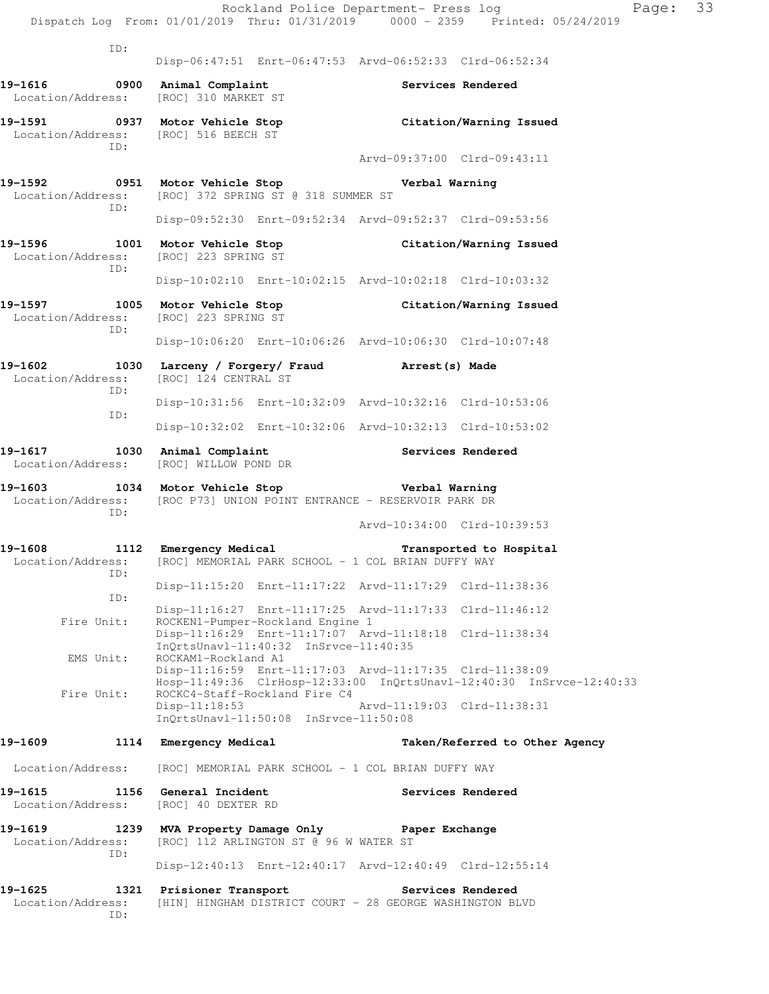|                                              |                                                                                                                          | Rockland Police Department- Press log<br>Page:<br>Dispatch Log From: 01/01/2019 Thru: 01/31/2019 0000 - 2359 Printed: 05/24/2019 | 33 |
|----------------------------------------------|--------------------------------------------------------------------------------------------------------------------------|----------------------------------------------------------------------------------------------------------------------------------|----|
| ID:                                          |                                                                                                                          |                                                                                                                                  |    |
|                                              |                                                                                                                          | Disp-06:47:51 Enrt-06:47:53 Arvd-06:52:33 Clrd-06:52:34                                                                          |    |
| 19-1616                                      | 0900 Animal Complaint<br>Location/Address: [ROC] 310 MARKET ST                                                           | Services Rendered                                                                                                                |    |
| Location/Address: [ROC] 516 BEECH ST<br>ID:  | 19-1591 0937 Motor Vehicle Stop                                                                                          | Citation/Warning Issued                                                                                                          |    |
|                                              |                                                                                                                          | Arvd-09:37:00 Clrd-09:43:11                                                                                                      |    |
| ID:                                          | 19-1592 0951 Motor Vehicle Stop Nerbal Warning<br>Location/Address: [ROC] 372 SPRING ST @ 318 SUMMER ST                  |                                                                                                                                  |    |
|                                              |                                                                                                                          | Disp-09:52:30 Enrt-09:52:34 Arvd-09:52:37 Clrd-09:53:56                                                                          |    |
| Location/Address: [ROC] 223 SPRING ST<br>ID: |                                                                                                                          | 19-1596 1001 Motor Vehicle Stop Citation/Warning Issued                                                                          |    |
|                                              |                                                                                                                          | Disp-10:02:10 Enrt-10:02:15 Arvd-10:02:18 Clrd-10:03:32                                                                          |    |
| Location/Address: [ROC] 223 SPRING ST        |                                                                                                                          | 19-1597 1005 Motor Vehicle Stop Citation/Warning Issued                                                                          |    |
| ID:                                          |                                                                                                                          | Disp-10:06:20 Enrt-10:06:26 Arvd-10:06:30 Clrd-10:07:48                                                                          |    |
| Location/Address: [ROC] 124 CENTRAL ST       | 19-1602 1030 Larceny / Forgery / Fraud Arrest (s) Made                                                                   |                                                                                                                                  |    |
| ID:                                          |                                                                                                                          | Disp-10:31:56 Enrt-10:32:09 Arvd-10:32:16 Clrd-10:53:06                                                                          |    |
| ID:                                          |                                                                                                                          | Disp-10:32:02 Enrt-10:32:06 Arvd-10:32:13 Clrd-10:53:02                                                                          |    |
|                                              | 19-1617 1030 Animal Complaint 19-1617 Services Rendered<br>Location/Address: [ROC] WILLOW POND DR                        |                                                                                                                                  |    |
|                                              | 19-1603 1034 Motor Vehicle Stop 6 Verbal Warning<br>Location/Address: [ROC P73] UNION POINT ENTRANCE - RESERVOIR PARK DR |                                                                                                                                  |    |
| ID:                                          |                                                                                                                          | Arvd-10:34:00 Clrd-10:39:53                                                                                                      |    |
| 19-1608<br>ID:                               | 1112 Emergency Medical<br>Location/Address: [ROC] MEMORIAL PARK SCHOOL - 1 COL BRIAN DUFFY WAY                           | Transported to Hospital                                                                                                          |    |
| ID:                                          |                                                                                                                          | Disp-11:15:20 Enrt-11:17:22 Arvd-11:17:29 Clrd-11:38:36                                                                          |    |
| Fire Unit:                                   | ROCKEN1-Pumper-Rockland Engine 1                                                                                         | Disp-11:16:27 Enrt-11:17:25 Arvd-11:17:33 Clrd-11:46:12                                                                          |    |
| EMS Unit:                                    | InQrtsUnavl-11:40:32 InSrvce-11:40:35<br>ROCKAM1-Rockland A1                                                             | Disp-11:16:29 Enrt-11:17:07 Arvd-11:18:18 Clrd-11:38:34                                                                          |    |
|                                              |                                                                                                                          | Disp-11:16:59 Enrt-11:17:03 Arvd-11:17:35 Clrd-11:38:09<br>Hosp-11:49:36 ClrHosp-12:33:00 InQrtsUnavl-12:40:30 InSrvce-12:40:33  |    |
| Fire Unit:                                   | ROCKC4-Staff-Rockland Fire C4<br>$Disp-11:18:53$<br>InQrtsUnavl-11:50:08 InSrvce-11:50:08                                | Arvd-11:19:03 Clrd-11:38:31                                                                                                      |    |
| 19-1609                                      | 1114 Emergency Medical                                                                                                   | Taken/Referred to Other Agency                                                                                                   |    |
| Location/Address:                            | [ROC] MEMORIAL PARK SCHOOL - 1 COL BRIAN DUFFY WAY                                                                       |                                                                                                                                  |    |
| 19-1615<br>Location/Address:                 | 1156 General Incident<br>[ROC] 40 DEXTER RD                                                                              | Services Rendered                                                                                                                |    |
| 19-1619<br>Location/Address:<br>ID:          | 1239 MVA Property Damage Only<br>[ROC] 112 ARLINGTON ST @ 96 W WATER ST                                                  | Paper Exchange                                                                                                                   |    |
|                                              |                                                                                                                          | Disp-12:40:13 Enrt-12:40:17 Arvd-12:40:49 Clrd-12:55:14                                                                          |    |
| 19-1625<br>1321<br>Location/Address:<br>ID:  | Prisioner Transport<br>[HIN] HINGHAM DISTRICT COURT - 28 GEORGE WASHINGTON BLVD                                          | Services Rendered                                                                                                                |    |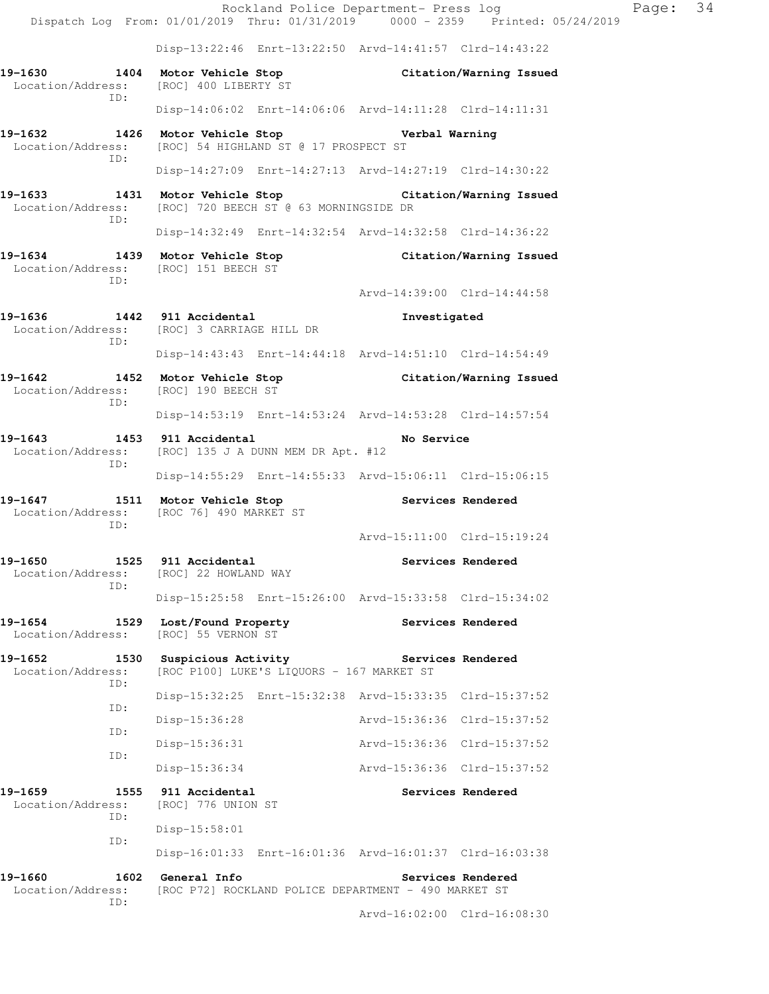|                                                                                                        |                                                                         |                                           | Rockland Police Department- Press log                   | Dispatch Log From: 01/01/2019 Thru: 01/31/2019 0000 - 2359 Printed: 05/24/2019 | Page: 34 |  |
|--------------------------------------------------------------------------------------------------------|-------------------------------------------------------------------------|-------------------------------------------|---------------------------------------------------------|--------------------------------------------------------------------------------|----------|--|
|                                                                                                        |                                                                         |                                           | Disp-13:22:46 Enrt-13:22:50 Arvd-14:41:57 Clrd-14:43:22 |                                                                                |          |  |
| 19-1630 1404 Motor Vehicle Stop<br>Location/Address:                                                   | [ROC] 400 LIBERTY ST                                                    |                                           | Citation/Warning Issued                                 |                                                                                |          |  |
| ID:                                                                                                    |                                                                         |                                           | Disp-14:06:02 Enrt-14:06:06 Arvd-14:11:28 Clrd-14:11:31 |                                                                                |          |  |
| 19-1632 1426 Motor Vehicle Stop Northern Verbal Warning<br>Location/Address:                           | [ROC] 54 HIGHLAND ST @ 17 PROSPECT ST                                   |                                           |                                                         |                                                                                |          |  |
| ID:                                                                                                    |                                                                         |                                           | Disp-14:27:09 Enrt-14:27:13 Arvd-14:27:19 Clrd-14:30:22 |                                                                                |          |  |
| 19-1633 1431 Motor Vehicle Stop Citation/Warning Issued<br>Location/Address:                           | [ROC] 720 BEECH ST @ 63 MORNINGSIDE DR                                  |                                           |                                                         |                                                                                |          |  |
| ID:                                                                                                    |                                                                         |                                           | Disp-14:32:49 Enrt-14:32:54 Arvd-14:32:58 Clrd-14:36:22 |                                                                                |          |  |
| 19-1634 1439 Motor Vehicle Stop Citation/Warning Issued<br>Location/Address: [ROC] 151 BEECH ST<br>ID: |                                                                         |                                           |                                                         |                                                                                |          |  |
|                                                                                                        |                                                                         |                                           | Arvd-14:39:00 Clrd-14:44:58                             |                                                                                |          |  |
| 19-1636 1442 911 Accidental<br>Location/Address: [ROC] 3 CARRIAGE HILL DR<br>ID:                       |                                                                         |                                           | Investigated                                            |                                                                                |          |  |
|                                                                                                        |                                                                         |                                           | Disp-14:43:43 Enrt-14:44:18 Arvd-14:51:10 Clrd-14:54:49 |                                                                                |          |  |
| 19-1642 1452 Motor Vehicle Stop Citation/Warning Issued<br>Location/Address:<br>ID:                    | [ROC] 190 BEECH ST                                                      |                                           |                                                         |                                                                                |          |  |
|                                                                                                        |                                                                         |                                           | Disp-14:53:19 Enrt-14:53:24 Arvd-14:53:28 Clrd-14:57:54 |                                                                                |          |  |
| 19-1643<br>Location/Address:<br>ID:                                                                    | 1453 911 Accidental<br>No Service<br>[ROC] 135 J A DUNN MEM DR Apt. #12 |                                           |                                                         |                                                                                |          |  |
|                                                                                                        |                                                                         |                                           | Disp-14:55:29 Enrt-14:55:33 Arvd-15:06:11 Clrd-15:06:15 |                                                                                |          |  |
| 19-1647 1511 Motor Vehicle Stop<br>Location/Address: [ROC 76] 490 MARKET ST<br>ID:                     |                                                                         |                                           | Services Rendered                                       |                                                                                |          |  |
|                                                                                                        |                                                                         |                                           | Arvd-15:11:00 Clrd-15:19:24                             |                                                                                |          |  |
| 19-1650<br>Location/Address:<br>ID:                                                                    | 1525 911 Accidental<br>[ROC] 22 HOWLAND WAY                             |                                           |                                                         | Services Rendered                                                              |          |  |
|                                                                                                        |                                                                         |                                           | Disp-15:25:58 Enrt-15:26:00 Arvd-15:33:58 Clrd-15:34:02 |                                                                                |          |  |
| 19-1654<br>1529<br>Location/Address:                                                                   | Lost/Found Property<br>[ROC] 55 VERNON ST                               |                                           |                                                         | Services Rendered                                                              |          |  |
| 19-1652<br>1530<br>Location/Address:<br>ID:                                                            | Suspicious Activity                                                     | [ROC P100] LUKE'S LIQUORS - 167 MARKET ST | Services Rendered                                       |                                                                                |          |  |
| ID:                                                                                                    |                                                                         |                                           | Disp-15:32:25 Enrt-15:32:38 Arvd-15:33:35 Clrd-15:37:52 |                                                                                |          |  |
| ID:                                                                                                    | Disp-15:36:28                                                           |                                           | Arvd-15:36:36 Clrd-15:37:52                             |                                                                                |          |  |
| ID:                                                                                                    | Disp-15:36:31                                                           |                                           | Arvd-15:36:36 Clrd-15:37:52                             |                                                                                |          |  |
|                                                                                                        | Disp-15:36:34                                                           |                                           | Arvd-15:36:36 Clrd-15:37:52                             |                                                                                |          |  |
| 19-1659<br>1555<br>Location/Address:<br>ID:                                                            | 911 Accidental<br>[ROC] 776 UNION ST                                    |                                           |                                                         | Services Rendered                                                              |          |  |
| ID:                                                                                                    | $Disp-15:58:01$                                                         |                                           |                                                         |                                                                                |          |  |
|                                                                                                        |                                                                         |                                           | Disp-16:01:33 Enrt-16:01:36 Arvd-16:01:37 Clrd-16:03:38 |                                                                                |          |  |
| 19-1660<br>1602<br>Location/Address:<br>ID:                                                            | General Info                                                            |                                           | [ROC P72] ROCKLAND POLICE DEPARTMENT - 490 MARKET ST    | Services Rendered                                                              |          |  |

Arvd-16:02:00 Clrd-16:08:30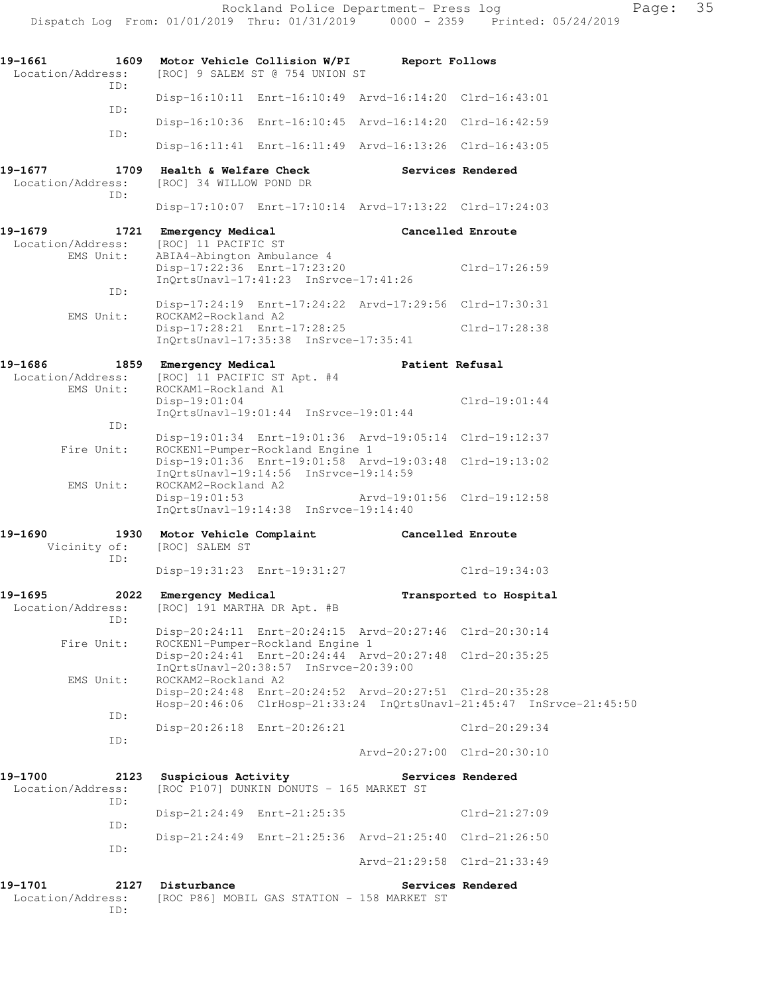|                                             | Dispatch Log From: 01/01/2019 Thru: 01/31/2019 0000 - 2359 Printed: 05/24/2019                                                                         |                             |                         |
|---------------------------------------------|--------------------------------------------------------------------------------------------------------------------------------------------------------|-----------------------------|-------------------------|
| 19-1661<br>Location/Address:<br>TD:         | 1609 Motor Vehicle Collision W/PI<br>[ROC] 9 SALEM ST @ 754 UNION ST                                                                                   | Report Follows              |                         |
| TD:                                         | Disp-16:10:11 Enrt-16:10:49 Arvd-16:14:20 Clrd-16:43:01                                                                                                |                             |                         |
| ID:                                         | Disp-16:10:36 Enrt-16:10:45 Arvd-16:14:20 Clrd-16:42:59                                                                                                |                             |                         |
|                                             | Disp-16:11:41 Enrt-16:11:49 Arvd-16:13:26 Clrd-16:43:05                                                                                                |                             |                         |
| 19-1677<br>1709<br>Location/Address:<br>ID: | Health & Welfare Check<br>[ROC] 34 WILLOW POND DR                                                                                                      |                             | Services Rendered       |
|                                             | Disp-17:10:07 Enrt-17:10:14 Arvd-17:13:22 Clrd-17:24:03                                                                                                |                             |                         |
| 19-1679<br>Location/Address:<br>EMS Unit:   | 1721 Emergency Medical<br>[ROC] 11 PACIFIC ST<br>ABIA4-Abington Ambulance 4                                                                            |                             | Cancelled Enroute       |
|                                             | Disp-17:22:36 Enrt-17:23:20<br>$InQrtsUnav1-17:41:23 InSrvce-17:41:26$                                                                                 |                             | Clrd-17:26:59           |
| ID:                                         | Disp-17:24:19 Enrt-17:24:22 Arvd-17:29:56 Clrd-17:30:31                                                                                                |                             |                         |
| EMS Unit:                                   | ROCKAM2-Rockland A2<br>Disp-17:28:21 Enrt-17:28:25<br>$InQrtsUnav1-17:35:38$ $InSrvce-17:35:41$                                                        |                             | Clrd-17:28:38           |
| 19-1686<br>1859<br>Location/Address:        | Emergency Medical<br>[ROC] 11 PACIFIC ST Apt. #4                                                                                                       | Patient Refusal             |                         |
| EMS Unit:                                   | ROCKAM1-Rockland A1<br>Disp-19:01:04<br>$InQrtsUnav1-19:01:44$ $InSrvce-19:01:44$                                                                      |                             | $Clrd-19:01:44$         |
| ID:                                         | Disp-19:01:34 Enrt-19:01:36 Arvd-19:05:14 Clrd-19:12:37                                                                                                |                             |                         |
| Fire Unit:                                  | ROCKEN1-Pumper-Rockland Engine 1<br>Disp-19:01:36 Enrt-19:01:58 Arvd-19:03:48 Clrd-19:13:02<br>InQrtsUnavl-19:14:56 InSrvce-19:14:59                   |                             |                         |
| EMS Unit:                                   | ROCKAM2-Rockland A2<br>$Disp-19:01:53$<br>InQrtsUnavl-19:14:38 InSrvce-19:14:40                                                                        | Arvd-19:01:56 Clrd-19:12:58 |                         |
| 19-1690<br>Vicinity of:<br>ID:              | 1930 Motor Vehicle Complaint<br>[ROC] SALEM ST                                                                                                         | Cancelled Enroute           |                         |
|                                             | Disp-19:31:23 Enrt-19:31:27                                                                                                                            |                             | $Clrd-19:34:03$         |
| 19-1695<br>2022<br>Location/Address:<br>TD: | Emergency Medical<br>[ROC] 191 MARTHA DR Apt. #B                                                                                                       |                             | Transported to Hospital |
| Fire Unit:                                  | Disp-20:24:11 Enrt-20:24:15 Arvd-20:27:46 Clrd-20:30:14<br>ROCKEN1-Pumper-Rockland Engine 1                                                            |                             |                         |
|                                             | Disp-20:24:41 Enrt-20:24:44 Arvd-20:27:48 Clrd-20:35:25<br>InOrtsUnavl-20:38:57 InSrvce-20:39:00                                                       |                             |                         |
| EMS Unit:                                   | ROCKAM2-Rockland A2<br>Disp-20:24:48 Enrt-20:24:52 Arvd-20:27:51 Clrd-20:35:28<br>Hosp-20:46:06 ClrHosp-21:33:24 InQrtsUnavl-21:45:47 InSrvce-21:45:50 |                             |                         |
| ID:                                         | Disp-20:26:18 Enrt-20:26:21                                                                                                                            |                             | Clrd-20:29:34           |
| ID:                                         |                                                                                                                                                        | Arvd-20:27:00 Clrd-20:30:10 |                         |
| 19-1700<br>2123<br>Location/Address:        | Suspicious Activity<br>[ROC P107] DUNKIN DONUTS - 165 MARKET ST                                                                                        | Services Rendered           |                         |
| ID:                                         | Disp-21:24:49 Enrt-21:25:35                                                                                                                            |                             | $Clrd-21:27:09$         |
| ID:                                         | Disp-21:24:49 Enrt-21:25:36 Arvd-21:25:40 Clrd-21:26:50                                                                                                |                             |                         |
| ID:                                         |                                                                                                                                                        | Arvd-21:29:58 Clrd-21:33:49 |                         |
| 19-1701<br>2127<br>Location/Address:        | Disturbance<br>[ROC P86] MOBIL GAS STATION - 158 MARKET ST                                                                                             |                             | Services Rendered       |

ID: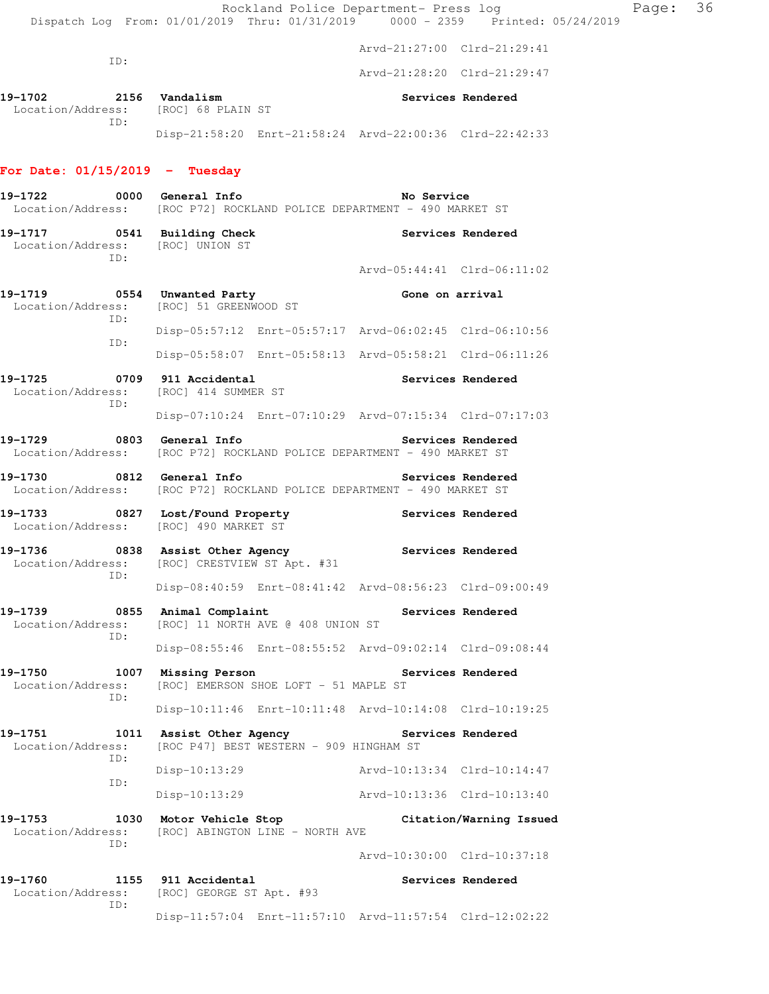Rockland Police Department- Press log Frank Page: 36 Dispatch Log From: 01/01/2019 Thru: 01/31/2019 0000 - 2359 Printed: 05/24/2019 Arvd-21:27:00 Clrd-21:29:41 ID: Arvd-21:28:20 Clrd-21:29:47 19-1702 2156 Vandalism **Services Rendered**  Location/Address: [ROC] 68 PLAIN ST ID: Disp-21:58:20 Enrt-21:58:24 Arvd-22:00:36 Clrd-22:42:33 **For Date: 01/15/2019 - Tuesday 19-1722 0000 General Info No Service**  Location/Address: [ROC P72] ROCKLAND POLICE DEPARTMENT - 490 MARKET ST **19-1717 0541 Building Check Services Rendered**  Location/Address: [ROC] UNION ST ID: Arvd-05:44:41 Clrd-06:11:02 19-1719 **0554** Unwanted Party **Cone on arrival**  Location/Address: [ROC] 51 GREENWOOD ST ID: Disp-05:57:12 Enrt-05:57:17 Arvd-06:02:45 Clrd-06:10:56 ID: Disp-05:58:07 Enrt-05:58:13 Arvd-05:58:21 Clrd-06:11:26 19-1725 **19709** 911 Accidental **19-1725** Services Rendered Location/Address: [ROC] 414 SUMMER ST ID: Disp-07:10:24 Enrt-07:10:29 Arvd-07:15:34 Clrd-07:17:03 **19-1729 0803 General Info Services Rendered**  Location/Address: [ROC P72] ROCKLAND POLICE DEPARTMENT - 490 MARKET ST **19-1730 0812 General Info Services Rendered**  Location/Address: [ROC P72] ROCKLAND POLICE DEPARTMENT - 490 MARKET ST **19-1733 0827 Lost/Found Property Services Rendered**  Location/Address: [ROC] 490 MARKET ST 19-1736 **0838** Assist Other Agency **Services Rendered**  Location/Address: [ROC] CRESTVIEW ST Apt. #31 ID: Disp-08:40:59 Enrt-08:41:42 Arvd-08:56:23 Clrd-09:00:49 19-1739 **0855 Animal Complaint** Services Rendered Location/Address: [ROC] 11 NORTH AVE @ 408 UNION ST [ROC] 11 NORTH AVE @ 408 UNION ST ID: Disp-08:55:46 Enrt-08:55:52 Arvd-09:02:14 Clrd-09:08:44 **19-1750 1007 Missing Person Services Rendered**  Location/Address: [ROC] EMERSON SHOE LOFT - 51 MAPLE ST ID: Disp-10:11:46 Enrt-10:11:48 Arvd-10:14:08 Clrd-10:19:25 **19-1751 1011 Assist Other Agency Services Rendered**  Location/Address: [ROC P47] BEST WESTERN - 909 HINGHAM ST ID: Disp-10:13:29 Arvd-10:13:34 Clrd-10:14:47 ID: Disp-10:13:29 Arvd-10:13:36 Clrd-10:13:40 **19-1753 1030 Motor Vehicle Stop Citation/Warning Issued**  Location/Address: [ROC] ABINGTON LINE - NORTH AVE ID: Arvd-10:30:00 Clrd-10:37:18 19-1760 1155 911 Accidental **19-1760** Services Rendered Location/Address: [ROC] GEORGE ST Apt. #93 ID:

Disp-11:57:04 Enrt-11:57:10 Arvd-11:57:54 Clrd-12:02:22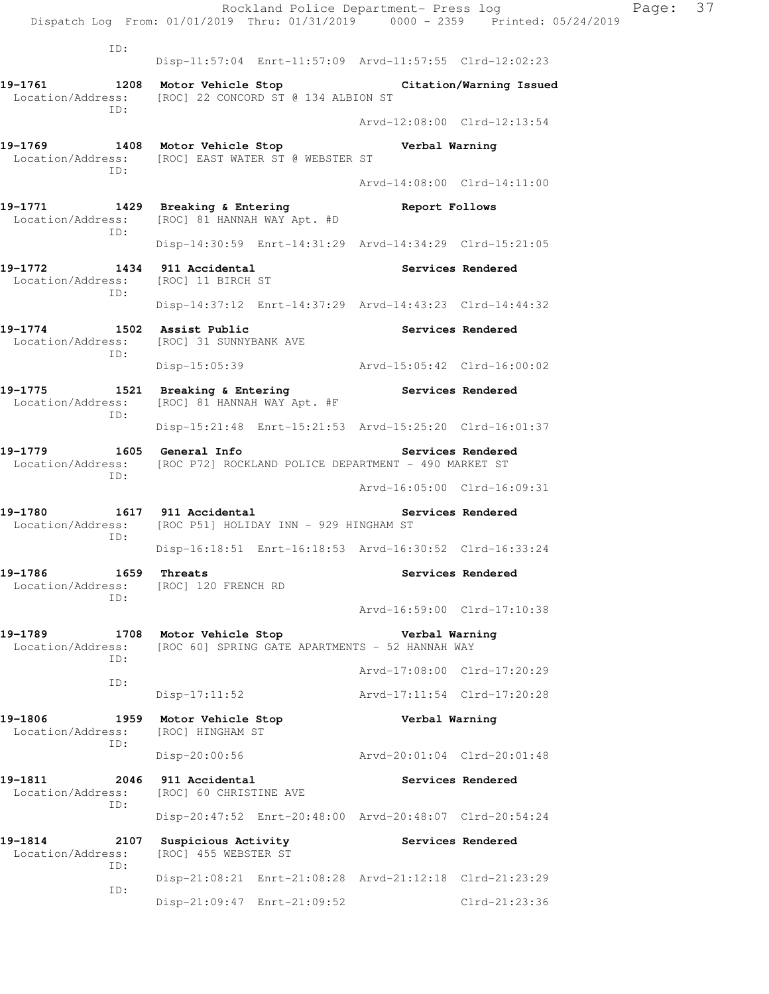Rockland Police Department- Press log Page: 37 Dispatch Log From: 01/01/2019 Thru: 01/31/2019 0000 - 2359 Printed: 05/24/2019 ID: Disp-11:57:04 Enrt-11:57:09 Arvd-11:57:55 Clrd-12:02:23 **19-1761 1208 Motor Vehicle Stop Citation/Warning Issued**  Location/Address: [ROC] 22 CONCORD ST @ 134 ALBION ST ID: Arvd-12:08:00 Clrd-12:13:54 **19-1769 1408 Motor Vehicle Stop Verbal Warning**  Location/Address: [ROC] EAST WATER ST @ WEBSTER ST ID: Arvd-14:08:00 Clrd-14:11:00 **19-1771 1429 Breaking & Entering Report Follows**  Location/Address: [ROC] 81 HANNAH WAY Apt. #D ID: Disp-14:30:59 Enrt-14:31:29 Arvd-14:34:29 Clrd-15:21:05 **19-1772 1434 911 Accidental Services Rendered**  Location/Address: [ROC] 11 BIRCH ST ID: Disp-14:37:12 Enrt-14:37:29 Arvd-14:43:23 Clrd-14:44:32 **19-1774 1502 Assist Public Services Rendered**  Location/Address: [ROC] 31 SUNNYBANK AVE ID: Disp-15:05:39 Arvd-15:05:42 Clrd-16:00:02 19-1775 **1521** Breaking & Entering **Services Rendered**  Location/Address: [ROC] 81 HANNAH WAY Apt. #F ID: Disp-15:21:48 Enrt-15:21:53 Arvd-15:25:20 Clrd-16:01:37 19-1779 1605 General Info **1999 Services Rendered**  Location/Address: [ROC P72] ROCKLAND POLICE DEPARTMENT - 490 MARKET ST ID: Arvd-16:05:00 Clrd-16:09:31 **19-1780 1617 911 Accidental Services Rendered**  Location/Address: [ROC P51] HOLIDAY INN - 929 HINGHAM ST ID: Disp-16:18:51 Enrt-16:18:53 Arvd-16:30:52 Clrd-16:33:24 **19-1786** 1659 Threats **19-1786 1659** Threats Location/Address: [ROC] 120 FRENCH RD ID: Arvd-16:59:00 Clrd-17:10:38 **19-1789 1708 Motor Vehicle Stop Verbal Warning**  Location/Address: [ROC 60] SPRING GATE APARTMENTS - 52 HANNAH WAY ID: Arvd-17:08:00 Clrd-17:20:29 ID: Disp-17:11:52 Arvd-17:11:54 Clrd-17:20:28 **19-1806 1959 Motor Vehicle Stop Verbal Warning**  Location/Address: [ROC] HINGHAM ST ID: Disp-20:00:56 Arvd-20:01:04 Clrd-20:01:48 **19-1811 2046 911 Accidental Services Rendered**  Location/Address: [ROC] 60 CHRISTINE AVE ID: Disp-20:47:52 Enrt-20:48:00 Arvd-20:48:07 Clrd-20:54:24 **19-1814 2107 Suspicious Activity Services Rendered**  Location/Address: [ROC] 455 WEBSTER ST ID: Disp-21:08:21 Enrt-21:08:28 Arvd-21:12:18 Clrd-21:23:29 ID: Disp-21:09:47 Enrt-21:09:52 Clrd-21:23:36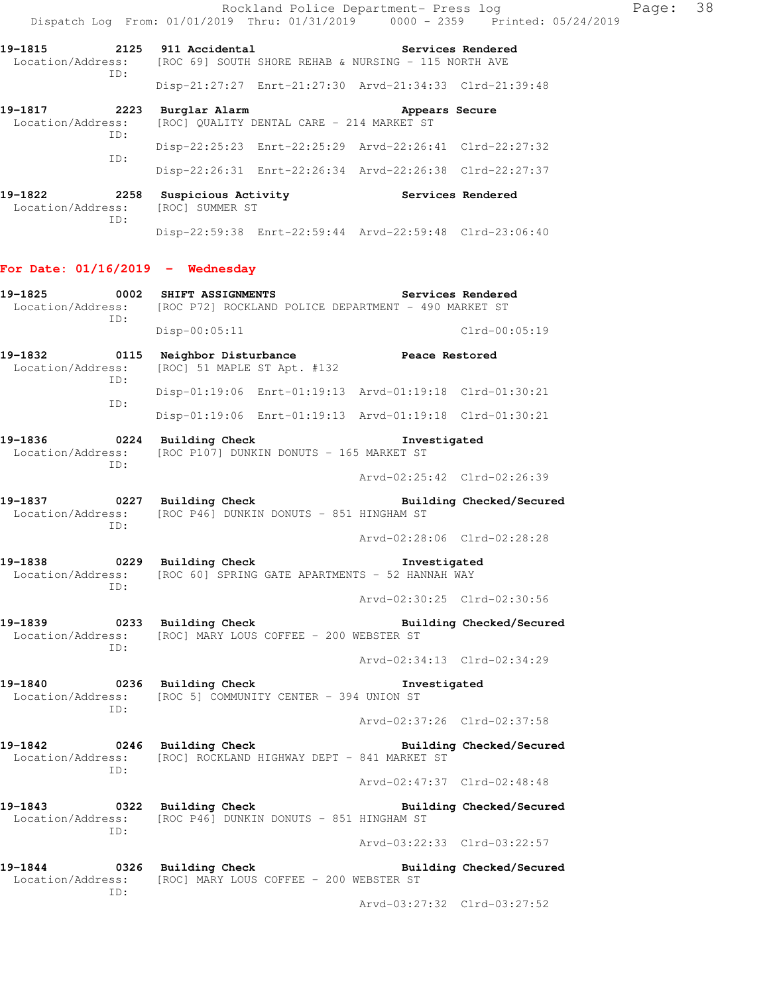|                                     | Dispatch Log From: 01/01/2019 Thru: 01/31/2019 0000 - 2359 Printed: 05/24/2019                                      |                             | Rockland Police Department- Press log | Page: | 38 |
|-------------------------------------|---------------------------------------------------------------------------------------------------------------------|-----------------------------|---------------------------------------|-------|----|
|                                     | 19-1815 2125 911 Accidental<br>Location/Address: [ROC 69] SOUTH SHORE REHAB & NURSING - 115 NORTH AVE               | <b>Services Rendered</b>    |                                       |       |    |
| ID:                                 | Disp-21:27:27 Enrt-21:27:30 Arvd-21:34:33 Clrd-21:39:48                                                             |                             |                                       |       |    |
| Location/Address:<br>ID:            | 19-1817 2223 Burglar Alarm<br>[ROC] QUALITY DENTAL CARE - 214 MARKET ST                                             | Appears Secure              |                                       |       |    |
| ID:                                 | Disp-22:25:23 Enrt-22:25:29 Arvd-22:26:41 Clrd-22:27:32                                                             |                             |                                       |       |    |
|                                     | Disp-22:26:31 Enrt-22:26:34 Arvd-22:26:38 Clrd-22:27:37                                                             |                             |                                       |       |    |
| 19-1822<br>Location/Address:<br>ID: | 2258 Suspicious Activity The Services Rendered<br>[ROC] SUMMER ST                                                   |                             |                                       |       |    |
|                                     | Disp-22:59:38 Enrt-22:59:44 Arvd-22:59:48 Clrd-23:06:40                                                             |                             |                                       |       |    |
| For Date: $01/16/2019$ - Wednesday  |                                                                                                                     |                             |                                       |       |    |
| 19-1825<br>ID:                      | 0002 SHIFT ASSIGNMENTS<br>Location/Address: [ROC P72] ROCKLAND POLICE DEPARTMENT - 490 MARKET ST                    |                             | Services Rendered                     |       |    |
|                                     | $Disp-00:05:11$                                                                                                     |                             | $Clrd-00:05:19$                       |       |    |
| 19-1832<br>Location/Address:<br>ID: | 0115 Neighbor Disturbance<br>[ROC] 51 MAPLE ST Apt. #132                                                            | Peace Restored              |                                       |       |    |
| ID:                                 | Disp-01:19:06 Enrt-01:19:13 Arvd-01:19:18 Clrd-01:30:21                                                             |                             |                                       |       |    |
|                                     | Disp-01:19:06 Enrt-01:19:13 Arvd-01:19:18 Clrd-01:30:21                                                             |                             |                                       |       |    |
| Location/Address:<br>ID:            | 19-1836 0224 Building Check<br>[ROC P107] DUNKIN DONUTS - 165 MARKET ST                                             | Investigated                |                                       |       |    |
|                                     |                                                                                                                     | Arvd-02:25:42 Clrd-02:26:39 |                                       |       |    |
| ID:                                 | Location/Address: [ROC P46] DUNKIN DONUTS - 851 HINGHAM ST                                                          |                             |                                       |       |    |
|                                     |                                                                                                                     | Arvd-02:28:06 Clrd-02:28:28 |                                       |       |    |
| 0229<br>19-1838<br>ID:              | Building Check<br>Location/Address: [ROC 60] SPRING GATE APARTMENTS - 52 HANNAH WAY                                 | Investigated                |                                       |       |    |
|                                     |                                                                                                                     | Arvd-02:30:25 Clrd-02:30:56 |                                       |       |    |
| ID:                                 | 19-1839 0233 Building Check<br>Location/Address: [ROC] MARY LOUS COFFEE - 200 WEBSTER ST                            |                             | Building Checked/Secured              |       |    |
|                                     |                                                                                                                     | Arvd-02:34:13 Clrd-02:34:29 |                                       |       |    |
| ID:                                 | 19-1840 0236 Building Check<br>Location/Address: [ROC 5] COMMUNITY CENTER - 394 UNION ST                            | Investigated                |                                       |       |    |
|                                     |                                                                                                                     | Arvd-02:37:26 Clrd-02:37:58 |                                       |       |    |
| ID:                                 | Location/Address: [ROC] ROCKLAND HIGHWAY DEPT - 841 MARKET ST                                                       |                             |                                       |       |    |
|                                     |                                                                                                                     | Arvd-02:47:37 Clrd-02:48:48 |                                       |       |    |
| ID:                                 | Location/Address: [ROC P46] DUNKIN DONUTS - 851 HINGHAM ST                                                          |                             |                                       |       |    |
|                                     |                                                                                                                     | Arvd-03:22:33 Clrd-03:22:57 |                                       |       |    |
| ID:                                 | 19-1844  0326 Building Check  Building Checked/Secured<br>Location/Address: [ROC] MARY LOUS COFFEE - 200 WEBSTER ST |                             |                                       |       |    |
|                                     |                                                                                                                     | Arvd-03:27:32 Clrd-03:27:52 |                                       |       |    |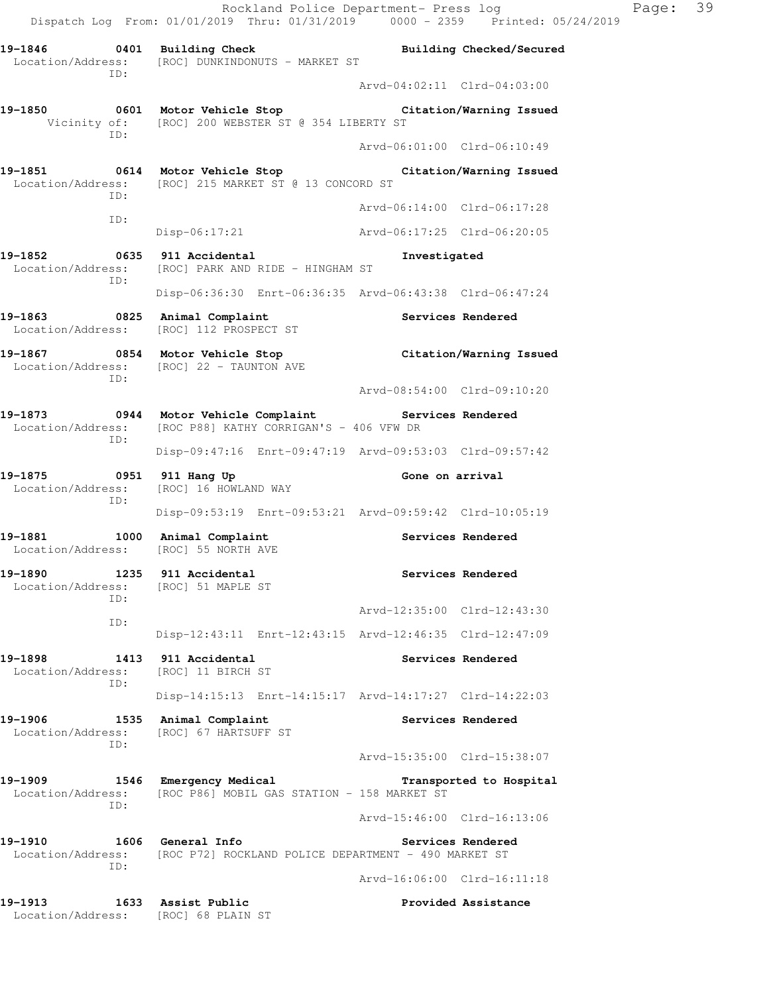Rockland Police Department- Press log Page: 39 Dispatch Log From: 01/01/2019 Thru: 01/31/2019 0000 - 2359 Printed: 05/24/2019 **19-1846 0401 Building Check Building Checked/Secured**  Location/Address: [ROC] DUNKINDONUTS - MARKET ST ID: Arvd-04:02:11 Clrd-04:03:00 **19-1850 0601 Motor Vehicle Stop Citation/Warning Issued**  Vicinity of: [ROC] 200 WEBSTER ST @ 354 LIBERTY ST ID: Arvd-06:01:00 Clrd-06:10:49 **19-1851 0614 Motor Vehicle Stop Citation/Warning Issued**  Location/Address: [ROC] 215 MARKET ST @ 13 CONCORD ST ID: Arvd-06:14:00 Clrd-06:17:28 ID: Disp-06:17:21 Arvd-06:17:25 Clrd-06:20:05 **19-1852 0635 911 Accidental Investigated**  Location/Address: [ROC] PARK AND RIDE - HINGHAM ST ID: Disp-06:36:30 Enrt-06:36:35 Arvd-06:43:38 Clrd-06:47:24 **19-1863 0825 Animal Complaint Services Rendered**  Location/Address: [ROC] 112 PROSPECT ST **19-1867 0854 Motor Vehicle Stop Citation/Warning Issued**  Location/Address: [ROC] 22 - TAUNTON AVE ID: Arvd-08:54:00 Clrd-09:10:20 **19-1873 0944 Motor Vehicle Complaint Services Rendered**  Location/Address: [ROC P88] KATHY CORRIGAN'S - 406 VFW DR ID: Disp-09:47:16 Enrt-09:47:19 Arvd-09:53:03 Clrd-09:57:42 19-1875 **1951** 0951 911 Hang Up **Brookly Cone on arrival**  Location/Address: [ROC] 16 HOWLAND WAY ID: Disp-09:53:19 Enrt-09:53:21 Arvd-09:59:42 Clrd-10:05:19 19-1881 1000 Animal Complaint **1000 Services Rendered**  Location/Address: [ROC] 55 NORTH AVE **19-1890 1235 911 Accidental Services Rendered**  Location/Address: [ROC] 51 MAPLE ST ID: Arvd-12:35:00 Clrd-12:43:30 ID: Disp-12:43:11 Enrt-12:43:15 Arvd-12:46:35 Clrd-12:47:09 **19-1898 1413 911 Accidental Services Rendered**  Location/Address: [ROC] 11 BIRCH ST ID: Disp-14:15:13 Enrt-14:15:17 Arvd-14:17:27 Clrd-14:22:03 19-1906 1535 Animal Complaint **19-1906** Services Rendered Location/Address: [ROC] 67 HARTSUFF ST ID: Arvd-15:35:00 Clrd-15:38:07 **19-1909 1546 Emergency Medical Transported to Hospital**  Location/Address: [ROC P86] MOBIL GAS STATION - 158 MARKET ST ID: Arvd-15:46:00 Clrd-16:13:06

19-1910 1606 General Info **1999 18 Services Rendered**  Location/Address: [ROC P72] ROCKLAND POLICE DEPARTMENT - 490 MARKET ST ID:

Arvd-16:06:00 Clrd-16:11:18

**19-1913 1633 Assist Public Provided Assistance**  Location/Address: [ROC] 68 PLAIN ST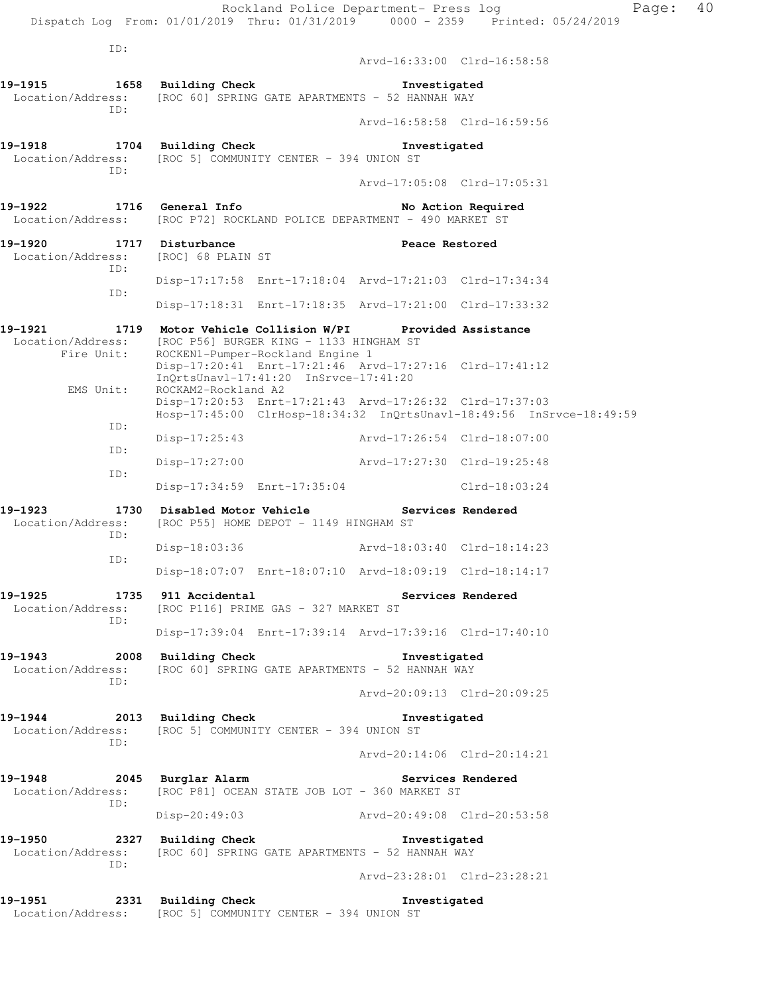|                                                                        | Dispatch Log From: 01/01/2019 Thru: 01/31/2019 0000 - 2359 Printed: 05/24/2019                                                                                                                                    | Rockland Police Department- Press log |                    | Page: | 40 |
|------------------------------------------------------------------------|-------------------------------------------------------------------------------------------------------------------------------------------------------------------------------------------------------------------|---------------------------------------|--------------------|-------|----|
| ID:                                                                    |                                                                                                                                                                                                                   | Arvd-16:33:00 Clrd-16:58:58           |                    |       |    |
| 19-1915<br>Location/Address:                                           | 1658 Building Check<br>[ROC 60] SPRING GATE APARTMENTS - 52 HANNAH WAY                                                                                                                                            | Investigated                          |                    |       |    |
| TD:                                                                    |                                                                                                                                                                                                                   | Arvd-16:58:58 Clrd-16:59:56           |                    |       |    |
| 19-1918<br>Location/Address:                                           | 1704 Building Check<br>[ROC 5] COMMUNITY CENTER - 394 UNION ST                                                                                                                                                    | Investigated                          |                    |       |    |
| ID:                                                                    |                                                                                                                                                                                                                   | Arvd-17:05:08 Clrd-17:05:31           |                    |       |    |
| 19-1922                                                                | 1716 General Info<br>Location/Address: [ROC P72] ROCKLAND POLICE DEPARTMENT - 490 MARKET ST                                                                                                                       |                                       | No Action Required |       |    |
| 19-1920 1717 Disturbance<br>Location/Address: [ROC] 68 PLAIN ST<br>ID: |                                                                                                                                                                                                                   | Peace Restored                        |                    |       |    |
| ID:                                                                    | Disp-17:17:58 Enrt-17:18:04 Arvd-17:21:03 Clrd-17:34:34                                                                                                                                                           |                                       |                    |       |    |
|                                                                        | Disp-17:18:31 Enrt-17:18:35 Arvd-17:21:00 Clrd-17:33:32                                                                                                                                                           |                                       |                    |       |    |
| 19–1921<br>Fire Unit:                                                  | 1719 Motor Vehicle Collision W/PI Provided Assistance<br>Location/Address: [ROC P56] BURGER KING - 1133 HINGHAM ST<br>ROCKEN1-Pumper-Rockland Engine 1<br>Disp-17:20:41 Enrt-17:21:46 Arvd-17:27:16 Clrd-17:41:12 |                                       |                    |       |    |
| EMS Unit:                                                              | InQrtsUnavl-17:41:20 InSrvce-17:41:20<br>ROCKAM2-Rockland A2<br>Disp-17:20:53 Enrt-17:21:43 Arvd-17:26:32 Clrd-17:37:03                                                                                           |                                       |                    |       |    |
| ID:                                                                    | Hosp-17:45:00 ClrHosp-18:34:32 InQrtsUnavl-18:49:56 InSrvce-18:49:59                                                                                                                                              |                                       |                    |       |    |
| ID:                                                                    | Disp-17:25:43 Arvd-17:26:54 Clrd-18:07:00                                                                                                                                                                         |                                       |                    |       |    |
| ID:                                                                    | Disp-17:27:00 Arvd-17:27:30 Clrd-19:25:48                                                                                                                                                                         |                                       |                    |       |    |
| 19–1923                                                                | Disp-17:34:59 Enrt-17:35:04                                                                                                                                                                                       |                                       | Clrd-18:03:24      |       |    |
| Location/Address:<br>ID:                                               | 1730 Disabled Motor Vehicle                 Services Rendered<br>[ROC P55] HOME DEPOT - 1149 HINGHAM ST                                                                                                           |                                       |                    |       |    |
| ID:                                                                    | $Disp-18:03:36$                                                                                                                                                                                                   | Arvd-18:03:40 Clrd-18:14:23           |                    |       |    |
|                                                                        | Disp-18:07:07 Enrt-18:07:10 Arvd-18:09:19 Clrd-18:14:17                                                                                                                                                           |                                       |                    |       |    |
| 19–1925<br>ID:                                                         | 1735 911 Accidental<br>Location/Address: [ROC P116] PRIME GAS - 327 MARKET ST                                                                                                                                     |                                       | Services Rendered  |       |    |
|                                                                        | Disp-17:39:04 Enrt-17:39:14 Arvd-17:39:16 Clrd-17:40:10                                                                                                                                                           |                                       |                    |       |    |
| ID:                                                                    | 19-1943 2008 Building Check<br>Location/Address: [ROC 60] SPRING GATE APARTMENTS - 52 HANNAH WAY                                                                                                                  | Investigated                          |                    |       |    |
|                                                                        |                                                                                                                                                                                                                   | Arvd-20:09:13 Clrd-20:09:25           |                    |       |    |
| ID:                                                                    | 19-1944 2013 Building Check 1nvestigated<br>Location/Address: [ROC 5] COMMUNITY CENTER - 394 UNION ST                                                                                                             |                                       |                    |       |    |
|                                                                        |                                                                                                                                                                                                                   | Arvd-20:14:06 Clrd-20:14:21           |                    |       |    |
| 19-1948 2045 Burglar Alarm<br>ID:                                      | Location/Address: [ROC P81] OCEAN STATE JOB LOT - 360 MARKET ST                                                                                                                                                   | Services Rendered                     |                    |       |    |
|                                                                        | Disp-20:49:03 Arvd-20:49:08 Clrd-20:53:58                                                                                                                                                                         |                                       |                    |       |    |
| 19-1950<br>ID:                                                         | 2327 Building Check Threstigated<br>Location/Address: [ROC 60] SPRING GATE APARTMENTS - 52 HANNAH WAY                                                                                                             |                                       |                    |       |    |
|                                                                        |                                                                                                                                                                                                                   | Arvd-23:28:01 Clrd-23:28:21           |                    |       |    |
|                                                                        | 19-1951 2331 Building Check<br>Location/Address: [ROC 5] COMMUNITY CENTER - 394 UNION ST                                                                                                                          | Investigated                          |                    |       |    |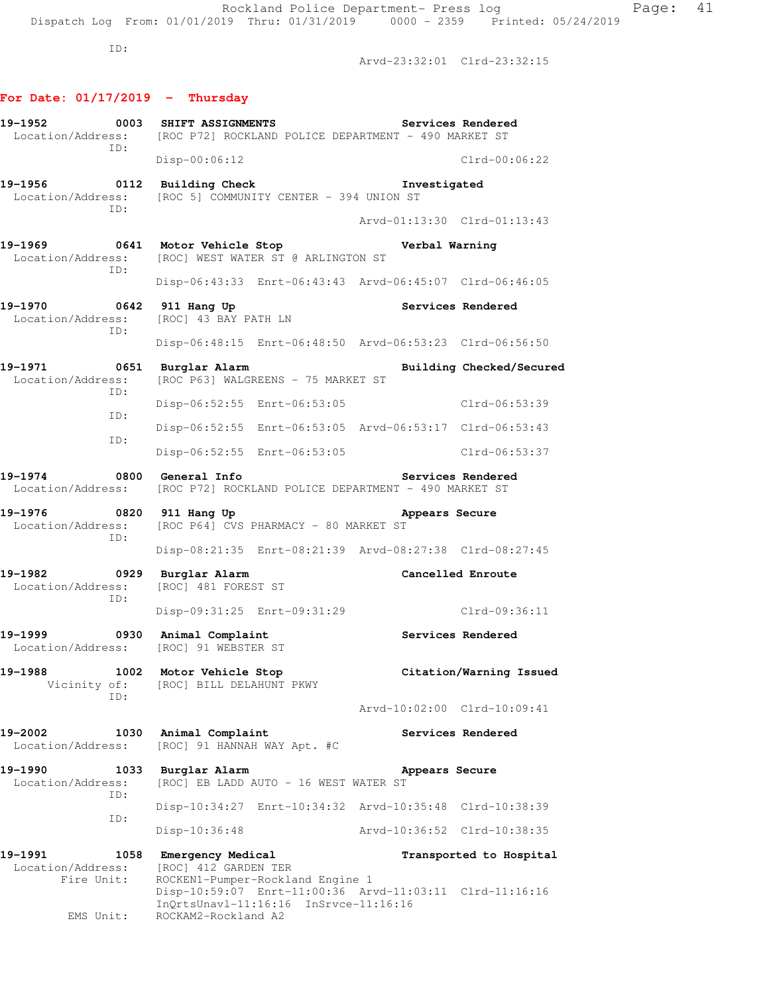Arvd-23:32:01 Clrd-23:32:15

# **For Date: 01/17/2019 - Thursday**

| ID:                                                | 19-1952 0003 SHIFT ASSIGNMENTS<br>Services Rendered<br>Location/Address: [ROC P72] ROCKLAND POLICE DEPARTMENT - 490 MARKET ST |                                                         |  |  |  |
|----------------------------------------------------|-------------------------------------------------------------------------------------------------------------------------------|---------------------------------------------------------|--|--|--|
|                                                    | $Disp-00:06:12$                                                                                                               | $Clrd-00:06:22$                                         |  |  |  |
|                                                    | 19-1956 0112 Building Check<br>Location/Address: [ROC 5] COMMUNITY CENTER - 394 UNION ST                                      | Investigated                                            |  |  |  |
| ID:                                                |                                                                                                                               | Arvd-01:13:30 Clrd-01:13:43                             |  |  |  |
| ID:                                                | 19-1969 19641 Motor Vehicle Stop 1997 Verbal Warning<br>Location/Address: [ROC] WEST WATER ST @ ARLINGTON ST                  |                                                         |  |  |  |
|                                                    |                                                                                                                               | Disp-06:43:33 Enrt-06:43:43 Arvd-06:45:07 Clrd-06:46:05 |  |  |  |
| 19-1970 0642 911 Hang Up<br>ID:                    | Location/Address: [ROC] 43 BAY PATH LN                                                                                        | Services Rendered                                       |  |  |  |
|                                                    |                                                                                                                               | Disp-06:48:15 Enrt-06:48:50 Arvd-06:53:23 Clrd-06:56:50 |  |  |  |
| 19-1971 0651 Burglar Alarm<br>Location/Address:    | [ROC P63] WALGREENS - 75 MARKET ST                                                                                            | Building Checked/Secured                                |  |  |  |
| ID:<br>ID:                                         |                                                                                                                               | Disp-06:52:55 Enrt-06:53:05 Clrd-06:53:39               |  |  |  |
| ID:                                                |                                                                                                                               | Disp-06:52:55 Enrt-06:53:05 Arvd-06:53:17 Clrd-06:53:43 |  |  |  |
|                                                    | Disp-06:52:55 Enrt-06:53:05                                                                                                   | Clrd-06:53:37                                           |  |  |  |
| 19-1974 0800 General Info                          | Location/Address: [ROC P72] ROCKLAND POLICE DEPARTMENT - 490 MARKET ST                                                        | Services Rendered                                       |  |  |  |
| ID:                                                | 19-1976 0820 911 Hang Up<br>Location/Address: [ROC P64] CVS PHARMACY - 80 MARKET ST                                           | Appears Secure                                          |  |  |  |
|                                                    |                                                                                                                               | Disp-08:21:35 Enrt-08:21:39 Arvd-08:27:38 Clrd-08:27:45 |  |  |  |
| 19-1982 0929 Burglar Alarm<br>ID:                  | Location/Address: [ROC] 481 FOREST ST                                                                                         | <b>Cancelled Enroute</b>                                |  |  |  |
|                                                    | Disp-09:31:25 Enrt-09:31:29                                                                                                   | Clrd-09:36:11                                           |  |  |  |
| 19-1999 0930 Animal Complaint                      | Location/Address: [ROC] 91 WEBSTER ST                                                                                         | <b>Services Rendered</b>                                |  |  |  |
| 19-1988<br>1002<br>Vicinity of:<br>ID:             | Motor Vehicle Stop<br>[ROC] BILL DELAHUNT PKWY                                                                                | Citation/Warning Issued                                 |  |  |  |
|                                                    |                                                                                                                               | Arvd-10:02:00 Clrd-10:09:41                             |  |  |  |
| 19-2002<br>1030<br>Location/Address:               | Animal Complaint<br>[ROC] 91 HANNAH WAY Apt. #C                                                                               | Services Rendered                                       |  |  |  |
| 19-1990<br>1033<br>Location/Address:<br>ID:        | Burglar Alarm<br>[ROC] EB LADD AUTO - 16 WEST WATER ST                                                                        | Appears Secure                                          |  |  |  |
| ID:                                                |                                                                                                                               | Disp-10:34:27 Enrt-10:34:32 Arvd-10:35:48 Clrd-10:38:39 |  |  |  |
|                                                    | Disp-10:36:48                                                                                                                 | Arvd-10:36:52 Clrd-10:38:35                             |  |  |  |
| 19-1991<br>1058<br>Location/Address:<br>Fire Unit: | Emergency Medical<br>[ROC] 412 GARDEN TER<br>ROCKEN1-Pumper-Rockland Engine 1                                                 | Transported to Hospital                                 |  |  |  |

Disp-10:59:07 Enrt-11:00:36 Arvd-11:03:11 Clrd-11:16:16

InQrtsUnavl-11:16:16 InSrvce-11:16:16

EMS Unit: ROCKAM2-Rockland A2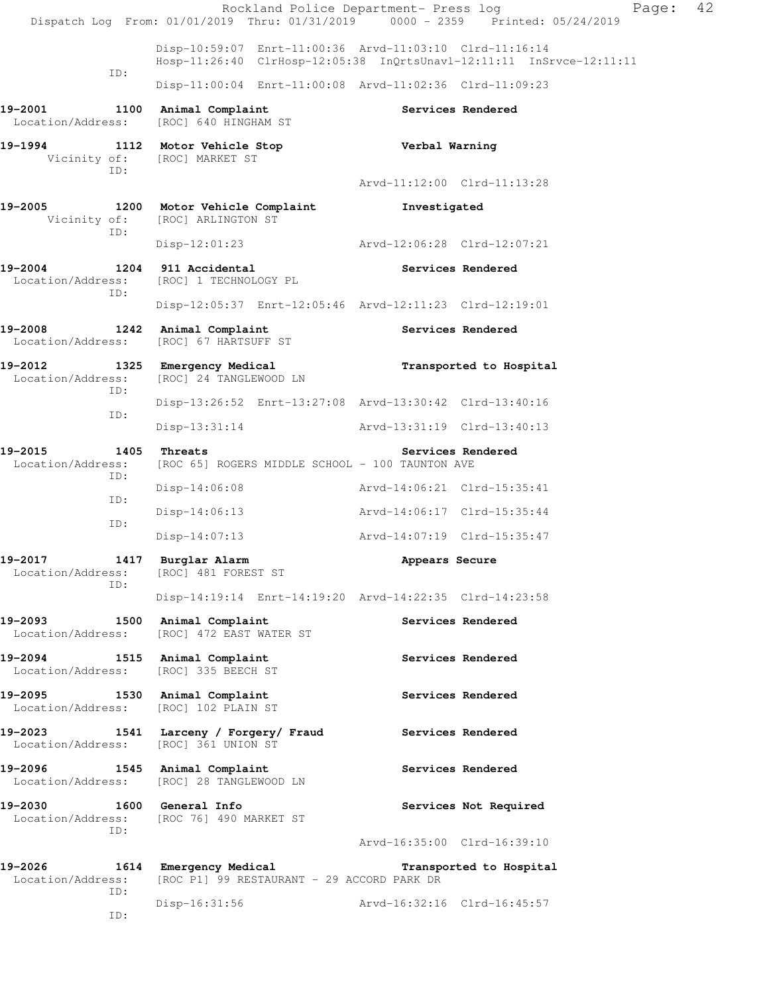|                                                                 | Rockland Police Department- Press log<br>Dispatch Log From: 01/01/2019 Thru: 01/31/2019 0000 - 2359 Printed: 05/24/2019         |                             |                         | Page: | 42 |
|-----------------------------------------------------------------|---------------------------------------------------------------------------------------------------------------------------------|-----------------------------|-------------------------|-------|----|
|                                                                 | Disp-10:59:07 Enrt-11:00:36 Arvd-11:03:10 Clrd-11:16:14<br>Hosp-11:26:40 ClrHosp-12:05:38 InQrtsUnavl-12:11:11 InSrvce-12:11:11 |                             |                         |       |    |
| ID:                                                             | Disp-11:00:04 Enrt-11:00:08 Arvd-11:02:36 Clrd-11:09:23                                                                         |                             |                         |       |    |
| 19-2001<br>Location/Address:                                    | 1100 Animal Complaint<br>[ROC] 640 HINGHAM ST                                                                                   |                             | Services Rendered       |       |    |
| 19–1994<br>ID:                                                  | 1112 Motor Vehicle Stop<br>Vicinity of: [ROC] MARKET ST                                                                         | Verbal Warning              |                         |       |    |
|                                                                 |                                                                                                                                 | Arvd-11:12:00 Clrd-11:13:28 |                         |       |    |
| 19-2005<br>Vicinity of:<br>ID:                                  | 1200 Motor Vehicle Complaint<br>[ROC] ARLINGTON ST                                                                              | Investigated                |                         |       |    |
|                                                                 | Disp-12:01:23 Arvd-12:06:28 Clrd-12:07:21                                                                                       |                             |                         |       |    |
| 19-2004<br>Location/Address:<br>ID:                             | 1204 911 Accidental<br>[ROC] 1 TECHNOLOGY PL                                                                                    |                             | Services Rendered       |       |    |
|                                                                 | Disp-12:05:37 Enrt-12:05:46 Arvd-12:11:23 Clrd-12:19:01                                                                         |                             |                         |       |    |
| 19-2008<br>Location/Address:                                    | 1242 Animal Complaint<br>[ROC] 67 HARTSUFF ST                                                                                   |                             | Services Rendered       |       |    |
| 19-2012<br>Location/Address:<br>ID:                             | 1325 Emergency Medical<br>[ROC] 24 TANGLEWOOD LN                                                                                |                             | Transported to Hospital |       |    |
|                                                                 | Disp-13:26:52 Enrt-13:27:08 Arvd-13:30:42 Clrd-13:40:16                                                                         |                             |                         |       |    |
| ID:                                                             | $Disp-13:31:14$                                                                                                                 | Arvd-13:31:19 Clrd-13:40:13 |                         |       |    |
| 19-2015<br>1405<br>Location/Address:<br>ID:                     | Threats<br>[ROC 65] ROGERS MIDDLE SCHOOL - 100 TAUNTON AVE                                                                      |                             | Services Rendered       |       |    |
| ID:                                                             | $Disp-14:06:08$                                                                                                                 | Arvd-14:06:21 Clrd-15:35:41 |                         |       |    |
|                                                                 | $Disp-14:06:13$                                                                                                                 | Arvd-14:06:17 Clrd-15:35:44 |                         |       |    |
| ID:                                                             | $Disp-14:07:13$                                                                                                                 | Arvd-14:07:19 Clrd-15:35:47 |                         |       |    |
| 19-2017<br>1417<br>Location/Address: [ROC] 481 FOREST ST<br>ID: | Burglar Alarm                                                                                                                   | Appears Secure              |                         |       |    |
|                                                                 | Disp-14:19:14 Enrt-14:19:20 Arvd-14:22:35 Clrd-14:23:58                                                                         |                             |                         |       |    |
| 19-2093<br>Location/Address:                                    | 1500 Animal Complaint<br>[ROC] 472 EAST WATER ST                                                                                |                             | Services Rendered       |       |    |
| 19-2094<br>Location/Address:                                    | 1515 Animal Complaint<br>[ROC] 335 BEECH ST                                                                                     |                             | Services Rendered       |       |    |
| 19-2095 1530 Animal Complaint<br>Location/Address:              | [ROC] 102 PLAIN ST                                                                                                              |                             | Services Rendered       |       |    |
| 19-2023<br>Location/Address: [ROC] 361 UNION ST                 | 1541 Larceny / Forgery/ Fraud                                                                                                   |                             | Services Rendered       |       |    |
| 19-2096 1545 Animal Complaint                                   | Location/Address: [ROC] 28 TANGLEWOOD LN                                                                                        |                             | Services Rendered       |       |    |
| 19-2030<br>Location/Address:<br>ID:                             | 1600 General Info<br>[ROC 76] 490 MARKET ST                                                                                     |                             | Services Not Required   |       |    |
|                                                                 |                                                                                                                                 | Arvd-16:35:00 Clrd-16:39:10 |                         |       |    |
| 19-2026<br>Location/Address:<br>ID:                             | 1614 Emergency Medical Transported to Hospital<br>[ROC P1] 99 RESTAURANT - 29 ACCORD PARK DR                                    |                             |                         |       |    |
| ID:                                                             | $Disp-16:31:56$                                                                                                                 | Arvd-16:32:16 Clrd-16:45:57 |                         |       |    |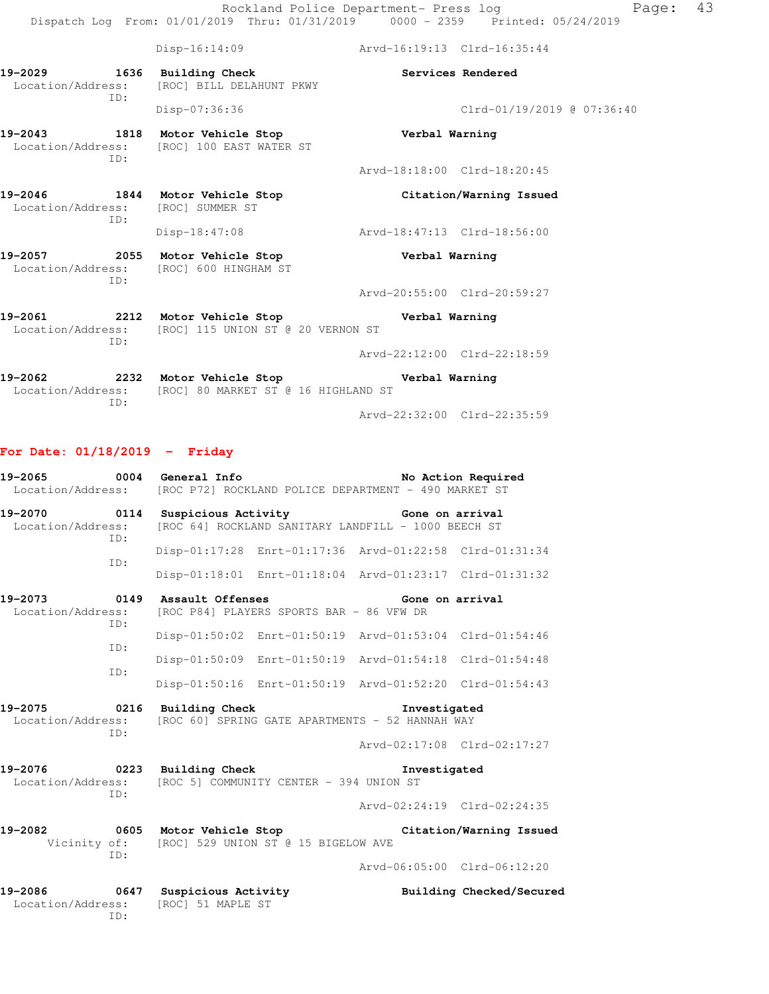|                                          | $Disp-16:14:09$                                                                          | Arvd-16:19:13 Clrd-16:35:44 |                            |
|------------------------------------------|------------------------------------------------------------------------------------------|-----------------------------|----------------------------|
| 19-2029 1636 Building Check              | Location/Address: [ROC] BILL DELAHUNT PKWY                                               |                             | Services Rendered          |
| ID:                                      | Disp-07:36:36                                                                            |                             | Clrd-01/19/2019 @ 07:36:40 |
| ID:                                      | 19-2043 1818 Motor Vehicle Stop<br>Location/Address: [ROC] 100 EAST WATER ST             | Verbal Warning              |                            |
|                                          |                                                                                          | Arvd-18:18:00 Clrd-18:20:45 |                            |
| Location/Address: [ROC] SUMMER ST<br>ID: | 19-2046 1844 Motor Vehicle Stop                                                          |                             | Citation/Warning Issued    |
|                                          | $Disp-18:47:08$                                                                          | Arvd-18:47:13 Clrd-18:56:00 |                            |
| ID:                                      | 19-2057 2055 Motor Vehicle Stop<br>Location/Address: [ROC] 600 HINGHAM ST                | Verbal Warning              |                            |
|                                          |                                                                                          | Arvd-20:55:00 Clrd-20:59:27 |                            |
| ID:                                      | Location/Address: [ROC] 115 UNION ST @ 20 VERNON ST                                      |                             |                            |
|                                          |                                                                                          | Arvd-22:12:00 Clrd-22:18:59 |                            |
| ID:                                      | 19-2062 2232 Motor Vehicle Stop<br>Location/Address: [ROC] 80 MARKET ST @ 16 HIGHLAND ST | Verbal Warning              |                            |

Arvd-22:32:00 Clrd-22:35:59

# **For Date: 01/18/2019 - Friday**

ID:

|                                                                                                  |            | No Action Required<br>Location/Address: [ROC P72] ROCKLAND POLICE DEPARTMENT - 490 MARKET ST |                                                           |                                                         |                                                 |
|--------------------------------------------------------------------------------------------------|------------|----------------------------------------------------------------------------------------------|-----------------------------------------------------------|---------------------------------------------------------|-------------------------------------------------|
| Location/Address:                                                                                | ID:        |                                                                                              |                                                           | [ROC 64] ROCKLAND SANITARY LANDFILL - 1000 BEECH ST     |                                                 |
|                                                                                                  | TD:        |                                                                                              |                                                           | Disp-01:17:28 Enrt-01:17:36 Arvd-01:22:58 Clrd-01:31:34 |                                                 |
|                                                                                                  |            |                                                                                              |                                                           | Disp-01:18:01 Enrt-01:18:04 Arvd-01:23:17 Clrd-01:31:32 |                                                 |
| 19-2073 0149 Assault Offenses<br>Location/Address:                                               | ID:        |                                                                                              | [ROC P84] PLAYERS SPORTS BAR - 86 VFW DR                  | Gone on arrival                                         |                                                 |
|                                                                                                  |            |                                                                                              |                                                           | Disp-01:50:02 Enrt-01:50:19 Arvd-01:53:04 Clrd-01:54:46 |                                                 |
|                                                                                                  | TD:<br>TD: |                                                                                              |                                                           | Disp-01:50:09 Enrt-01:50:19 Arvd-01:54:18 Clrd-01:54:48 |                                                 |
|                                                                                                  |            |                                                                                              |                                                           | Disp-01:50:16 Enrt-01:50:19 Arvd-01:52:20 Clrd-01:54:43 |                                                 |
| 19-2075 0216 Building Check<br>Location/Address: [ROC 60] SPRING GATE APARTMENTS - 52 HANNAH WAY |            |                                                                                              |                                                           | <b>Investigated</b>                                     |                                                 |
|                                                                                                  | ID:        |                                                                                              |                                                           | Arvd-02:17:08 Clrd-02:17:27                             |                                                 |
| 19-2076 0223 Building Check                                                                      | ID:        |                                                                                              | Location/Address: [ROC 5] COMMUNITY CENTER - 394 UNION ST | Investigated                                            |                                                 |
|                                                                                                  |            |                                                                                              |                                                           | Arvd-02:24:19 Clrd-02:24:35                             |                                                 |
| 19-2082                                                                                          | ID:        |                                                                                              | Vicinity of: [ROC] 529 UNION ST @ 15 BIGELOW AVE          |                                                         | 0605 Motor Vehicle Stop Citation/Warning Issued |
|                                                                                                  |            |                                                                                              |                                                           | Arvd-06:05:00 Clrd-06:12:20                             |                                                 |
| 19-2086 0647 Suspicious Activity<br>Location/Address: [ROC] 51 MAPLE ST                          |            |                                                                                              |                                                           |                                                         | Building Checked/Secured                        |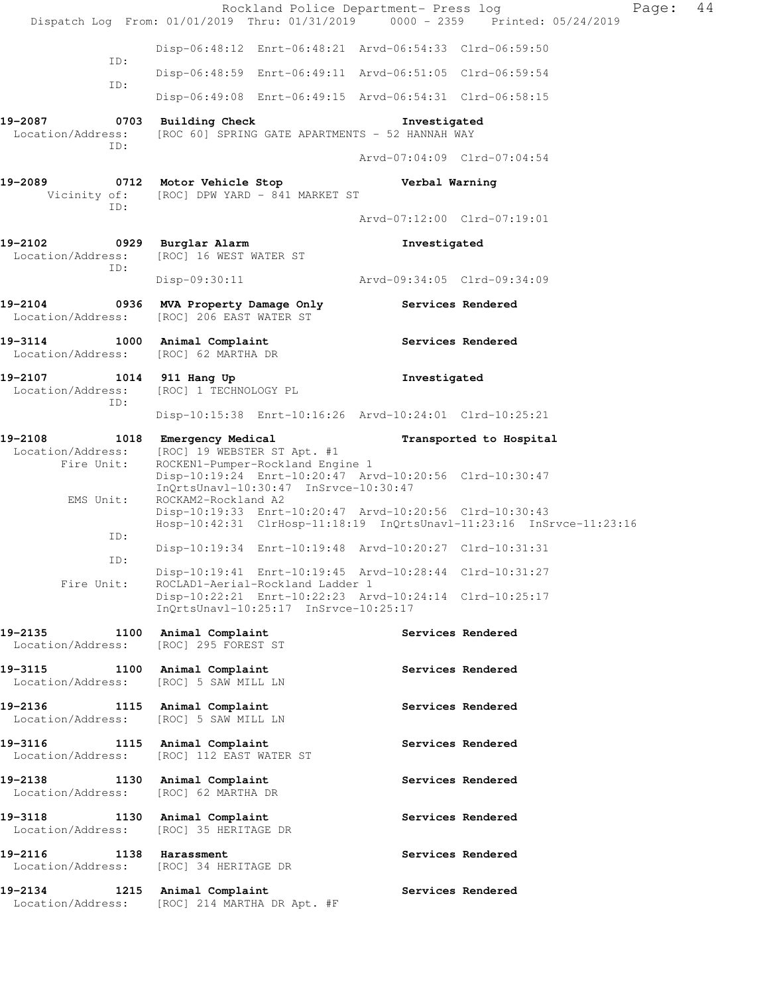|                                                      | Rockland Police Department- Press log<br>Dispatch Log From: 01/01/2019 Thru: 01/31/2019 0000 - 2359 Printed: 05/24/2019         |                                             | Page:                   | 44 |
|------------------------------------------------------|---------------------------------------------------------------------------------------------------------------------------------|---------------------------------------------|-------------------------|----|
| ID:                                                  | Disp-06:48:12 Enrt-06:48:21 Arvd-06:54:33 Clrd-06:59:50                                                                         |                                             |                         |    |
| ID:                                                  | Disp-06:48:59 Enrt-06:49:11 Arvd-06:51:05 Clrd-06:59:54                                                                         |                                             |                         |    |
|                                                      | Disp-06:49:08 Enrt-06:49:15 Arvd-06:54:31 Clrd-06:58:15                                                                         |                                             |                         |    |
| 19-2087<br>Location/Address:<br>ID:                  | 0703 Building Check<br>[ROC 60] SPRING GATE APARTMENTS - 52 HANNAH WAY                                                          | Investigated<br>Arvd-07:04:09 Clrd-07:04:54 |                         |    |
| 19-2089                                              | 0712 Motor Vehicle Stop                                                                                                         | Verbal Warning                              |                         |    |
| ID:                                                  | Vicinity of: [ROC] DPW YARD - 841 MARKET ST                                                                                     |                                             |                         |    |
|                                                      |                                                                                                                                 | Arvd-07:12:00 Clrd-07:19:01                 |                         |    |
| 19-2102 0929 Burglar Alarm<br>ID:                    | Location/Address: [ROC] 16 WEST WATER ST                                                                                        | Investigated                                |                         |    |
|                                                      | $Disp-09:30:11$                                                                                                                 | Arvd-09:34:05 Clrd-09:34:09                 |                         |    |
| Location/Address:                                    | 19-2104 0936 MVA Property Damage Only<br>[ROC] 206 EAST WATER ST                                                                |                                             | Services Rendered       |    |
| 19-3114 1000 Animal Complaint<br>Location/Address:   | [ROC] 62 MARTHA DR                                                                                                              |                                             | Services Rendered       |    |
| 19-2107 1014 911 Hang Up<br>Location/Address:<br>ID: | [ROC] 1 TECHNOLOGY PL                                                                                                           | Investigated                                |                         |    |
|                                                      | Disp-10:15:38 Enrt-10:16:26 Arvd-10:24:01 Clrd-10:25:21                                                                         |                                             |                         |    |
| Location/Address:<br>Fire Unit:                      | 19-2108 1018 Emergency Medical<br>[ROC] 19 WEBSTER ST Apt. #1<br>ROCKEN1-Pumper-Rockland Engine 1                               |                                             | Transported to Hospital |    |
| EMS Unit:                                            | Disp-10:19:24 Enrt-10:20:47 Arvd-10:20:56 Clrd-10:30:47<br>InQrtsUnavl-10:30:47 InSrvce-10:30:47<br>ROCKAM2-Rockland A2         |                                             |                         |    |
|                                                      | Disp-10:19:33 Enrt-10:20:47 Arvd-10:20:56 Clrd-10:30:43<br>Hosp-10:42:31 ClrHosp-11:18:19 InQrtsUnavl-11:23:16 InSrvce-11:23:16 |                                             |                         |    |
| ID:<br>ID:                                           | Disp-10:19:34 Enrt-10:19:48 Arvd-10:20:27 Clrd-10:31:31                                                                         |                                             |                         |    |
| Fire Unit:                                           | Disp-10:19:41 Enrt-10:19:45 Arvd-10:28:44 Clrd-10:31:27<br>ROCLAD1-Aerial-Rockland Ladder 1                                     |                                             |                         |    |
|                                                      | Disp-10:22:21 Enrt-10:22:23 Arvd-10:24:14 Clrd-10:25:17<br>InQrtsUnavl-10:25:17 InSrvce-10:25:17                                |                                             |                         |    |
| 19–2135<br>Location/Address:                         | 1100 Animal Complaint<br>[ROC] 295 FOREST ST                                                                                    |                                             | Services Rendered       |    |
| 19–3115<br>Location/Address:                         | 1100 Animal Complaint<br>[ROC] 5 SAW MILL LN                                                                                    |                                             | Services Rendered       |    |
| 19-2136<br>Location/Address:                         | 1115 Animal Complaint<br>[ROC] 5 SAW MILL LN                                                                                    |                                             | Services Rendered       |    |
| 19-3116<br>Location/Address:                         | 1115 Animal Complaint<br>[ROC] 112 EAST WATER ST                                                                                |                                             | Services Rendered       |    |
| $19 - 2138$<br>Location/Address:                     | 1130 Animal Complaint<br>[ROC] 62 MARTHA DR                                                                                     |                                             | Services Rendered       |    |
| 19–3118<br>Location/Address:                         | 1130 Animal Complaint<br>[ROC] 35 HERITAGE DR                                                                                   |                                             | Services Rendered       |    |
| 19-2116<br>Location/Address:                         | 1138 Harassment<br>[ROC] 34 HERITAGE DR                                                                                         |                                             | Services Rendered       |    |
| 19–2134<br>Location/Address:                         | 1215 Animal Complaint<br>[ROC] 214 MARTHA DR Apt. #F                                                                            |                                             | Services Rendered       |    |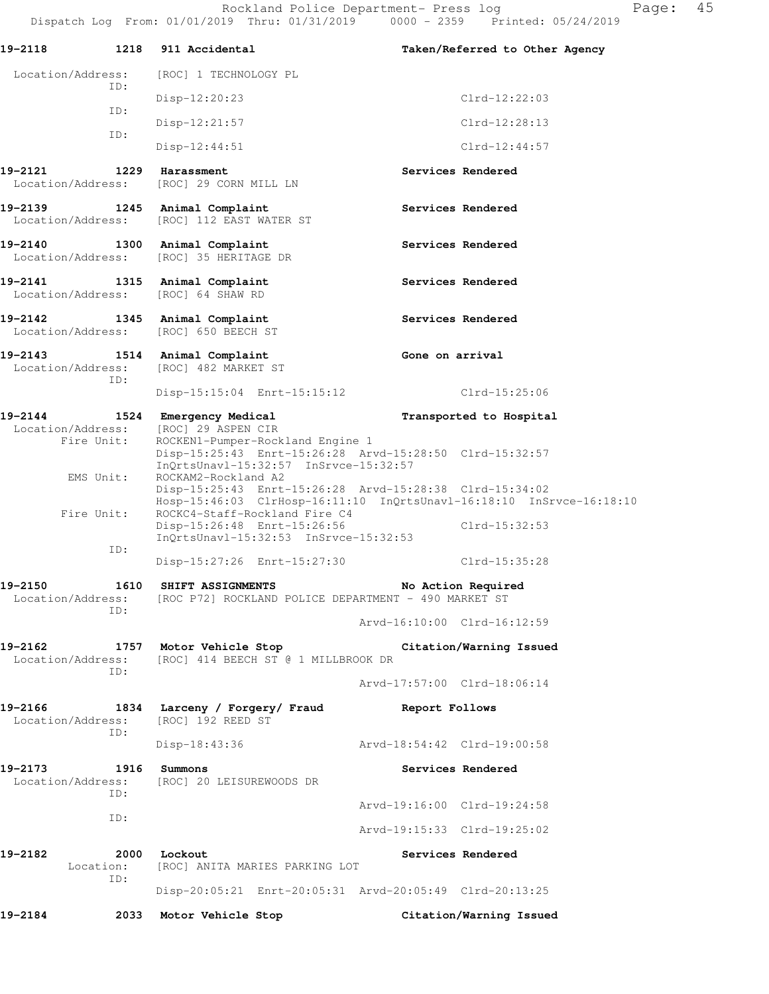|                                                                     | $\pm$ 2011. $\pm$ 7 $\pm$ 7 $\pm$ 7 $\pm$ 7 $\pm$ 7 $\pm$ 7 $\pm$ 7 $\pm$ 7 $\pm$ 7 $\pm$ 7 $\pm$ 7 $\pm$ 7 $\pm$ 7   |                                                                                                                                 |
|---------------------------------------------------------------------|-----------------------------------------------------------------------------------------------------------------------|---------------------------------------------------------------------------------------------------------------------------------|
| 19-2118 1218 911 Accidental                                         |                                                                                                                       | Taken/Referred to Other Agency                                                                                                  |
| Location/Address:<br>ID:                                            | [ROC] 1 TECHNOLOGY PL                                                                                                 |                                                                                                                                 |
|                                                                     | Disp-12:20:23                                                                                                         | $Clrd-12:22:03$                                                                                                                 |
| ID:                                                                 | $Disp-12:21:57$                                                                                                       | $Clrd-12:28:13$                                                                                                                 |
| ID:                                                                 | $Disp-12:44:51$                                                                                                       | $Clrd-12:44:57$                                                                                                                 |
| 19-2121 1229 Harassment                                             | Location/Address: [ROC] 29 CORN MILL LN                                                                               | Services Rendered                                                                                                               |
| 19-2139 1245 Animal Complaint                                       | Location/Address: [ROC] 112 EAST WATER ST                                                                             | Services Rendered                                                                                                               |
| 19-2140 1300 Animal Complaint<br>Location/Address:                  | [ROC] 35 HERITAGE DR                                                                                                  | Services Rendered                                                                                                               |
| 19-2141 1315 Animal Complaint<br>Location/Address: [ROC] 64 SHAW RD |                                                                                                                       | Services Rendered                                                                                                               |
| 19-2142 1345 Animal Complaint                                       | Location/Address: [ROC] 650 BEECH ST                                                                                  | Services Rendered                                                                                                               |
| 19-2143 1514 Animal Complaint<br>ID:                                | Location/Address: [ROC] 482 MARKET ST                                                                                 | Gone on arrival                                                                                                                 |
|                                                                     | Disp-15:15:04 Enrt-15:15:12                                                                                           | Clrd-15:25:06                                                                                                                   |
|                                                                     | 19-2144 1524 Emergency Medical                                                                                        | Transported to Hospital                                                                                                         |
| Fire Unit:                                                          | Location/Address: [ROC] 29 ASPEN CIR<br>ROCKEN1-Pumper-Rockland Engine 1<br>$InQrtsUnav1-15:32:57$ $InSrvce-15:32:57$ | Disp-15:25:43 Enrt-15:26:28 Arvd-15:28:50 Clrd-15:32:57                                                                         |
| EMS Unit:                                                           | ROCKAM2-Rockland A2                                                                                                   | Disp-15:25:43 Enrt-15:26:28 Arvd-15:28:38 Clrd-15:34:02<br>Hosp-15:46:03 ClrHosp-16:11:10 InQrtsUnavl-16:18:10 InSrvce-16:18:10 |
| Fire Unit:                                                          | ROCKC4-Staff-Rockland Fire C4<br>Disp-15:26:48 Enrt-15:26:56<br>$InQrtsUnav1-15:32:53$ $InSrvce-15:32:53$             | Clrd-15:32:53                                                                                                                   |
| ID:                                                                 | Disp-15:27:26 Enrt-15:27:30                                                                                           | Clrd-15:35:28                                                                                                                   |
| 19-2150                                                             | 1610 SHIFT ASSIGNMENTS<br>Location/Address: [ROC P72] ROCKLAND POLICE DEPARTMENT - 490 MARKET ST                      | No Action Required                                                                                                              |
| ID:                                                                 |                                                                                                                       | Arvd-16:10:00 Clrd-16:12:59                                                                                                     |
| 19-2162                                                             | Location/Address: [ROC] 414 BEECH ST @ 1 MILLBROOK DR                                                                 | 1757 Motor Vehicle Stop Citation/Warning Issued                                                                                 |
| ID:                                                                 |                                                                                                                       | Arvd-17:57:00 Clrd-18:06:14                                                                                                     |
| 19-2166<br>Location/Address:                                        | 1834 Larceny / Forgery/ Fraud Report Follows<br>[ROC] 192 REED ST                                                     |                                                                                                                                 |
| ID:                                                                 | Disp-18:43:36                                                                                                         | Arvd-18:54:42 Clrd-19:00:58                                                                                                     |
| 19-2173<br>1916<br>Location/Address:<br>ID:                         | Summons<br>[ROC] 20 LEISUREWOODS DR                                                                                   | Services Rendered                                                                                                               |
|                                                                     |                                                                                                                       | Arvd-19:16:00 Clrd-19:24:58                                                                                                     |
| ID:                                                                 |                                                                                                                       | Arvd-19:15:33 Clrd-19:25:02                                                                                                     |

**19-2182 2000 Lockout Services Rendered**  Location: [ROC] ANITA MARIES PARKING LOT ID: Disp-20:05:21 Enrt-20:05:31 Arvd-20:05:49 Clrd-20:13:25

**19-2184 2033 Motor Vehicle Stop Citation/Warning Issued**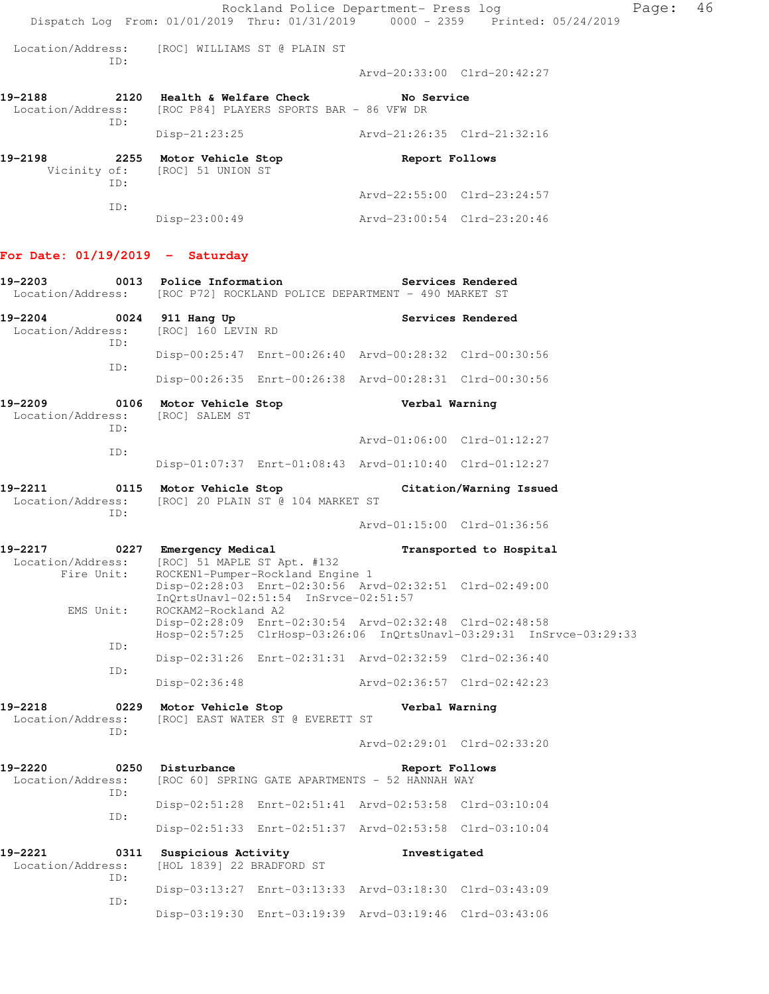Rockland Police Department- Press log Fage: 46 Dispatch Log From: 01/01/2019 Thru: 01/31/2019 0000 - 2359 Printed: 05/24/2019 Location/Address: [ROC] WILLIAMS ST @ PLAIN ST ID: Arvd-20:33:00 Clrd-20:42:27 **19-2188 2120 Health & Welfare Check No Service**  Location/Address: [ROC P84] PLAYERS SPORTS BAR - 86 VFW DR ID: Disp-21:23:25 Arvd-21:26:35 Clrd-21:32:16 **19-2198 2255 Motor Vehicle Stop Report Follows**  Vicinity of: [ROC] 51 UNION ST ID: Arvd-22:55:00 Clrd-23:24:57 ID: Disp-23:00:49 Arvd-23:00:54 Clrd-23:20:46 **For Date: 01/19/2019 - Saturday 19-2203 0013 Police Information Services Rendered**  Location/Address: [ROC P72] ROCKLAND POLICE DEPARTMENT - 490 MARKET ST 19-2204 **0024 911 Hang Up Services Rendered**  Location/Address: [ROC] 160 LEVIN RD ID: Disp-00:25:47 Enrt-00:26:40 Arvd-00:28:32 Clrd-00:30:56 ID: Disp-00:26:35 Enrt-00:26:38 Arvd-00:28:31 Clrd-00:30:56 **19-2209 0106 Motor Vehicle Stop Verbal Warning**  Location/Address: [ROC] SALEM ST ID: Arvd-01:06:00 Clrd-01:12:27 ID: Disp-01:07:37 Enrt-01:08:43 Arvd-01:10:40 Clrd-01:12:27 **19-2211 0115 Motor Vehicle Stop Citation/Warning Issued**  Location/Address: [ROC] 20 PLAIN ST @ 104 MARKET ST ID: Arvd-01:15:00 Clrd-01:36:56 19-2217 **DEMEXALE CONTRANSIST CONTRANSPORT CONTRANSPORT CONTRANSPORT CONTRANSPORT CONTRANSPORT CONTRANSPORT CONTR**  Location/Address: [ROC] 51 MAPLE ST Apt. #132 Fire Unit: ROCKEN1-Pumper-Rockland Engine 1 Disp-02:28:03 Enrt-02:30:56 Arvd-02:32:51 Clrd-02:49:00 InQrtsUnavl-02:51:54 InSrvce-02:51:57 EMS Unit: ROCKAM2-Rockland A2 Disp-02:28:09 Enrt-02:30:54 Arvd-02:32:48 Clrd-02:48:58 Hosp-02:57:25 ClrHosp-03:26:06 InQrtsUnavl-03:29:31 InSrvce-03:29:33 ID: Disp-02:31:26 Enrt-02:31:31 Arvd-02:32:59 Clrd-02:36:40 ID: Disp-02:36:48 Arvd-02:36:57 Clrd-02:42:23 **19-2218 0229 Motor Vehicle Stop Verbal Warning**  Location/Address: [ROC] EAST WATER ST @ EVERETT ST ID: Arvd-02:29:01 Clrd-02:33:20 **19-2220 0250 Disturbance Report Follows**  Location/Address: [ROC 60] SPRING GATE APARTMENTS - 52 HANNAH WAY ID: Disp-02:51:28 Enrt-02:51:41 Arvd-02:53:58 Clrd-03:10:04 ID: Disp-02:51:33 Enrt-02:51:37 Arvd-02:53:58 Clrd-03:10:04 **19-2221 0311 Suspicious Activity Investigated**  Location/Address: [HOL 1839] 22 BRADFORD ST ID: Disp-03:13:27 Enrt-03:13:33 Arvd-03:18:30 Clrd-03:43:09 ID: Disp-03:19:30 Enrt-03:19:39 Arvd-03:19:46 Clrd-03:43:06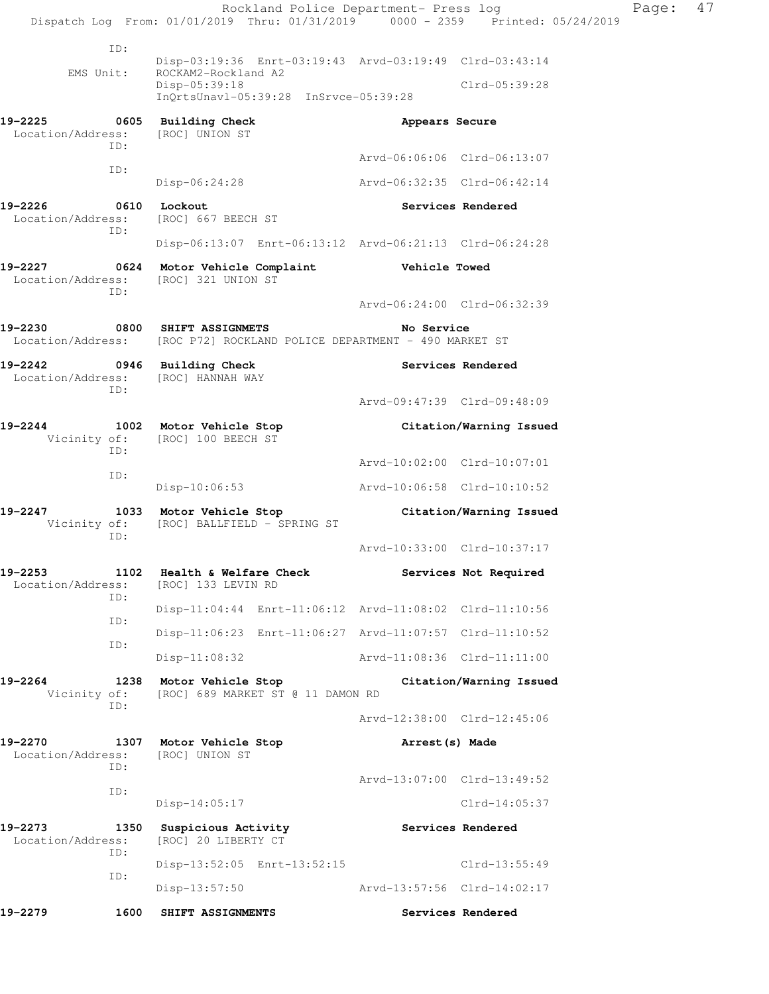Rockland Police Department- Press log Fage: 47 Dispatch Log From: 01/01/2019 Thru: 01/31/2019 0000 - 2359 Printed: 05/24/2019 ID: Disp-03:19:36 Enrt-03:19:43 Arvd-03:19:49 Clrd-03:43:14 EMS Unit: ROCKAM2-Rockland A2 Disp-05:39:18 Clrd-05:39:28 InQrtsUnavl-05:39:28 InSrvce-05:39:28 **19-2225 0605 Building Check Appears Secure**  Location/Address: [ROC] UNION ST ID: Arvd-06:06:06 Clrd-06:13:07 ID: Disp-06:24:28 Arvd-06:32:35 Clrd-06:42:14 19-2226 0610 Lockout **Services Rendered**  Location/Address: [ROC] 667 BEECH ST ID: Disp-06:13:07 Enrt-06:13:12 Arvd-06:21:13 Clrd-06:24:28 **19-2227 0624 Motor Vehicle Complaint Vehicle Towed**  Location/Address: [ROC] 321 UNION ST ID: Arvd-06:24:00 Clrd-06:32:39 **19-2230 0800 SHIFT ASSIGNMETS No Service**  Location/Address: [ROC P72] ROCKLAND POLICE DEPARTMENT - 490 MARKET ST 19-2242 **0946** Building Check **Services Rendered**  Location/Address: [ROC] HANNAH WAY ID: Arvd-09:47:39 Clrd-09:48:09 **19-2244 1002 Motor Vehicle Stop Citation/Warning Issued**  Vicinity of: [ROC] 100 BEECH ST ID: Arvd-10:02:00 Clrd-10:07:01 ID: Disp-10:06:53 Arvd-10:06:58 Clrd-10:10:52 **19-2247 1033 Motor Vehicle Stop Citation/Warning Issued**  Vicinity of: [ROC] BALLFIELD - SPRING ST ID: Arvd-10:33:00 Clrd-10:37:17 **19-2253 1102 Health & Welfare Check Services Not Required**  Location/Address: [ROC] 133 LEVIN RD ID: Disp-11:04:44 Enrt-11:06:12 Arvd-11:08:02 Clrd-11:10:56 ID: Disp-11:06:23 Enrt-11:06:27 Arvd-11:07:57 Clrd-11:10:52 ID: Disp-11:08:32 Arvd-11:08:36 Clrd-11:11:00 **19-2264 1238 Motor Vehicle Stop Citation/Warning Issued**  Vicinity of: [ROC] 689 MARKET ST @ 11 DAMON RD ID: Arvd-12:38:00 Clrd-12:45:06 **19-2270 1307 Motor Vehicle Stop Arrest(s) Made**  Location/Address: [ROC] UNION ST ID: Arvd-13:07:00 Clrd-13:49:52 ID: Disp-14:05:17 Clrd-14:05:37 19-2273 1350 Suspicious Activity **19-2273** Services Rendered Location/Address: [ROC] 20 LIBERTY CT ID: Disp-13:52:05 Enrt-13:52:15 Clrd-13:55:49 ID: Disp-13:57:50 Arvd-13:57:56 Clrd-14:02:17 **19-2279 1600 SHIFT ASSIGNMENTS Services Rendered**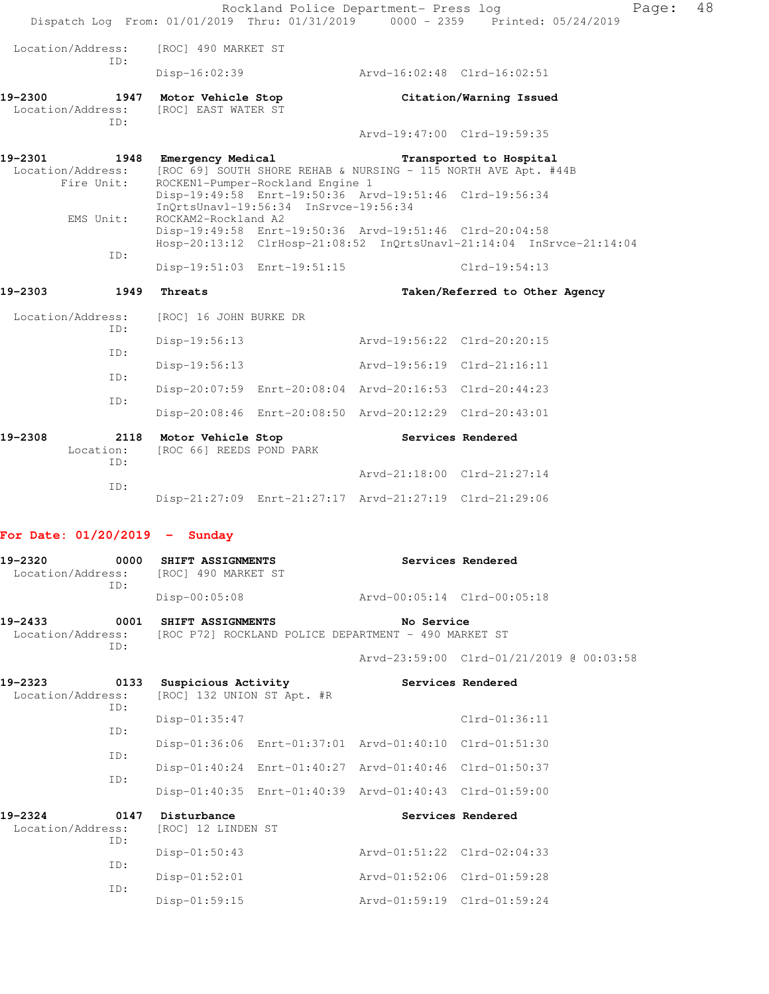|         |                                  |                                                   |                                       | Rockland Police Department- Press log                              | Dispatch Log From: 01/01/2019 Thru: 01/31/2019 0000 - 2359 Printed: 05/24/2019            | Page: | 48 |
|---------|----------------------------------|---------------------------------------------------|---------------------------------------|--------------------------------------------------------------------|-------------------------------------------------------------------------------------------|-------|----|
|         | Location/Address:                | [ROC] 490 MARKET ST                               |                                       |                                                                    |                                                                                           |       |    |
|         | ID:                              | $Disp-16:02:39$                                   |                                       | Arvd-16:02:48 Clrd-16:02:51                                        |                                                                                           |       |    |
| 19-2300 | 1947<br>Location/Address:        | Motor Vehicle Stop<br>[ROC] EAST WATER ST         |                                       |                                                                    | Citation/Warning Issued                                                                   |       |    |
|         | ID:                              |                                                   |                                       | Arvd-19:47:00 Clrd-19:59:35                                        |                                                                                           |       |    |
| 19-2301 | Location/Address:<br>Fire Unit:  | 1948 Emergency Medical                            | ROCKEN1-Pumper-Rockland Engine 1      |                                                                    | Transported to Hospital<br>[ROC 69] SOUTH SHORE REHAB & NURSING - 115 NORTH AVE Apt. #44B |       |    |
|         | EMS Unit:                        | ROCKAM2-Rockland A2                               | InQrtsUnavl-19:56:34 InSrvce-19:56:34 | Disp-19:49:58 Enrt-19:50:36 Arvd-19:51:46 Clrd-19:56:34            |                                                                                           |       |    |
|         |                                  |                                                   |                                       | Disp-19:49:58 Enrt-19:50:36 Arvd-19:51:46 Clrd-20:04:58            | Hosp-20:13:12 ClrHosp-21:08:52 InQrtsUnavl-21:14:04 InSrvce-21:14:04                      |       |    |
|         | ID:                              |                                                   | Disp-19:51:03 Enrt-19:51:15           |                                                                    | Clrd-19:54:13                                                                             |       |    |
| 19-2303 | 1949                             | Threats                                           |                                       |                                                                    | Taken/Referred to Other Agency                                                            |       |    |
|         | Location/Address:                | [ROC] 16 JOHN BURKE DR                            |                                       |                                                                    |                                                                                           |       |    |
|         | ID:                              | $Disp-19:56:13$                                   |                                       | Arvd-19:56:22 Clrd-20:20:15                                        |                                                                                           |       |    |
|         | ID:                              | $Disp-19:56:13$                                   |                                       | Arvd-19:56:19 Clrd-21:16:11                                        |                                                                                           |       |    |
|         | ID:                              |                                                   |                                       | Disp-20:07:59 Enrt-20:08:04 Arvd-20:16:53 Clrd-20:44:23            |                                                                                           |       |    |
|         | ID:                              |                                                   |                                       | Disp-20:08:46 Enrt-20:08:50 Arvd-20:12:29 Clrd-20:43:01            |                                                                                           |       |    |
| 19-2308 | 2118<br>Location:<br>ID:         | Motor Vehicle Stop<br>[ROC 66] REEDS POND PARK    |                                       |                                                                    | Services Rendered                                                                         |       |    |
|         | ID:                              |                                                   |                                       | Arvd-21:18:00 Clrd-21:27:14                                        |                                                                                           |       |    |
|         |                                  |                                                   |                                       | Disp-21:27:09 Enrt-21:27:17 Arvd-21:27:19 Clrd-21:29:06            |                                                                                           |       |    |
|         |                                  | For Date: $01/20/2019$ - Sunday                   |                                       |                                                                    |                                                                                           |       |    |
| 19–2320 | 0000<br>Location/Address:<br>TD: | SHIFT ASSIGNMENTS<br>[ROC] 490 MARKET ST          |                                       |                                                                    | Services Rendered                                                                         |       |    |
|         |                                  | $Disp-00:05:08$                                   |                                       | Arvd-00:05:14 Clrd-00:05:18                                        |                                                                                           |       |    |
| 19–2433 | 0001<br>Location/Address:<br>TD: | SHIFT ASSIGNMENTS                                 |                                       | No Service<br>[ROC P72] ROCKLAND POLICE DEPARTMENT - 490 MARKET ST |                                                                                           |       |    |
|         |                                  |                                                   |                                       |                                                                    | Arvd-23:59:00 Clrd-01/21/2019 @ 00:03:58                                                  |       |    |
| 19–2323 | 0133<br>Location/Address:<br>ID: | Suspicious Activity<br>[ROC] 132 UNION ST Apt. #R |                                       |                                                                    | Services Rendered                                                                         |       |    |
|         |                                  | $Disp-01:35:47$                                   |                                       |                                                                    | Clrd-01:36:11                                                                             |       |    |
|         | ID:                              |                                                   |                                       | Disp-01:36:06 Enrt-01:37:01 Arvd-01:40:10 Clrd-01:51:30            |                                                                                           |       |    |
|         | ID:                              |                                                   |                                       | Disp-01:40:24 Enrt-01:40:27 Arvd-01:40:46 Clrd-01:50:37            |                                                                                           |       |    |
|         | ID:                              |                                                   |                                       | Disp-01:40:35 Enrt-01:40:39 Arvd-01:40:43 Clrd-01:59:00            |                                                                                           |       |    |
| 19-2324 | 0147<br>Location/Address:<br>ID: | Disturbance<br>[ROC] 12 LINDEN ST                 |                                       |                                                                    | Services Rendered                                                                         |       |    |
|         | ID:                              | $Disp-01:50:43$                                   |                                       | Arvd-01:51:22 Clrd-02:04:33                                        |                                                                                           |       |    |

Disp-01:52:01 Arvd-01:52:06 Clrd-01:59:28

Disp-01:59:15 Arvd-01:59:19 Clrd-01:59:24

ID: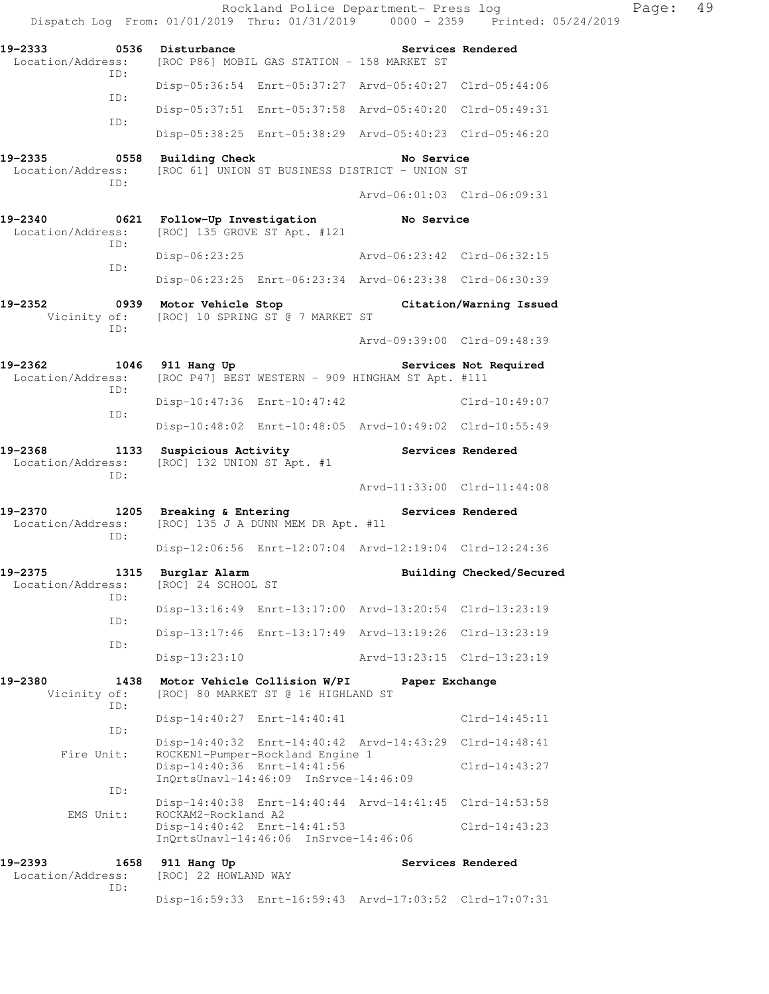|                              |                   |                                          |                                                                                                          | Rockland Police Department- Press log                                                                                    | Dispatch Log From: 01/01/2019 Thru: 01/31/2019 0000 - 2359 Printed: 05/24/2019 | Page: | 49 |
|------------------------------|-------------------|------------------------------------------|----------------------------------------------------------------------------------------------------------|--------------------------------------------------------------------------------------------------------------------------|--------------------------------------------------------------------------------|-------|----|
| 19-2333 0536 Disturbance     |                   |                                          | Location/Address: [ROC P86] MOBIL GAS STATION - 158 MARKET ST                                            | <b>Services Rendered</b>                                                                                                 |                                                                                |       |    |
|                              | ID:               |                                          |                                                                                                          | Disp-05:36:54 Enrt-05:37:27 Arvd-05:40:27 Clrd-05:44:06                                                                  |                                                                                |       |    |
|                              | ID:               |                                          |                                                                                                          | Disp-05:37:51 Enrt-05:37:58 Arvd-05:40:20 Clrd-05:49:31                                                                  |                                                                                |       |    |
|                              | ID:               |                                          |                                                                                                          | Disp-05:38:25 Enrt-05:38:29 Arvd-05:40:23 Clrd-05:46:20                                                                  |                                                                                |       |    |
| 19-2335                      | ID:               |                                          | 0558 Building Check                                                                                      | No Service<br>Location/Address: [ROC 61] UNION ST BUSINESS DISTRICT - UNION ST                                           |                                                                                |       |    |
|                              |                   |                                          |                                                                                                          | Arvd-06:01:03 Clrd-06:09:31                                                                                              |                                                                                |       |    |
| 19-2340<br>Location/Address: | ID:               | 0621 Follow-Up Investigation             | [ROC] 135 GROVE ST Apt. #121                                                                             | No Service                                                                                                               |                                                                                |       |    |
|                              | ID:               | $Disp-06:23:25$                          |                                                                                                          | Arvd-06:23:42 Clrd-06:32:15                                                                                              |                                                                                |       |    |
|                              |                   |                                          |                                                                                                          | Disp-06:23:25 Enrt-06:23:34 Arvd-06:23:38 Clrd-06:30:39                                                                  |                                                                                |       |    |
| 19-2352                      | ID:               |                                          | Vicinity of: [ROC] 10 SPRING ST @ 7 MARKET ST                                                            | 0939 Motor Vehicle Stop                     Citation/Warning Issued                                                      |                                                                                |       |    |
|                              |                   |                                          |                                                                                                          | Arvd-09:39:00 Clrd-09:48:39                                                                                              |                                                                                |       |    |
|                              | ID:               |                                          |                                                                                                          | 19-2362 1046 911 Hang Up 10 Services Not Required<br>Location/Address: [ROC P47] BEST WESTERN - 909 HINGHAM ST Apt. #111 |                                                                                |       |    |
|                              | ID:               |                                          | Disp-10:47:36 Enrt-10:47:42                                                                              |                                                                                                                          | Clrd-10:49:07                                                                  |       |    |
|                              |                   |                                          |                                                                                                          | Disp-10:48:02 Enrt-10:48:05 Arvd-10:49:02 Clrd-10:55:49                                                                  |                                                                                |       |    |
| 19-2368<br>Location/Address: | ID:               | [ROC] 132 UNION ST Apt. #1               |                                                                                                          | 1133 Suspicious Activity The Services Rendered                                                                           |                                                                                |       |    |
|                              |                   |                                          |                                                                                                          | Arvd-11:33:00 Clrd-11:44:08                                                                                              |                                                                                |       |    |
| Location/Address:            | ID:               |                                          | 19-2370 1205 Breaking & Entering<br>[ROC] 135 J A DUNN MEM DR Apt. #11                                   | Services Rendered                                                                                                        |                                                                                |       |    |
|                              |                   |                                          |                                                                                                          | Disp-12:06:56 Enrt-12:07:04 Arvd-12:19:04 Clrd-12:24:36                                                                  |                                                                                |       |    |
| 19-2375<br>Location/Address: | ID:               | 1315 Burglar Alarm<br>[ROC] 24 SCHOOL ST |                                                                                                          |                                                                                                                          | Building Checked/Secured                                                       |       |    |
|                              | ID:               |                                          |                                                                                                          | Disp-13:16:49 Enrt-13:17:00 Arvd-13:20:54 Clrd-13:23:19                                                                  |                                                                                |       |    |
|                              | ID:               |                                          |                                                                                                          | Disp-13:17:46 Enrt-13:17:49 Arvd-13:19:26 Clrd-13:23:19                                                                  |                                                                                |       |    |
|                              |                   | $Disp-13:23:10$                          |                                                                                                          | Arvd-13:23:15 Clrd-13:23:19                                                                                              |                                                                                |       |    |
| 19-2380<br>Vicinity of:      | 1438<br>ID:       |                                          | Motor Vehicle Collision W/PI<br>[ROC] 80 MARKET ST @ 16 HIGHLAND ST                                      | Paper Exchange                                                                                                           |                                                                                |       |    |
|                              |                   |                                          | Disp-14:40:27 Enrt-14:40:41                                                                              |                                                                                                                          | $Clrd-14:45:11$                                                                |       |    |
|                              | ID:<br>Fire Unit: |                                          |                                                                                                          | Disp-14:40:32 Enrt-14:40:42 Arvd-14:43:29 Clrd-14:48:41                                                                  |                                                                                |       |    |
|                              |                   |                                          | ROCKEN1-Pumper-Rockland Engine 1<br>Disp-14:40:36 Enrt-14:41:56<br>InQrtsUnavl-14:46:09 InSrvce-14:46:09 |                                                                                                                          | $Clrd-14:43:27$                                                                |       |    |
|                              | ID:               |                                          |                                                                                                          | Disp-14:40:38 Enrt-14:40:44 Arvd-14:41:45 Clrd-14:53:58                                                                  |                                                                                |       |    |
|                              | EMS Unit:         | ROCKAM2-Rockland A2                      | Disp-14:40:42 Enrt-14:41:53<br>InQrtsUnavl-14:46:06 InSrvce-14:46:06                                     |                                                                                                                          | $Clrd-14:43:23$                                                                |       |    |
| 19-2393<br>Location/Address: | 1658              | 911 Hang Up<br>[ROC] 22 HOWLAND WAY      |                                                                                                          |                                                                                                                          | Services Rendered                                                              |       |    |
|                              | ID:               |                                          |                                                                                                          | Disp-16:59:33 Enrt-16:59:43 Arvd-17:03:52 Clrd-17:07:31                                                                  |                                                                                |       |    |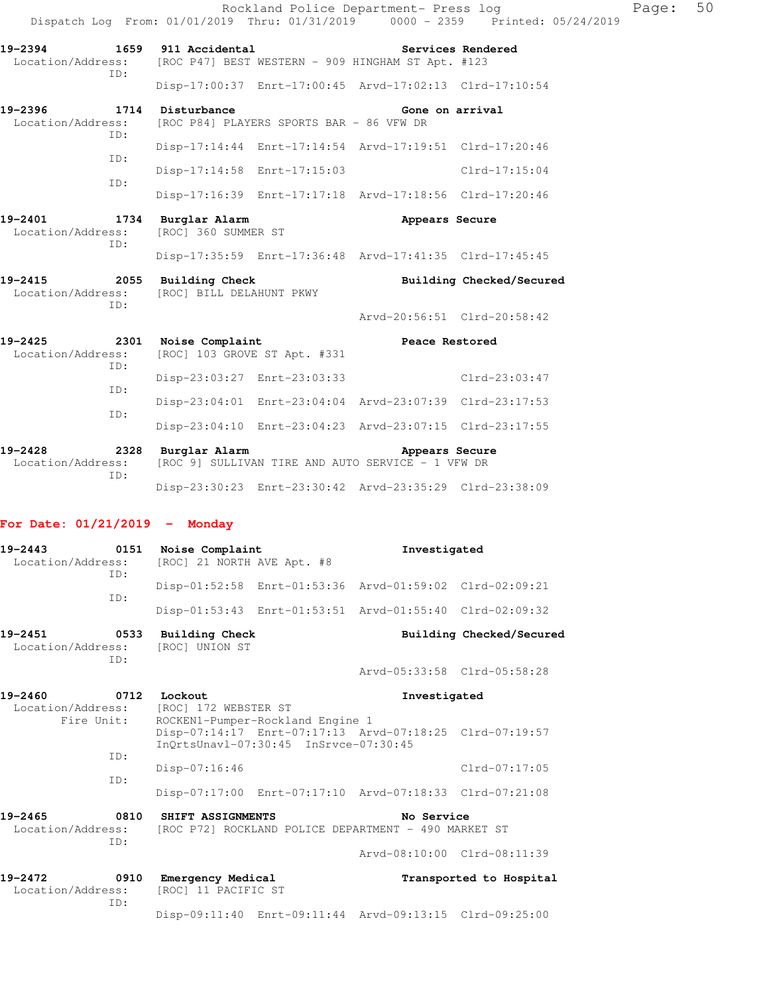|                                                   |     |                                            |                                          | Rockland Police Department- Press log                               | Dispatch Log From: 01/01/2019 Thru: 01/31/2019 0000 - 2359 Printed: 05/24/2019 | Page: | 50 |
|---------------------------------------------------|-----|--------------------------------------------|------------------------------------------|---------------------------------------------------------------------|--------------------------------------------------------------------------------|-------|----|
| 19-2394 1659 911 Accidental                       | ID: |                                            |                                          | Location/Address: [ROC P47] BEST WESTERN - 909 HINGHAM ST Apt. #123 | Services Rendered                                                              |       |    |
|                                                   |     |                                            |                                          | Disp-17:00:37 Enrt-17:00:45 Arvd-17:02:13 Clrd-17:10:54             |                                                                                |       |    |
| 19-2396<br>Location/Address:                      | ID: | 1714 Disturbance                           | [ROC P84] PLAYERS SPORTS BAR - 86 VFW DR | Gone on arrival                                                     |                                                                                |       |    |
|                                                   |     |                                            |                                          | Disp-17:14:44 Enrt-17:14:54 Arvd-17:19:51 Clrd-17:20:46             |                                                                                |       |    |
|                                                   | ID: |                                            |                                          | Disp-17:14:58 Enrt-17:15:03 Clrd-17:15:04                           |                                                                                |       |    |
|                                                   | ID: |                                            |                                          | Disp-17:16:39 Enrt-17:17:18 Arvd-17:18:56 Clrd-17:20:46             |                                                                                |       |    |
| 19-2401<br>Location/Address:                      | ID: | 1734 Burglar Alarm<br>[ROC] 360 SUMMER ST  |                                          | Appears Secure                                                      |                                                                                |       |    |
|                                                   |     |                                            |                                          | Disp-17:35:59 Enrt-17:36:48 Arvd-17:41:35 Clrd-17:45:45             |                                                                                |       |    |
| 19-2415 2055 Building Check                       | TD: | Location/Address: [ROC] BILL DELAHUNT PKWY |                                          |                                                                     | Building Checked/Secured                                                       |       |    |
|                                                   |     |                                            |                                          | Arvd-20:56:51 Clrd-20:58:42                                         |                                                                                |       |    |
| 19-2425 2301 Noise Complaint<br>Location/Address: |     |                                            | [ROC] 103 GROVE ST Apt. #331             | <b>Peace Restored</b>                                               |                                                                                |       |    |
|                                                   | ID: |                                            |                                          | Disp-23:03:27 Enrt-23:03:33 Clrd-23:03:47                           |                                                                                |       |    |
|                                                   | ID: |                                            |                                          | Disp-23:04:01 Enrt-23:04:04 Arvd-23:07:39 Clrd-23:17:53             |                                                                                |       |    |
|                                                   | ID: |                                            |                                          | Disp-23:04:10 Enrt-23:04:23 Arvd-23:07:15 Clrd-23:17:55             |                                                                                |       |    |
| 19-2428 2328 Burglar Alarm<br>Location/Address:   |     |                                            |                                          | Appears Secure<br>[ROC 9] SULLIVAN TIRE AND AUTO SERVICE - 1 VFW DR |                                                                                |       |    |

### **For Date: 01/21/2019 - Monday**

ID:

| $19 - 2443$<br>0151<br>Location/Address:<br>TD:    |             | Noise Complaint<br>[ROC] 21 NORTH AVE Apt. #8                                           |                                                                           | Investigated                                            |                             |
|----------------------------------------------------|-------------|-----------------------------------------------------------------------------------------|---------------------------------------------------------------------------|---------------------------------------------------------|-----------------------------|
|                                                    | ID:         |                                                                                         |                                                                           | Disp-01:52:58 Enrt-01:53:36 Arvd-01:59:02 Clrd-02:09:21 |                             |
|                                                    |             |                                                                                         |                                                                           | Disp-01:53:43 Enrt-01:53:51 Arvd-01:55:40 Clrd-02:09:32 |                             |
| 19-2451<br>Location/Address:                       | 0533<br>TD: | Building Check<br>[ROC] UNION ST                                                        |                                                                           |                                                         | Building Checked/Secured    |
|                                                    |             |                                                                                         |                                                                           |                                                         | Arvd-05:33:58 Clrd-05:58:28 |
| 19-2460<br>0712<br>Location/Address:<br>Fire Unit: |             | Lockout<br>Investigated<br>[ROC] 172 WEBSTER ST                                         |                                                                           |                                                         |                             |
|                                                    |             |                                                                                         | ROCKEN1-Pumper-Rockland Engine 1<br>InOrtsUnavl-07:30:45 InSrvce-07:30:45 | Disp-07:14:17 Enrt-07:17:13 Arvd-07:18:25 Clrd-07:19:57 |                             |
|                                                    | TD:<br>TD:  | $Disp-07:16:46$                                                                         |                                                                           |                                                         | $Clrd-07:17:05$             |
|                                                    |             |                                                                                         |                                                                           | Disp-07:17:00 Enrt-07:17:10 Arvd-07:18:33 Clrd-07:21:08 |                             |
| $19 - 2465$<br>Location/Address:                   | 0810<br>ID: | SHIFT ASSIGNMENTS<br>No Service<br>[ROC P72] ROCKLAND POLICE DEPARTMENT - 490 MARKET ST |                                                                           |                                                         |                             |
|                                                    |             |                                                                                         |                                                                           |                                                         | Arvd-08:10:00 Clrd-08:11:39 |
| $19 - 2472$<br>0910<br>Location/Address:<br>TD:    |             | <b>Emergency Medical</b><br>[ROC] 11 PACIFIC ST                                         |                                                                           |                                                         | Transported to Hospital     |
|                                                    |             |                                                                                         |                                                                           | Disp-09:11:40 Enrt-09:11:44 Arvd-09:13:15 Clrd-09:25:00 |                             |

Disp-23:30:23 Enrt-23:30:42 Arvd-23:35:29 Clrd-23:38:09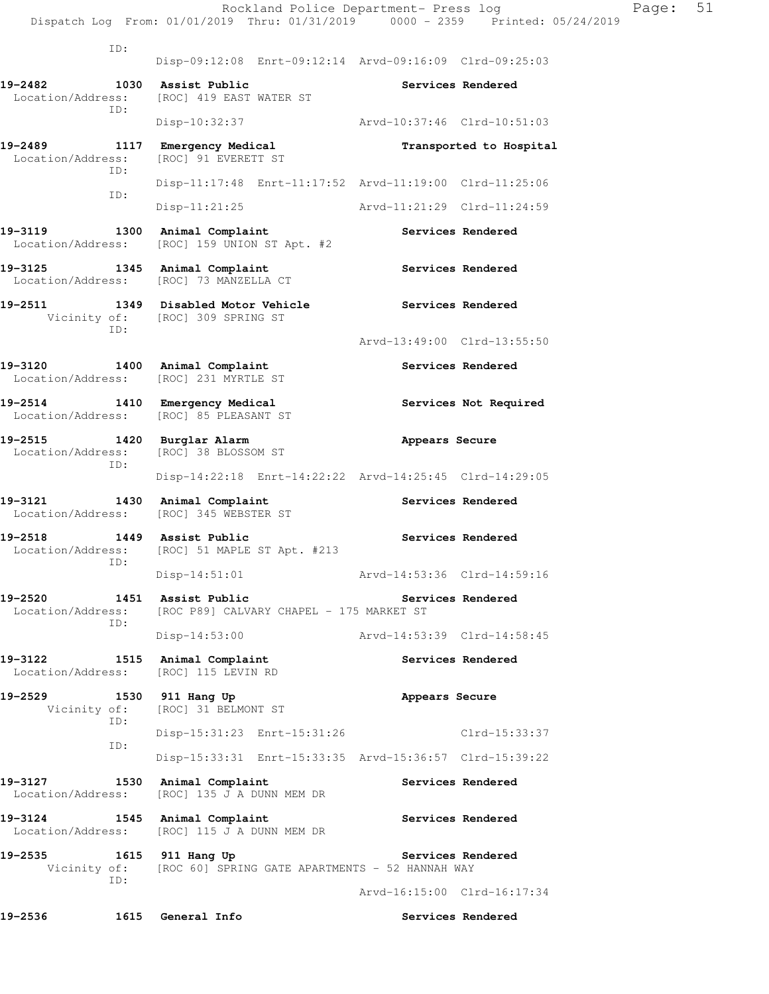Rockland Police Department- Press log Fage: 51 Dispatch Log From: 01/01/2019 Thru: 01/31/2019 0000 - 2359 Printed: 05/24/2019 ID: Disp-09:12:08 Enrt-09:12:14 Arvd-09:16:09 Clrd-09:25:03 **19-2482 1030 Assist Public Services Rendered**  Location/Address: [ROC] 419 EAST WATER ST ID: Disp-10:32:37 Arvd-10:37:46 Clrd-10:51:03 19-2489 1117 Emergency Medical **19-2489** Transported to Hospital Location/Address: [ROC] 91 EVERETT ST ID: Disp-11:17:48 Enrt-11:17:52 Arvd-11:19:00 Clrd-11:25:06 ID: Disp-11:21:25 Arvd-11:21:29 Clrd-11:24:59 19-3119 1300 Animal Complaint **19-3119** Services Rendered Location/Address: [ROC] 159 UNION ST Apt. #2 19-3125 1345 Animal Complaint **120 Services Rendered**  Location/Address: [ROC] 73 MANZELLA CT **19-2511 1349 Disabled Motor Vehicle Services Rendered**  Vicinity of: [ROC] 309 SPRING ST ID: Arvd-13:49:00 Clrd-13:55:50 19-3120 1400 Animal Complaint **Services Rendered**  Location/Address: [ROC] 231 MYRTLE ST **19-2514 1410 Emergency Medical Services Not Required**  Location/Address: [ROC] 85 PLEASANT ST **19-2515 1420 Burglar Alarm Appears Secure**  Location/Address: [ROC] 38 BLOSSOM ST ID: Disp-14:22:18 Enrt-14:22:22 Arvd-14:25:45 Clrd-14:29:05 19-3121 1430 Animal Complaint **Services Rendered**  Location/Address: [ROC] 345 WEBSTER ST 19-2518 1449 Assist Public **19-2518** Services Rendered Location/Address: [ROC] 51 MAPLE ST Apt. #213 ID: Disp-14:51:01 Arvd-14:53:36 Clrd-14:59:16 **19-2520 1451 Assist Public Services Rendered**  Location/Address: [ROC P89] CALVARY CHAPEL - 175 MARKET ST ID: Disp-14:53:00 Arvd-14:53:39 Clrd-14:58:45 19-3122 1515 Animal Complaint **19-3122** Services Rendered Location/Address: [ROC] 115 LEVIN RD 19-2529 1530 911 Hang Up **Appears Secure**  Vicinity of: [ROC] 31 BELMONT ST ID: Disp-15:31:23 Enrt-15:31:26 Clrd-15:33:37 ID: Disp-15:33:31 Enrt-15:33:35 Arvd-15:36:57 Clrd-15:39:22 19-3127 1530 Animal Complaint **19-3127** Services Rendered Location/Address: [ROC] 135 J A DUNN MEM DR **19-3124 1545 Animal Complaint Services Rendered**  Location/Address: [ROC] 115 J A DUNN MEM DR 19-2535 1615 911 Hang Up **Services Rendered** Vicinity of: [ROC 60] SPRING GATE APARTMENTS - 52 HANNAH WAY ID: Arvd-16:15:00 Clrd-16:17:34

**19-2536 1615 General Info Services Rendered**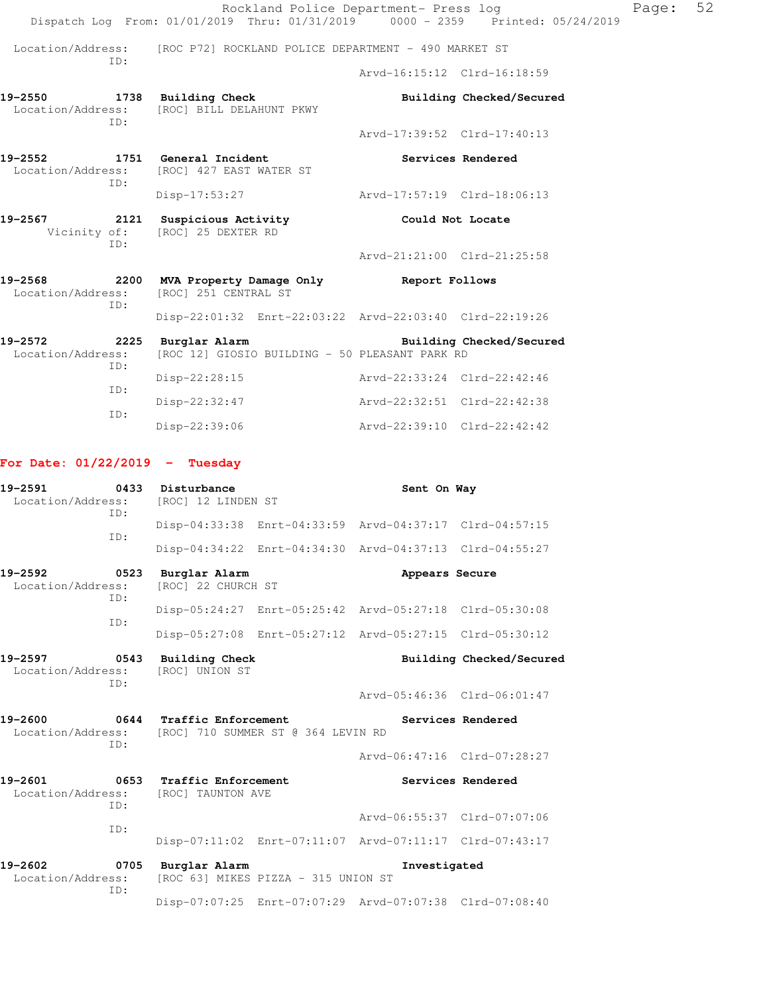|                                                 |     | Rockland Police Department- Press log<br>Dispatch Log From: 01/01/2019 Thru: 01/31/2019 0000 - 2359 Printed: 05/24/2019 |                             |                          |
|-------------------------------------------------|-----|-------------------------------------------------------------------------------------------------------------------------|-----------------------------|--------------------------|
|                                                 | ID: | Location/Address: [ROC P72] ROCKLAND POLICE DEPARTMENT - 490 MARKET ST                                                  |                             |                          |
|                                                 |     |                                                                                                                         | Aryd-16:15:12 Clrd-16:18:59 |                          |
|                                                 | TD: | 19-2550 1738 Building Check<br>Location/Address: [ROC] BILL DELAHUNT PKWY                                               |                             | Building Checked/Secured |
|                                                 |     |                                                                                                                         | Arvd-17:39:52 Clrd-17:40:13 |                          |
|                                                 | TD: | 19-2552 1751 General Incident<br>Location/Address: [ROC] 427 EAST WATER ST                                              | Services Rendered           |                          |
|                                                 |     | $Disp-17:53:27$                                                                                                         | Arvd-17:57:19 Clrd-18:06:13 |                          |
| 19-2567                                         | ID: | 2121 Suspicious Activity<br>Vicinity of: [ROC] 25 DEXTER RD                                                             | Could Not Locate            |                          |
|                                                 |     |                                                                                                                         | Arvd-21:21:00 Clrd-21:25:58 |                          |
| 19-2568                                         | TD: | 2200 MVA Property Damage Only Seport Follows<br>Location/Address: [ROC] 251 CENTRAL ST                                  |                             |                          |
|                                                 |     | Disp-22:01:32 Enrt-22:03:22 Arvd-22:03:40 Clrd-22:19:26                                                                 |                             |                          |
| 19-2572 2225 Burglar Alarm<br>Location/Address: | ID: | [ROC 12] GIOSIO BUILDING - 50 PLEASANT PARK RD                                                                          |                             | Building Checked/Secured |
|                                                 | ID: | Disp-22:28:15                                                                                                           | Arvd-22:33:24 Clrd-22:42:46 |                          |

Disp-22:32:47 Arvd-22:32:51 Clrd-22:42:38

Disp-22:39:06 Arvd-22:39:10 Clrd-22:42:42

|  |  | For Date: 01/22/2019 |  | Tuesday |
|--|--|----------------------|--|---------|
|--|--|----------------------|--|---------|

ID:

| 19-2591<br>Location/Address:        | TD:         | 0433 Disturbance<br>[ROC] 12 LINDEN ST                                                                |                                     | Sent On Way                                             |                             |  |
|-------------------------------------|-------------|-------------------------------------------------------------------------------------------------------|-------------------------------------|---------------------------------------------------------|-----------------------------|--|
|                                     |             |                                                                                                       |                                     | Disp-04:33:38 Enrt-04:33:59 Arvd-04:37:17 Clrd-04:57:15 |                             |  |
|                                     | ID:         |                                                                                                       |                                     | Disp-04:34:22 Enrt-04:34:30 Arvd-04:37:13 Clrd-04:55:27 |                             |  |
| 19-2592<br>Location/Address:        | 0523<br>ID: | Burglar Alarm<br>[ROC] 22 CHURCH ST                                                                   |                                     | Appears Secure                                          |                             |  |
|                                     | ID:         |                                                                                                       |                                     | Disp-05:24:27 Enrt-05:25:42 Arvd-05:27:18 Clrd-05:30:08 |                             |  |
|                                     |             |                                                                                                       |                                     | Disp-05:27:08 Enrt-05:27:12 Arvd-05:27:15 Clrd-05:30:12 |                             |  |
| 19-2597<br>Location/Address:<br>ID: |             | 0543 Building Check<br>[ROC] UNION ST                                                                 |                                     |                                                         | Building Checked/Secured    |  |
|                                     |             |                                                                                                       |                                     | Arvd-05:46:36 Clrd-06:01:47                             |                             |  |
| 19-2600                             | TD:         | 0644 Traffic Enforcement<br>Services Rendered<br>Location/Address: [ROC] 710 SUMMER ST @ 364 LEVIN RD |                                     |                                                         |                             |  |
|                                     |             |                                                                                                       |                                     |                                                         | Arvd-06:47:16 Clrd-07:28:27 |  |
| 19-2601                             | TD:         | 0653 Traffic Enforcement<br>Location/Address: [ROC] TAUNTON AVE                                       |                                     |                                                         | Services Rendered           |  |
|                                     |             |                                                                                                       |                                     | Arvd-06:55:37 Clrd-07:07:06                             |                             |  |
|                                     | ID:         |                                                                                                       |                                     | Disp-07:11:02 Enrt-07:11:07 Arvd-07:11:17 Clrd-07:43:17 |                             |  |
| 19-2602<br>Location/Address:        | 0705<br>ID: | Burglar Alarm                                                                                         | [ROC 63] MIKES PIZZA - 315 UNION ST | Investigated                                            |                             |  |
|                                     |             |                                                                                                       |                                     | Disp-07:07:25 Enrt-07:07:29 Arvd-07:07:38 Clrd-07:08:40 |                             |  |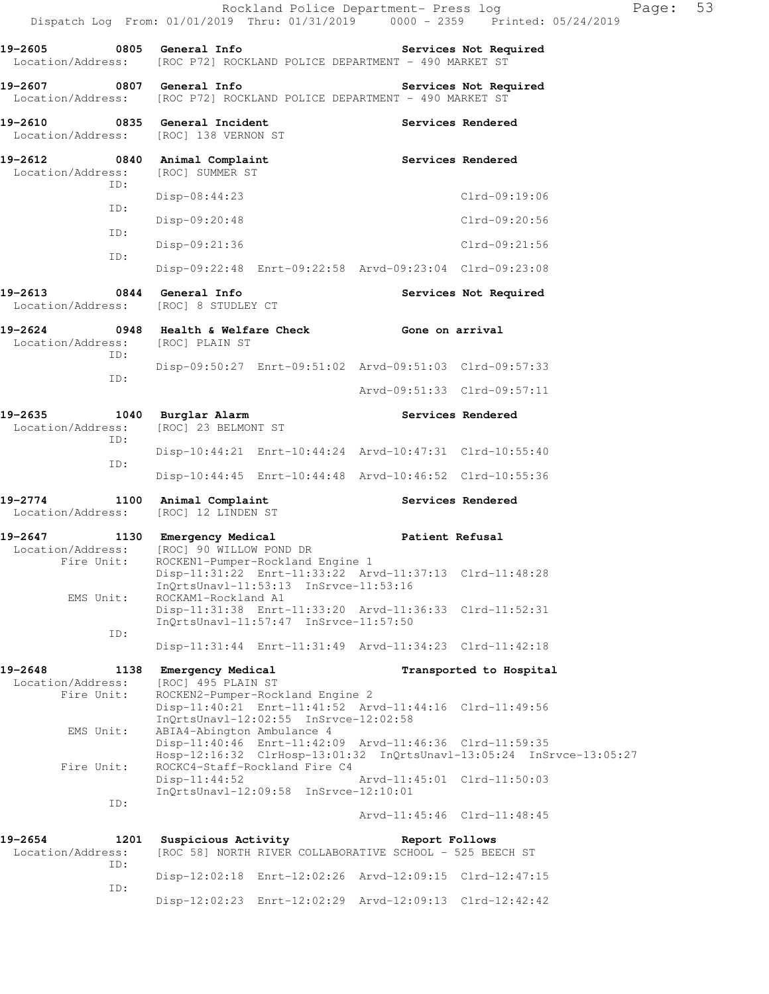| $19 - 2605$                                                     | 0805 General Info                                                                                                              |                        | Services Not Required                                                                               |
|-----------------------------------------------------------------|--------------------------------------------------------------------------------------------------------------------------------|------------------------|-----------------------------------------------------------------------------------------------------|
|                                                                 | Location/Address: [ROC P72] ROCKLAND POLICE DEPARTMENT - 490 MARKET ST                                                         |                        |                                                                                                     |
| 19-2607 0807 General Info<br>Location/Address:                  | [ROC P72] ROCKLAND POLICE DEPARTMENT - 490 MARKET ST                                                                           |                        | Services Not Required                                                                               |
| 19-2610                                                         | 0835 General Incident<br>Location/Address: [ROC] 138 VERNON ST                                                                 |                        | Services Rendered                                                                                   |
| 19-2612 0840 Animal Complaint<br>Location/Address:<br>ID:       | [ROC] SUMMER ST                                                                                                                |                        | <b>Services Rendered</b>                                                                            |
| ID:                                                             | $Disp-08:44:23$                                                                                                                |                        | Clrd-09:19:06                                                                                       |
| ID:                                                             | $Disp-09:20:48$                                                                                                                |                        | Clrd-09:20:56                                                                                       |
| ID:                                                             | $Disp-09:21:36$                                                                                                                |                        | Clrd-09:21:56                                                                                       |
|                                                                 | Disp-09:22:48 Enrt-09:22:58 Arvd-09:23:04 Clrd-09:23:08                                                                        |                        |                                                                                                     |
| 19-2613 0844 General Info                                       | Location/Address: [ROC] 8 STUDLEY CT                                                                                           |                        | Services Not Required                                                                               |
| 19-2624 0948 Health & Welfare Check<br>Location/Address:<br>ID: | [ROC] PLAIN ST                                                                                                                 | Gone on arrival        |                                                                                                     |
| ID:                                                             | Disp-09:50:27 Enrt-09:51:02 Arvd-09:51:03 Clrd-09:57:33                                                                        |                        |                                                                                                     |
|                                                                 |                                                                                                                                |                        | Arvd-09:51:33 Clrd-09:57:11                                                                         |
| 19-2635<br>ID:                                                  | 1040 Burglar Alarm<br>Location/Address: [ROC] 23 BELMONT ST                                                                    |                        | <b>Services Rendered</b>                                                                            |
| ID:                                                             | Disp-10:44:21 Enrt-10:44:24 Arvd-10:47:31 Clrd-10:55:40                                                                        |                        |                                                                                                     |
|                                                                 | Disp-10:44:45 Enrt-10:44:48 Arvd-10:46:52 Clrd-10:55:36                                                                        |                        |                                                                                                     |
| $19 - 2774$<br>Location/Address:                                | 1100 Animal Complaint<br>[ROC] 12 LINDEN ST                                                                                    |                        | Services Rendered                                                                                   |
| $19 - 2647$<br>Location/Address:<br>Fire Unit:                  | 1130 Emergency Medical<br>[ROC] 90 WILLOW POND DR<br>ROCKEN1-Pumper-Rockland Engine 1                                          | <b>Patient Refusal</b> |                                                                                                     |
| EMS Unit:                                                       | Disp-11:31:22 Enrt-11:33:22 Arvd-11:37:13 Clrd-11:48:28<br>InQrtsUnavl-11:53:13 InSrvce-11:53:16<br>ROCKAM1-Rockland A1        |                        |                                                                                                     |
| ID:                                                             | Disp-11:31:38 Enrt-11:33:20 Arvd-11:36:33 Clrd-11:52:31<br>$InQrtsUnav1-11:57:47$ $InSrvce-11:57:50$                           |                        |                                                                                                     |
|                                                                 | Disp-11:31:44 Enrt-11:31:49 Arvd-11:34:23 Clrd-11:42:18                                                                        |                        |                                                                                                     |
| 19-2648<br>1138                                                 | Emergency Medical                                                                                                              |                        | Transported to Hospital                                                                             |
| Location/Address:<br>Fire Unit:                                 | [ROC] 495 PLAIN ST<br>ROCKEN2-Pumper-Rockland Engine 2                                                                         |                        |                                                                                                     |
| EMS Unit:                                                       | InQrtsUnavl-12:02:55 InSrvce-12:02:58<br>ABIA4-Abington Ambulance 4<br>Disp-11:40:46 Enrt-11:42:09 Arvd-11:46:36 Clrd-11:59:35 |                        |                                                                                                     |
| Fire Unit:                                                      | ROCKC4-Staff-Rockland Fire C4<br>$Disp-11:44:52$                                                                               |                        | Hosp-12:16:32 ClrHosp-13:01:32 InQrtsUnavl-13:05:24 InSrvce-13:05:27<br>Arvd-11:45:01 Clrd-11:50:03 |
| ID:                                                             | InQrtsUnavl-12:09:58 InSrvce-12:10:01                                                                                          |                        |                                                                                                     |
|                                                                 |                                                                                                                                |                        | Arvd-11:45:46 Clrd-11:48:45                                                                         |
| 19-2654<br>1201                                                 | Suspicious Activity                                                                                                            | Report Follows         |                                                                                                     |
| Location/Address:<br>ID:                                        | [ROC 58] NORTH RIVER COLLABORATIVE SCHOOL - 525 BEECH ST                                                                       |                        |                                                                                                     |
| ID:                                                             | Disp-12:02:18 Enrt-12:02:26 Arvd-12:09:15 Clrd-12:47:15                                                                        |                        |                                                                                                     |
|                                                                 | Disp-12:02:23 Enrt-12:02:29 Arvd-12:09:13 Clrd-12:42:42                                                                        |                        |                                                                                                     |

Page: 53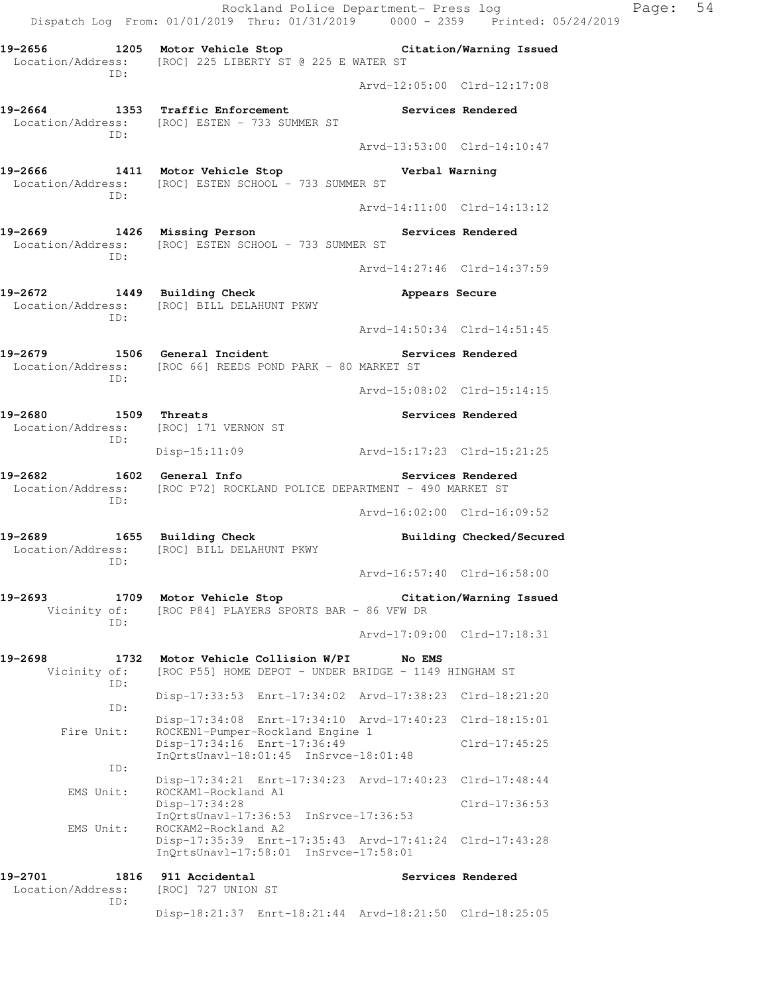Rockland Police Department- Press log Paqe: 54 Dispatch Log From: 01/01/2019 Thru: 01/31/2019 0000 - 2359 Printed: 05/24/2019 **19-2656 1205 Motor Vehicle Stop Citation/Warning Issued**  Location/Address: [ROC] 225 LIBERTY ST @ 225 E WATER ST ID: Arvd-12:05:00 Clrd-12:17:08 19-2664 **1353** Traffic Enforcement **1353** Services Rendered Location/Address: [ROC] ESTEN - 733 SUMMER ST ID: Arvd-13:53:00 Clrd-14:10:47 **19-2666 1411 Motor Vehicle Stop Verbal Warning**  Location/Address: [ROC] ESTEN SCHOOL - 733 SUMMER ST ID: Arvd-14:11:00 Clrd-14:13:12 **19-2669 1426 Missing Person Services Rendered**  Location/Address: [ROC] ESTEN SCHOOL - 733 SUMMER ST ID: Arvd-14:27:46 Clrd-14:37:59 **19-2672 1449 Building Check Appears Secure**  Location/Address: [ROC] BILL DELAHUNT PKWY ID: Arvd-14:50:34 Clrd-14:51:45 **19-2679 1506 General Incident Services Rendered**  Location/Address: [ROC 66] REEDS POND PARK - 80 MARKET ST ID: Arvd-15:08:02 Clrd-15:14:15 **19-2680 1509 Threats Services Rendered**  Location/Address: [ROC] 171 VERNON ST ID: Disp-15:11:09 Arvd-15:17:23 Clrd-15:21:25 **19-2682 1602 General Info Services Rendered**  Location/Address: [ROC P72] ROCKLAND POLICE DEPARTMENT - 490 MARKET ST ID: Arvd-16:02:00 Clrd-16:09:52 **19-2689 1655 Building Check Building Checked/Secured**  Location/Address: [ROC] BILL DELAHUNT PKWY ID: Arvd-16:57:40 Clrd-16:58:00 **19-2693 1709 Motor Vehicle Stop Citation/Warning Issued**  Vicinity of: [ROC P84] PLAYERS SPORTS BAR - 86 VFW DR ID: Arvd-17:09:00 Clrd-17:18:31 **19-2698 1732 Motor Vehicle Collision W/PI No EMS**  Vicinity of: [ROC P55] HOME DEPOT - UNDER BRIDGE - 1149 HINGHAM ST ID: Disp-17:33:53 Enrt-17:34:02 Arvd-17:38:23 Clrd-18:21:20 ID: Disp-17:34:08 Enrt-17:34:10 Arvd-17:40:23 Clrd-18:15:01 Fire Unit: ROCKEN1-Pumper-Rockland Engine 1 Disp-17:34:16 Enrt-17:36:49 Clrd-17:45:25 InQrtsUnavl-18:01:45 InSrvce-18:01:48 ID: Disp-17:34:21 Enrt-17:34:23 Arvd-17:40:23 Clrd-17:48:44 EMS Unit: ROCKAM1-Rockland A1 Disp-17:34:28 Clrd-17:36:53 InQrtsUnavl-17:36:53 InSrvce-17:36:53 EMS Unit: ROCKAM2-Rockland A2 Disp-17:35:39 Enrt-17:35:43 Arvd-17:41:24 Clrd-17:43:28 InQrtsUnavl-17:58:01 InSrvce-17:58:01 19-2701 1816 911 Accidental **19-2701** Services Rendered Location/Address: [ROC] 727 UNION ST ID: Disp-18:21:37 Enrt-18:21:44 Arvd-18:21:50 Clrd-18:25:05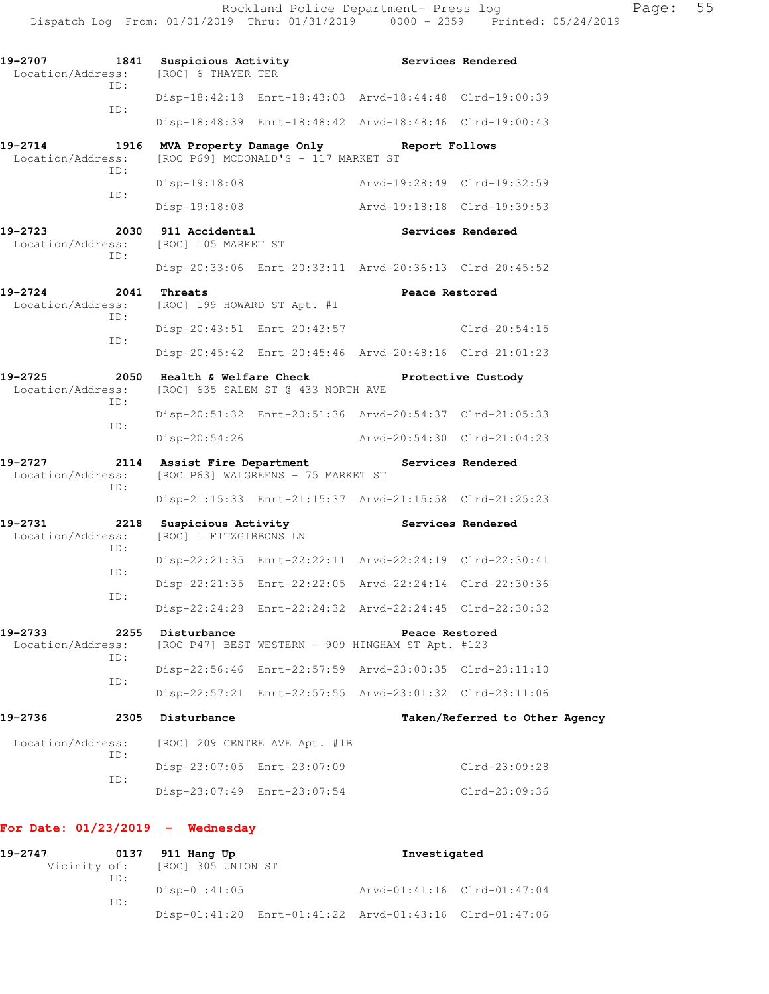| 19-2707<br>Location/Address: | 1841<br>TD: | Suspicious Activity<br>[ROC] 6 THAYER TER     | Services Rendered                                                   |                                |
|------------------------------|-------------|-----------------------------------------------|---------------------------------------------------------------------|--------------------------------|
|                              |             |                                               | Disp-18:42:18 Enrt-18:43:03 Arvd-18:44:48 Clrd-19:00:39             |                                |
|                              | ID:         |                                               | Disp-18:48:39 Enrt-18:48:42 Arvd-18:48:46 Clrd-19:00:43             |                                |
| 19-2714<br>Location/Address: | 1916        | [ROC P69] MCDONALD'S - 117 MARKET ST          | MVA Property Damage Only Report Follows                             |                                |
|                              | ID:         | Disp-19:18:08                                 | Arvd-19:28:49 Clrd-19:32:59                                         |                                |
|                              | ID:         | $Disp-19:18:08$                               | Arvd-19:18:18 Clrd-19:39:53                                         |                                |
| 19-2723<br>Location/Address: | ID:         | 2030 911 Accidental<br>[ROC] 105 MARKET ST    |                                                                     | Services Rendered              |
|                              |             |                                               | Disp-20:33:06 Enrt-20:33:11 Arvd-20:36:13 Clrd-20:45:52             |                                |
| 19-2724<br>Location/Address: | 2041        | Threats<br>[ROC] 199 HOWARD ST Apt. #1        | Peace Restored                                                      |                                |
|                              | ID:         | Disp-20:43:51 Enrt-20:43:57                   |                                                                     | Clrd-20:54:15                  |
|                              | ID:         |                                               | Disp-20:45:42 Enrt-20:45:46 Arvd-20:48:16 Clrd-21:01:23             |                                |
| 19-2725<br>Location/Address: | 2050<br>TD: | [ROC] 635 SALEM ST @ 433 NORTH AVE            | Health & Welfare Check Protective Custody                           |                                |
|                              |             |                                               | Disp-20:51:32 Enrt-20:51:36 Arvd-20:54:37 Clrd-21:05:33             |                                |
|                              | ID:         | $Disp-20:54:26$                               | Arvd-20:54:30 Clrd-21:04:23                                         |                                |
| 19-2727<br>Location/Address: | 2114<br>ID: | [ROC P63] WALGREENS - 75 MARKET ST            | Assist Fire Department Services Rendered                            |                                |
|                              |             |                                               | Disp-21:15:33 Enrt-21:15:37 Arvd-21:15:58 Clrd-21:25:23             |                                |
| 19-2731<br>Location/Address: | 2218        | Suspicious Activity<br>[ROC] 1 FITZGIBBONS LN | Services Rendered                                                   |                                |
|                              | ID:<br>ID:  |                                               | Disp-22:21:35 Enrt-22:22:11 Arvd-22:24:19 Clrd-22:30:41             |                                |
|                              | ID:         |                                               | Disp-22:21:35 Enrt-22:22:05 Arvd-22:24:14 Clrd-22:30:36             |                                |
|                              |             |                                               | Disp-22:24:28 Enrt-22:24:32 Arvd-22:24:45 Clrd-22:30:32             |                                |
| 19-2733<br>Location/Address: | 2255        | Disturbance                                   | Peace Restored<br>[ROC P47] BEST WESTERN - 909 HINGHAM ST Apt. #123 |                                |
|                              | TD:         |                                               | Disp-22:56:46 Enrt-22:57:59 Arvd-23:00:35 Clrd-23:11:10             |                                |
|                              | ID:         |                                               | Disp-22:57:21 Enrt-22:57:55 Arvd-23:01:32 Clrd-23:11:06             |                                |
| 19-2736                      | 2305        | Disturbance                                   |                                                                     | Taken/Referred to Other Agency |
| Location/Address:            |             | [ROC] 209 CENTRE AVE Apt. #1B                 |                                                                     |                                |
|                              | TD:         | Disp-23:07:05 Enrt-23:07:09                   |                                                                     | $Clrd-23:09:28$                |
|                              | ID:         | Disp-23:07:49 Enrt-23:07:54                   |                                                                     | Clrd-23:09:36                  |

# **For Date: 01/23/2019 - Wednesday**

| 19-2747 |     | 0137 911 Hang Up                |  | Investigated                                            |  |  |
|---------|-----|---------------------------------|--|---------------------------------------------------------|--|--|
|         |     | Vicinity of: [ROC] 305 UNION ST |  |                                                         |  |  |
|         | TD: |                                 |  |                                                         |  |  |
|         |     | Disp-01:41:05                   |  | Arvd-01:41:16 Clrd-01:47:04                             |  |  |
|         | TD: |                                 |  |                                                         |  |  |
|         |     |                                 |  | Disp-01:41:20 Enrt-01:41:22 Arvd-01:43:16 Clrd-01:47:06 |  |  |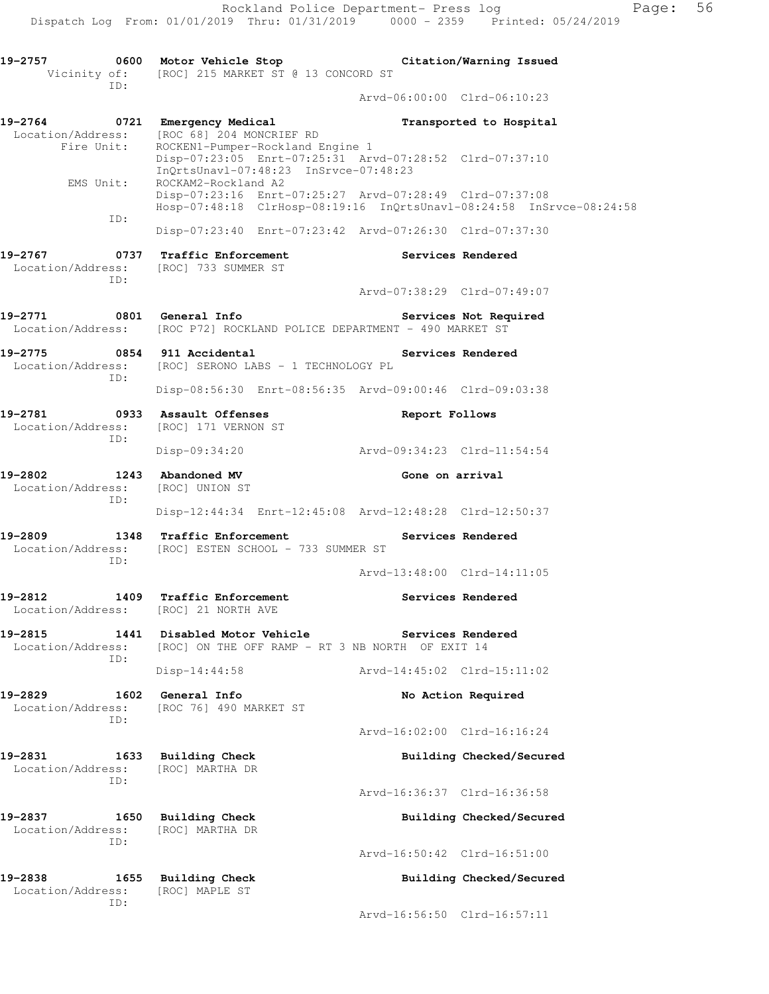**19-2757 0600 Motor Vehicle Stop Citation/Warning Issued**  Vicinity of: [ROC] 215 MARKET ST @ 13 CONCORD ST ID: Arvd-06:00:00 Clrd-06:10:23 **19-2764 0721 Emergency Medical Transported to Hospital**  Location/Address: [ROC 68] 204 MONCRIEF RD Fire Unit: ROCKEN1-Pumper-Rockland Engine 1 Disp-07:23:05 Enrt-07:25:31 Arvd-07:28:52 Clrd-07:37:10 InQrtsUnavl-07:48:23 InSrvce-07:48:23 EMS Unit: ROCKAM2-Rockland A2 Disp-07:23:16 Enrt-07:25:27 Arvd-07:28:49 Clrd-07:37:08 Hosp-07:48:18 ClrHosp-08:19:16 InQrtsUnavl-08:24:58 InSrvce-08:24:58 ID: Disp-07:23:40 Enrt-07:23:42 Arvd-07:26:30 Clrd-07:37:30 **19-2767 0737 Traffic Enforcement Services Rendered**  Location/Address: [ROC] 733 SUMMER ST ID: Arvd-07:38:29 Clrd-07:49:07 **19-2771 0801 General Info Services Not Required**  Location/Address: [ROC P72] ROCKLAND POLICE DEPARTMENT - 490 MARKET ST **19-2775 0854 911 Accidental Services Rendered**  Location/Address: [ROC] SERONO LABS - 1 TECHNOLOGY PL ID: Disp-08:56:30 Enrt-08:56:35 Arvd-09:00:46 Clrd-09:03:38 **19-2781 0933 Assault Offenses Report Follows**  Location/Address: [ROC] 171 VERNON ST ID: Disp-09:34:20 Arvd-09:34:23 Clrd-11:54:54 19-2802 1243 Abandoned MV **Gone on arrival**  Location/Address: [ROC] UNION ST ID: Disp-12:44:34 Enrt-12:45:08 Arvd-12:48:28 Clrd-12:50:37 **19-2809 1348 Traffic Enforcement Services Rendered**  Location/Address: [ROC] ESTEN SCHOOL - 733 SUMMER ST ID: Arvd-13:48:00 Clrd-14:11:05 **19-2812 1409 Traffic Enforcement Services Rendered**  Location/Address: [ROC] 21 NORTH AVE **19-2815 1441 Disabled Motor Vehicle Services Rendered** Location/Address: [ROC] ON THE OFF RAMP - RT 3 NB NORTH OF EXIT 14 [ROC] ON THE OFF RAMP - RT 3 NB NORTH OF EXIT 14 ID: Disp-14:44:58 Arvd-14:45:02 Clrd-15:11:02 19-2829 1602 General Info **1999 1802** No Action Required Location/Address: [ROC 76] 490 MARKET ST ID: Arvd-16:02:00 Clrd-16:16:24 19-2831 1633 Building Check **Building Checked/Secured**  Location/Address: [ROC] MARTHA DR ID: Arvd-16:36:37 Clrd-16:36:58 **19-2837 1650 Building Check Building Checked/Secured** 

Arvd-16:50:42 Clrd-16:51:00

**19-2838 1655 Building Check Building Checked/Secured**  Location/Address: [ROC] MAPLE ST ID: Arvd-16:56:50 Clrd-16:57:11

 Location/Address: [ROC] MARTHA DR ID: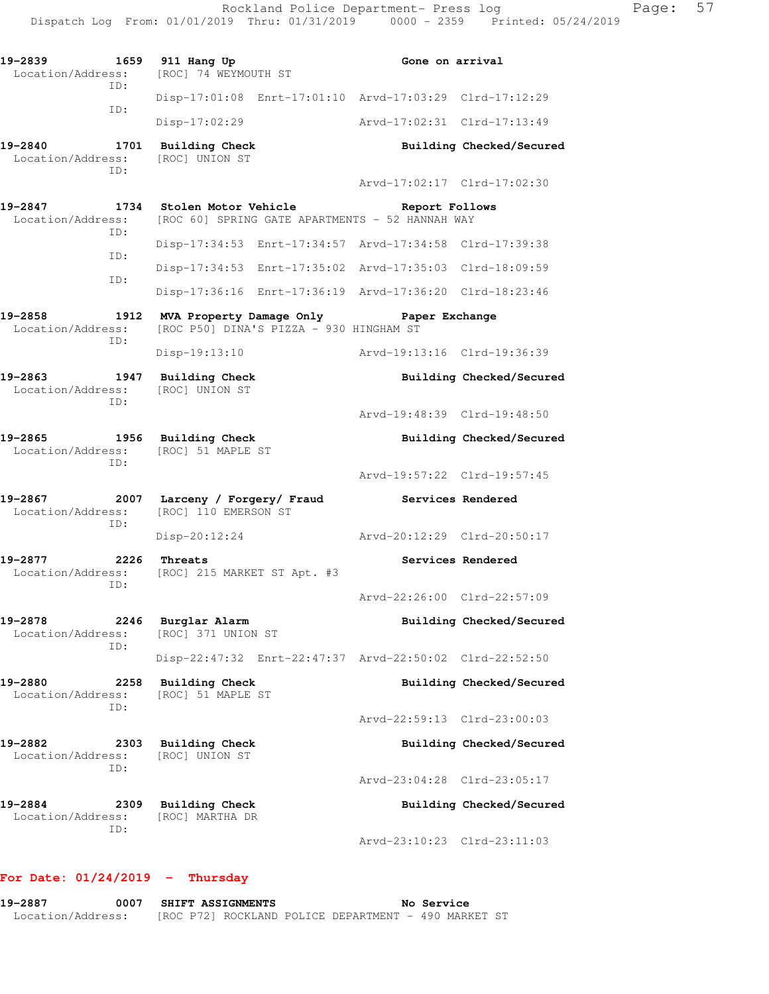| 19-2839<br>1659<br>Location/Address:<br>ID: | 911 Hang Up<br>[ROC] 74 WEYMOUTH ST                                     | Gone on arrival                                           |  |  |  |  |
|---------------------------------------------|-------------------------------------------------------------------------|-----------------------------------------------------------|--|--|--|--|
|                                             | Disp-17:01:08 Enrt-17:01:10 Arvd-17:03:29 Clrd-17:12:29                 |                                                           |  |  |  |  |
| ID:                                         | Disp-17:02:29                                                           | Arvd-17:02:31 Clrd-17:13:49                               |  |  |  |  |
| 19-2840<br>1701<br>Location/Address:<br>ID: | <b>Building Check</b><br>[ROC] UNION ST                                 | Building Checked/Secured                                  |  |  |  |  |
|                                             |                                                                         | Arvd-17:02:17 Clrd-17:02:30                               |  |  |  |  |
| 19-2847<br>1734<br>Location/Address:<br>ID: | Stolen Motor Vehicle<br>[ROC 60] SPRING GATE APARTMENTS - 52 HANNAH WAY | Report Follows                                            |  |  |  |  |
| ID:                                         | Disp-17:34:53 Enrt-17:34:57 Arvd-17:34:58 Clrd-17:39:38                 |                                                           |  |  |  |  |
| ID:                                         | Disp-17:34:53 Enrt-17:35:02 Arvd-17:35:03 Clrd-18:09:59                 |                                                           |  |  |  |  |
|                                             | Disp-17:36:16 Enrt-17:36:19 Arvd-17:36:20 Clrd-18:23:46                 |                                                           |  |  |  |  |
| 19-2858<br>1912<br>Location/Address:<br>ID: | MVA Property Damage Only                                                | Paper Exchange<br>[ROC P50] DINA'S PIZZA - 930 HINGHAM ST |  |  |  |  |
|                                             | Disp-19:13:10                                                           | Arvd-19:13:16 Clrd-19:36:39                               |  |  |  |  |
| 19-2863<br>1947<br>Location/Address:<br>ID: | <b>Building Check</b><br>[ROC] UNION ST                                 | Building Checked/Secured                                  |  |  |  |  |
|                                             |                                                                         | Arvd-19:48:39 Clrd-19:48:50                               |  |  |  |  |
| 19-2865<br>1956<br>Location/Address:<br>TD: | Building Check<br>[ROC] 51 MAPLE ST                                     | Building Checked/Secured                                  |  |  |  |  |
|                                             |                                                                         | Arvd-19:57:22 Clrd-19:57:45                               |  |  |  |  |
| 19-2867<br>2007<br>Location/Address:<br>ID: | Larceny / Forgery/ Fraud<br>[ROC] 110 EMERSON ST                        | Services Rendered                                         |  |  |  |  |
|                                             | Disp-20:12:24                                                           | Arvd-20:12:29 Clrd-20:50:17                               |  |  |  |  |
| 19-2877<br>2226<br>Location/Address:<br>ID: | Threats<br>[ROC] 215 MARKET ST Apt. #3                                  | Services Rendered                                         |  |  |  |  |
|                                             |                                                                         | Arvd-22:26:00 Clrd-22:57:09                               |  |  |  |  |
| 19-2878<br>2246<br>Location/Address:<br>ID: | Burglar Alarm<br>[ROC] 371 UNION ST                                     | Building Checked/Secured                                  |  |  |  |  |
|                                             | Disp-22:47:32 Enrt-22:47:37 Arvd-22:50:02 Clrd-22:52:50                 |                                                           |  |  |  |  |
| 19-2880<br>2258<br>Location/Address:<br>ID: | <b>Building Check</b><br>[ROC] 51 MAPLE ST                              | Building Checked/Secured                                  |  |  |  |  |
|                                             |                                                                         | Arvd-22:59:13 Clrd-23:00:03                               |  |  |  |  |
| 19-2882<br>2303<br>Location/Address:<br>ID: | <b>Building Check</b><br>[ROC] UNION ST                                 | Building Checked/Secured                                  |  |  |  |  |
|                                             |                                                                         | Arvd-23:04:28 Clrd-23:05:17                               |  |  |  |  |
| 19-2884<br>2309<br>Location/Address:        | <b>Building Check</b><br>[ROC] MARTHA DR                                | Building Checked/Secured                                  |  |  |  |  |
| ID:                                         |                                                                         | Arvd-23:10:23 Clrd-23:11:03                               |  |  |  |  |

## **For Date: 01/24/2019 - Thursday**

**19-2887 0007 SHIFT ASSIGNMENTS No Service**  Location/Address: [ROC P72] ROCKLAND POLICE DEPARTMENT - 490 MARKET ST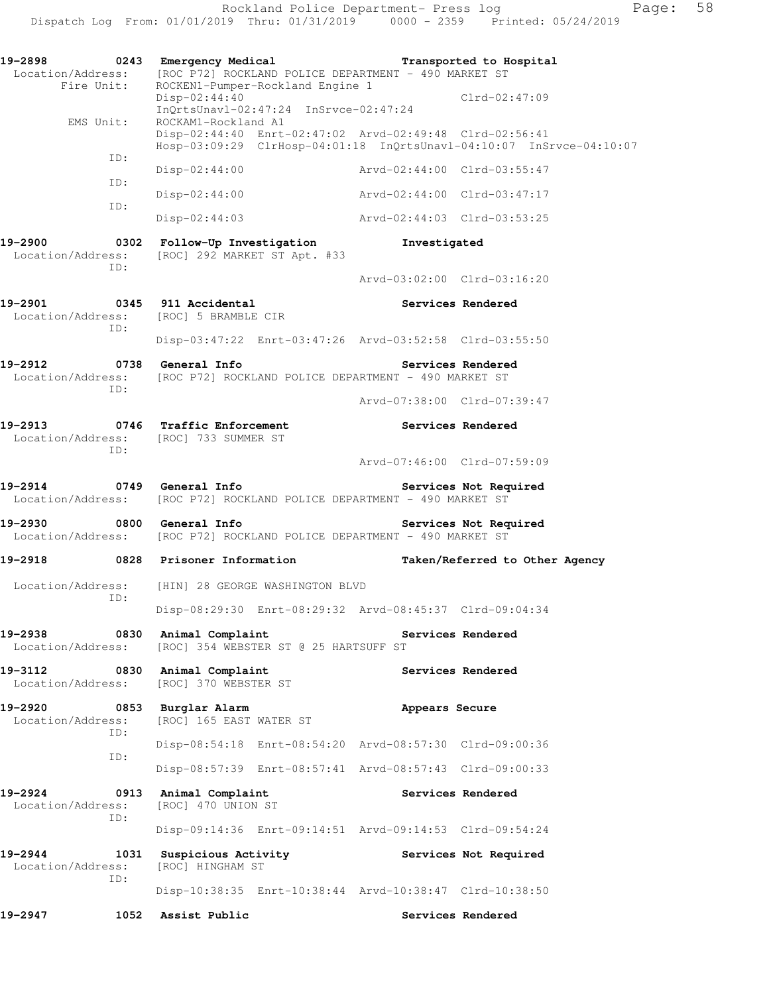Rockland Police Department- Press log Fage: 58 Dispatch Log From: 01/01/2019 Thru: 01/31/2019 0000 - 2359 Printed: 05/24/2019

**19-2898 0243 Emergency Medical Transported to Hospital**  Location/Address: [ROC P72] ROCKLAND POLICE DEPARTMENT - 490 MARKET ST Fire Unit: ROCKEN1-Pumper-Rockland Engine 1 Disp-02:44:40 Clrd-02:47:09 InQrtsUnavl-02:47:24 InSrvce-02:47:24 EMS Unit: ROCKAM1-Rockland A1 Disp-02:44:40 Enrt-02:47:02 Arvd-02:49:48 Clrd-02:56:41 Hosp-03:09:29 ClrHosp-04:01:18 InQrtsUnavl-04:10:07 InSrvce-04:10:07 ID: Disp-02:44:00 Arvd-02:44:00 Clrd-03:55:47 ID: Disp-02:44:00 Arvd-02:44:00 Clrd-03:47:17 ID: Disp-02:44:03 Arvd-02:44:03 Clrd-03:53:25 **19-2900 0302 Follow-Up Investigation Investigated**  Location/Address: [ROC] 292 MARKET ST Apt. #33 ID: Arvd-03:02:00 Clrd-03:16:20 **19-2901 0345 911 Accidental Services Rendered**  Location/Address: [ROC] 5 BRAMBLE CIR ID: Disp-03:47:22 Enrt-03:47:26 Arvd-03:52:58 Clrd-03:55:50 **19-2912 0738 General Info Services Rendered**  Location/Address: [ROC P72] ROCKLAND POLICE DEPARTMENT - 490 MARKET ST ID: Arvd-07:38:00 Clrd-07:39:47 **19-2913 0746 Traffic Enforcement Services Rendered**  Location/Address: [ROC] 733 SUMMER ST ID: Arvd-07:46:00 Clrd-07:59:09 **19-2914 0749 General Info Services Not Required**  Location/Address: [ROC P72] ROCKLAND POLICE DEPARTMENT - 490 MARKET ST **19-2930 0800 General Info Services Not Required**  Location/Address: [ROC P72] ROCKLAND POLICE DEPARTMENT - 490 MARKET ST **19-2918 0828 Prisoner Information Taken/Referred to Other Agency**  Location/Address: [HIN] 28 GEORGE WASHINGTON BLVD ID: Disp-08:29:30 Enrt-08:29:32 Arvd-08:45:37 Clrd-09:04:34 **19-2938 0830 Animal Complaint Services Rendered**  Location/Address: [ROC] 354 WEBSTER ST @ 25 HARTSUFF ST **19-3112 0830 Animal Complaint Services Rendered**  Location/Address: [ROC] 370 WEBSTER ST **19-2920 0853 Burglar Alarm Appears Secure**  Location/Address: [ROC] 165 EAST WATER ST ID: Disp-08:54:18 Enrt-08:54:20 Arvd-08:57:30 Clrd-09:00:36 ID: Disp-08:57:39 Enrt-08:57:41 Arvd-08:57:43 Clrd-09:00:33 19-2924 0913 Animal Complaint **Services Rendered**  Location/Address: [ROC] 470 UNION ST ID: Disp-09:14:36 Enrt-09:14:51 Arvd-09:14:53 Clrd-09:54:24 19-2944 **1031 Suspicious Activity 19** Services Not Required Location/Address: [ROC] HINGHAM ST ID: Disp-10:38:35 Enrt-10:38:44 Arvd-10:38:47 Clrd-10:38:50 **19-2947 1052 Assist Public Services Rendered**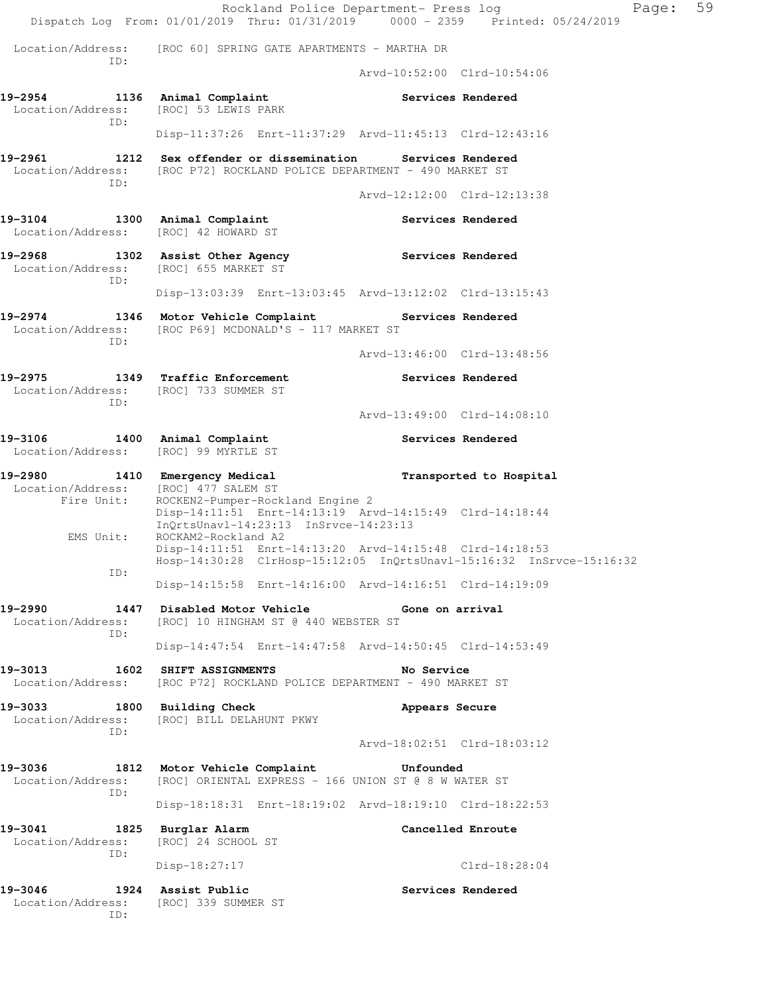Rockland Police Department- Press log Paqe: 59 Dispatch Log From: 01/01/2019 Thru: 01/31/2019 0000 - 2359 Printed: 05/24/2019 Location/Address: [ROC 60] SPRING GATE APARTMENTS - MARTHA DR ID: Arvd-10:52:00 Clrd-10:54:06 **19-2954 1136 Animal Complaint Services Rendered**  Location/Address: [ROC] 53 LEWIS PARK ID: Disp-11:37:26 Enrt-11:37:29 Arvd-11:45:13 Clrd-12:43:16 **19-2961 1212 Sex offender or dissemination Services Rendered**  Location/Address: [ROC P72] ROCKLAND POLICE DEPARTMENT - 490 MARKET ST ID: Arvd-12:12:00 Clrd-12:13:38 19-3104 1300 Animal Complaint **19-3104** Services Rendered Location/Address: [ROC] 42 HOWARD ST **19-2968 1302 Assist Other Agency Services Rendered**  Location/Address: [ROC] 655 MARKET ST ID: Disp-13:03:39 Enrt-13:03:45 Arvd-13:12:02 Clrd-13:15:43 **19-2974 1346 Motor Vehicle Complaint Services Rendered**  Location/Address: [ROC P69] MCDONALD'S - 117 MARKET ST ID: Arvd-13:46:00 Clrd-13:48:56 19-2975 1349 Traffic Enforcement **19-2975** Services Rendered Location/Address: [ROC] 733 SUMMER ST ID: Arvd-13:49:00 Clrd-14:08:10 19-3106 1400 Animal Complaint **19-3106** Services Rendered Location/Address: [ROC] 99 MYRTLE ST **19-2980 1410 Emergency Medical Transported to Hospital** Location/Address: [ROC] 477 SALEM ST Location/Address: Fire Unit: ROCKEN2-Pumper-Rockland Engine 2 Disp-14:11:51 Enrt-14:13:19 Arvd-14:15:49 Clrd-14:18:44 InQrtsUnavl-14:23:13 InSrvce-14:23:13 EMS Unit: ROCKAM2-Rockland A2 Disp-14:11:51 Enrt-14:13:20 Arvd-14:15:48 Clrd-14:18:53 Hosp-14:30:28 ClrHosp-15:12:05 InQrtsUnavl-15:16:32 InSrvce-15:16:32 ID: Disp-14:15:58 Enrt-14:16:00 Arvd-14:16:51 Clrd-14:19:09 **19-2990 1447 Disabled Motor Vehicle Gone on arrival**  Location/Address: [ROC] 10 HINGHAM ST @ 440 WEBSTER ST ID: Disp-14:47:54 Enrt-14:47:58 Arvd-14:50:45 Clrd-14:53:49 **19-3013 1602 SHIFT ASSIGNMENTS No Service**  Location/Address: [ROC P72] ROCKLAND POLICE DEPARTMENT - 490 MARKET ST 19-3033 1800 Building Check **19-3033** Appears Secure Location/Address: [ROC] BILL DELAHUNT PKWY ID: Arvd-18:02:51 Clrd-18:03:12 **19-3036 1812 Motor Vehicle Complaint Unfounded**  Location/Address: [ROC] ORIENTAL EXPRESS - 166 UNION ST @ 8 W WATER ST ID: Disp-18:18:31 Enrt-18:19:02 Arvd-18:19:10 Clrd-18:22:53 **19-3041 1825 Burglar Alarm Cancelled Enroute**  Location/Address: [ROC] 24 SCHOOL ST ID: Disp-18:27:17 Clrd-18:28:04 19-3046 1924 Assist Public **1988** Services Rendered Location/Address: [ROC] 339 SUMMER ST ID: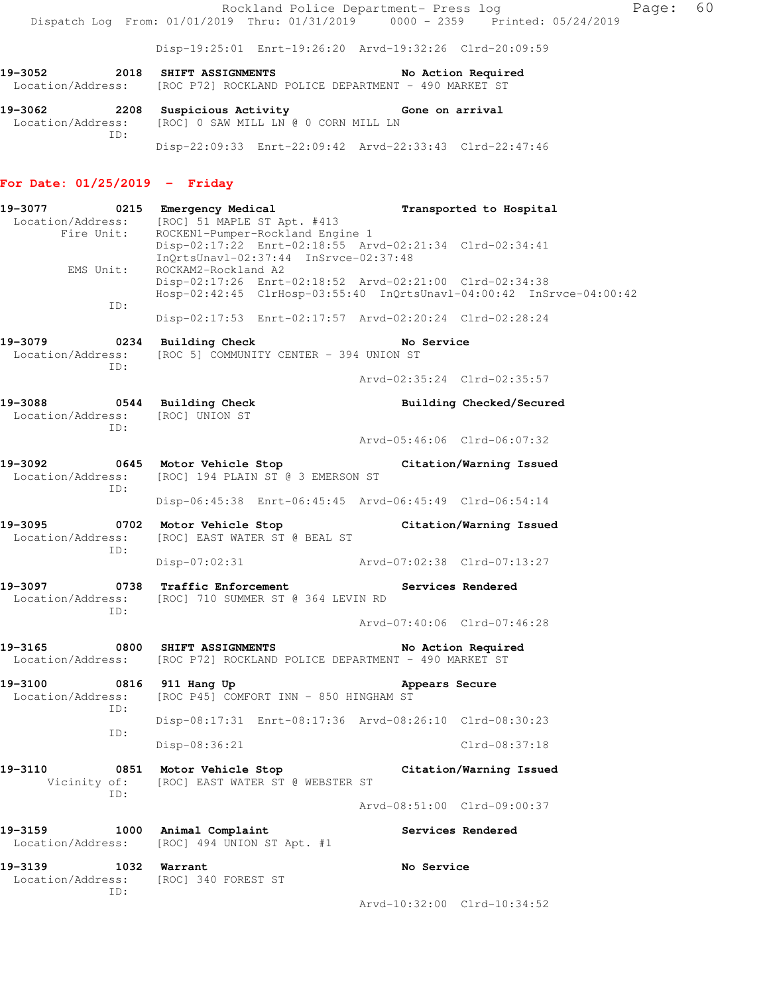Rockland Police Department- Press log Faqe: 60 Dispatch Log From: 01/01/2019 Thru: 01/31/2019 0000 - 2359 Printed: 05/24/2019

Disp-19:25:01 Enrt-19:26:20 Arvd-19:32:26 Clrd-20:09:59

**19-3052 2018 SHIFT ASSIGNMENTS No Action Required**  Location/Address: [ROC P72] ROCKLAND POLICE DEPARTMENT - 490 MARKET ST

**19-3062 2208 Suspicious Activity Gone on arrival**  Location/Address: [ROC] 0 SAW MILL LN @ 0 CORN MILL LN ID: Disp-22:09:33 Enrt-22:09:42 Arvd-22:33:43 Clrd-22:47:46

#### **For Date: 01/25/2019 - Friday**

**19-3077 0215 Emergency Medical Transported to Hospital**  Location/Address: [ROC] 51 MAPLE ST Apt. #413 Fire Unit: ROCKEN1-Pumper-Rockland Engine 1 Disp-02:17:22 Enrt-02:18:55 Arvd-02:21:34 Clrd-02:34:41 InQrtsUnavl-02:37:44 InSrvce-02:37:48 EMS Unit: ROCKAM2-Rockland A2 Disp-02:17:26 Enrt-02:18:52 Arvd-02:21:00 Clrd-02:34:38 Hosp-02:42:45 ClrHosp-03:55:40 InQrtsUnavl-04:00:42 InSrvce-04:00:42 ID: Disp-02:17:53 Enrt-02:17:57 Arvd-02:20:24 Clrd-02:28:24 **19-3079 0234 Building Check No Service**  Location/Address: [ROC 5] COMMUNITY CENTER - 394 UNION ST ID: Arvd-02:35:24 Clrd-02:35:57 **19-3088 0544 Building Check Building Checked/Secured**  Location/Address: [ROC] UNION ST ID: Arvd-05:46:06 Clrd-06:07:32 **19-3092 0645 Motor Vehicle Stop Citation/Warning Issued**  Location/Address: [ROC] 194 PLAIN ST @ 3 EMERSON ST ID: Disp-06:45:38 Enrt-06:45:45 Arvd-06:45:49 Clrd-06:54:14 **19-3095 0702 Motor Vehicle Stop Citation/Warning Issued**  Location/Address: [ROC] EAST WATER ST @ BEAL ST ID: Disp-07:02:31 Arvd-07:02:38 Clrd-07:13:27 19-3097 **19-3097** 0738 Traffic Enforcement **Services Rendered**  Location/Address: [ROC] 710 SUMMER ST @ 364 LEVIN RD ID: Arvd-07:40:06 Clrd-07:46:28 **19-3165 0800 SHIFT ASSIGNMENTS No Action Required**  Location/Address: [ROC P72] ROCKLAND POLICE DEPARTMENT - 490 MARKET ST **19-3100 0816 911 Hang Up Appears Secure**  Location/Address: [ROC P45] COMFORT INN - 850 HINGHAM ST ID: Disp-08:17:31 Enrt-08:17:36 Arvd-08:26:10 Clrd-08:30:23 ID: Disp-08:36:21 Clrd-08:37:18 **19-3110 0851 Motor Vehicle Stop Citation/Warning Issued**  Vicinity of: [ROC] EAST WATER ST @ WEBSTER ST ID: Arvd-08:51:00 Clrd-09:00:37 **19-3159 1000 Animal Complaint Services Rendered**  Location/Address: [ROC] 494 UNION ST Apt. #1 **19-3139 1032 Warrant No Service**  Location/Address: [ROC] 340 FOREST ST ID:

Arvd-10:32:00 Clrd-10:34:52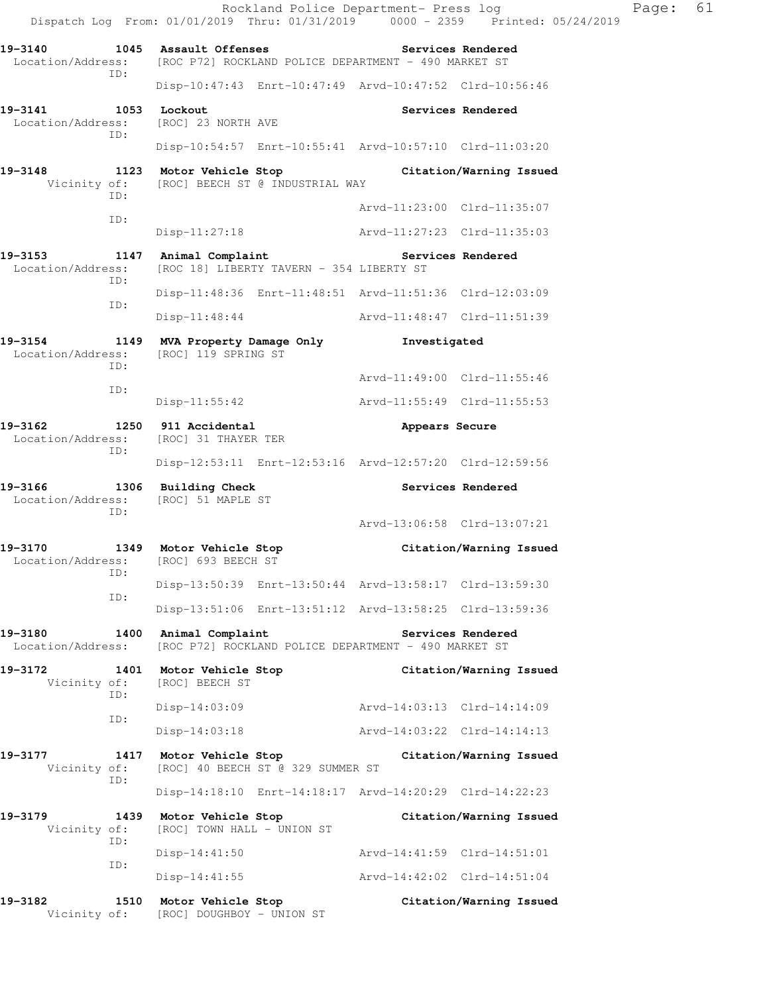Rockland Police Department- Press log Frank Page: 61 Dispatch Log From: 01/01/2019 Thru: 01/31/2019 0000 - 2359 Printed: 05/24/2019 **19-3140 1045 Assault Offenses Services Rendered**  Location/Address: [ROC P72] ROCKLAND POLICE DEPARTMENT - 490 MARKET ST ID: Disp-10:47:43 Enrt-10:47:49 Arvd-10:47:52 Clrd-10:56:46 19-3141 1053 Lockout **Services Rendered**  Location/Address: [ROC] 23 NORTH AVE ID: Disp-10:54:57 Enrt-10:55:41 Arvd-10:57:10 Clrd-11:03:20 **19-3148 1123 Motor Vehicle Stop Citation/Warning Issued**  Vicinity of: [ROC] BEECH ST @ INDUSTRIAL WAY ID: Arvd-11:23:00 Clrd-11:35:07 ID: Disp-11:27:18 Arvd-11:27:23 Clrd-11:35:03 **19-3153 1147 Animal Complaint Services Rendered**  Location/Address: [ROC 18] LIBERTY TAVERN - 354 LIBERTY ST ID: Disp-11:48:36 Enrt-11:48:51 Arvd-11:51:36 Clrd-12:03:09 ID: Disp-11:48:44 Arvd-11:48:47 Clrd-11:51:39 **19-3154 1149 MVA Property Damage Only Investigated**  Location/Address: [ROC] 119 SPRING ST ID: Arvd-11:49:00 Clrd-11:55:46 ID: Disp-11:55:42 Arvd-11:55:49 Clrd-11:55:53 **19-3162 1250 911 Accidental Appears Secure**  Location/Address: [ROC] 31 THAYER TER ID: Disp-12:53:11 Enrt-12:53:16 Arvd-12:57:20 Clrd-12:59:56 **19-3166 1306 Building Check Services Rendered**  Location/Address: [ROC] 51 MAPLE ST ID: Arvd-13:06:58 Clrd-13:07:21 **19-3170 1349 Motor Vehicle Stop Citation/Warning Issued**  Location/Address: [ROC] 693 BEECH ST ID: Disp-13:50:39 Enrt-13:50:44 Arvd-13:58:17 Clrd-13:59:30 ID: Disp-13:51:06 Enrt-13:51:12 Arvd-13:58:25 Clrd-13:59:36 19-3180 1400 Animal Complaint **19-3180** Services Rendered Location/Address: [ROC P72] ROCKLAND POLICE DEPARTMENT - 490 MARKET ST **19-3172 1401 Motor Vehicle Stop Citation/Warning Issued**  Vicinity of: [ROC] BEECH ST ID: Disp-14:03:09 Arvd-14:03:13 Clrd-14:14:09 ID: Disp-14:03:18 Arvd-14:03:22 Clrd-14:14:13 **19-3177 1417 Motor Vehicle Stop Citation/Warning Issued**  Vicinity of: [ROC] 40 BEECH ST @ 329 SUMMER ST ID: Disp-14:18:10 Enrt-14:18:17 Arvd-14:20:29 Clrd-14:22:23 **19-3179 1439 Motor Vehicle Stop Citation/Warning Issued**  Vicinity of: [ROC] TOWN HALL - UNION ST ID: Disp-14:41:50 Arvd-14:41:59 Clrd-14:51:01 ID: Disp-14:41:55 Arvd-14:42:02 Clrd-14:51:04 **19-3182 1510 Motor Vehicle Stop Citation/Warning Issued**  Vicinity of: [ROC] DOUGHBOY - UNION ST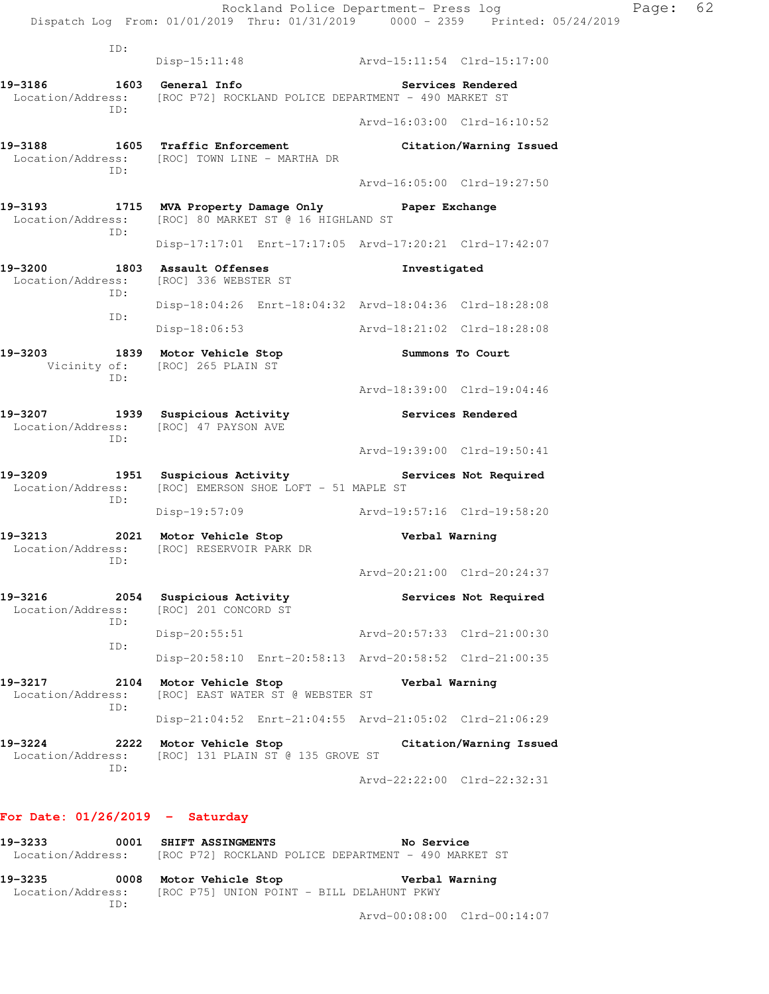|                                             | Rockland Police Department- Press log<br>Dispatch Log From: 01/01/2019 Thru: 01/31/2019 0000 - 2359 Printed: 05/24/2019 |                             |                         | Page: 62 |
|---------------------------------------------|-------------------------------------------------------------------------------------------------------------------------|-----------------------------|-------------------------|----------|
| ID:                                         | Disp-15:11:48 Arvd-15:11:54 Clrd-15:17:00                                                                               |                             |                         |          |
|                                             | 19-3186    1603    General Info<br>Location/Address: [ROC P72] ROCKLAND POLICE DEPARTMENT - 490 MARKET ST               | Services Rendered           |                         |          |
| ID:                                         |                                                                                                                         | Arvd-16:03:00 Clrd-16:10:52 |                         |          |
| ID:                                         | 19-3188 1605 Traffic Enforcement Citation/Warning Issued<br>Location/Address: [ROC] TOWN LINE - MARTHA DR               |                             |                         |          |
|                                             |                                                                                                                         | Arvd-16:05:00 Clrd-19:27:50 |                         |          |
| ID:                                         | 19-3193 1715 MVA Property Damage Only Paper Exchange<br>Location/Address: [ROC] 80 MARKET ST @ 16 HIGHLAND ST           |                             |                         |          |
|                                             | Disp-17:17:01 Enrt-17:17:05 Arvd-17:20:21 Clrd-17:42:07                                                                 |                             |                         |          |
| ID:                                         | 19-3200 1803 Assault Offenses Threstigated<br>Location/Address: [ROC] 336 WEBSTER ST                                    |                             |                         |          |
| ID:                                         | Disp-18:04:26 Enrt-18:04:32 Arvd-18:04:36 Clrd-18:28:08                                                                 |                             |                         |          |
|                                             | Disp-18:06:53 Arvd-18:21:02 Clrd-18:28:08                                                                               |                             |                         |          |
| ID:                                         | 19-3203 1839 Motor Vehicle Stop<br>Vicinity of: [ROC] 265 PLAIN ST                                                      | Summons To Court            |                         |          |
|                                             |                                                                                                                         | Arvd-18:39:00 Clrd-19:04:46 |                         |          |
| ID:                                         | 19-3207 1939 Suspicious Activity 19-3207 Services Rendered<br>Location/Address: [ROC] 47 PAYSON AVE                     |                             |                         |          |
|                                             |                                                                                                                         | Arvd-19:39:00 Clrd-19:50:41 |                         |          |
| ID:                                         | 19-3209 1951 Suspicious Activity The Services Not Required<br>Location/Address: [ROC] EMERSON SHOE LOFT - 51 MAPLE ST   |                             |                         |          |
|                                             | Disp-19:57:09 Arvd-19:57:16 Clrd-19:58:20                                                                               |                             |                         |          |
| ID:                                         | 19-3213 1021 Motor Vehicle Stop 19-3213<br>Location/Address: [ROC] RESERVOIR PARK DR                                    |                             |                         |          |
|                                             |                                                                                                                         | Arvd-20:21:00 Clrd-20:24:37 |                         |          |
| 19-3216<br>2054<br>Location/Address:<br>ID: | Suspicious Activity<br>[ROC] 201 CONCORD ST                                                                             |                             | Services Not Required   |          |
| ID:                                         | $Disp-20:55:51$                                                                                                         | Arvd-20:57:33 Clrd-21:00:30 |                         |          |
|                                             | Disp-20:58:10 Enrt-20:58:13 Arvd-20:58:52 Clrd-21:00:35                                                                 |                             |                         |          |
| 19-3217<br>2104<br>Location/Address:<br>ID: | Motor Vehicle Stop<br>[ROC] EAST WATER ST @ WEBSTER ST                                                                  | Verbal Warning              |                         |          |
|                                             | Disp-21:04:52 Enrt-21:04:55 Arvd-21:05:02 Clrd-21:06:29                                                                 |                             |                         |          |
| 19-3224<br>2222<br>Location/Address:<br>ID: | Motor Vehicle Stop<br>[ROC] 131 PLAIN ST @ 135 GROVE ST                                                                 |                             | Citation/Warning Issued |          |
|                                             |                                                                                                                         | Arvd-22:22:00 Clrd-22:32:31 |                         |          |

### **For Date: 01/26/2019 - Saturday**

**19-3233 0001 SHIFT ASSINGMENTS No Service**  Location/Address: [ROC P72] ROCKLAND POLICE DEPARTMENT - 490 MARKET ST

**19-3235 0008 Motor Vehicle Stop Verbal Warning**  Location/Address: [ROC P75] UNION POINT - BILL DELAHUNT PKWY ID:

Arvd-00:08:00 Clrd-00:14:07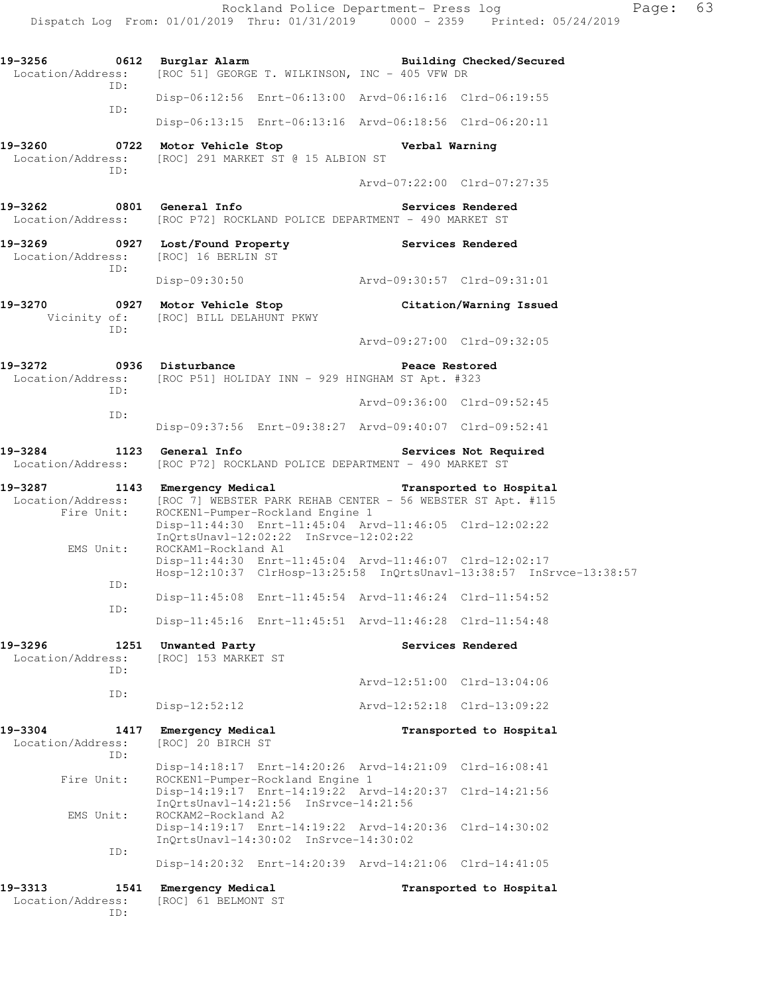| 19–3313<br>Location/Address:         | 1541<br>ID:              | Emergency Medical<br>[ROC] 61 BELMONT ST |                                                                           |                                                                                                                    | Transported to Hospital                                              |  |
|--------------------------------------|--------------------------|------------------------------------------|---------------------------------------------------------------------------|--------------------------------------------------------------------------------------------------------------------|----------------------------------------------------------------------|--|
|                                      |                          |                                          |                                                                           | Disp-14:20:32 Enrt-14:20:39 Arvd-14:21:06 Clrd-14:41:05                                                            |                                                                      |  |
|                                      | ID:                      |                                          | InQrtsUnavl-14:30:02 InSrvce-14:30:02                                     | Disp-14:19:17 Enrt-14:19:22 Arvd-14:20:36 Clrd-14:30:02                                                            |                                                                      |  |
| EMS Unit:                            |                          | ROCKAM2-Rockland A2                      | InQrtsUnavl-14:21:56 InSrvce-14:21:56                                     |                                                                                                                    |                                                                      |  |
| Fire Unit:                           |                          |                                          | ROCKEN1-Pumper-Rockland Engine 1                                          | Disp-14:18:17 Enrt-14:20:26 Arvd-14:21:09 Clrd-16:08:41<br>Disp-14:19:17 Enrt-14:19:22 Arvd-14:20:37 Clrd-14:21:56 |                                                                      |  |
| 19-3304<br>Location/Address:         | 1417<br>ID:              | Emergency Medical<br>[ROC] 20 BIRCH ST   |                                                                           |                                                                                                                    | Transported to Hospital                                              |  |
|                                      |                          | $Disp-12:52:12$                          |                                                                           | Arvd-12:52:18 Clrd-13:09:22                                                                                        |                                                                      |  |
|                                      | ID:                      |                                          |                                                                           | Arvd-12:51:00 Clrd-13:04:06                                                                                        |                                                                      |  |
| Location/Address:                    | ID:                      | [ROC] 153 MARKET ST                      |                                                                           |                                                                                                                    |                                                                      |  |
| 19-3296                              | 1251                     | Unwanted Party                           |                                                                           |                                                                                                                    | Services Rendered                                                    |  |
|                                      | ID:                      |                                          |                                                                           | Disp-11:45:16 Enrt-11:45:51 Arvd-11:46:28 Clrd-11:54:48                                                            |                                                                      |  |
|                                      | ID:                      |                                          |                                                                           | Disp-11:45:08 Enrt-11:45:54 Arvd-11:46:24 Clrd-11:54:52                                                            |                                                                      |  |
| EMS Unit:                            |                          | ROCKAM1-Rockland A1                      |                                                                           | Disp-11:44:30 Enrt-11:45:04 Arvd-11:46:07 Clrd-12:02:17                                                            | Hosp-12:10:37 ClrHosp-13:25:58 InQrtsUnavl-13:38:57 InSrvce-13:38:57 |  |
| Fire Unit:                           |                          |                                          | ROCKEN1-Pumper-Rockland Engine 1<br>InQrtsUnavl-12:02:22 InSrvce-12:02:22 | Disp-11:44:30 Enrt-11:45:04 Arvd-11:46:05 Clrd-12:02:22                                                            |                                                                      |  |
| 19-3287                              |                          |                                          | 1143 Emergency Medical                                                    | Location/Address: [ROC 7] WEBSTER PARK REHAB CENTER - 56 WEBSTER ST Apt. #115                                      | Transported to Hospital                                              |  |
|                                      |                          |                                          |                                                                           | Services Not Required<br>Location/Address: [ROC P72] ROCKLAND POLICE DEPARTMENT - 490 MARKET ST                    |                                                                      |  |
|                                      |                          |                                          |                                                                           | Disp-09:37:56 Enrt-09:38:27 Arvd-09:40:07 Clrd-09:52:41                                                            |                                                                      |  |
|                                      | ID:                      |                                          |                                                                           | Arvd-09:36:00 Clrd-09:52:45                                                                                        |                                                                      |  |
| 19-3272                              | ID:                      | 0936 Disturbance                         |                                                                           | Peace Restored<br>Location/Address: [ROC P51] HOLIDAY INN - 929 HINGHAM ST Apt. #323                               |                                                                      |  |
|                                      | ID:                      |                                          |                                                                           | Arvd-09:27:00 Clrd-09:32:05                                                                                        |                                                                      |  |
| 19-3270                              |                          | Vicinity of: [ROC] BILL DELAHUNT PKWY    |                                                                           |                                                                                                                    | 0927 Motor Vehicle Stop Citation/Warning Issued                      |  |
|                                      | ID:                      |                                          |                                                                           | Disp-09:30:50 Arvd-09:30:57 Clrd-09:31:01                                                                          |                                                                      |  |
| Location/Address: [ROC] 16 BERLIN ST |                          |                                          |                                                                           | 19-3269 0927 Lost/Found Property Services Rendered                                                                 |                                                                      |  |
| 19-3262                              |                          | 0801 General Info                        |                                                                           | Location/Address: [ROC P72] ROCKLAND POLICE DEPARTMENT - 490 MARKET ST                                             | Services Rendered                                                    |  |
|                                      | ID:                      |                                          |                                                                           | Arvd-07:22:00 Clrd-07:27:35                                                                                        |                                                                      |  |
| 19-3260<br>Location/Address:         |                          | 0722 Motor Vehicle Stop                  | [ROC] 291 MARKET ST @ 15 ALBION ST                                        | Verbal Warning                                                                                                     |                                                                      |  |
|                                      |                          |                                          |                                                                           | Disp-06:13:15 Enrt-06:13:16 Arvd-06:18:56 Clrd-06:20:11                                                            |                                                                      |  |
|                                      | ID:                      |                                          |                                                                           | Disp-06:12:56 Enrt-06:13:00 Arvd-06:16:16 Clrd-06:19:55                                                            |                                                                      |  |
|                                      | Location/Address:<br>ID: |                                          |                                                                           | [ROC 51] GEORGE T. WILKINSON, INC - 405 VFW DR                                                                     | Building Checked/Secured                                             |  |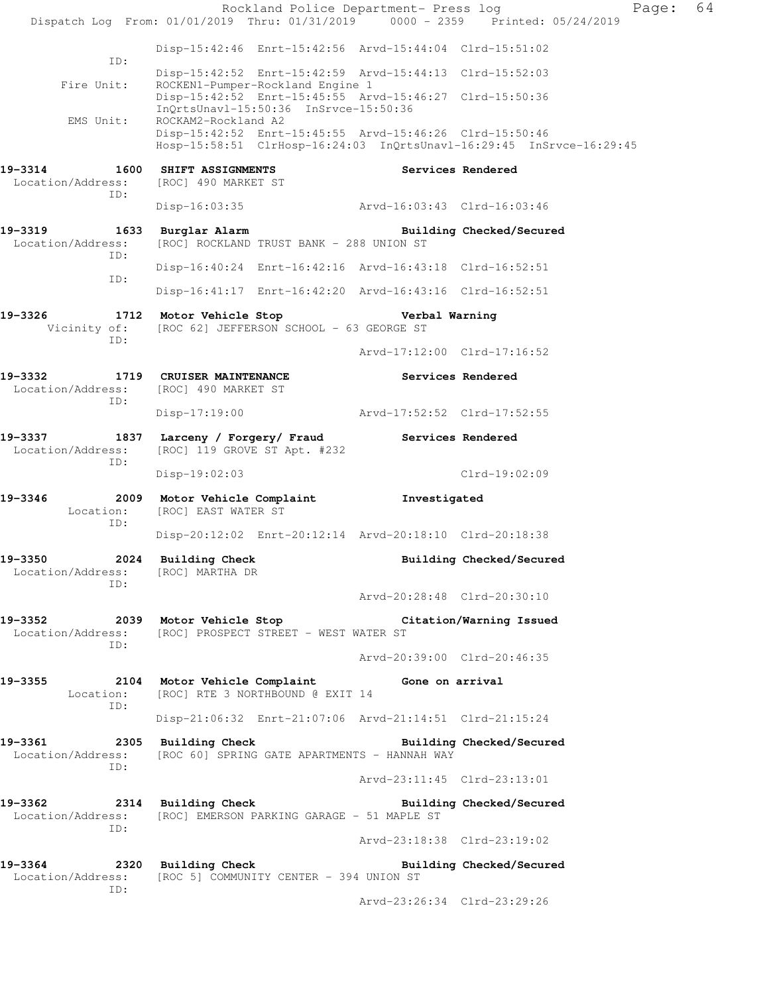Rockland Police Department- Press log Fage: 64 Dispatch Log From: 01/01/2019 Thru: 01/31/2019 0000 - 2359 Printed: 05/24/2019 Disp-15:42:46 Enrt-15:42:56 Arvd-15:44:04 Clrd-15:51:02 ID: Disp-15:42:52 Enrt-15:42:59 Arvd-15:44:13 Clrd-15:52:03 Fire Unit: ROCKEN1-Pumper-Rockland Engine 1 Disp-15:42:52 Enrt-15:45:55 Arvd-15:46:27 Clrd-15:50:36 InQrtsUnavl-15:50:36 InSrvce-15:50:36<br>EMS Unit: ROCKAM2-Rockland A2 ROCKAM2-Rockland A2 Disp-15:42:52 Enrt-15:45:55 Arvd-15:46:26 Clrd-15:50:46 Hosp-15:58:51 ClrHosp-16:24:03 InQrtsUnavl-16:29:45 InSrvce-16:29:45 **19-3314 1600 SHIFT ASSIGNMENTS Services Rendered**  Location/Address: [ROC] 490 MARKET ST ID: Disp-16:03:35 Arvd-16:03:43 Clrd-16:03:46 **19-3319 1633 Burglar Alarm Building Checked/Secured**  Location/Address: [ROC] ROCKLAND TRUST BANK - 288 UNION ST ID: Disp-16:40:24 Enrt-16:42:16 Arvd-16:43:18 Clrd-16:52:51 ID: Disp-16:41:17 Enrt-16:42:20 Arvd-16:43:16 Clrd-16:52:51 **19-3326 1712 Motor Vehicle Stop Verbal Warning**  Vicinity of: [ROC 62] JEFFERSON SCHOOL - 63 GEORGE ST ID: Arvd-17:12:00 Clrd-17:16:52 **19-3332 1719 CRUISER MAINTENANCE Services Rendered**  Location/Address: [ROC] 490 MARKET ST ID: Disp-17:19:00 Arvd-17:52:52 Clrd-17:52:55 **19-3337 1837 Larceny / Forgery/ Fraud Services Rendered**  Location/Address: [ROC] 119 GROVE ST Apt. #232 ID: Disp-19:02:03 Clrd-19:02:09 **19-3346 2009 Motor Vehicle Complaint Investigated**  Location: [ROC] EAST WATER ST ID: Disp-20:12:02 Enrt-20:12:14 Arvd-20:18:10 Clrd-20:18:38 **19-3350 2024 Building Check Building Checked/Secured**  Location/Address: [ROC] MARTHA DR ID: Arvd-20:28:48 Clrd-20:30:10 **19-3352 2039 Motor Vehicle Stop Citation/Warning Issued**  Location/Address: [ROC] PROSPECT STREET - WEST WATER ST ID: Arvd-20:39:00 Clrd-20:46:35 **19-3355 2104 Motor Vehicle Complaint Gone on arrival**  Location: [ROC] RTE 3 NORTHBOUND @ EXIT 14 ID: Disp-21:06:32 Enrt-21:07:06 Arvd-21:14:51 Clrd-21:15:24 **19-3361 2305 Building Check Building Checked/Secured**  Location/Address: [ROC 60] SPRING GATE APARTMENTS - HANNAH WAY ID: Arvd-23:11:45 Clrd-23:13:01 **19-3362 2314 Building Check Building Checked/Secured**  Location/Address: [ROC] EMERSON PARKING GARAGE - 51 MAPLE ST ID: Arvd-23:18:38 Clrd-23:19:02 **19-3364 2320 Building Check Building Checked/Secured**  Location/Address: [ROC 5] COMMUNITY CENTER - 394 UNION ST ID: Arvd-23:26:34 Clrd-23:29:26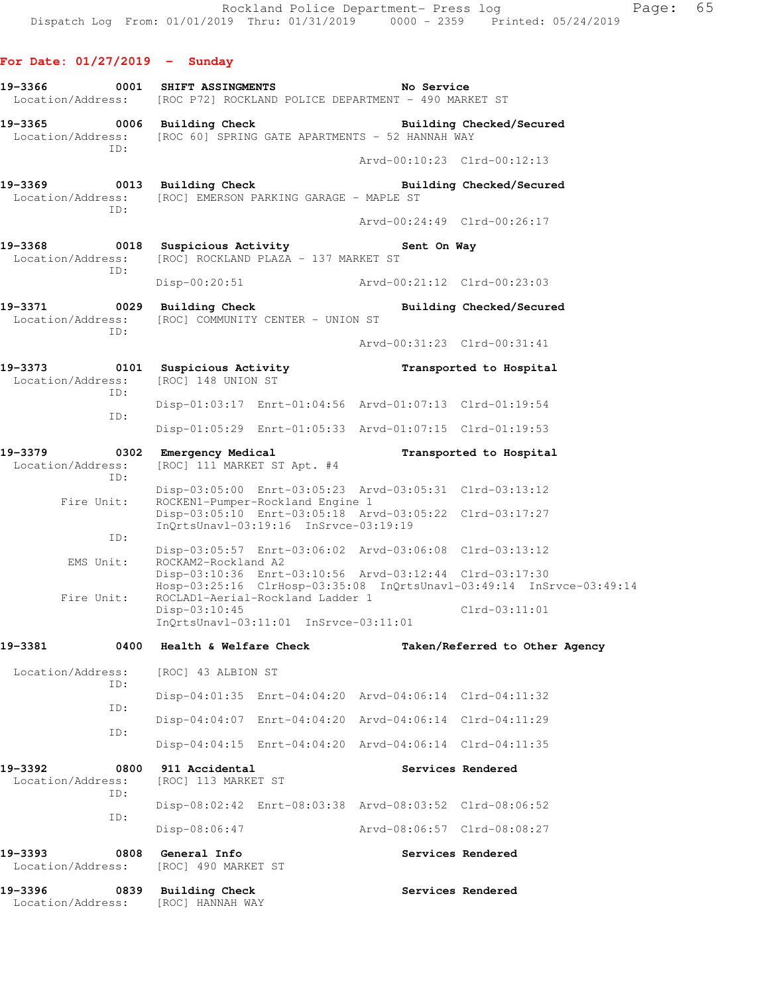# **For Date: 01/27/2019 - Sunday**

| 19-3366 0001 SHIFT ASSINGMENTS                  | Location/Address: [ROC P72] ROCKLAND POLICE DEPARTMENT - 490 MARKET ST                                                                                              | No Service                  |                                |
|-------------------------------------------------|---------------------------------------------------------------------------------------------------------------------------------------------------------------------|-----------------------------|--------------------------------|
| 19-3365 0006<br>Location/Address:<br>TD:        | Building Check<br>[ROC 60] SPRING GATE APARTMENTS - 52 HANNAH WAY                                                                                                   |                             | Building Checked/Secured       |
|                                                 |                                                                                                                                                                     | Arvd-00:10:23 Clrd-00:12:13 |                                |
| 19-3369 0013<br>Location/Address:<br>ID:        | <b>Building Check</b><br>[ROC] EMERSON PARKING GARAGE - MAPLE ST                                                                                                    |                             | Building Checked/Secured       |
|                                                 |                                                                                                                                                                     | Arvd-00:24:49 Clrd-00:26:17 |                                |
| 19-3368<br>0018<br>Location/Address:<br>ID:     | Suspicious Activity<br>[ROC] ROCKLAND PLAZA - 137 MARKET ST                                                                                                         | Sent On Way                 |                                |
|                                                 | Disp-00:20:51 Arvd-00:21:12 Clrd-00:23:03                                                                                                                           |                             |                                |
| 19-3371 0029<br>Location/Address:<br>TD:        | <b>Building Check</b><br>[ROC] COMMUNITY CENTER - UNION ST                                                                                                          |                             | Building Checked/Secured       |
|                                                 |                                                                                                                                                                     | Arvd-00:31:23 Clrd-00:31:41 |                                |
| $19 - 3373$<br>0101<br>Location/Address:<br>ID: | Suspicious Activity<br>[ROC] 148 UNION ST                                                                                                                           |                             | Transported to Hospital        |
| ID:                                             | Disp-01:03:17 Enrt-01:04:56 Arvd-01:07:13 Clrd-01:19:54                                                                                                             |                             |                                |
|                                                 | Disp-01:05:29 Enrt-01:05:33 Arvd-01:07:15 Clrd-01:19:53                                                                                                             |                             |                                |
| 19-3379<br>0302<br>Location/Address:<br>ID:     | Emergency Medical<br>[ROC] 111 MARKET ST Apt. #4                                                                                                                    |                             | Transported to Hospital        |
| Fire Unit:                                      | Disp-03:05:00 Enrt-03:05:23 Arvd-03:05:31 Clrd-03:13:12<br>ROCKEN1-Pumper-Rockland Engine 1                                                                         |                             |                                |
| ID:                                             | Disp-03:05:10 Enrt-03:05:18 Arvd-03:05:22 Clrd-03:17:27<br>InQrtsUnav1-03:19:16 InSrvce-03:19:19                                                                    |                             |                                |
| EMS Unit:                                       | Disp-03:05:57 Enrt-03:06:02 Arvd-03:06:08 Clrd-03:13:12<br>ROCKAM2-Rockland A2                                                                                      |                             |                                |
| Fire Unit:                                      | Disp-03:10:36 Enrt-03:10:56 Arvd-03:12:44 Clrd-03:17:30<br>Hosp-03:25:16 ClrHosp-03:35:08 InQrtsUnavl-03:49:14 InSrvce-03:49:14<br>ROCLAD1-Aerial-Rockland Ladder 1 |                             |                                |
|                                                 | Disp-03:10:45<br>InQrtsUnavl-03:11:01 InSrvce-03:11:01                                                                                                              |                             | $Clrd-03:11:01$                |
| 19-3381<br>0400                                 | Health & Welfare Check                                                                                                                                              |                             | Taken/Referred to Other Agency |
| Location/Address:<br>ID:                        | [ROC] 43 ALBION ST                                                                                                                                                  |                             |                                |
| ID:                                             | Disp-04:01:35 Enrt-04:04:20 Arvd-04:06:14 Clrd-04:11:32                                                                                                             |                             |                                |
|                                                 | Disp-04:04:07 Enrt-04:04:20 Arvd-04:06:14 Clrd-04:11:29                                                                                                             |                             |                                |
| ID:                                             | Disp-04:04:15 Enrt-04:04:20 Arvd-04:06:14 Clrd-04:11:35                                                                                                             |                             |                                |
| 19-3392<br>0800<br>Location/Address:            | 911 Accidental<br>[ROC] 113 MARKET ST                                                                                                                               |                             | Services Rendered              |

|         |      | Location/Address: [ROC] 490 MARKET ST |  |                                                         |                   |  |
|---------|------|---------------------------------------|--|---------------------------------------------------------|-------------------|--|
| 19–3393 | 0808 | General Info                          |  |                                                         | Services Rendered |  |
|         |      | Disp-08:06:47                         |  | Arvd-08:06:57 Clrd-08:08:27                             |                   |  |
|         | TD:  |                                       |  | Disp-08:02:42 Enrt-08:03:38 Arvd-08:03:52 Clrd-08:06:52 |                   |  |
|         | TD:  | Location/Address: IROCI II3 MARKET ST |  |                                                         |                   |  |

**19-3396 0839 Building Check Services Rendered**  Location/Address: [ROC] HANNAH WAY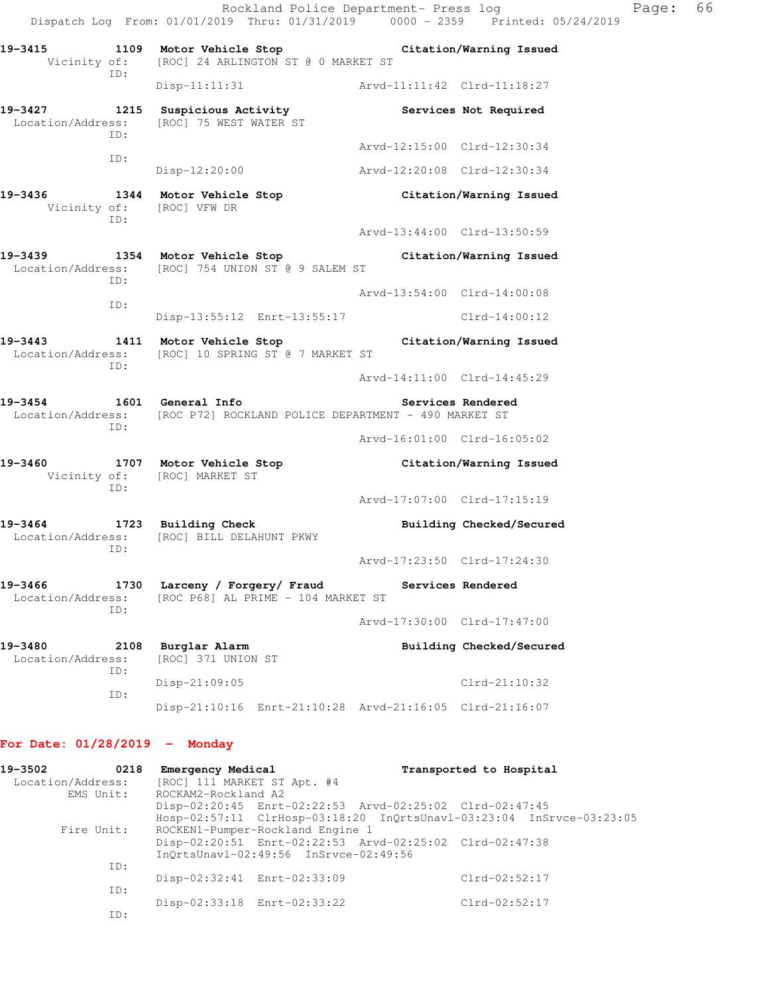Rockland Police Department- Press log Page: 66 Dispatch Log From: 01/01/2019 Thru: 01/31/2019 0000 - 2359 Printed: 05/24/2019 **19-3415 1109 Motor Vehicle Stop Citation/Warning Issued**  Vicinity of: [ROC] 24 ARLINGTON ST @ 0 MARKET ST ID: Disp-11:11:31 Arvd-11:11:42 Clrd-11:18:27 19-3427 **1215** Suspicious Activity **Services Not Required**  Location/Address: [ROC] 75 WEST WATER ST ID: Arvd-12:15:00 Clrd-12:30:34 ID: Disp-12:20:00 Arvd-12:20:08 Clrd-12:30:34 **19-3436 1344 Motor Vehicle Stop Citation/Warning Issued**  Vicinity of: [ROC] VFW DR ID: Arvd-13:44:00 Clrd-13:50:59 **19-3439 1354 Motor Vehicle Stop Citation/Warning Issued**  Location/Address: [ROC] 754 UNION ST @ 9 SALEM ST ID: Arvd-13:54:00 Clrd-14:00:08 ID: Disp-13:55:12 Enrt-13:55:17 Clrd-14:00:12 **19-3443 1411 Motor Vehicle Stop Citation/Warning Issued**  Location/Address: [ROC] 10 SPRING ST @ 7 MARKET ST ID: Arvd-14:11:00 Clrd-14:45:29 19-3454 1601 General Info **19-3454** Services Rendered Location/Address: [ROC P72] ROCKLAND POLICE DEPARTMENT - 490 MARKET ST ID: Arvd-16:01:00 Clrd-16:05:02 **19-3460 1707 Motor Vehicle Stop Citation/Warning Issued**  Vicinity of: [ROC] MARKET ST ID: Arvd-17:07:00 Clrd-17:15:19 19-3464 1723 Building Check **Building Checked/Secured**  Location/Address: [ROC] BILL DELAHUNT PKWY ID: Arvd-17:23:50 Clrd-17:24:30 **19-3466 1730 Larceny / Forgery/ Fraud Services Rendered**  Location/Address: [ROC P68] AL PRIME - 104 MARKET ST ID: Arvd-17:30:00 Clrd-17:47:00 **19-3480 2108 Burglar Alarm Building Checked/Secured**  Location/Address: [ROC] 371 UNION ST ID: Disp-21:09:05 Clrd-21:10:32 ID: Disp-21:10:16 Enrt-21:10:28 Arvd-21:16:05 Clrd-21:16:07

#### **For Date: 01/28/2019 - Monday**

| 19-3502<br>0218   | Emergency Medical           |                                       |                                                         | Transported to Hospital |                                                                      |
|-------------------|-----------------------------|---------------------------------------|---------------------------------------------------------|-------------------------|----------------------------------------------------------------------|
| Location/Address: | [ROC] 111 MARKET ST Apt. #4 |                                       |                                                         |                         |                                                                      |
| EMS Unit:         | ROCKAM2-Rockland A2         |                                       |                                                         |                         |                                                                      |
|                   |                             |                                       | Disp-02:20:45 Enrt-02:22:53 Arvd-02:25:02 Clrd-02:47:45 |                         |                                                                      |
|                   |                             |                                       |                                                         |                         | Hosp-02:57:11 ClrHosp-03:18:20 InOrtsUnav1-03:23:04 InSrvce-03:23:05 |
| Fire Unit:        |                             | ROCKEN1-Pumper-Rockland Engine 1      |                                                         |                         |                                                                      |
|                   |                             |                                       | Disp-02:20:51 Enrt-02:22:53 Arvd-02:25:02 Clrd-02:47:38 |                         |                                                                      |
|                   |                             | InOrtsUnav1-02:49:56 InSrvce-02:49:56 |                                                         |                         |                                                                      |
| ID:               |                             |                                       |                                                         |                         |                                                                      |
|                   | Disp-02:32:41 Enrt-02:33:09 |                                       |                                                         | $Clrd-02:52:17$         |                                                                      |
| ID:               |                             |                                       |                                                         |                         |                                                                      |
|                   |                             | Disp-02:33:18 Enrt-02:33:22           |                                                         | $Clrd-02:52:17$         |                                                                      |
| ID:               |                             |                                       |                                                         |                         |                                                                      |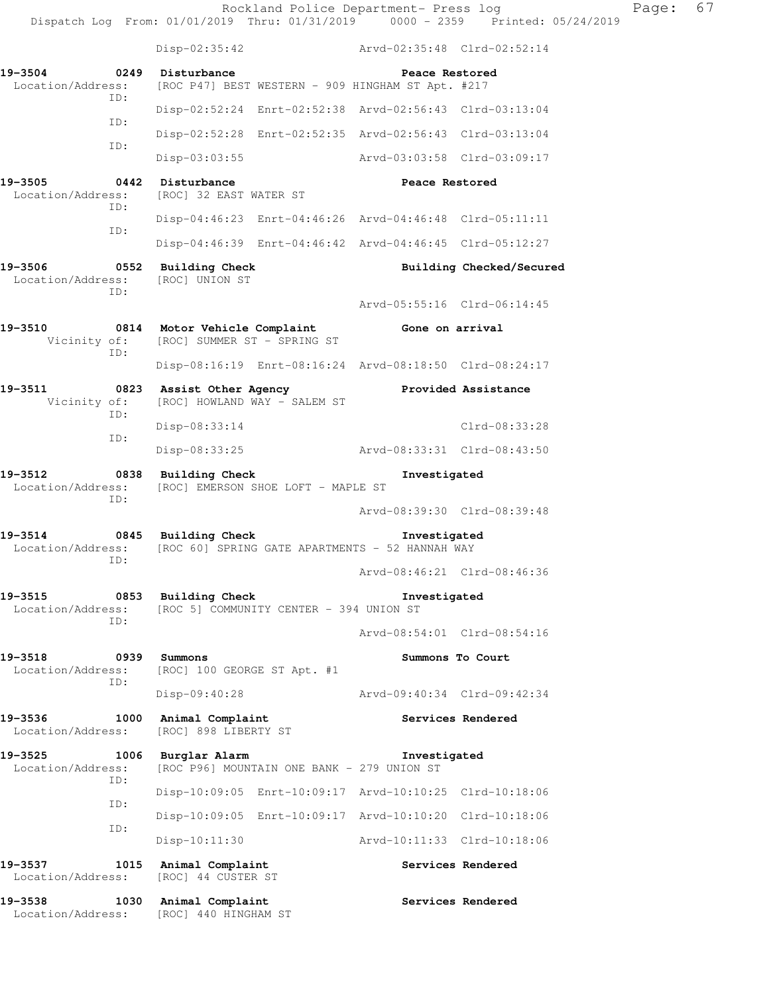Rockland Police Department- Press log Page: 67 Dispatch Log From: 01/01/2019 Thru: 01/31/2019 0000 - 2359 Printed: 05/24/2019 Disp-02:35:42 Arvd-02:35:48 Clrd-02:52:14 **19-3504 0249 Disturbance Peace Restored**  Location/Address: [ROC P47] BEST WESTERN - 909 HINGHAM ST Apt. #217 ID: Disp-02:52:24 Enrt-02:52:38 Arvd-02:56:43 Clrd-03:13:04 ID: Disp-02:52:28 Enrt-02:52:35 Arvd-02:56:43 Clrd-03:13:04 ID: Disp-03:03:55 Arvd-03:03:58 Clrd-03:09:17 **19-3505 0442 Disturbance Peace Restored**  Location/Address: [ROC] 32 EAST WATER ST ID: Disp-04:46:23 Enrt-04:46:26 Arvd-04:46:48 Clrd-05:11:11 ID: Disp-04:46:39 Enrt-04:46:42 Arvd-04:46:45 Clrd-05:12:27 19-3506 **0552** Building Check **Building Checked/Secured**  Location/Address: [ROC] UNION ST ID: Arvd-05:55:16 Clrd-06:14:45 **19-3510 0814 Motor Vehicle Complaint Gone on arrival** Vicinity of: [ROC] SUMMER ST - SPRING ST Vicinity of: [ROC] SUMMER ST - SPRING ST ID: Disp-08:16:19 Enrt-08:16:24 Arvd-08:18:50 Clrd-08:24:17 **19-3511 0823 Assist Other Agency Provided Assistance**  Vicinity of: [ROC] HOWLAND WAY - SALEM ST ID: Disp-08:33:14 Clrd-08:33:28 ID: Disp-08:33:25 Arvd-08:33:31 Clrd-08:43:50 **19-3512 0838 Building Check Investigated**  Location/Address: [ROC] EMERSON SHOE LOFT - MAPLE ST ID: Arvd-08:39:30 Clrd-08:39:48 **19-3514 0845 Building Check Investigated**  Location/Address: [ROC 60] SPRING GATE APARTMENTS - 52 HANNAH WAY ID: Arvd-08:46:21 Clrd-08:46:36 **19-3515 0853 Building Check Investigated**  Location/Address: [ROC 5] COMMUNITY CENTER - 394 UNION ST ID: Arvd-08:54:01 Clrd-08:54:16 **19-3518 0939 Summons Summons To Court**  Location/Address: [ROC] 100 GEORGE ST Apt. #1 ID: Disp-09:40:28 Arvd-09:40:34 Clrd-09:42:34 19-3536 1000 Animal Complaint **19-3536** Services Rendered Location/Address: [ROC] 898 LIBERTY ST **19-3525 1006 Burglar Alarm Investigated**  Location/Address: [ROC P96] MOUNTAIN ONE BANK - 279 UNION ST ID: Disp-10:09:05 Enrt-10:09:17 Arvd-10:10:25 Clrd-10:18:06 ID: Disp-10:09:05 Enrt-10:09:17 Arvd-10:10:20 Clrd-10:18:06 ID: Disp-10:11:30 Arvd-10:11:33 Clrd-10:18:06 19-3537 1015 Animal Complaint **Services Rendered** Location/Address: [ROC] 44 CUSTER ST 19-3538 1030 Animal Complaint **1050 Services Rendered** Location/Address: [ROC] 440 HINGHAM ST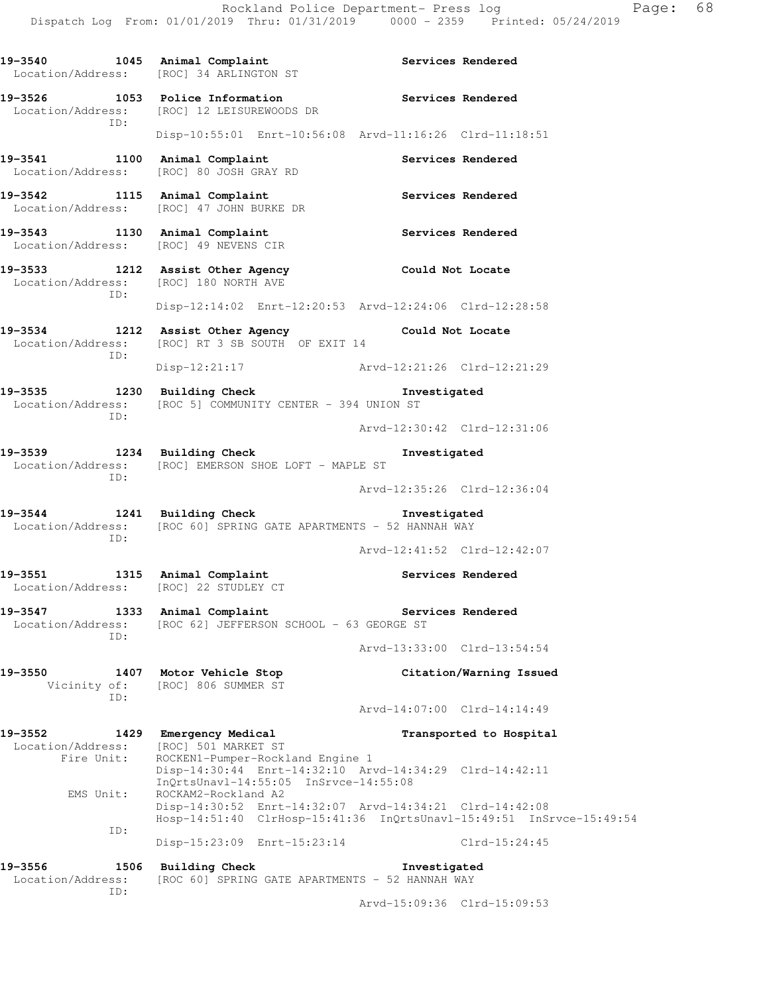| 19-3540                                                         |             | 1045 Animal Complaint<br>Location/Address: [ROC] 34 ARLINGTON ST                                                                |                   | Services Rendered           |  |
|-----------------------------------------------------------------|-------------|---------------------------------------------------------------------------------------------------------------------------------|-------------------|-----------------------------|--|
|                                                                 |             | 19-3526 1053 Police Information<br>Location/Address: [ROC] 12 LEISUREWOODS DR                                                   | Services Rendered |                             |  |
| ID:                                                             |             | Disp-10:55:01 Enrt-10:56:08 Arvd-11:16:26 Clrd-11:18:51                                                                         |                   |                             |  |
| 19-3541 1100 Animal Complaint                                   |             | Location/Address: [ROC] 80 JOSH GRAY RD                                                                                         |                   | Services Rendered           |  |
| 19-3542 1115 Animal Complaint                                   |             | Location/Address: [ROC] 47 JOHN BURKE DR                                                                                        | Services Rendered |                             |  |
| 19-3543 1130 Animal Complaint                                   |             | Location/Address: [ROC] 49 NEVENS CIR                                                                                           | Services Rendered |                             |  |
| Location/Address:<br>ID:                                        |             | 19-3533 1212 Assist Other Agency<br>[ROC] 180 NORTH AVE                                                                         | Could Not Locate  |                             |  |
|                                                                 |             | Disp-12:14:02 Enrt-12:20:53 Arvd-12:24:06 Clrd-12:28:58                                                                         |                   |                             |  |
| Location/Address:<br>ID:                                        |             | 19-3534 1212 Assist Other Agency 60 Could Not Locate<br>[ROC] RT 3 SB SOUTH OF EXIT 14                                          |                   |                             |  |
|                                                                 |             | Disp-12:21:17 Arvd-12:21:26 Clrd-12:21:29                                                                                       |                   |                             |  |
| 19-3535 1230 Building Check<br>Location/Address:<br>ID:         |             | [ROC 5] COMMUNITY CENTER - 394 UNION ST                                                                                         | Investigated      |                             |  |
|                                                                 |             |                                                                                                                                 |                   | Arvd-12:30:42 Clrd-12:31:06 |  |
| 19-3539 1234 Building Check<br>ID:                              |             | Location/Address: [ROC] EMERSON SHOE LOFT - MAPLE ST                                                                            | Investigated      |                             |  |
|                                                                 |             |                                                                                                                                 |                   | Arvd-12:35:26 Clrd-12:36:04 |  |
| 19-3544 1241 Building Check<br>ID:                              |             | Location/Address: [ROC 60] SPRING GATE APARTMENTS - 52 HANNAH WAY                                                               | Investigated      |                             |  |
|                                                                 |             |                                                                                                                                 |                   | Arvd-12:41:52 Clrd-12:42:07 |  |
| 19-3551 1315 Animal Complaint                                   |             | Location/Address: [ROC] 22 STUDLEY CT                                                                                           |                   | Services Rendered           |  |
| 19-3547<br>Location/Address:                                    | 1333<br>TD: | Animal Complaint<br>[ROC 62] JEFFERSON SCHOOL - 63 GEORGE ST                                                                    |                   | Services Rendered           |  |
|                                                                 |             |                                                                                                                                 |                   | Arvd-13:33:00 Clrd-13:54:54 |  |
| 19-3550<br>Vicinity of:<br>ID:                                  |             | 1407 Motor Vehicle Stop<br>[ROC] 806 SUMMER ST                                                                                  |                   | Citation/Warning Issued     |  |
|                                                                 |             |                                                                                                                                 |                   | Arvd-14:07:00 Clrd-14:14:49 |  |
| 19-3552<br>1429<br>Location/Address:<br>Fire Unit:<br>EMS Unit: |             | Emergency Medical<br>[ROC] 501 MARKET ST<br>ROCKEN1-Pumper-Rockland Engine 1                                                    |                   | Transported to Hospital     |  |
|                                                                 |             | Disp-14:30:44 Enrt-14:32:10 Arvd-14:34:29 Clrd-14:42:11<br>InQrtsUnavl-14:55:05 InSrvce-14:55:08<br>ROCKAM2-Rockland A2         |                   |                             |  |
| ID:                                                             |             | Disp-14:30:52 Enrt-14:32:07 Arvd-14:34:21 Clrd-14:42:08<br>Hosp-14:51:40 ClrHosp-15:41:36 InQrtsUnavl-15:49:51 InSrvce-15:49:54 |                   |                             |  |
|                                                                 |             | Disp-15:23:09 Enrt-15:23:14                                                                                                     |                   | $Clrd-15:24:45$             |  |
| 19-3556<br>Location/Address:<br>ID:                             | 1506        | <b>Building Check</b><br>[ROC 60] SPRING GATE APARTMENTS - 52 HANNAH WAY                                                        | Investigated      |                             |  |

Arvd-15:09:36 Clrd-15:09:53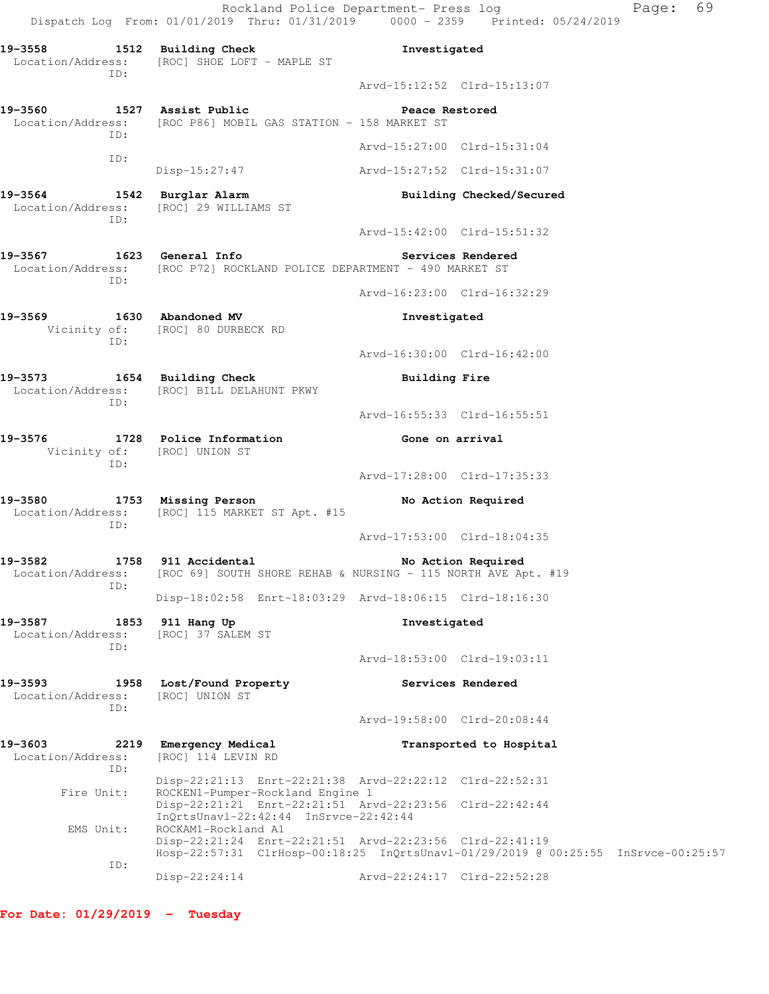Rockland Police Department- Press log Paqe: 69 Dispatch Log From: 01/01/2019 Thru: 01/31/2019 0000 - 2359 Printed: 05/24/2019 **19-3558 1512 Building Check Investigated**  Location/Address: [ROC] SHOE LOFT - MAPLE ST ID: Arvd-15:12:52 Clrd-15:13:07 **19-3560 1527 Assist Public Peace Restored**  Location/Address: [ROC P86] MOBIL GAS STATION - 158 MARKET ST ID: Arvd-15:27:00 Clrd-15:31:04 ID: Disp-15:27:47 Arvd-15:27:52 Clrd-15:31:07 **19-3564 1542 Burglar Alarm Building Checked/Secured**  Location/Address: [ROC] 29 WILLIAMS ST ID: Arvd-15:42:00 Clrd-15:51:32 **19-3567 1623 General Info Services Rendered**  Location/Address: [ROC P72] ROCKLAND POLICE DEPARTMENT - 490 MARKET ST ID: Arvd-16:23:00 Clrd-16:32:29 **19-3569 1630 Abandoned MV Investigated**  Vicinity of: [ROC] 80 DURBECK RD ID: Arvd-16:30:00 Clrd-16:42:00 19-3573 1654 Building Check **Building Fire**  Location/Address: [ROC] BILL DELAHUNT PKWY ID: Arvd-16:55:33 Clrd-16:55:51 19-3576 1728 Police Information **19-3576** Cone on arrival Vicinity of: [ROC] UNION ST ID: Arvd-17:28:00 Clrd-17:35:33 **19-3580 1753 Missing Person No Action Required**  Location/Address: [ROC] 115 MARKET ST Apt. #15 ID: Arvd-17:53:00 Clrd-18:04:35 19-3582 1758 911 Accidental **19-3582** No Action Required Location/Address: [ROC 69] SOUTH SHORE REHAB & NURSING - 115 NORTH AVE Apt. #19 ID: Disp-18:02:58 Enrt-18:03:29 Arvd-18:06:15 Clrd-18:16:30 **19-3587 1853 911 Hang Up Investigated**  Location/Address: [ROC] 37 SALEM ST ID: Arvd-18:53:00 Clrd-19:03:11 **19-3593 1958 Lost/Found Property Services Rendered**  Location/Address: [ROC] UNION ST ID: Arvd-19:58:00 Clrd-20:08:44 **19-3603 2219 Emergency Medical Transported to Hospital**  Location/Address: [ROC] 114 LEVIN RD ID: Disp-22:21:13 Enrt-22:21:38 Arvd-22:22:12 Clrd-22:52:31 Fire Unit: ROCKEN1-Pumper-Rockland Engine 1 Disp-22:21:21 Enrt-22:21:51 Arvd-22:23:56 Clrd-22:42:44 InQrtsUnavl-22:42:44 InSrvce-22:42:44<br>EMS Unit: ROCKAM1-Rockland A1 ROCKAM1-Rockland A1 Disp-22:21:24 Enrt-22:21:51 Arvd-22:23:56 Clrd-22:41:19 Hosp-22:57:31 ClrHosp-00:18:25 InQrtsUnavl-01/29/2019 @ 00:25:55 InSrvce-00:25:57 ID:

Disp-22:24:14 Arvd-22:24:17 Clrd-22:52:28

**For Date: 01/29/2019 - Tuesday**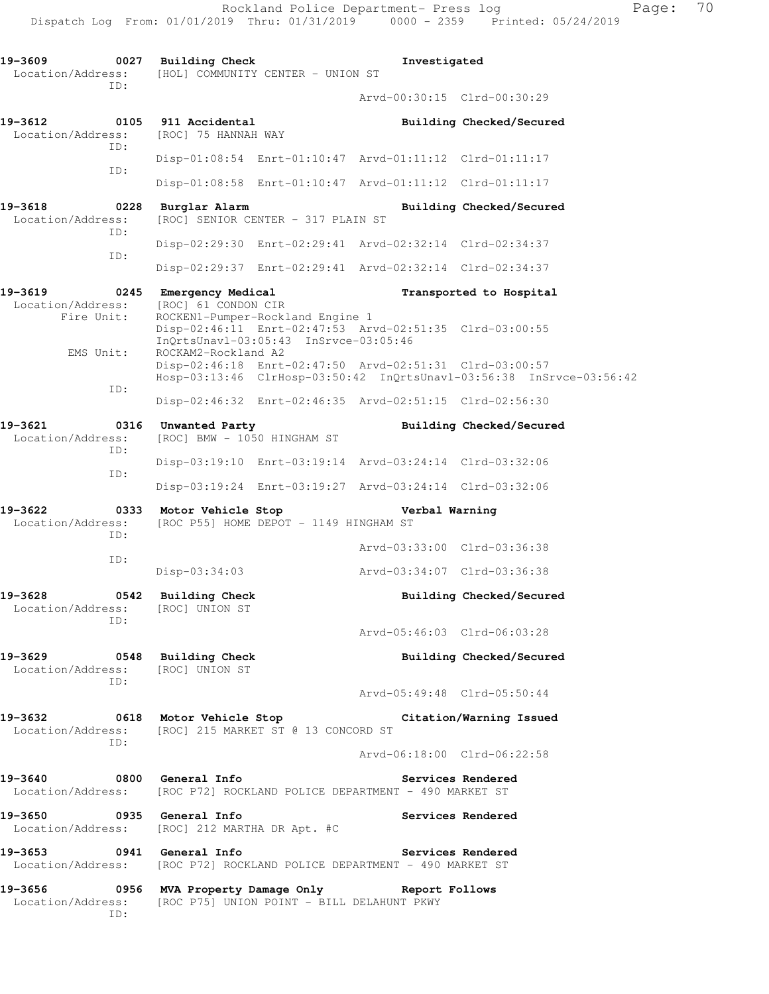**19-3609 0027 Building Check Investigated**  Location/Address: [HOL] COMMUNITY CENTER - UNION ST ID: Arvd-00:30:15 Clrd-00:30:29 **19-3612 0105 911 Accidental Building Checked/Secured**  Location/Address: [ROC] 75 HANNAH WAY ID: Disp-01:08:54 Enrt-01:10:47 Arvd-01:11:12 Clrd-01:11:17 ID: Disp-01:08:58 Enrt-01:10:47 Arvd-01:11:12 Clrd-01:11:17 **19-3618 0228 Burglar Alarm Building Checked/Secured**  Location/Address: [ROC] SENIOR CENTER - 317 PLAIN ST ID: Disp-02:29:30 Enrt-02:29:41 Arvd-02:32:14 Clrd-02:34:37 ID: Disp-02:29:37 Enrt-02:29:41 Arvd-02:32:14 Clrd-02:34:37 **19-3619 0245 Emergency Medical Transported to Hospital**  Location/Address: [ROC] 61 CONDON CIR Fire Unit: ROCKEN1-Pumper-Rockland Engine 1 Disp-02:46:11 Enrt-02:47:53 Arvd-02:51:35 Clrd-03:00:55 InQrtsUnavl-03:05:43 InSrvce-03:05:46 EMS Unit: ROCKAM2-Rockland A2 Disp-02:46:18 Enrt-02:47:50 Arvd-02:51:31 Clrd-03:00:57 Hosp-03:13:46 ClrHosp-03:50:42 InQrtsUnavl-03:56:38 InSrvce-03:56:42 ID: Disp-02:46:32 Enrt-02:46:35 Arvd-02:51:15 Clrd-02:56:30 19-3621 **0316** Unwanted Party **Building Checked/Secured** Location/Address: [ROC] BMW - 1050 HINGHAM ST ID: Disp-03:19:10 Enrt-03:19:14 Arvd-03:24:14 Clrd-03:32:06 ID: Disp-03:19:24 Enrt-03:19:27 Arvd-03:24:14 Clrd-03:32:06 **19-3622 0333 Motor Vehicle Stop Verbal Warning**  Location/Address: [ROC P55] HOME DEPOT - 1149 HINGHAM ST ID: Arvd-03:33:00 Clrd-03:36:38 ID: Disp-03:34:03 Arvd-03:34:07 Clrd-03:36:38 19-3628 0542 Building Check **Building Check Building Checked/Secured**  Location/Address: [ROC] UNION ST ID: Arvd-05:46:03 Clrd-06:03:28 **19-3629 0548 Building Check Building Checked/Secured**  Location/Address: ID: Arvd-05:49:48 Clrd-05:50:44 **19-3632 0618 Motor Vehicle Stop Citation/Warning Issued**  Location/Address: [ROC] 215 MARKET ST @ 13 CONCORD ST ID: Arvd-06:18:00 Clrd-06:22:58 **19-3640 0800 General Info Services Rendered**  Location/Address: [ROC P72] ROCKLAND POLICE DEPARTMENT - 490 MARKET ST **19-3650 0935 General Info Services Rendered**  Location/Address: [ROC] 212 MARTHA DR Apt. #C **19-3653 0941 General Info Services Rendered**  Location/Address: [ROC P72] ROCKLAND POLICE DEPARTMENT - 490 MARKET ST **19-3656 0956 MVA Property Damage Only Report Follows**  Location/Address: [ROC P75] UNION POINT - BILL DELAHUNT PKWY ID: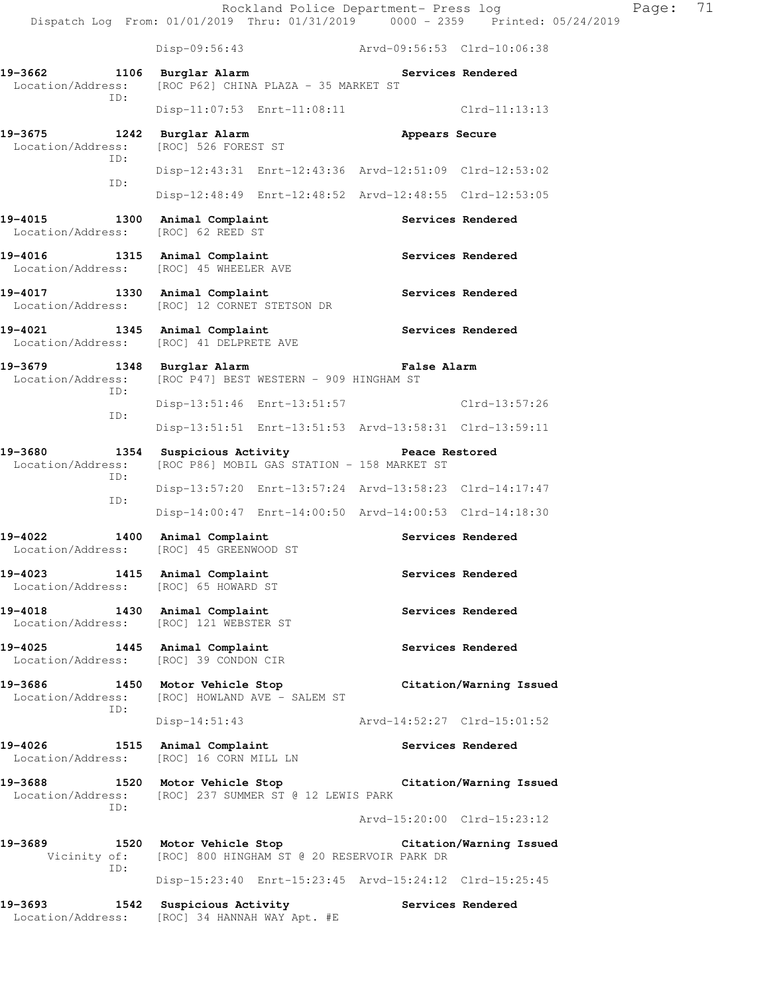Disp-09:56:43 Arvd-09:56:53 Clrd-10:06:38

19-3662 **1106** Burglar Alarm **Services Rendered**  Location/Address: [ROC P62] CHINA PLAZA - 35 MARKET ST ID: Disp-11:07:53 Enrt-11:08:11 Clrd-11:13:13 **19-3675 1242 Burglar Alarm Appears Secure**  Location/Address: [ROC] 526 FOREST ST ID: Disp-12:43:31 Enrt-12:43:36 Arvd-12:51:09 Clrd-12:53:02 ID: Disp-12:48:49 Enrt-12:48:52 Arvd-12:48:55 Clrd-12:53:05 19-4015 1300 Animal Complaint **19-4015** Services Rendered Location/Address: [ROC] 62 REED ST 19-4016 1315 Animal Complaint **1896 1897 Services Rendered** Location/Address: [ROC] 45 WHEELER AVE **19-4017 1330 Animal Complaint Services Rendered**  Location/Address: [ROC] 12 CORNET STETSON DR **19-4021 1345 Animal Complaint Services Rendered**  Location/Address: [ROC] 41 DELPRETE AVE **19-3679 1348 Burglar Alarm False Alarm**  Location/Address: [ROC P47] BEST WESTERN - 909 HINGHAM ST ID: Disp-13:51:46 Enrt-13:51:57 Clrd-13:57:26 ID: Disp-13:51:51 Enrt-13:51:53 Arvd-13:58:31 Clrd-13:59:11 **19-3680 1354 Suspicious Activity Peace Restored**  Location/Address: [ROC P86] MOBIL GAS STATION - 158 MARKET ST ID: Disp-13:57:20 Enrt-13:57:24 Arvd-13:58:23 Clrd-14:17:47 ID: Disp-14:00:47 Enrt-14:00:50 Arvd-14:00:53 Clrd-14:18:30 19-4022 1400 Animal Complaint **19-4022** Services Rendered Location/Address: [ROC] 45 GREENWOOD ST 19-4023 1415 Animal Complaint **Services Rendered**  Location/Address: [ROC] 65 HOWARD ST 19-4018 1430 Animal Complaint **1896 Services Rendered**  Location/Address: [ROC] 121 WEBSTER ST **19-4025 1445 Animal Complaint Services Rendered**  Location/Address: [ROC] 39 CONDON CIR **19-3686 1450 Motor Vehicle Stop Citation/Warning Issued**  Location/Address: [ROC] HOWLAND AVE - SALEM ST ID: Disp-14:51:43 Arvd-14:52:27 Clrd-15:01:52 19-4026 1515 Animal Complaint **19-4026** Services Rendered Location/Address: [ROC] 16 CORN MILL LN **19-3688 1520 Motor Vehicle Stop Citation/Warning Issued**  Location/Address: [ROC] 237 SUMMER ST @ 12 LEWIS PARK ID: Arvd-15:20:00 Clrd-15:23:12 **19-3689 1520 Motor Vehicle Stop Citation/Warning Issued**  Vicinity of: [ROC] 800 HINGHAM ST @ 20 RESERVOIR PARK DR ID: Disp-15:23:40 Enrt-15:23:45 Arvd-15:24:12 Clrd-15:25:45

19-3693 1542 Suspicious Activity **19-3693** Services Rendered Location/Address: [ROC] 34 HANNAH WAY Apt. #E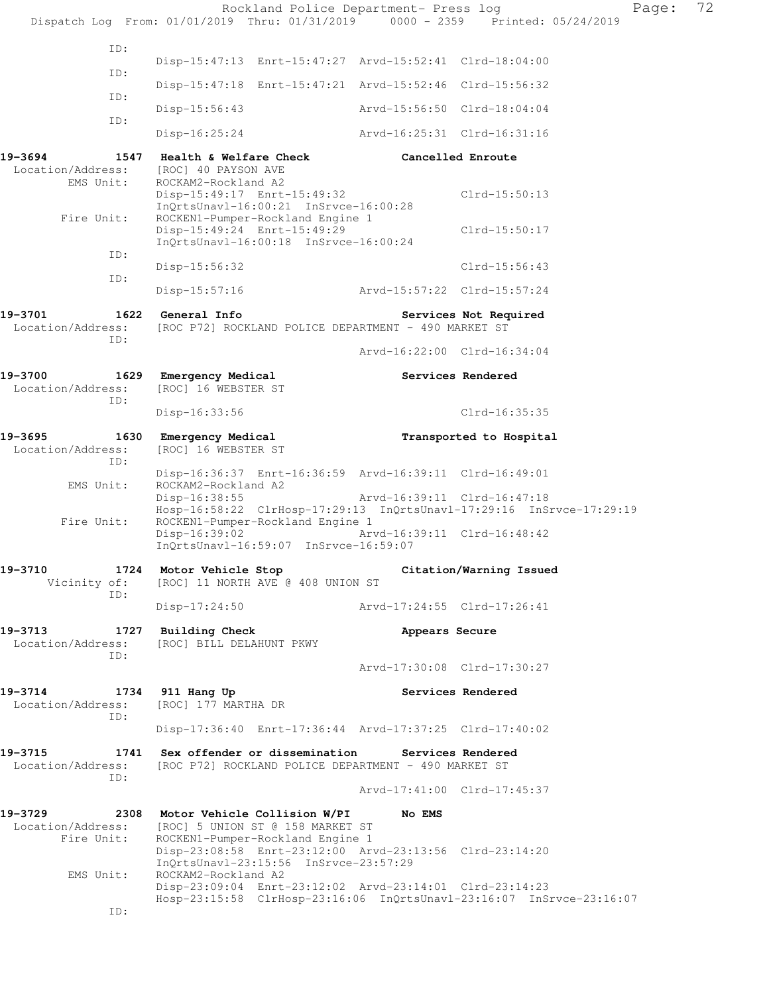|                                            | Rockland Police Department- Press log<br>Dispatch Log From: 01/01/2019 Thru: 01/31/2019 0000 - 2359 Printed: 05/24/2019                                              |                             |                       | Page: | 72 |  |  |
|--------------------------------------------|----------------------------------------------------------------------------------------------------------------------------------------------------------------------|-----------------------------|-----------------------|-------|----|--|--|
| ID:                                        |                                                                                                                                                                      |                             |                       |       |    |  |  |
| ID:                                        | Disp-15:47:13 Enrt-15:47:27 Arvd-15:52:41 Clrd-18:04:00                                                                                                              |                             |                       |       |    |  |  |
| ID:                                        | Disp-15:47:18 Enrt-15:47:21 Arvd-15:52:46 Clrd-15:56:32                                                                                                              |                             |                       |       |    |  |  |
|                                            | $Disp-15:56:43$                                                                                                                                                      | Arvd-15:56:50 Clrd-18:04:04 |                       |       |    |  |  |
| ID:                                        | Disp-16:25:24                                                                                                                                                        | Arvd-16:25:31 Clrd-16:31:16 |                       |       |    |  |  |
| 19-3694<br>Location/Address:<br>EMS Unit:  | 1547 Health & Welfare Check<br>[ROC] 40 PAYSON AVE<br>ROCKAM2-Rockland A2                                                                                            | Cancelled Enroute           |                       |       |    |  |  |
| Fire Unit:                                 | Disp-15:49:17 Enrt-15:49:32<br>InQrtsUnavl-16:00:21 InSrvce-16:00:28<br>ROCKEN1-Pumper-Rockland Engine 1                                                             |                             | Clrd-15:50:13         |       |    |  |  |
| ID:                                        | Disp-15:49:24 Enrt-15:49:29<br>InQrtsUnavl-16:00:18 InSrvce-16:00:24                                                                                                 |                             | Clrd-15:50:17         |       |    |  |  |
| ID:                                        | Disp-15:56:32                                                                                                                                                        |                             | $Clrd-15:56:43$       |       |    |  |  |
|                                            | $Disp-15:57:16$                                                                                                                                                      | Arvd-15:57:22 Clrd-15:57:24 |                       |       |    |  |  |
| 19-3701<br>Location/Address:<br>ID:        | 1622 General Info                                                                                                                                                    |                             | Services Not Required |       |    |  |  |
|                                            | [ROC P72] ROCKLAND POLICE DEPARTMENT - 490 MARKET ST                                                                                                                 | Arvd-16:22:00 Clrd-16:34:04 |                       |       |    |  |  |
| 19-3700                                    | 1629 Emergency Medical                                                                                                                                               |                             | Services Rendered     |       |    |  |  |
| Location/Address:<br>ID:                   | [ROC] 16 WEBSTER ST<br>$Disp-16:33:56$                                                                                                                               |                             | Clrd-16:35:35         |       |    |  |  |
|                                            | Transported to Hospital                                                                                                                                              |                             |                       |       |    |  |  |
| 19–3695<br>Location/Address:<br>ID:        | 1630 Emergency Medical<br>[ROC] 16 WEBSTER ST                                                                                                                        |                             |                       |       |    |  |  |
| EMS Unit:                                  | Disp-16:36:37 Enrt-16:36:59 Arvd-16:39:11 Clrd-16:49:01<br>ROCKAM2-Rockland A2                                                                                       |                             |                       |       |    |  |  |
| Fire Unit:                                 | $Disp-16:38:55$<br>Hosp-16:58:22 ClrHosp-17:29:13 InQrtsUnavl-17:29:16 InSrvce-17:29:19<br>ROCKEN1-Pumper-Rockland Engine 1                                          | Arvd-16:39:11 Clrd-16:47:18 |                       |       |    |  |  |
|                                            | $Disp-16:39:02$<br>InQrtsUnavl-16:59:07 InSrvce-16:59:07                                                                                                             | Arvd-16:39:11 Clrd-16:48:42 |                       |       |    |  |  |
| 19-3710<br>Vicinity of:<br>ID:             | 1724 Motor Vehicle Stop<br>Citation/Warning Issued<br>[ROC] 11 NORTH AVE @ 408 UNION ST                                                                              |                             |                       |       |    |  |  |
|                                            | $Disp-17:24:50$                                                                                                                                                      | Arvd-17:24:55 Clrd-17:26:41 |                       |       |    |  |  |
| 19–3713<br>Location/Address:<br>ID:        | 1727 Building Check<br>[ROC] BILL DELAHUNT PKWY                                                                                                                      | Appears Secure              |                       |       |    |  |  |
|                                            |                                                                                                                                                                      | Arvd-17:30:08 Clrd-17:30:27 |                       |       |    |  |  |
| 19-3714<br>Location/Address:<br>ID:        | 1734 911 Hang Up<br>[ROC] 177 MARTHA DR                                                                                                                              |                             | Services Rendered     |       |    |  |  |
|                                            | Disp-17:36:40 Enrt-17:36:44 Arvd-17:37:25 Clrd-17:40:02                                                                                                              |                             |                       |       |    |  |  |
| 19-3715<br>Location/Address:<br>ID:        | 1741 Sex offender or dissemination Services Rendered<br>[ROC P72] ROCKLAND POLICE DEPARTMENT - 490 MARKET ST                                                         |                             |                       |       |    |  |  |
|                                            |                                                                                                                                                                      | Arvd-17:41:00 Clrd-17:45:37 |                       |       |    |  |  |
| 19-3729<br>Location/Address:<br>Fire Unit: | 2308 Motor Vehicle Collision W/PI<br>[ROC] 5 UNION ST @ 158 MARKET ST<br>ROCKEN1-Pumper-Rockland Engine 1<br>Disp-23:08:58 Enrt-23:12:00 Arvd-23:13:56 Clrd-23:14:20 | No EMS                      |                       |       |    |  |  |
| EMS Unit:                                  | InQrtsUnavl-23:15:56 InSrvce-23:57:29<br>ROCKAM2-Rockland A2                                                                                                         |                             |                       |       |    |  |  |
| ID:                                        | Disp-23:09:04 Enrt-23:12:02 Arvd-23:14:01 Clrd-23:14:23<br>Hosp-23:15:58 ClrHosp-23:16:06 InQrtsUnavl-23:16:07 InSrvce-23:16:07                                      |                             |                       |       |    |  |  |
|                                            |                                                                                                                                                                      |                             |                       |       |    |  |  |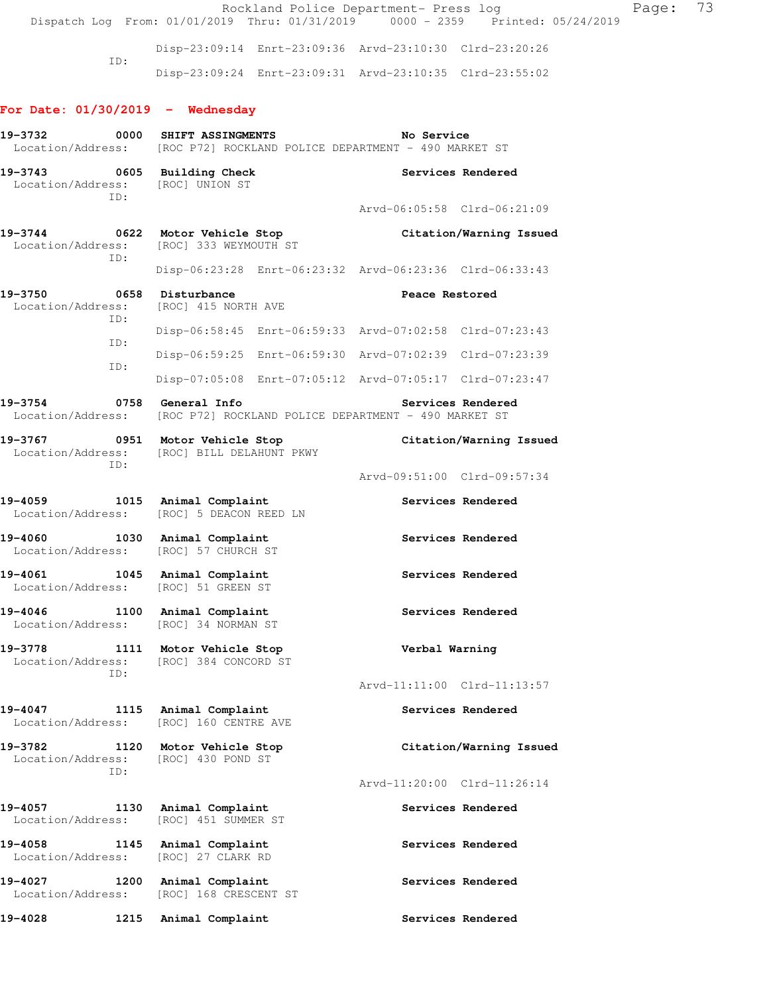Rockland Police Department- Press log Fage: 73 Dispatch Log From: 01/01/2019 Thru: 01/31/2019 0000 - 2359 Printed: 05/24/2019 Disp-23:09:14 Enrt-23:09:36 Arvd-23:10:30 Clrd-23:20:26 ID: Disp-23:09:24 Enrt-23:09:31 Arvd-23:10:35 Clrd-23:55:02 **For Date: 01/30/2019 - Wednesday 19-3732 0000 SHIFT ASSINGMENTS No Service**  Location/Address: [ROC P72] ROCKLAND POLICE DEPARTMENT - 490 MARKET ST **19-3743 0605 Building Check Services Rendered**  Location/Address: [ROC] UNION ST ID: Arvd-06:05:58 Clrd-06:21:09 **19-3744 0622 Motor Vehicle Stop Citation/Warning Issued**  Location/Address: [ROC] 333 WEYMOUTH ST ID: Disp-06:23:28 Enrt-06:23:32 Arvd-06:23:36 Clrd-06:33:43 19-3750 0658 Disturbance **Peace Restored**  Location/Address: [ROC] 415 NORTH AVE ID: Disp-06:58:45 Enrt-06:59:33 Arvd-07:02:58 Clrd-07:23:43 ID: Disp-06:59:25 Enrt-06:59:30 Arvd-07:02:39 Clrd-07:23:39 ID: Disp-07:05:08 Enrt-07:05:12 Arvd-07:05:17 Clrd-07:23:47 **19-3754 0758 General Info Services Rendered**  Location/Address: [ROC P72] ROCKLAND POLICE DEPARTMENT - 490 MARKET ST **19-3767 0951 Motor Vehicle Stop Citation/Warning Issued**  Location/Address: [ROC] BILL DELAHUNT PKWY ID: Arvd-09:51:00 Clrd-09:57:34 **19-4059 1015 Animal Complaint Services Rendered**  Location/Address: [ROC] 5 DEACON REED LN 19-4060 1030 Animal Complaint **19-4060** Services Rendered Location/Address: [ROC] 57 CHURCH ST 19-4061 1045 Animal Complaint **10-4061** Services Rendered Location/Address: [ROC] 51 GREEN ST 19-4046 **1100** Animal Complaint **19-4046** Services Rendered Location/Address: [ROC] 34 NORMAN ST **19-3778 1111 Motor Vehicle Stop Verbal Warning**  Location/Address: [ROC] 384 CONCORD ST ID: Arvd-11:11:00 Clrd-11:13:57 19-4047 **1115** Animal Complaint **19-4047** Services Rendered Location/Address: [ROC] 160 CENTRE AVE **19-3782 1120 Motor Vehicle Stop Citation/Warning Issued**  Location/Address: [ROC] 430 POND ST ID: Arvd-11:20:00 Clrd-11:26:14 19-4057 **1130** Animal Complaint **Services Rendered**  Location/Address: [ROC] 451 SUMMER ST 19-4058 1145 Animal Complaint **Services Rendered**  Location/Address: [ROC] 27 CLARK RD 19-4027 1200 Animal Complaint **19-4027** Services Rendered Location/Address: [ROC] 168 CRESCENT ST **19-4028 1215 Animal Complaint Services Rendered**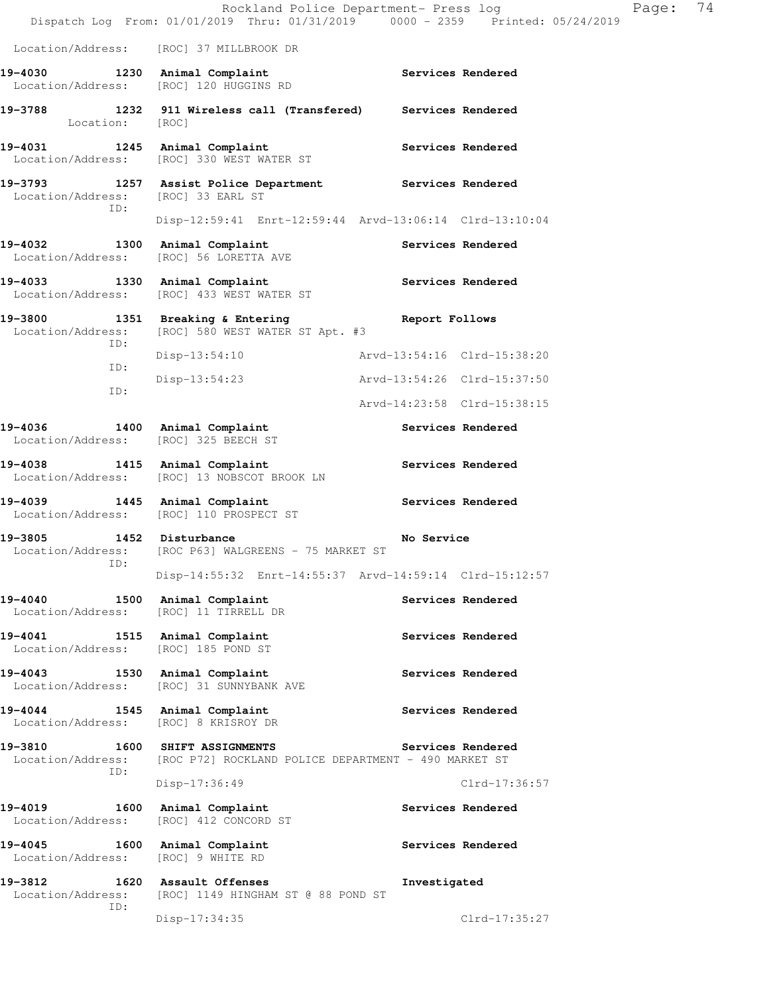|                                                 | nockland forice bepartment fress fog                                                           | Dispatch Log From: 01/01/2019 Thru: 01/31/2019 0000 - 2359 Printed: 05/24/2019 |  |  |  |  |
|-------------------------------------------------|------------------------------------------------------------------------------------------------|--------------------------------------------------------------------------------|--|--|--|--|
|                                                 | Location/Address: [ROC] 37 MILLBROOK DR                                                        |                                                                                |  |  |  |  |
|                                                 | 19-4030 1230 Animal Complaint<br>Location/Address: [ROC] 120 HUGGINS RD                        | Services Rendered                                                              |  |  |  |  |
| Location: [ROC]                                 | 19-3788 1232 911 Wireless call (Transfered) Services Rendered                                  |                                                                                |  |  |  |  |
|                                                 | 19-4031 1245 Animal Complaint<br>Location/Address: [ROC] 330 WEST WATER ST                     | Services Rendered                                                              |  |  |  |  |
| Location/Address: [ROC] 33 EARL ST              | 19-3793 1257 Assist Police Department Services Rendered                                        |                                                                                |  |  |  |  |
| ID:                                             | Disp-12:59:41 Enrt-12:59:44 Arvd-13:06:14 Clrd-13:10:04                                        |                                                                                |  |  |  |  |
| 19-4032 1300 Animal Complaint                   | Location/Address: [ROC] 56 LORETTA AVE                                                         | Services Rendered                                                              |  |  |  |  |
| 19-4033 1330 Animal Complaint                   |                                                                                                | Services Rendered                                                              |  |  |  |  |
|                                                 | 19-3800 1351 Breaking & Entering<br>Location/Address: [ROC] 580 WEST WATER ST Apt. #3          | Report Follows                                                                 |  |  |  |  |
| ID:                                             | Disp-13:54:10                                                                                  | Arvd-13:54:16 Clrd-15:38:20                                                    |  |  |  |  |
| ID:<br>ID:                                      | Disp-13:54:23                                                                                  | Arvd-13:54:26 Clrd-15:37:50                                                    |  |  |  |  |
|                                                 |                                                                                                | Arvd-14:23:58 Clrd-15:38:15                                                    |  |  |  |  |
| 19-4036 1400 Animal Complaint                   | Location/Address: [ROC] 325 BEECH ST                                                           | Services Rendered                                                              |  |  |  |  |
| 19-4038 1415 Animal Complaint                   | Location/Address: [ROC] 13 NOBSCOT BROOK LN                                                    | Services Rendered                                                              |  |  |  |  |
| $19 - 4039$                                     | 1445 Animal Complaint<br>Location/Address: [ROC] 110 PROSPECT ST                               | Services Rendered                                                              |  |  |  |  |
|                                                 | 19-3805 1452 Disturbance<br>No Service<br>Location/Address: [ROC P63] WALGREENS - 75 MARKET ST |                                                                                |  |  |  |  |
| ID:                                             | Disp-14:55:32 Enrt-14:55:37 Arvd-14:59:14 Clrd-15:12:57                                        |                                                                                |  |  |  |  |
| 19-4040<br>Location/Address:                    | 1500 Animal Complaint<br>[ROC] 11 TIRRELL DR                                                   | Services Rendered                                                              |  |  |  |  |
| 19-4041<br>Location/Address: [ROC] 185 POND ST  | 1515 Animal Complaint                                                                          | Services Rendered                                                              |  |  |  |  |
| 19-4043<br>Location/Address:                    | 1530 Animal Complaint<br>[ROC] 31 SUNNYBANK AVE                                                | Services Rendered                                                              |  |  |  |  |
| 19-4044<br>Location/Address: [ROC] 8 KRISROY DR | 1545 Animal Complaint                                                                          | Services Rendered                                                              |  |  |  |  |
| 19-3810<br>Location/Address:                    | <b>1600 SHIFT ASSIGNMENTS</b><br>[ROC P72] ROCKLAND POLICE DEPARTMENT - 490 MARKET ST          | Services Rendered                                                              |  |  |  |  |
| ID:                                             | Disp-17:36:49                                                                                  | $Clrd-17:36:57$                                                                |  |  |  |  |
| 19-4019<br>Location/Address:                    | 1600 Animal Complaint<br>[ROC] 412 CONCORD ST                                                  | Services Rendered                                                              |  |  |  |  |
| 19-4045<br>Location/Address: [ROC] 9 WHITE RD   | 1600 Animal Complaint                                                                          | Services Rendered                                                              |  |  |  |  |
| 19-3812<br>Location/Address:                    | 1620 Assault Offenses<br>[ROC] 1149 HINGHAM ST @ 88 POND ST                                    | Investigated                                                                   |  |  |  |  |
| ID:                                             | Disp-17:34:35                                                                                  | Clrd-17:35:27                                                                  |  |  |  |  |

Rockland Police Department- Press log Page: 74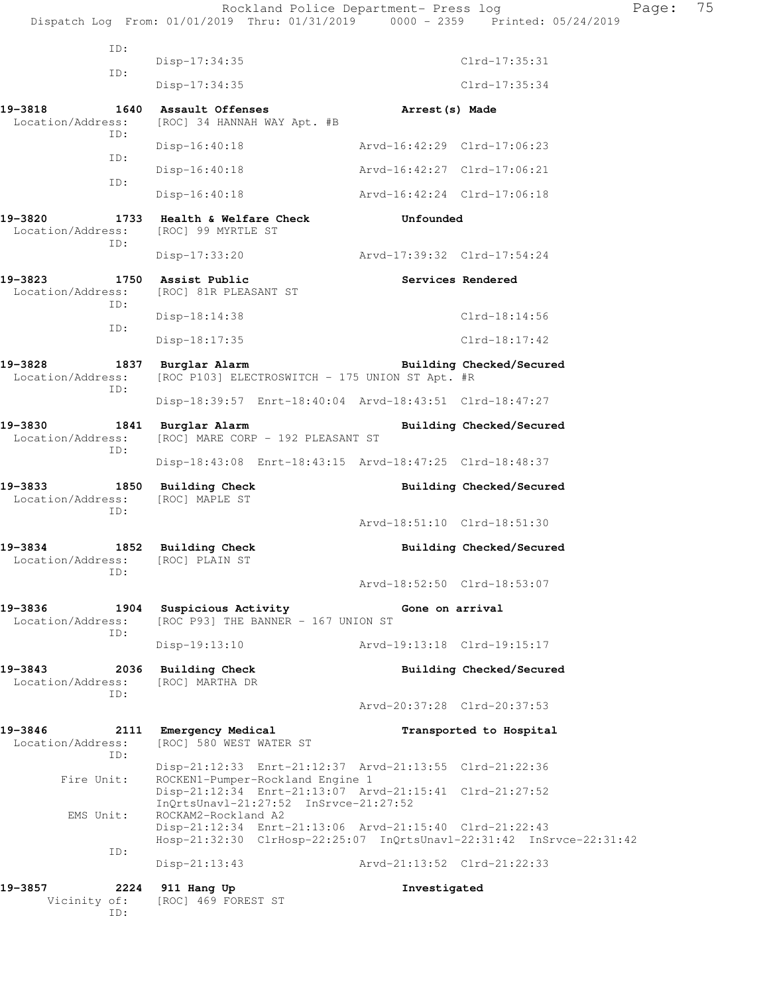Rockland Police Department- Press log Fage: 75 Dispatch Log From: 01/01/2019 Thru: 01/31/2019 0000 - 2359 Printed: 05/24/2019 ID: Disp-17:34:35 Clrd-17:35:31 ID: Disp-17:34:35 Clrd-17:35:34 **19-3818 1640 Assault Offenses Arrest(s) Made**  Location/Address: [ROC] 34 HANNAH WAY Apt. #B ID: Disp-16:40:18 Arvd-16:42:29 Clrd-17:06:23 ID: Disp-16:40:18 Arvd-16:42:27 Clrd-17:06:21 ID: Disp-16:40:18 Arvd-16:42:24 Clrd-17:06:18 **19-3820 1733 Health & Welfare Check Unfounded**  Location/Address: [ROC] 99 MYRTLE ST ID: Disp-17:33:20 Arvd-17:39:32 Clrd-17:54:24 19-3823 1750 Assist Public **19-3823** Services Rendered Location/Address: [ROC] 81R PLEASANT ST ID: Disp-18:14:38 Clrd-18:14:56 ID: Disp-18:17:35 Clrd-18:17:42 **19-3828 1837 Burglar Alarm Building Checked/Secured**  Location/Address: [ROC P103] ELECTROSWITCH - 175 UNION ST Apt. #R ID: Disp-18:39:57 Enrt-18:40:04 Arvd-18:43:51 Clrd-18:47:27 **19-3830 1841 Burglar Alarm Building Checked/Secured**  Location/Address: [ROC] MARE CORP - 192 PLEASANT ST ID: Disp-18:43:08 Enrt-18:43:15 Arvd-18:47:25 Clrd-18:48:37 **19-3833 1850 Building Check Building Checked/Secured**  Location/Address: [ROC] MAPLE ST ID: Arvd-18:51:10 Clrd-18:51:30 **19-3834 1852 Building Check Building Checked/Secured**  Location/Address: [ROC] PLAIN ST ID: Arvd-18:52:50 Clrd-18:53:07 **19-3836 1904 Suspicious Activity Gone on arrival**  Location/Address: [ROC P93] THE BANNER - 167 UNION ST ID: Disp-19:13:10 Arvd-19:13:18 Clrd-19:15:17 **19-3843 2036 Building Check Building Checked/Secured**  Location/Address: [ROC] MARTHA DR ID: Arvd-20:37:28 Clrd-20:37:53 **19-3846 2111 Emergency Medical Transported to Hospital**  Location/Address: [ROC] 580 WEST WATER ST ID: Disp-21:12:33 Enrt-21:12:37 Arvd-21:13:55 Clrd-21:22:36 Fire Unit: ROCKEN1-Pumper-Rockland Engine 1 Disp-21:12:34 Enrt-21:13:07 Arvd-21:15:41 Clrd-21:27:52 InQrtsUnavl-21:27:52 InSrvce-21:27:52 EMS Unit: ROCKAM2-Rockland A2 Disp-21:12:34 Enrt-21:13:06 Arvd-21:15:40 Clrd-21:22:43 Hosp-21:32:30 ClrHosp-22:25:07 InQrtsUnavl-22:31:42 InSrvce-22:31:42 ID: Disp-21:13:43 Arvd-21:13:52 Clrd-21:22:33 **19-3857 2224 911 Hang Up Investigated**  Vicinity of: [ROC] 469 FOREST ST

ID: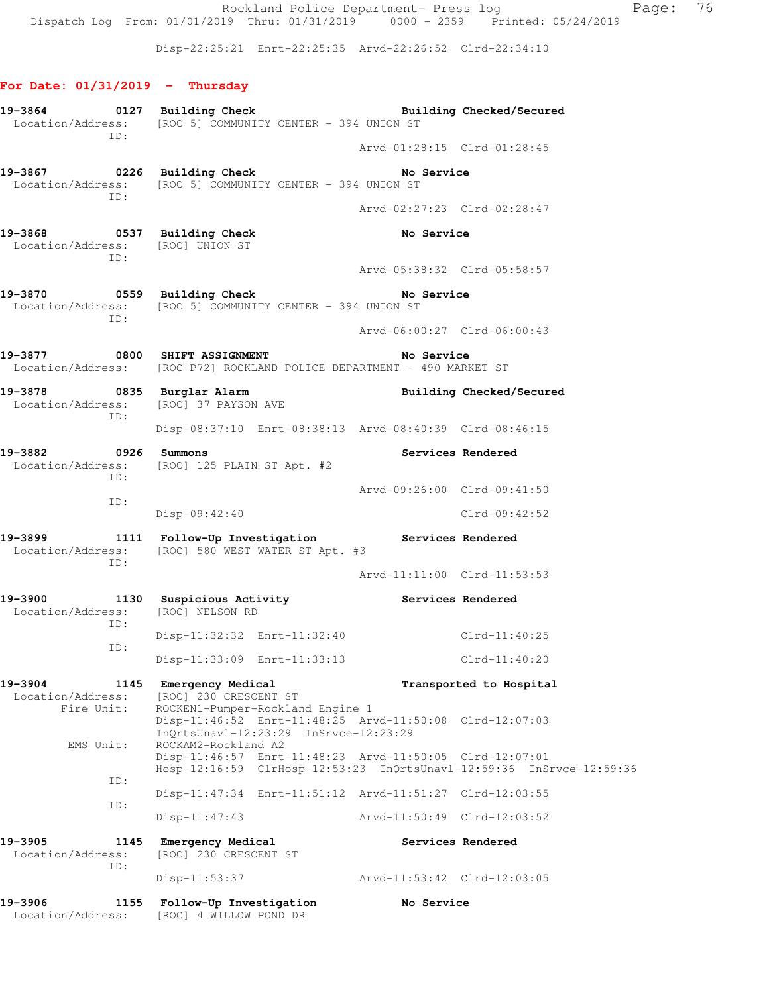Rockland Police Department- Press log entitled Page: 76 Dispatch Log From: 01/01/2019 Thru: 01/31/2019 0000 - 2359 Printed: 05/24/2019

Disp-22:25:21 Enrt-22:25:35 Arvd-22:26:52 Clrd-22:34:10

## **For Date: 01/31/2019 - Thursday**

|                                                                        |             | 19-3864 0127 Building Check<br>Location/Address: [ROC 5] COMMUNITY CENTER - 394 UNION ST                                        |                             | Building Checked/Secured |  |  |
|------------------------------------------------------------------------|-------------|---------------------------------------------------------------------------------------------------------------------------------|-----------------------------|--------------------------|--|--|
|                                                                        | ID:         |                                                                                                                                 | Arvd-01:28:15 Clrd-01:28:45 |                          |  |  |
| ID:                                                                    |             | 19-3867 0226 Building Check<br>Location/Address: [ROC 5] COMMUNITY CENTER - 394 UNION ST                                        | No Service                  |                          |  |  |
|                                                                        |             |                                                                                                                                 | Arvd-02:27:23 Clrd-02:28:47 |                          |  |  |
| 19-3868 0537 Building Check<br>Location/Address: [ROC] UNION ST<br>ID: |             |                                                                                                                                 | No Service                  |                          |  |  |
|                                                                        |             |                                                                                                                                 | Arvd-05:38:32 Clrd-05:58:57 |                          |  |  |
| 19-3870 0559 Building Check                                            | ID:         | No Service<br>Location/Address: [ROC 5] COMMUNITY CENTER - 394 UNION ST                                                         |                             |                          |  |  |
|                                                                        |             |                                                                                                                                 | Arvd-06:00:27 Clrd-06:00:43 |                          |  |  |
|                                                                        |             | 19-3877 0800 SHIFT ASSIGNMENT<br>No Service<br>Location/Address: [ROC P72] ROCKLAND POLICE DEPARTMENT - 490 MARKET ST           |                             |                          |  |  |
|                                                                        | ID:         | 19-3878 0835 Burglar Alarm<br>Location/Address: [ROC] 37 PAYSON AVE                                                             |                             | Building Checked/Secured |  |  |
|                                                                        |             | Disp-08:37:10 Enrt-08:38:13 Arvd-08:40:39 Clrd-08:46:15                                                                         |                             |                          |  |  |
| 19-3882 0926 Summons                                                   | ID:         | Location/Address: [ROC] 125 PLAIN ST Apt. #2                                                                                    | Services Rendered           |                          |  |  |
|                                                                        |             |                                                                                                                                 | Arvd-09:26:00 Clrd-09:41:50 |                          |  |  |
| ID:                                                                    |             | Disp-09:42:40                                                                                                                   |                             | $Clrd-09:42:52$          |  |  |
| 19–3899                                                                | ID:         | 1111 Follow-Up Investigation Services Rendered<br>Location/Address: [ROC] 580 WEST WATER ST Apt. #3                             |                             |                          |  |  |
|                                                                        |             |                                                                                                                                 | Arvd-11:11:00 Clrd-11:53:53 |                          |  |  |
| 19-3900                                                                | ID:         | 1130 Suspicious Activity The Services Rendered<br>Location/Address: [ROC] NELSON RD                                             |                             |                          |  |  |
|                                                                        | ID:         | Disp-11:32:32 Enrt-11:32:40                                                                                                     |                             | Clrd-11:40:25            |  |  |
|                                                                        |             | Disp-11:33:09 Enrt-11:33:13                                                                                                     |                             | Clrd-11:40:20            |  |  |
| 19-3904<br>Location/Address:<br>Fire Unit:                             |             | 1145 Emergency Medical<br>[ROC] 230 CRESCENT ST<br>ROCKEN1-Pumper-Rockland Engine 1                                             |                             | Transported to Hospital  |  |  |
| EMS Unit:                                                              |             | Disp-11:46:52 Enrt-11:48:25 Arvd-11:50:08 Clrd-12:07:03<br>InQrtsUnavl-12:23:29 InSrvce-12:23:29<br>ROCKAM2-Rockland A2         |                             |                          |  |  |
|                                                                        |             | Disp-11:46:57 Enrt-11:48:23 Arvd-11:50:05 Clrd-12:07:01<br>Hosp-12:16:59 ClrHosp-12:53:23 InQrtsUnavl-12:59:36 InSrvce-12:59:36 |                             |                          |  |  |
|                                                                        | ID:         | Disp-11:47:34 Enrt-11:51:12 Arvd-11:51:27 Clrd-12:03:55                                                                         |                             |                          |  |  |
|                                                                        | ID:         | $Disp-11:47:43$                                                                                                                 | Arvd-11:50:49 Clrd-12:03:52 |                          |  |  |
| 19-3905<br>Location/Address:                                           | 1145<br>ID: | Emergency Medical<br>[ROC] 230 CRESCENT ST                                                                                      |                             | Services Rendered        |  |  |
|                                                                        |             | Disp-11:53:37                                                                                                                   | Arvd-11:53:42 Clrd-12:03:05 |                          |  |  |
| 19-3906<br>Location/Address:                                           | 1155        | Follow-Up Investigation<br>[ROC] 4 WILLOW POND DR                                                                               | No Service                  |                          |  |  |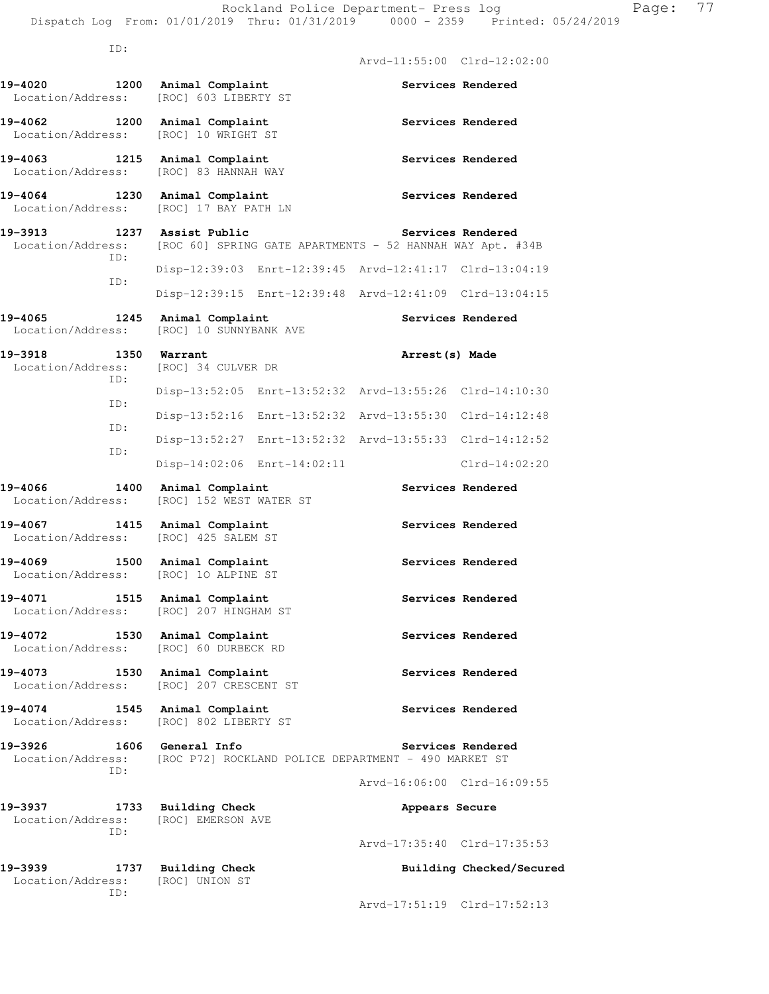ID: Arvd-11:55:00 Clrd-12:02:00 **19-4020 1200 Animal Complaint Services Rendered**  Location/Address: [ROC] 603 LIBERTY ST 19-4062 1200 Animal Complaint **1200 Services Rendered**  Location/Address: [ROC] 10 WRIGHT ST 19-4063 **1215** Animal Complaint **1215** Services Rendered Location/Address: [ROC] 83 HANNAH WAY 19-4064 1230 Animal Complaint **Services Rendered**  Location/Address: [ROC] 17 BAY PATH LN 19-3913 1237 Assist Public **19-3913** Services Rendered Location/Address: [ROC 60] SPRING GATE APARTMENTS - 52 HANNAH WAY Apt. #34B ID: Disp-12:39:03 Enrt-12:39:45 Arvd-12:41:17 Clrd-13:04:19 ID: Disp-12:39:15 Enrt-12:39:48 Arvd-12:41:09 Clrd-13:04:15 19-4065 1245 Animal Complaint **Services Rendered**  Location/Address: [ROC] 10 SUNNYBANK AVE **19-3918 1350 Warrant Arrest(s) Made**  Location/Address: [ROC] 34 CULVER DR ID: Disp-13:52:05 Enrt-13:52:32 Arvd-13:55:26 Clrd-14:10:30 ID: Disp-13:52:16 Enrt-13:52:32 Arvd-13:55:30 Clrd-14:12:48 ID: Disp-13:52:27 Enrt-13:52:32 Arvd-13:55:33 Clrd-14:12:52 ID: Disp-14:02:06 Enrt-14:02:11 Clrd-14:02:20 **19-4066 1400 Animal Complaint Services Rendered**  Location/Address: [ROC] 152 WEST WATER ST **19-4067 1415 Animal Complaint Services Rendered**  Location/Address: [ROC] 425 SALEM ST **19-4069 1500 Animal Complaint Services Rendered**  Location/Address: [ROC] 1O ALPINE ST 19-4071 1515 Animal Complaint **1896 1897 Services Rendered**  Location/Address: [ROC] 207 HINGHAM ST 19-4072 1530 Animal Complaint **19-4072** Services Rendered Location/Address: [ROC] 60 DURBECK RD **19-4073 1530 Animal Complaint Services Rendered**  Location/Address: [ROC] 207 CRESCENT ST **19-4074 1545 Animal Complaint Services Rendered**  Location/Address: [ROC] 802 LIBERTY ST **19-3926 1606 General Info Services Rendered**  Location/Address: [ROC P72] ROCKLAND POLICE DEPARTMENT - 490 MARKET ST ID: Arvd-16:06:00 Clrd-16:09:55 **19-3937 1733 Building Check Appears Secure**  Location/Address: [ROC] EMERSON AVE ID: Arvd-17:35:40 Clrd-17:35:53 19-3939 1737 Building Check **Building Checked/Secured**  Location/Address: [ROC] UNION ST ID:

Arvd-17:51:19 Clrd-17:52:13